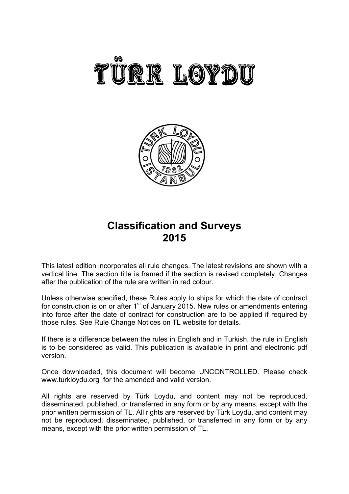



# **Classification and Surveys 2015**

This latest edition incorporates all rule changes. The latest revisions are shown with a vertical line. The section title is framed if the section is revised completely. Changes after the publication of the rule are written in red colour.

Unless otherwise specified, these Rules apply to ships for which the date of contract for construction is on or after  $1<sup>st</sup>$  of January 2015. New rules or amendments entering into force after the date of contract for construction are to be applied if required by those rules. See Rule Change Notices on TL website for details.

If there is a difference between the rules in English and in Turkish, the rule in English is to be considered as valid. This publication is available in print and electronic pdf version.

Once downloaded, this document will become UNCONTROLLED. Please check www.turkloydu.org for the amended and valid version.

All rights are reserved by Türk Loydu, and content may not be reproduced, disseminated, published, or transferred in any form or by any means, except with the prior written permission of TL. All rights are reserved by Türk Loydu, and content may not be reproduced, disseminated, published, or transferred in any form or by any means, except with the prior written permission of TL.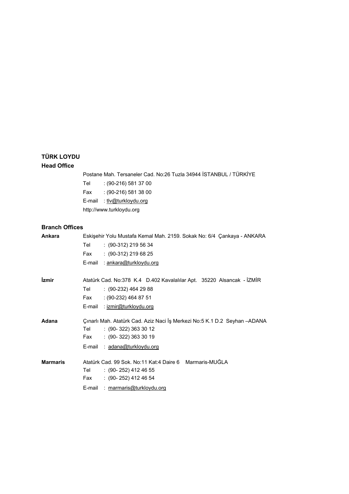# **TÜRK LOYDU Head Office**

Postane Mah. Tersaneler Cad. No:26 Tuzla 34944 İSTANBUL / TÜRKİYE

- Tel : (90-216) 581 37 00 Fax : (90-216) 581 38 00
- E-mail : tlv@turkloydu.org
- http://www.turkloydu.org

# **Branch Offices**

| Ankara<br>Eskişehir Yolu Mustafa Kemal Mah. 2159. Sokak No: 6/4 Çankaya - ANKARA |                                                                            |  |
|----------------------------------------------------------------------------------|----------------------------------------------------------------------------|--|
|                                                                                  | Tel<br>$: (90-312)$ 219 56 34                                              |  |
|                                                                                  | $: (90-312) 219 68 25$<br>Fax                                              |  |
|                                                                                  | : ankara@turkloydu.org<br>E-mail                                           |  |
| İzmir                                                                            | Atatürk Cad. No:378 K.4 D.402 Kavalalılar Apt. 35220 Alsancak - İZMİR      |  |
|                                                                                  | Tel<br>$(90-232)$ 464 29 88                                                |  |
|                                                                                  | $(90-232)$ 464 87 51<br>Fax                                                |  |
|                                                                                  | E-mail : izmir@turkloydu.org                                               |  |
| Adana                                                                            | Çınarlı Mah. Atatürk Cad. Aziz Naci İş Merkezi No:5 K.1 D.2 Seyhan - ADANA |  |
|                                                                                  | $: (90-322) 363 30 12$<br>Tel                                              |  |
|                                                                                  | $: (90-322) 363 30 19$<br>Fax                                              |  |
|                                                                                  | E-mail : adana@turkloydu.org                                               |  |
| <b>Marmaris</b>                                                                  | Atatürk Cad. 99 Sok. No:11 Kat:4 Daire 6 Marmaris-MUĞLA                    |  |
|                                                                                  | $\div$ (90-252) 412 46 55<br>Tel                                           |  |
|                                                                                  | $\therefore$ (90-252) 412 46 54<br>Fax                                     |  |
|                                                                                  | : marmaris@turkloydu.org<br>E-mail                                         |  |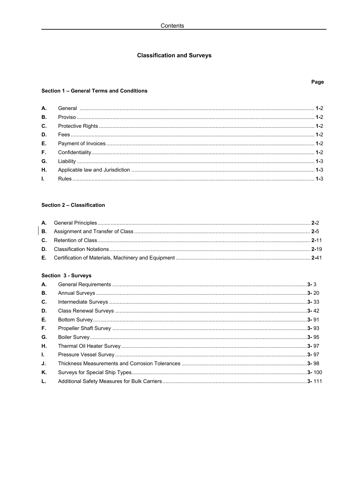# **Classification and Surveys**

### Section 1 - General Terms and Conditions

# Section 2 - Classification

# Section 3 - Surveys

| А.        |  |
|-----------|--|
| <b>B.</b> |  |
| C.        |  |
| D.        |  |
| Е.        |  |
| F.        |  |
| G.        |  |
| Η.        |  |
| L.        |  |
| J.        |  |
| Κ.        |  |
| L.        |  |

# Page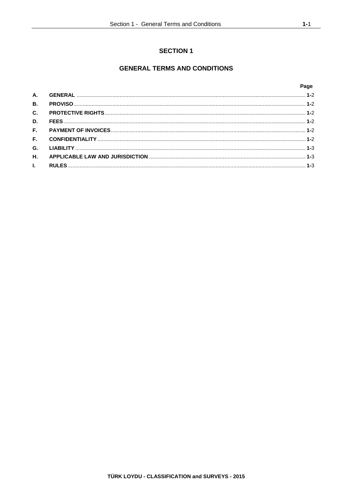# **SECTION 1**

# **GENERAL TERMS AND CONDITIONS**

## Page

| B <sub>1</sub> |  |
|----------------|--|
|                |  |
| D.             |  |
|                |  |
|                |  |
|                |  |
|                |  |
|                |  |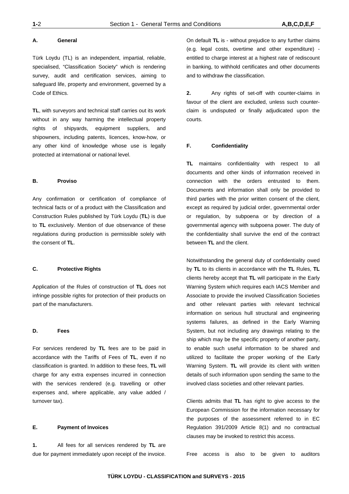#### **A. General**

Türk Loydu (TL) is an independent, impartial, reliable, specialised, "Classification Society" which is rendering survey, audit and certification services, aiming to safeguard life, property and environment, governed by a Code of Ethics.

**TL**, with surveyors and technical staff carries out its work without in any way harming the intellectual property rights of shipyards, equipment suppliers, and shipowners, including patents, licences, know-how, or any other kind of knowledge whose use is legally protected at international or national level.

#### **B. Proviso**

Any confirmation or certification of compliance of technical facts or of a product with the Classification and Construction Rules published by Türk Loydu (**TL**) is due to **TL** exclusively. Mention of due observance of these regulations during production is permissible solely with the consent of **TL**.

#### **C. Protective Rights**

Application of the Rules of construction of **TL** does not infringe possible rights for protection of their products on part of the manufacturers.

#### **D. Fees**

For services rendered by **TL** fees are to be paid in accordance with the Tariffs of Fees of **TL**, even if no classification is granted. In addition to these fees, **TL** will charge for any extra expenses incurred in connection with the services rendered (e.g. travelling or other expenses and, where applicable, any value added / turnover tax).

#### **E. Payment of Invoices**

**1.** All fees for all services rendered by **TL** are due for payment immediately upon receipt of the invoice.

On default **TL** is - without prejudice to any further claims (e.g. legal costs, overtime and other expenditure) entitled to charge interest at a highest rate of rediscount in banking, to withhold certificates and other documents and to withdraw the classification.

**2.** Any rights of set-off with counter-claims in favour of the client are excluded, unless such counterclaim is undisputed or finally adjudicated upon the courts.

#### **F. Confidentiality**

**TL** maintains confidentiality with respect to all documents and other kinds of information received in connection with the orders entrusted to them. Documents and information shall only be provided to third parties with the prior written consent of the client, except as required by judicial order, governmental order or regulation, by subpoena or by direction of a governmental agency with subpoena power. The duty of the confidentiality shall survive the end of the contract between **TL** and the client.

Notwithstanding the general duty of confidentiality owed by **TL** to its clients in accordance with the **TL** Rules, **TL** clients hereby accept that **TL** will participate in the Early Warning System which requires each IACS Member and Associate to provide the involved Classification Societies and other relevant parties with relevant technical information on serious hull structural and engineering systems failures, as defined in the Early Warning System, but not including any drawings relating to the ship which may be the specific property of another party, to enable such useful information to be shared and utilized to facilitate the proper working of the Early Warning System. **TL** will provide its client with written details of such information upon sending the same to the involved class societies and other relevant parties.

Clients admits that **TL** has right to give access to the European Commission for the information necessary for the purposes of the assessment referred to in EC Regulation 391/2009 Article 8(1) and no contractual clauses may be invoked to restrict this access.

Free access is also to be given to auditors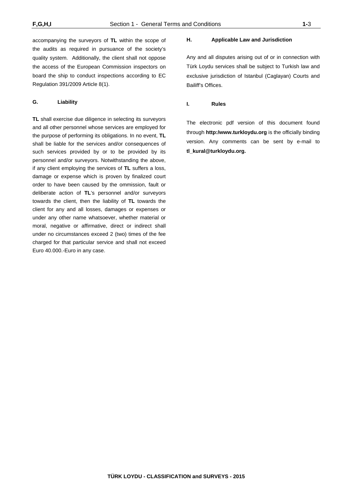accompanying the surveyors of **TL** within the scope of the audits as required in pursuance of the society's quality system. Additionally, the client shall not oppose the access of the European Commission inspectors on board the ship to conduct inspections according to EC Regulation 391/2009 Article 8(1).

#### **G. Liability**

**TL** shall exercise due diligence in selecting its surveyors and all other personnel whose services are employed for the purpose of performing its obligations. In no event, **TL** shall be liable for the services and/or consequences of such services provided by or to be provided by its personnel and/or surveyors. Notwithstanding the above, if any client employing the services of **TL** suffers a loss, damage or expense which is proven by finalized court order to have been caused by the ommission, fault or deliberate action of **TL**'s personnel and/or surveyors towards the client, then the liability of **TL** towards the client for any and all losses, damages or expenses or under any other name whatsoever, whether material or moral, negative or affirmative, direct or indirect shall under no circumstances exceed 2 (two) times of the fee charged for that particular service and shall not exceed Euro 40.000.-Euro in any case.

#### **H. Applicable Law and Jurisdiction**

Any and all disputes arising out of or in connection with Türk Loydu services shall be subject to Turkish law and exclusive jurisdiction of Istanbul (Caglayan) Courts and Bailiff's Offices.

#### **I. Rules**

The electronic pdf version of this document found through **http:/www.turkloydu.org** is the officially binding version. Any comments can be sent by e-mail to **tl\_kural@turkloydu.org.**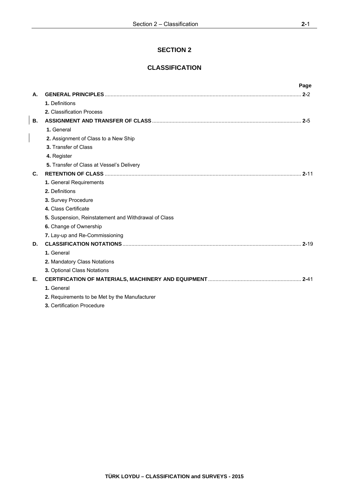# **SECTION 2**

# **CLASSIFICATION**

|    |                                                      | Page     |
|----|------------------------------------------------------|----------|
| А. |                                                      |          |
|    | 1. Definitions                                       |          |
|    | 2. Classification Process                            |          |
| В. |                                                      |          |
|    | 1. General                                           |          |
|    | 2. Assignment of Class to a New Ship                 |          |
|    | 3. Transfer of Class                                 |          |
|    | 4. Register                                          |          |
|    | 5. Transfer of Class at Vessel's Delivery            |          |
| C. |                                                      | $2 - 11$ |
|    | 1. General Requirements                              |          |
|    | 2. Definitions                                       |          |
|    | 3. Survey Procedure                                  |          |
|    | 4. Class Certificate                                 |          |
|    | 5. Suspension, Reinstatement and Withdrawal of Class |          |
|    | 6. Change of Ownership                               |          |
|    | 7. Lay-up and Re-Commissioning                       |          |
| D. |                                                      |          |
|    | 1. General                                           |          |
|    | 2. Mandatory Class Notations                         |          |
|    | 3. Optional Class Notations                          |          |
| Е. |                                                      |          |
|    | 1. General                                           |          |
|    | 2. Requirements to be Met by the Manufacturer        |          |
|    | 3. Certification Procedure                           |          |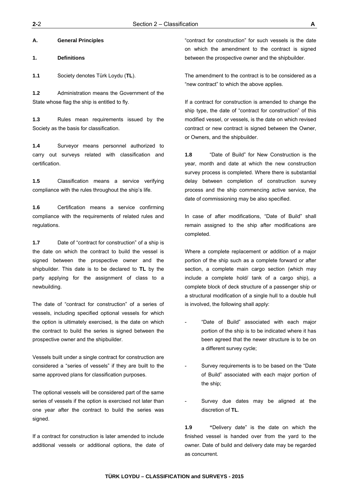**A. General Principles** 

**1. Definitions** 

**1.1** Society denotes Türk Loydu (**TL**).

**1.2** Administration means the Government of the State whose flag the ship is entitled to fly.

**1.3** Rules mean requirements issued by the Society as the basis for classification.

**1.4** Surveyor means personnel authorized to carry out surveys related with classification and certification.

**1.5** Classification means a service verifying compliance with the rules throughout the ship's life.

**1.6** Certification means a service confirming compliance with the requirements of related rules and regulations.

**1.7** Date of "contract for construction" of a ship is the date on which the contract to build the vessel is signed between the prospective owner and the shipbuilder. This date is to be declared to **TL** by the party applying for the assignment of class to a newbuilding.

The date of "contract for construction" of a series of vessels, including specified optional vessels for which the option is ultimately exercised, is the date on which the contract to build the series is signed between the prospective owner and the shipbuilder.

Vessels built under a single contract for construction are considered a "series of vessels" if they are built to the same approved plans for classification purposes.

The optional vessels will be considered part of the same series of vessels if the option is exercised not later than one year after the contract to build the series was signed.

If a contract for construction is later amended to include additional vessels or additional options, the date of "contract for construction" for such vessels is the date on which the amendment to the contract is signed between the prospective owner and the shipbuilder.

The amendment to the contract is to be considered as a "new contract" to which the above applies.

If a contract for construction is amended to change the ship type, the date of "contract for construction" of this modified vessel, or vessels, is the date on which revised contract or new contract is signed between the Owner, or Owners, and the shipbuilder.

**1.8** "Date of Build" for New Construction is the year, month and date at which the new construction survey process is completed. Where there is substantial delay between completion of construction survey process and the ship commencing active service, the date of commissioning may be also specified.

In case of after modifications, "Date of Build" shall remain assigned to the ship after modifications are completed.

Where a complete replacement or addition of a major portion of the ship such as a complete forward or after section, a complete main cargo section (which may include a complete hold/ tank of a cargo ship), a complete block of deck structure of a passenger ship or a structural modification of a single hull to a double hull is involved, the following shall apply:

- "Date of Build" associated with each major portion of the ship is to be indicated where it has been agreed that the newer structure is to be on a different survey cycle;
- Survey requirements is to be based on the "Date" of Build" associated with each major portion of the ship;
- Survey due dates may be aligned at the discretion of **TL**.

**1.9 "**Delivery date" is the date on which the finished vessel is handed over from the yard to the owner. Date of build and delivery date may be regarded as concurrent.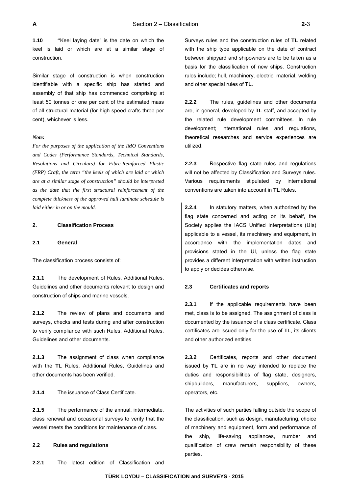**1.10 "**Keel laying date" is the date on which the keel is laid or which are at a similar stage of construction.

Similar stage of construction is when construction identifiable with a specific ship has started and assembly of that ship has commenced comprising at least 50 tonnes or one per cent of the estimated mass of all structural material (for high speed crafts three per cent), whichever is less.

#### *Note:*

*For the purposes of the application of the IMO Conventions and Codes (Performance Standards, Technical Standards, Resolutions and Circulars) for Fibre-Reinforced Plastic (FRP) Craft, the term "the keels of which are laid or which are at a similar stage of construction" should be interpreted as the date that the first structural reinforcement of the complete thickness of the approved hull laminate schedule is laid either in or on the mould.* 

#### **2. Classification Process**

#### **2.1 General**

The classification process consists of:

**2.1.1** The development of Rules, Additional Rules, Guidelines and other documents relevant to design and construction of ships and marine vessels.

**2.1.2** The review of plans and documents and surveys, checks and tests during and after construction to verify compliance with such Rules, Additional Rules, Guidelines and other documents.

**2.1.3** The assignment of class when compliance with the **TL** Rules, Additional Rules, Guidelines and other documents has been verified.

**2.1.4** The issuance of Class Certificate.

**2.1.5** The performance of the annual, intermediate, class renewal and occasional surveys to verify that the vessel meets the conditions for maintenance of class.

#### **2.2 Rules and regulations**

**2.2.1** The latest edition of Classification and

Surveys rules and the construction rules of **TL** related with the ship type applicable on the date of contract between shipyard and shipowners are to be taken as a basis for the classification of new ships. Construction rules include; hull, machinery, electric, material, welding and other special rules of **TL**.

**2.2.2** The rules, guidelines and other documents are, in general, developed by **TL** staff, and accepted by the related rule development committees. In rule development; international rules and regulations, theoretical researches and service experiences are utilized.

**2.2.3** Respective flag state rules and regulations will not be affected by Classification and Surveys rules. Various requirements stipulated by international conventions are taken into account in **TL** Rules.

**2.2.4** In statutory matters, when authorized by the flag state concerned and acting on its behalf, the Society applies the IACS Unified Interpretations (UIs) applicable to a vessel, its machinery and equipment, in accordance with the implementation dates and provisions stated in the UI, unless the flag state provides a different interpretation with written instruction to apply or decides otherwise.

### **2.3 Certificates and reports**

**2.3.1** If the applicable requirements have been met, class is to be assigned. The assignment of class is documented by the issuance of a class certificate. Class certificates are issued only for the use of **TL**, its clients and other authorized entities.

**2.3.2** Certificates, reports and other document issued by **TL** are in no way intended to replace the duties and responsibilities of flag state, designers, shipbuilders, manufacturers, suppliers, owners, operators, etc.

The activities of such parties falling outside the scope of the classification, such as design, manufacturing, choice of machinery and equipment, form and performance of the ship, life-saving appliances, number and qualification of crew remain responsibility of these parties.

**TÜRK LOYDU – CLASSIFICATION and SURVEYS - 2015**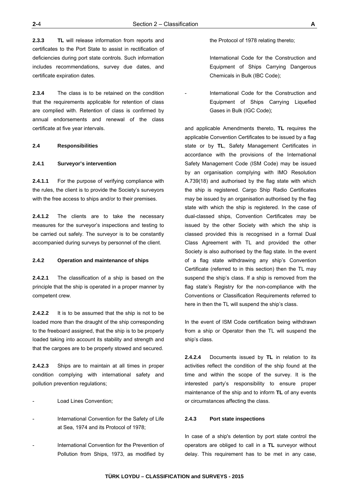**2.3.3 TL** will release information from reports and certificates to the Port State to assist in rectification of deficiencies during port state controls. Such information includes recommendations, survey due dates, and certificate expiration dates.

**2.3.4** The class is to be retained on the condition that the requirements applicable for retention of class are complied with. Retention of class is confirmed by annual endorsements and renewal of the class certificate at five year intervals.

#### **2.4 Responsibilities**

#### **2.4.1 Surveyor's intervention**

**2.4.1.1** For the purpose of verifying compliance with the rules, the client is to provide the Society's surveyors with the free access to ships and/or to their premises.

**2.4.1.2** The clients are to take the necessary measures for the surveyor's inspections and testing to be carried out safely. The surveyor is to be constantly accompanied during surveys by personnel of the client.

#### **2.4.2 Operation and maintenance of ships**

**2.4.2.1** The classification of a ship is based on the principle that the ship is operated in a proper manner by competent crew.

**2.4.2.2** It is to be assumed that the ship is not to be loaded more than the draught of the ship corresponding to the freeboard assigned, that the ship is to be properly loaded taking into account its stability and strength and that the cargoes are to be properly stowed and secured.

**2.4.2.3** Ships are to maintain at all times in proper condition complying with international safety and pollution prevention regulations;

- Load Lines Convention;
- International Convention for the Safety of Life at Sea, 1974 and its Protocol of 1978;
- International Convention for the Prevention of Pollution from Ships, 1973, as modified by

the Protocol of 1978 relating thereto;

 International Code for the Construction and Equipment of Ships Carrying Dangerous Chemicals in Bulk (IBC Code);

International Code for the Construction and Equipment of Ships Carrying Liquefied Gases in Bulk (IGC Code);

and applicable Amendments thereto, **TL** requires the applicable Convention Certificates to be issued by a flag state or by **TL**, Safety Management Certificates in accordance with the provisions of the International Safety Management Code (ISM Code) may be issued by an organisation complying with IMO Resolution A.739(18) and authorised by the flag state with which the ship is registered. Cargo Ship Radio Certificates may be issued by an organisation authorised by the flag state with which the ship is registered. In the case of dual-classed ships, Convention Certificates may be issued by the other Society with which the ship is classed provided this is recognised in a formal Dual Class Agreement with TL and provided the other Society is also authorised by the flag state. In the event of a flag state withdrawing any ship's Convention Certificate (referred to in this section) then the TL may suspend the ship's class. If a ship is removed from the flag state's Registry for the non-compliance with the Conventions or Classification Requirements referred to here in then the TL will suspend the ship's class.

In the event of ISM Code certification being withdrawn from a ship or Operator then the TL will suspend the ship's class.

**2.4.2.4** Documents issued by **TL** in relation to its activities reflect the condition of the ship found at the time and within the scope of the survey. It is the interested party's responsibility to ensure proper maintenance of the ship and to inform **TL** of any events or circumstances affecting the class.

#### **2.4.3 Port state inspections**

In case of a ship's detention by port state control the operators are obliged to call in a **TL** surveyor without delay. This requirement has to be met in any case,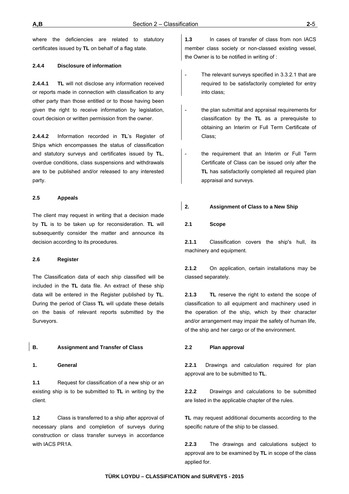where the deficiencies are related to statutory certificates issued by **TL** on behalf of a flag state.

#### **2.4.4 Disclosure of information**

**2.4.4.1 TL** will not disclose any information received or reports made in connection with classification to any other party than those entitled or to those having been given the right to receive information by legislation, court decision or written permission from the owner.

**2.4.4.2** Information recorded in **TL**'s Register of Ships which encompasses the status of classification and statutory surveys and certificates issued by **TL**, overdue conditions, class suspensions and withdrawals are to be published and/or released to any interested party.

#### **2.5 Appeals**

The client may request in writing that a decision made by **TL** is to be taken up for reconsideration. **TL** will subsequently consider the matter and announce its decision according to its procedures.

#### **2.6 Register**

The Classification data of each ship classified will be included in the **TL** data file. An extract of these ship data will be entered in the Register published by **TL**. During the period of Class **TL** will update these details on the basis of relevant reports submitted by the Surveyors.

#### **B. Assignment and Transfer of Class**

**1. General** 

**1.1** Request for classification of a new ship or an existing ship is to be submitted to **TL** in writing by the client.

**1.2** Class is transferred to a ship after approval of necessary plans and completion of surveys during construction or class transfer surveys in accordance with IACS PR1A.

**1.3** In cases of transfer of class from non IACS member class society or non-classed existing vessel, the Owner is to be notified in writing of :

- The relevant surveys specified in 3.3.2.1 that are required to be satisfactorily completed for entry into class;
- the plan submittal and appraisal requirements for classification by the **TL** as a prerequisite to obtaining an Interim or Full Term Certificate of Class;
- the requirement that an Interim or Full Term Certificate of Class can be issued only after the **TL** has satisfactorily completed all required plan appraisal and surveys.

### **2. Assignment of Class to a New Ship**

#### **2.1 Scope**

**2.1.1** Classification covers the ship's hull, its machinery and equipment.

**2.1.2** On application, certain installations may be classed separately.

**2.1.3 TL** reserve the right to extend the scope of classification to all equipment and machinery used in the operation of the ship, which by their character and/or arrangement may impair the safety of human life, of the ship and her cargo or of the environment.

#### **2.2 Plan approval**

**2.2.1** Drawings and calculation required for plan approval are to be submitted to **TL**.

**2.2.2** Drawings and calculations to be submitted are listed in the applicable chapter of the rules.

**TL** may request additional documents according to the specific nature of the ship to be classed.

**2.2.3** The drawings and calculations subject to approval are to be examined by **TL** in scope of the class applied for.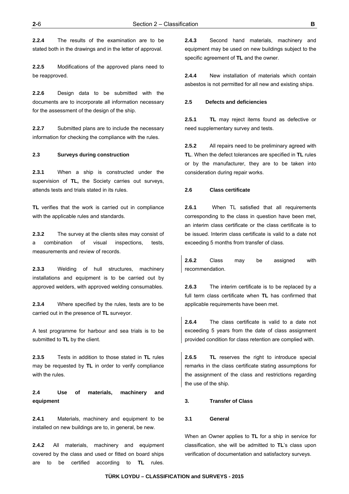**2.2.4** The results of the examination are to be stated both in the drawings and in the letter of approval.

**2.2.5** Modifications of the approved plans need to be reapproved.

**2.2.6** Design data to be submitted with the documents are to incorporate all information necessary for the assessment of the design of the ship.

**2.2.7** Submitted plans are to include the necessary information for checking the compliance with the rules.

#### **2.3 Surveys during construction**

**2.3.1** When a ship is constructed under the supervision of **TL,** the Society carries out surveys, attends tests and trials stated in its rules.

**TL** verifies that the work is carried out in compliance with the applicable rules and standards.

**2.3.2** The survey at the clients sites may consist of a combination of visual inspections, tests, measurements and review of records.

**2.3.3** Welding of hull structures, machinery installations and equipment is to be carried out by approved welders, with approved welding consumables.

**2.3.4** Where specified by the rules, tests are to be carried out in the presence of **TL** surveyor.

A test programme for harbour and sea trials is to be submitted to **TL** by the client.

**2.3.5** Tests in addition to those stated in **TL** rules may be requested by **TL** in order to verify compliance with the rules.

# **2.4 Use of materials, machinery and equipment**

**2.4.1** Materials, machinery and equipment to be installed on new buildings are to, in general, be new.

**2.4.2** All materials, machinery and equipment covered by the class and used or fitted on board ships are to be certified according to **TL** rules.

**2.4.3** Second hand materials, machinery and equipment may be used on new buildings subject to the specific agreement of **TL** and the owner.

**2.4.4** New installation of materials which contain asbestos is not permitted for all new and existing ships.

#### **2.5 Defects and deficiencies**

**2.5.1 TL** may reject items found as defective or need supplementary survey and tests.

**2.5.2** All repairs need to be preliminary agreed with **TL**. When the defect tolerances are specified in **TL** rules or by the manufacturer, they are to be taken into consideration during repair works.

#### **2.6 Class certificate**

**2.6.1** When TL satisfied that all requirements corresponding to the class in question have been met, an interim class certificate or the class certificate is to be issued. Interim class certificate is valid to a date not exceeding 5 months from transfer of class.

**2.6.2** Class may be assigned with recommendation.

**2.6.3** The interim certificate is to be replaced by a full term class certificate when **TL** has confirmed that applicable requirements have been met.

**2.6.4** The class certificate is valid to a date not exceeding 5 years from the date of class assignment provided condition for class retention are complied with.

**2.6.5 TL** reserves the right to introduce special remarks in the class certificate stating assumptions for the assignment of the class and restrictions regarding the use of the ship.

#### **3. Transfer of Class**

#### **3.1 General**

When an Owner applies to **TL** for a ship in service for classification, she will be admitted to **TL**'s class upon verification of documentation and satisfactory surveys.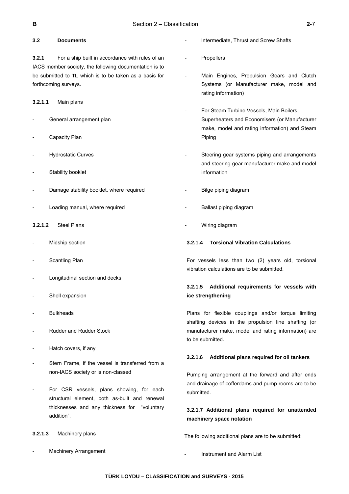# **3.2 Documents**

**3.2.1** For a ship built in accordance with rules of an IACS member society, the following documentation is to be submitted to **TL** which is to be taken as a basis for forthcoming surveys.

#### **3.2.1.1** Main plans

- General arrangement plan
- Capacity Plan
- Hydrostatic Curves
- Stability booklet
- Damage stability booklet, where required
- Loading manual, where required
- **3.2.1.2** Steel Plans
- Midship section
- Scantling Plan
- Longitudinal section and decks
- Shell expansion
- **Bulkheads**
- Rudder and Rudder Stock
- Hatch covers, if any
- Stern Frame, if the vessel is transferred from a non-IACS society or is non-classed
- For CSR vessels, plans showing, for each structural element, both as-built and renewal thicknesses and any thickness for "voluntary addition".
- **3.2.1.3** Machinery plans
- Machinery Arrangement
- Intermediate, Thrust and Screw Shafts
- **Propellers**
- Main Engines, Propulsion Gears and Clutch Systems (or Manufacturer make, model and rating information)
- For Steam Turbine Vessels, Main Boilers, Superheaters and Economisers (or Manufacturer make, model and rating information) and Steam Piping
- Steering gear systems piping and arrangements and steering gear manufacturer make and model information
- Bilge piping diagram
- Ballast piping diagram
- Wiring diagram

#### **3.2.1.4 Torsional Vibration Calculations**

For vessels less than two (2) years old, torsional vibration calculations are to be submitted.

# **3.2.1.5 Additional requirements for vessels with ice strengthening**

Plans for flexible couplings and/or torque limiting shafting devices in the propulsion line shafting (or manufacturer make, model and rating information) are to be submitted.

#### **3.2.1.6 Additional plans required for oil tankers**

Pumping arrangement at the forward and after ends and drainage of cofferdams and pump rooms are to be submitted.

# **3.2.1.7 Additional plans required for unattended machinery space notation**

The following additional plans are to be submitted:

Instrument and Alarm List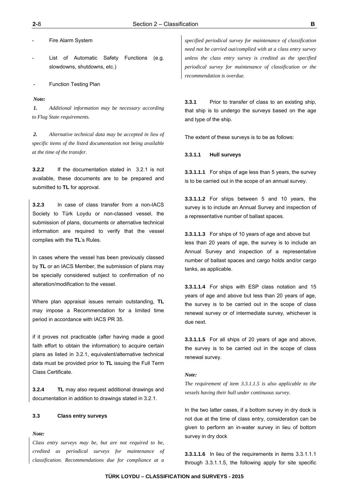List of Automatic Safety Functions (e.g. slowdowns, shutdowns, etc.)

**Function Testing Plan** 

#### *Note:*

*1. Additional information may be necessary according to Flag State requirements.* 

*2. Alternative technical data may be accepted in lieu of specific items of the listed documentation not being available at the time of the transfer.* 

**3.2.2** If the documentation stated in 3.2.1 is not available, these documents are to be prepared and submitted to **TL** for approval.

**3.2.3** In case of class transfer from a non-IACS Society to Türk Loydu or non-classed vessel, the submission of plans, documents or alternative technical information are required to verify that the vessel complies with the **TL**'s Rules.

In cases where the vessel has been previously classed by **TL** or an IACS Member, the submission of plans may be specially considered subject to confirmation of no alteration/modification to the vessel.

Where plan appraisal issues remain outstanding, **TL** may impose a Recommendation for a limited time period in accordance with IACS PR 35.

if it proves not practicable (after having made a good faith effort to obtain the information) to acquire certain plans as listed in 3.2.1, equivalent/alternative technical data must be provided prior to **TL** issuing the Full Term Class Certificate.

**3.2.4 TL** may also request additional drawings and documentation in addition to drawings stated in 3.2.1.

#### **3.3 Class entry surveys**

*Note:* 

*Class entry surveys may be, but are not required to be, credited as periodical surveys for maintenance of classification. Recommendations due for compliance at a* 

*specified periodical survey for maintenance of classification need not be carried out/complied with at a class entry survey unless the class entry survey is credited as the specified periodical survey for maintenance of classification or the recommendation is overdue.* 

**3.3.1** Prior to transfer of class to an existing ship, that ship is to undergo the surveys based on the age and type of the ship.

The extent of these surveys is to be as follows:

#### **3.3.1.1 Hull surveys**

**3.3.1.1.1** For ships of age less than 5 years, the survey is to be carried out in the scope of an annual survey.

**3.3.1.1.2** For ships between 5 and 10 years, the survey is to include an Annual Survey and inspection of a representative number of ballast spaces.

**3.3.1.1.3** For ships of 10 years of age and above but less than 20 years of age, the survey is to include an Annual Survey and inspection of a representative number of ballast spaces and cargo holds and/or cargo tanks, as applicable.

**3.3.1.1.4** For ships with ESP class notation and 15 years of age and above but less than 20 years of age, the survey is to be carried out in the scope of class renewal survey or of intermediate survey, whichever is due next.

**3.3.1.1.5** For all ships of 20 years of age and above, the survey is to be carried out in the scope of class renewal survey.

#### *Note:*

*The requirement of item 3.3.1.1.5 is also applicable to the vessels having their hull under continuous survey.*

In the two latter cases, if a bottom survey in dry dock is not due at the time of class entry, consideration can be given to perform an in-water survey in lieu of bottom survey in dry dock

**3.3.1.1.6** In lieu of the requirements in items 3.3.1.1.1 through 3.3.1.1.5, the following apply for site specific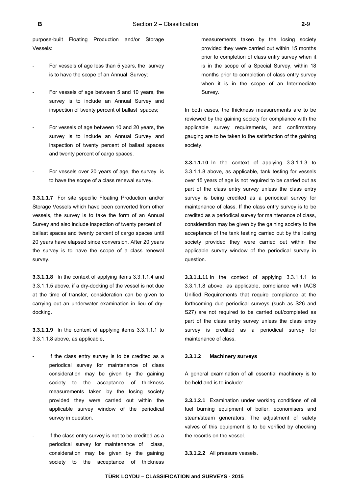purpose-built Floating Production and/or Storage Vessels:

- For vessels of age less than 5 years, the survey is to have the scope of an Annual Survey;
- For vessels of age between 5 and 10 years, the survey is to include an Annual Survey and inspection of twenty percent of ballast spaces;
- For vessels of age between 10 and 20 years, the survey is to include an Annual Survey and inspection of twenty percent of ballast spaces and twenty percent of cargo spaces.
- For vessels over 20 years of age, the survey is to have the scope of a class renewal survey.

**3.3.1.1.7** For site specific Floating Production and/or Storage Vessels which have been converted from other vessels, the survey is to take the form of an Annual Survey and also include inspection of twenty percent of ballast spaces and twenty percent of cargo spaces until 20 years have elapsed since conversion. After 20 years the survey is to have the scope of a class renewal survey.

**3.3.1.1.8** In the context of applying items 3.3.1.1.4 and 3.3.1.1.5 above, if a dry-docking of the vessel is not due at the time of transfer, consideration can be given to carrying out an underwater examination in lieu of drydocking.

**3.3.1.1.9** In the context of applying items 3.3.1.1.1 to 3.3.1.1.8 above, as applicable,

- If the class entry survey is to be credited as a periodical survey for maintenance of class consideration may be given by the gaining society to the acceptance of thickness measurements taken by the losing society provided they were carried out within the applicable survey window of the periodical survey in question.
- If the class entry survey is not to be credited as a periodical survey for maintenance of class, consideration may be given by the gaining society to the acceptance of thickness

measurements taken by the losing society provided they were carried out within 15 months prior to completion of class entry survey when it is in the scope of a Special Survey, within 18 months prior to completion of class entry survey when it is in the scope of an Intermediate Survey.

In both cases, the thickness measurements are to be reviewed by the gaining society for compliance with the applicable survey requirements, and confirmatory gauging are to be taken to the satisfaction of the gaining society.

**3.3.1.1.10** In the context of applying 3.3.1.1.3 to 3.3.1.1.8 above, as applicable, tank testing for vessels over 15 years of age is not required to be carried out as part of the class entry survey unless the class entry survey is being credited as a periodical survey for maintenance of class. If the class entry survey is to be credited as a periodical survey for maintenance of class, consideration may be given by the gaining society to the acceptance of the tank testing carried out by the losing society provided they were carried out within the applicable survey window of the periodical survey in question.

**3.3.1.1.11** In the context of applying 3.3.1.1.1 to 3.3.1.1.8 above, as applicable, compliance with IACS Unified Requirements that require compliance at the forthcoming due periodical surveys (such as S26 and S27) are not required to be carried out/completed as part of the class entry survey unless the class entry survey is credited as a periodical survey for maintenance of class.

#### **3.3.1.2 Machinery surveys**

A general examination of all essential machinery is to be held and is to include:

**3.3.1.2.1** Examination under working conditions of oil fuel burning equipment of boiler, economisers and steam/steam generators. The adjustment of safety valves of this equipment is to be verified by checking the records on the vessel.

**3.3.1.2.2** All pressure vessels.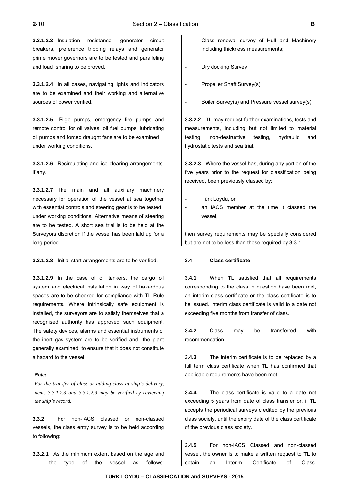**3.3.1.2.3** Insulation resistance, generator circuit breakers, preference tripping relays and generator prime mover governors are to be tested and paralleling and load sharing to be proved.

**3.3.1.2.4** In all cases, navigating lights and indicators are to be examined and their working and alternative sources of power verified.

**3.3.1.2.5** Bilge pumps, emergency fire pumps and remote control for oil valves, oil fuel pumps, lubricating oil pumps and forced draught fans are to be examined under working conditions.

**3.3.1.2.6** Recirculating and ice clearing arrangements, if any.

**3.3.1.2.7** The main and all auxiliary machinery necessary for operation of the vessel at sea together with essential controls and steering gear is to be tested under working conditions. Alternative means of steering are to be tested. A short sea trial is to be held at the Surveyors discretion if the vessel has been laid up for a long period.

**3.3.1.2.8** Initial start arrangements are to be verified.

**3.3.1.2.9** In the case of oil tankers, the cargo oil system and electrical installation in way of hazardous spaces are to be checked for compliance with TL Rule requirements. Where intrinsically safe equipment is installed, the surveyors are to satisfy themselves that a recognised authority has approved such equipment. The safety devices, alarms and essential instruments of the inert gas system are to be verified and the plant generally examined to ensure that it does not constitute a hazard to the vessel.

#### *Note:*

*For the transfer of class or adding class at ship's delivery, items 3.3.1.2.3 and 3.3.1.2.9 may be verified by reviewing the ship's record.* 

**3.3.2** For non-IACS classed or non-classed vessels, the class entry survey is to be held according to following:

**3.3.2.1** As the minimum extent based on the age and the type of the vessel as follows:

- Class renewal survey of Hull and Machinery including thickness measurements;
- Dry docking Survey
- Propeller Shaft Survey(s)
- Boiler Survey(s) and Pressure vessel survey(s)

**3.3.2.2 TL** may request further examinations, tests and measurements, including but not limited to material testing, non-destructive testing, hydraulic and hydrostatic tests and sea trial.

**3.3.2.3** Where the vessel has, during any portion of the five years prior to the request for classification being received, been previously classed by:

- Türk Loydu, or
- an IACS member at the time it classed the vessel,

then survey requirements may be specially considered but are not to be less than those required by 3.3.1.

#### **3.4 Class certificate**

**3.4.1** When **TL** satisfied that all requirements corresponding to the class in question have been met, an interim class certificate or the class certificate is to be issued. Interim class certificate is valid to a date not exceeding five months from transfer of class.

**3.4.2** Class may be transferred with recommendation.

**3.4.3** The interim certificate is to be replaced by a full term class certificate when **TL** has confirmed that applicable requirements have been met.

**3.4.4** The class certificate is valid to a date not exceeding 5 years from date of class transfer or, if **TL** accepts the periodical surveys credited by the previous class society, until the expiry date of the class certificate of the previous class society.

**3.4.5** For non-IACS Classed and non-classed vessel, the owner is to make a written request to **TL** to obtain an Interim Certificate of Class.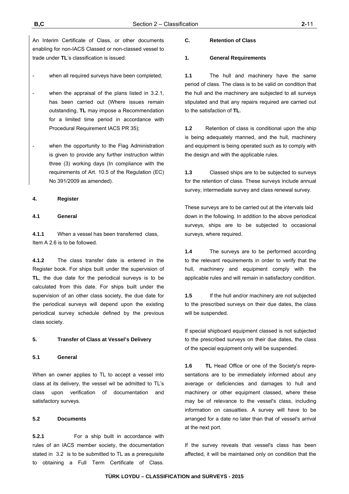An Interim Certificate of Class, or other documents enabling for non-IACS Classed or non-classed vessel to trade under **TL**'s classification is issued:

- when all required surveys have been completed;
- when the appraisal of the plans listed in 3.2.1, has been carried out (Where issues remain outstanding, **TL** may impose a Recommendation for a limited time period in accordance with Procedural Requirement IACS PR 35);
- when the opportunity to the Flag Administration is given to provide any further instruction within three (3) working days (In compliance with the requirements of Art. 10.5 of the Regulation (EC) No 391/2009 as amended).

#### **4. Register**

#### **4.1 General**

**4.1.1** When a vessel has been transferred class, Item A 2.6 is to be followed.

**4.1.2** The class transfer date is entered in the Register book. For ships built under the supervision of **TL**, the due date for the periodical surveys is to be calculated from this date. For ships built under the supervision of an other class society, the due date for the periodical surveys will depend upon the existing periodical survey schedule defined by the previous class society.

#### **5. Transfer of Class at Vessel's Delivery**

#### **5.1 General**

When an owner applies to TL to accept a vessel into class at its delivery, the vessel wil be admitted to TL's class upon verification of documentation and satisfactory surveys.

#### **5.2 Documents**

**5.2.1** For a ship built in accordance with rules of an IACS member society, the documentation stated in 3.2 is to be submitted to TL as a prerequisite to obtaining a Full Term Certificate of Class.

#### **C. Retention of Class**

#### **1. General Requirements**

**1.1** The hull and machinery have the same period of class. The class is to be valid on condition that the hull and the machinery are subjected to all surveys stipulated and that any repairs required are carried out to the satisfaction of **TL**.

**1.2** Retention of class is conditional upon the ship is being adequately manned, and the hull, machinery and equipment is being operated such as to comply with the design and with the applicable rules.

**1.3** Classed ships are to be subjected to surveys for the retention of class. These surveys include annual survey, intermediate survey and class renewal survey.

These surveys are to be carried out at the intervals laid down in the following. In addition to the above periodical surveys, ships are to be subjected to occasional surveys, where required.

**1.4** The surveys are to be performed according to the relevant requirements in order to verify that the hull, machinery and equipment comply with the applicable rules and will remain in satisfactory condition.

**1.5** If the hull and/or machinery are not subjected to the prescribed surveys on their due dates, the class will be suspended.

If special shipboard equipment classed is not subjected to the prescribed surveys on their due dates, the class of the special equipment only will be suspended.

**1.6 TL** Head Office or one of the Society's representations are to be immediately informed about any average or deficiencies and damages to hull and machinery or other equipment classed, where these may be of relevance to the vessel's class, including information on casualties. A survey will have to be arranged for a date no later than that of vessel's arrival at the next port.

If the survey reveals that vessel's class has been affected, it will be maintained only on condition that the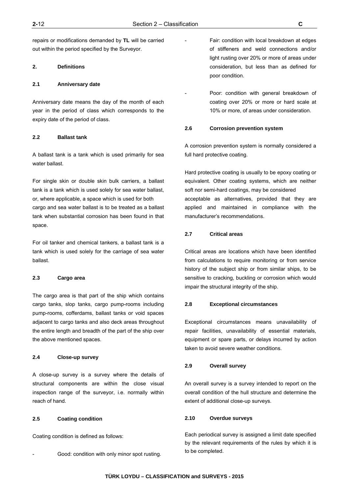repairs or modifications demanded by **TL** will be carried out within the period specified by the Surveyor.

# **2. Definitions**

#### **2.1 Anniversary date**

Anniversary date means the day of the month of each year in the period of class which corresponds to the expiry date of the period of class.

#### **2.2 Ballast tank**

A ballast tank is a tank which is used primarily for sea water ballast.

For single skin or double skin bulk carriers, a ballast tank is a tank which is used solely for sea water ballast, or, where applicable, a space which is used for both cargo and sea water ballast is to be treated as a ballast tank when substantial corrosion has been found in that space.

For oil tanker and chemical tankers, a ballast tank is a tank which is used solely for the carriage of sea water ballast.

#### **2.3 Cargo area**

The cargo area is that part of the ship which contains cargo tanks, slop tanks, cargo pump-rooms including pump-rooms, cofferdams, ballast tanks or void spaces adjacent to cargo tanks and also deck areas throughout the entire length and breadth of the part of the ship over the above mentioned spaces.

#### **2.4 Close-up survey**

A close-up survey is a survey where the details of structural components are within the close visual inspection range of the surveyor, i.e. normally within reach of hand.

#### **2.5 Coating condition**

Coating condition is defined as follows:

Good: condition with only minor spot rusting.

- Fair: condition with local breakdown at edges of stiffeners and weld connections and/or light rusting over 20% or more of areas under consideration, but less than as defined for poor condition.
- Poor: condition with general breakdown of coating over 20% or more or hard scale at 10% or more, of areas under consideration.

#### **2.6 Corrosion prevention system**

A corrosion prevention system is normally considered a full hard protective coating.

Hard protective coating is usually to be epoxy coating or equivalent. Other coating systems, which are neither soft nor semi-hard coatings, may be considered acceptable as alternatives, provided that they are applied and maintained in compliance with the manufacturer's recommendations.

#### **2.7 Critical areas**

Critical areas are locations which have been identified from calculations to require monitoring or from service history of the subject ship or from similar ships, to be sensitive to cracking, buckling or corrosion which would impair the structural integrity of the ship.

#### **2.8 Exceptional circumstances**

Exceptional circumstances means unavailability of repair facilities, unavailability of essential materials, equipment or spare parts, or delays incurred by action taken to avoid severe weather conditions.

#### **2.9 Overall survey**

An overall survey is a survey intended to report on the overall condition of the hull structure and determine the extent of additional close-up surveys.

#### **2.10 Overdue surveys**

Each periodical survey is assigned a limit date specified by the relevant requirements of the rules by which it is to be completed.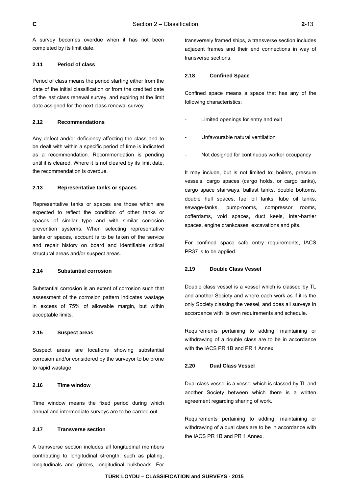A survey becomes overdue when it has not been completed by its limit date.

### **2.11 Period of class**

Period of class means the period starting either from the date of the initial classification or from the credited date of the last class renewal survey, and expiring at the limit date assigned for the next class renewal survey.

#### **2.12 Recommendations**

Any defect and/or deficiency affecting the class and to be dealt with within a specific period of time is indicated as a recommendation. Recommendation is pending until it is cleared. Where it is not cleared by its limit date, the recommendation is overdue.

#### **2.13 Representative tanks or spaces**

Representative tanks or spaces are those which are expected to reflect the condition of other tanks or spaces of similar type and with similar corrosion prevention systems. When selecting representative tanks or spaces, account is to be taken of the service and repair history on board and identifiable critical structural areas and/or suspect areas.

#### **2.14 Substantial corrosion**

Substantial corrosion is an extent of corrosion such that assessment of the corrosion pattern indicates wastage in excess of 75% of allowable margin, but within acceptable limits.

#### **2.15 Suspect areas**

Suspect areas are locations showing substantial corrosion and/or considered by the surveyor to be prone to rapid wastage.

#### **2.16 Time window**

Time window means the fixed period during which annual and intermediate surveys are to be carried out.

#### **2.17 Transverse section**

A transverse section includes all longitudinal members contributing to longitudinal strength, such as plating, longitudinals and girders, longitudinal bulkheads. For transversely framed ships, a transverse section includes adjacent frames and their end connections in way of transverse sections.

#### **2.18 Confined Space**

Confined space means a space that has any of the following characteristics:

- Limited openings for entry and exit
- Unfavourable natural ventilation
- Not designed for continuous worker occupancy

It may include, but is not limited to: boilers, pressure vessels, cargo spaces (cargo holds, or cargo tanks), cargo space stairways, ballast tanks, double bottoms, double hull spaces, fuel oil tanks, lube oil tanks, sewage-tanks, pump-rooms, compressor rooms, cofferdams, void spaces, duct keels, inter-barrier spaces, engine crankcases, excavations and pits.

For confined space safe entry requirements, IACS PR37 is to be applied.

#### **2.19 Double Class Vessel**

Double class vessel is a vessel which is classed by TL and another Society and where each work as if it is the only Society classing the vessel, and does all surveys in accordance with its own requirements and schedule.

Requirements pertaining to adding, maintaining or withdrawing of a double class are to be in accordance with the IACS PR 1B and PR 1 Annex.

#### **2.20 Dual Class Vessel**

Dual class vessel is a vessel which is classed by TL and another Society between which there is a written agreement regarding sharing of work.

Requirements pertaining to adding, maintaining or withdrawing of a dual class are to be in accordance with the IACS PR 1B and PR 1 Annex.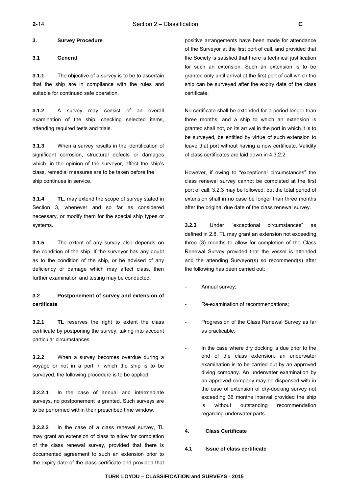#### **3. Survey Procedure**

#### **3.1 General**

**3.1.1** The objective of a survey is to be to ascertain that the ship are in compliance with the rules and suitable for continued safe operation.

**3.1.2** A survey may consist of an overall examination of the ship, checking selected items, attending required tests and trials.

**3.1.3** When a survey results in the identification of significant corrosion, structural defects or damages which, in the opinion of the surveyor, affect the ship's class, remedial measures are to be taken before the ship continues in service.

**3.1.4 TL**, may extend the scope of survey stated in Section 3, whenever and so far as considered necessary, or modify them for the special ship types or systems.

**3.1.5** The extent of any survey also depends on the condition of the ship. If the surveyor has any doubt as to the condition of the ship, or be advised of any deficiency or damage which may affect class, then further examination and testing may be conducted.

# **3.2 Postponement of survey and extension of certificate**

**3.2.1 TL** reserves the right to extent the class certificate by postponing the survey, taking into account particular circumstances.

**3.2.2** When a survey becomes overdue during a voyage or not in a port in which the ship is to be surveyed, the following procedure is to be applied.

**3.2.2.1** In the case of annual and intermediate surveys, no postponement is granted. Such surveys are to be performed within their prescribed time window.

**3.2.2.2** In the case of a class renewal survey, TL may grant an extension of class to allow for completion of the class renewal survey, provided that there is documented agreement to such an extension prior to the expiry date of the class certificate and provided that positive arrangements have been made for attendance of the Surveyor at the first port of call, and provided that the Society is satisfied that there is technical justification for such an extension. Such an extension is to be granted only until arrival at the first port of call which the ship can be surveyed after the expiry date of the class certificate.

No certificate shall be extended for a period longer than three months, and a ship to which an extension is granted shall not, on its arrival in the port in which it is to be surveyed, be entitled by virtue of such extension to leave that port without having a new certificate. Validity of class certificates are laid down in 4.3.2.2.

However, if owing to "exceptional circumstances" the class renewal survey cannot be completed at the first port of call, 3.2.3 may be followed, but the total period of extension shall in no case be longer than three months after the original due date of the class renewal survey.

**3.2.3** Under "exceptional circumstances" as defined in 2.8, TL may grant an extension not exceeding three (3) months to allow for completion of the Class Renewal Survey provided that the vessel is attended and the attending Surveyor(s) so recommend(s) after the following has been carried out:

- Annual survey;
- Re-examination of recommendations;
- Progression of the Class Renewal Survey as far as practicable;
- In the case where dry docking is due prior to the end of the class extension, an underwater examination is to be carried out by an approved diving company. An underwater examination by an approved company may be dispensed with in the case of extension of dry-docking survey not exceeding 36 months interval provided the ship is without outstanding recommendation regarding underwater parts.
- **4. Class Certificate**
- **4.1 Issue of class certificate**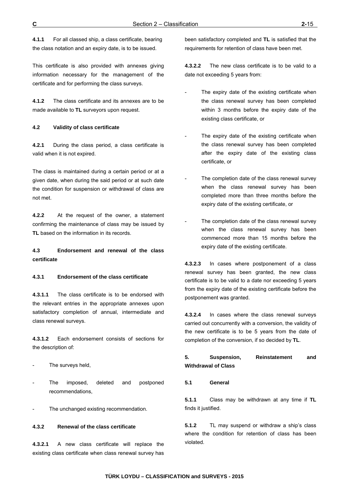**4.1.1** For all classed ship, a class certificate, bearing the class notation and an expiry date, is to be issued.

This certificate is also provided with annexes giving information necessary for the management of the certificate and for performing the class surveys.

**4.1.2** The class certificate and its annexes are to be made available to **TL** surveyors upon request.

### **4.2 Validity of class certificate**

**4.2.1** During the class period, a class certificate is valid when it is not expired.

The class is maintained during a certain period or at a given date, when during the said period or at such date the condition for suspension or withdrawal of class are not met.

**4.2.2** At the request of the owner, a statement confirming the maintenance of class may be issued by **TL** based on the information in its records.

**4.3 Endorsement and renewal of the class certificate** 

#### **4.3.1 Endorsement of the class certificate**

**4.3.1.1** The class certificate is to be endorsed with the relevant entries in the appropriate annexes upon satisfactory completion of annual, intermediate and class renewal surveys.

**4.3.1.2** Each endorsement consists of sections for the description of:

- The surveys held,
- The imposed, deleted and postponed recommendations,
- The unchanged existing recommendation.

#### **4.3.2 Renewal of the class certificate**

**4.3.2.1** A new class certificate will replace the existing class certificate when class renewal survey has

been satisfactory completed and **TL** is satisfied that the requirements for retention of class have been met.

**4.3.2.2** The new class certificate is to be valid to a date not exceeding 5 years from:

- The expiry date of the existing certificate when the class renewal survey has been completed within 3 months before the expiry date of the existing class certificate, or
- The expiry date of the existing certificate when the class renewal survey has been completed after the expiry date of the existing class certificate, or
- The completion date of the class renewal survey when the class renewal survey has been completed more than three months before the expiry date of the existing certificate, or
- The completion date of the class renewal survey when the class renewal survey has been commenced more than 15 months before the expiry date of the existing certificate.

**4.3.2.3** In cases where postponement of a class renewal survey has been granted, the new class certificate is to be valid to a date nor exceeding 5 years from the expiry date of the existing certificate before the postponement was granted.

**4.3.2.4** In cases where the class renewal surveys carried out concurrently with a conversion, the validity of the new certificate is to be 5 years from the date of completion of the conversion, if so decided by **TL**.

# **5. Suspension, Reinstatement and Withdrawal of Class**

#### **5.1 General**

**5.1.1** Class may be withdrawn at any time if **TL** finds it justified.

**5.1.2** TL may suspend or withdraw a ship's class where the condition for retention of class has been violated.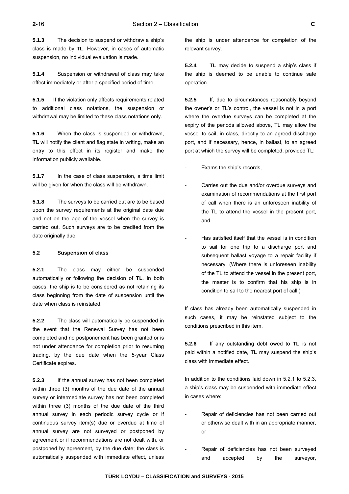**5.1.3** The decision to suspend or withdraw a ship's class is made by **TL**. However, in cases of automatic suspension, no individual evaluation is made.

**5.1.4** Suspension or withdrawal of class may take effect immediately or after a specified period of time.

**5.1.5** If the violation only affects requirements related to additional class notations, the suspension or withdrawal may be limited to these class notations only.

**5.1.6** When the class is suspended or withdrawn, **TL** will notify the client and flag state in writing, make an entry to this effect in its register and make the information publicly available.

**5.1.7** In the case of class suspension, a time limit will be given for when the class will be withdrawn.

**5.1.8** The surveys to be carried out are to be based upon the survey requirements at the original date due and not on the age of the vessel when the survey is carried out. Such surveys are to be credited from the date originally due.

#### **5.2 Suspension of class**

**5.2.1** The class may either be suspended automatically or following the decision of **TL**. In both cases, the ship is to be considered as not retaining its class beginning from the date of suspension until the date when class is reinstated.

**5.2.2** The class will automatically be suspended in the event that the Renewal Survey has not been completed and no postponement has been granted or is not under attendance for completion prior to resuming trading, by the due date when the 5-year Class Certificate expires.

**5.2.3** If the annual survey has not been completed within three (3) months of the due date of the annual survey or intermediate survey has not been completed within three (3) months of the due date of the third annual survey in each periodic survey cycle or if continuous survey item(s) due or overdue at time of annual survey are not surveyed or postponed by agreement or if recommendations are not dealt with, or postponed by agreement, by the due date; the class is automatically suspended with immediate effect, unless

the ship is under attendance for completion of the relevant survey.

**5.2.4 TL** may decide to suspend a ship's class if the ship is deemed to be unable to continue safe operation.

**5.2.5** If, due to circumstances reasonably beyond the owner's or TL's control, the vessel is not in a port where the overdue surveys can be completed at the expiry of the periods allowed above, TL may allow the vessel to sail, in class, directly to an agreed discharge port, and if necessary, hence, in ballast, to an agreed port at which the survey will be completed, provided TL:

Exams the ship's records,

- Carries out the due and/or overdue surveys and examination of recommendations at the first port of call when there is an unforeseen inability of the TL to attend the vessel in the present port, and
- Has satisfied itself that the vessel is in condition to sail for one trip to a discharge port and subsequent ballast voyage to a repair facility if necessary. (Where there is unforeseen inability of the TL to attend the vessel in the present port, the master is to confirm that his ship is in condition to sail to the nearest port of call.)

If class has already been automatically suspended in such cases, it may be reinstated subject to the conditions prescribed in this item.

**5.2.6** If any outstanding debt owed to **TL** is not paid within a notified date, **TL** may suspend the ship's class with immediate effect.

In addition to the conditions laid down in 5.2.1 to 5.2.3, a ship's class may be suspended with immediate effect in cases where:

- Repair of deficiencies has not been carried out or otherwise dealt with in an appropriate manner, or
- Repair of deficiencies has not been surveyed and accepted by the surveyor,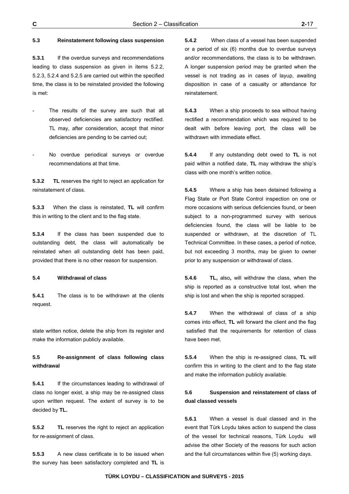# **5.3 Reinstatement following class suspension**

**5.3.1** If the overdue surveys and recommendations leading to class suspension as given in items 5.2.2, 5.2.3, 5.2.4 and 5.2.5 are carried out within the specified time, the class is to be reinstated provided the following is met:

- The results of the survey are such that all observed deficiencies are satisfactory rectified. TL may, after consideration, accept that minor deficiencies are pending to be carried out;
- No overdue periodical surveys or overdue recommendations at that time.

**5.3.2 TL** reserves the right to reject an application for reinstatement of class.

**5.3.3** When the class is reinstated, **TL** will confirm this in writing to the client and to the flag state.

**5.3.4** If the class has been suspended due to outstanding debt, the class will automatically be reinstated when all outstanding debt has been paid, provided that there is no other reason for suspension.

#### **5.4 Withdrawal of class**

**5.4.1** The class is to be withdrawn at the clients request.

state written notice, delete the ship from its register and make the information publicly available.

# **5.5 Re-assignment of class following class withdrawal**

**5.4.1** If the circumstances leading to withdrawal of class no longer exist, a ship may be re-assigned class upon written request. The extent of survey is to be decided by **TL.** 

**5.5.2 TL** reserves the right to reject an application for re-assignment of class.

**5.5.3** A new class certificate is to be issued when the survey has been satisfactory completed and **TL** is

**5.4.2** When class of a vessel has been suspended or a period of six (6) months due to overdue surveys and/or recommendations, the class is to be withdrawn. A longer suspension period may be granted when the vessel is not trading as in cases of layup, awaiting disposition in case of a casualty or attendance for reinstatement.

**5.4.3** When a ship proceeds to sea without having rectified a recommendation which was required to be dealt with before leaving port, the class will be withdrawn with immediate effect.

**5.4.4** If any outstanding debt owed to **TL** is not paid within a notified date, **TL** may withdraw the ship's class with one month's written notice.

**5.4.5** Where a ship has been detained following a Flag State or Port State Control inspection on one or more occasions with serious deficiencies found, or been subject to a non-programmed survey with serious deficiencies found, the class will be liable to be suspended or withdrawn, at the discretion of TL Technical Committee. In these cases, a period of notice, but not exceeding 3 months, may be given to owner prior to any suspension or withdrawal of class.

**5.4.6 TL,** also**,** will withdraw the class, when the ship is reported as a constructive total lost, when the ship is lost and when the ship is reported scrapped.

**5.4.7** When the withdrawal of class of a ship comes into effect, **TL** will forward the client and the flag satisfied that the requirements for retention of class have been met.

**5.5.4** When the ship is re-assigned class, **TL** will confirm this in writing to the client and to the flag state and make the information publicly available.

# **5.6 Suspension and reinstatement of class of dual classed vessels**

**5.6.1** When a vessel is dual classed and in the event that Türk Loydu takes action to suspend the class of the vessel for technical reasons, Türk Loydu will advise the other Society of the reasons for such action and the full circumstances within five (5) working days.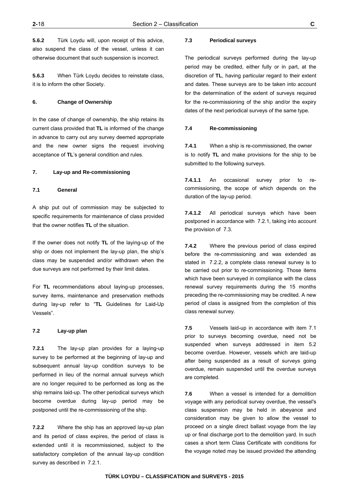**5.6.2** Türk Loydu will, upon receipt of this advice, also suspend the class of the vessel, unless it can otherwise document that such suspension is incorrect.

**5.6.3** When Türk Loydu decides to reinstate class, it is to inform the other Society.

#### **6. Change of Ownership**

In the case of change of ownership, the ship retains its current class provided that **TL** is informed of the change in advance to carry out any survey deemed appropriate and the new owner signs the request involving acceptance of **TL**'s general condition and rules.

#### **7. Lay-up and Re-commissioning**

#### **7.1 General**

A ship put out of commission may be subjected to specific requirements for maintenance of class provided that the owner notifies **TL** of the situation.

If the owner does not notify **TL** of the laying-up of the ship or does not implement the lay-up plan, the ship's class may be suspended and/or withdrawn when the due surveys are not performed by their limit dates.

For **TL** recommendations about laying-up processes, survey items, maintenance and preservation methods during lay-up refer to "**TL** Guidelines for Laid-Up Vessels".

#### **7.2 Lay-up plan**

**7.2.1** The lay-up plan provides for a laying-up survey to be performed at the beginning of lay-up and subsequent annual lay-up condition surveys to be performed in lieu of the normal annual surveys which are no longer required to be performed as long as the ship remains laid-up. The other periodical surveys which become overdue during lay-up period may be postponed until the re-commissioning of the ship.

**7.2.2** Where the ship has an approved lay-up plan and its period of class expires, the period of class is extended until it is recommissioned, subject to the satisfactory completion of the annual lay-up condition survey as described in 7.2.1.

#### **7.3 Periodical surveys**

The periodical surveys performed during the lay-up period may be credited, either fully or in part, at the discretion of **TL**, having particular regard to their extent and dates. These surveys are to be taken into account for the determination of the extent of surveys required for the re-commissioning of the ship and/or the expiry dates of the next periodical surveys of the same type.

#### **7.4 Re-commissioning**

**7.4.1** When a ship is re-commissioned, the owner is to notify **TL** and make provisions for the ship to be submitted to the following surveys.

**7.4.1.1** An occasional survey prior to recommissioning, the scope of which depends on the duration of the lay-up period.

**7.4.1.2** All periodical surveys which have been postponed in accordance with 7.2.1, taking into account the provision of 7.3.

**7.4.2** Where the previous period of class expired before the re-commissioning and was extended as stated in 7.2.2, a complete class renewal survey is to be carried out prior to re-commissioning. Those items which have been surveyed in compliance with the class renewal survey requirements during the 15 months preceding the re-commissioning may be credited. A new period of class is assigned from the completion of this class renewal survey.

**7.5** Vessels laid-up in accordance with item 7.1 prior to surveys becoming overdue, need not be suspended when surveys addressed in item 5.2 become overdue. However, vessels which are laid-up after being suspended as a result of surveys going overdue, remain suspended until the overdue surveys are completed.

**7.6** When a vessel is intended for a demolition voyage with any periodical survey overdue, the vessel's class suspension may be held in abeyance and consideration may be given to allow the vessel to proceed on a single direct ballast voyage from the lay up or final discharge port to the demolition yard. In such cases a short term Class Certificate with conditions for the voyage noted may be issued provided the attending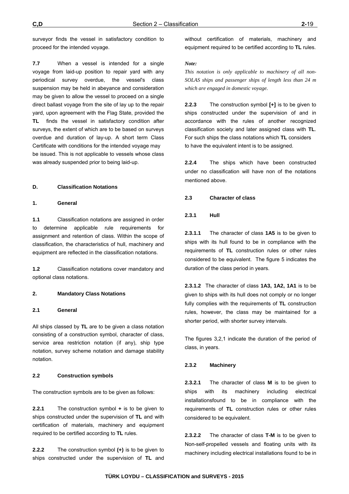surveyor finds the vessel in satisfactory condition to proceed for the intended voyage.

**7.7** When a vessel is intended for a single voyage from laid-up position to repair yard with any periodical survey overdue, the vessel's class suspension may be held in abeyance and consideration may be given to allow the vessel to proceed on a single direct ballast voyage from the site of lay up to the repair yard, upon agreement with the Flag State, provided the **TL** finds the vessel in satisfactory condition after surveys, the extent of which are to be based on surveys overdue and duration of lay-up. A short term Class Certificate with conditions for the intended voyage may be issued. This is not applicable to vessels whose class was already suspended prior to being laid-up.

#### **D. Classification Notations**

#### **1. General**

**1.1** Classification notations are assigned in order to determine applicable rule requirements for assignment and retention of class. Within the scope of classification, the characteristics of hull, machinery and equipment are reflected in the classification notations.

**1.2** Classification notations cover mandatory and optional class notations.

### **2. Mandatory Class Notations**

#### **2.1 General**

All ships classed by **TL** are to be given a class notation consisting of a construction symbol, character of class, service area restriction notation (if any), ship type notation, survey scheme notation and damage stability notation.

### **2.2 Construction symbols**

The construction symbols are to be given as follows:

**2.2.1** The construction symbol **+** is to be given to ships constructed under the supervision of **TL** and with certification of materials, machinery and equipment required to be certified according to **TL** rules.

**2.2.2** The construction symbol **(+)** is to be given to ships constructed under the supervision of **TL** and without certification of materials, machinery and equipment required to be certified according to **TL** rules.

#### *Note:*

*This notation is only applicable to machinery of all non-SOLAS ships and passenger ships of length less than 24 m which are engaged in domestic voyage.* 

**2.2.3** The construction symbol **[+]** is to be given to ships constructed under the supervision of and in accordance with the rules of another recognized classification society and later assigned class with **TL**. For such ships the class notations which **TL** considers to have the equivalent intent is to be assigned.

**2.2.4** The ships which have been constructed under no classification will have non of the notations mentioned above.

#### **2.3 Character of class**

#### **2.3.1 Hull**

**2.3.1.1** The character of class **1A5** is to be given to ships with its hull found to be in compliance with the requirements of **TL** construction rules or other rules considered to be equivalent. The figure 5 indicates the duration of the class period in years.

**2.3.1.2** The character of class **1A3, 1A2, 1A1** is to be given to ships with its hull does not comply or no longer fully complies with the requirements of **TL** construction rules, however, the class may be maintained for a shorter period, with shorter survey intervals.

The figures 3,2,1 indicate the duration of the period of class, in years.

#### **2.3.2 Machinery**

**2.3.2.1** The character of class **M** is to be given to ships with its machinery including electrical installationsfound to be in compliance with the requirements of **TL** construction rules or other rules considered to be equivalent.

**2.3.2.2** The character of class **T-M** is to be given to Non-self-propelled vessels and floating units with its machinery including electrical installations found to be in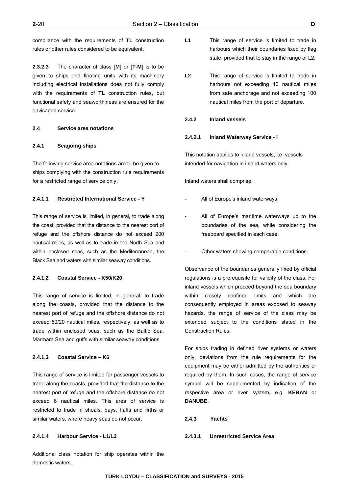compliance with the requirements of **TL** construction rules or other rules considered to be equivalent.

**2.3.2.3** The character of class **[M]** or **[T-M]** is to be given to ships and floating units with its machinery including electrical installations does not fully comply with the requirements of **TL** construction rules, but functional safety and seaworthiness are ensured for the envisaged service.

#### **2.4 Service area notations**

### **2.4.1 Seagoing ships**

The following service area notations are to be given to ships complying with the construction rule requirements for a restricted range of service only:

#### **2.4.1.1 Restricted International Service - Y**

This range of service is limited, in general, to trade along the coast, provided that the distance to the nearest port of refuge and the offshore distance do not exceed 200 nautical miles, as well as to trade in the North Sea and within enclosed seas, such as the Mediterranean, the Black Sea and waters with similar seaway conditions.

#### **2.4.1.2 Coastal Service - K50/K20**

This range of service is limited, in general, to trade along the coasts, provided that the distance to the nearest port of refuge and the offshore distance do not exceed 50/20 nautical miles, respectively, as well as to trade within enclosed seas, such as the Baltic Sea, Marmara Sea and gulfs with similar seaway conditions.

#### **2.4.1.3 Coastal Service – K6**

This range of service is limited for passenger vessels to trade along the coasts, provided that the distance to the nearest port of refuge and the offshore distance do not exceed 6 nautical miles. This area of service is restricted to trade in shoals, bays, haffs and firths or similar waters, where heavy seas do not occur.

#### **2.4.1.4 Harbour Service - L1/L2**

Additional class notation for ship operates within the domestic waters.

- L1 This range of service is limited to trade in harbours which their boundaries fixed by flag state, provided that to stay in the range of L2.
- L2 This range of service is limited to trade in harbours not exceeding 10 nautical miles from safe anchorage and not exceeding 100 nautical miles from the port of departure.

#### **2.4.2 Inland vessels**

#### **2.4.2.1 Inland Waterway Service - I**

This notation applies to inland vessels, i.e. vessels intended for navigation in inland waters only.

Inland waters shall comprise:

- All of Europe's inland waterways,
- All of Europe's maritime waterways up to the boundaries of the sea, while considering the freeboard specified in each case,
- Other waters showing comparable conditions.

Observance of the boundaries generally fixed by official regulations is a prerequisite for validity of the class. For inland vessels which proceed beyond the sea boundary within closely confined limits and which are consequently employed in areas exposed to seaway hazards, the range of service of the class may be extended subject to the conditions stated in the Construction Rules.

For ships trading in defined river systems or waters only, deviations from the rule requirements for the equipment may be either admitted by the authorities or required by them. In such cases, the range of service symbol will be supplemented by indication of the respective area or river system, e.g. **KEBAN** or **DANUBE**.

#### **2.4.3 Yachts**

#### **2.4.3.1 Unrestricted Service Area**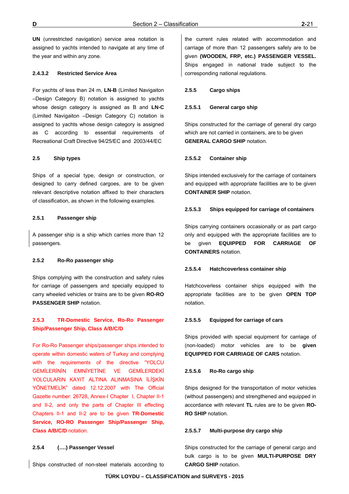**UN** (unrestricted navigation) service area notation is assigned to yachts intended to navigate at any time of the year and within any zone.

### **2.4.3.2 Restricted Service Area**

For yachts of less than 24 m, **LN-B** (Limited Navigaiton –Design Category B) notation is assigned to yachts whose design category is assigned as B and **LN-C** (Limited Navigaiton –Design Category C) notation is assigned to yachts whose design category is assigned as C according to essential requirements of Recreational Craft Directive 94/25/EC and 2003/44/EC

#### **2.5 Ship types**

Ships of a special type, design or construction, or designed to carry defined cargoes, are to be given relevant descriptive notation affixed to their characters of classification, as shown in the following examples.

#### **2.5.1 Passenger ship**

A passenger ship is a ship which carries more than 12 passengers.

#### **2.5.2 Ro-Ro passenger ship**

Ships complying with the construction and safety rules for carriage of passengers and specially equipped to carry wheeled vehicles or trains are to be given **RO-RO PASSENGER SHIP** notation.

# **2.5.3 TR-Domestic Service, Ro-Ro Passenger Ship/Passenger Ship, Class A/B/C/D**

For Ro-Ro Passenger ships/passenger ships intended to operate within domestic waters of Turkey and complying with the requirements of the directive "YOLCU GEMİLERİNİN EMNİYETİNE VE GEMİLERDEKİ YOLCULARIN KAYIT ALTINA ALINMASINA İLİŞKİN YÖNETMELİK" dated 12.12.2007 with The Official Gazette number: 26728, Annex-I Chapter I, Chapter II-1 and II-2, and only the parts of Chapter III effecting Chapters II-1 and II-2 are to be given **TR-Domestic Service, RO-RO Passenger Ship/Passenger Ship, Class A/B/C/D** notation.

#### **2.5.4 (….) Passenger Vessel**

Ships constructed of non-steel materials according to

the current rules related with accommodation and carriage of more than 12 passengers safely are to be given **(WOODEN, FRP, etc.) PASSENGER VESSEL.**  Ships engaged in national trade subject to the corresponding national regulations.

#### **2.5.5 Cargo ships**

#### **2.5.5.1 General cargo ship**

Ships constructed for the carriage of general dry cargo which are not carried in containers, are to be given **GENERAL CARGO SHIP** notation.

#### **2.5.5.2 Container ship**

Ships intended exclusively for the carriage of containers and equipped with appropriate facilities are to be given **CONTAINER SHIP** notation.

#### **2.5.5.3 Ships equipped for carriage of containers**

Ships carrying containers occasionally or as part cargo only and equipped with the appropriate facilities are to be given **EQUIPPED FOR CARRIAGE OF CONTAINERS** notation.

#### **2.5.5.4 Hatchcoverless container ship**

Hatchcoverless container ships equipped with the appropriate facilities are to be given **OPEN TOP**  notation.

#### **2.5.5.5 Equipped for carriage of cars**

Ships provided with special equipment for carriage of (non-loaded) motor vehicles are to be **given EQUIPPED FOR CARRIAGE OF CARS** notation.

#### **2.5.5.6 Ro-Ro cargo ship**

Ships designed for the transportation of motor vehicles (without passengers) and strengthened and equipped in accordance with relevant **TL** rules are to be given **RO-RO SHIP** notation.

#### **2.5.5.7 Multi-purpose dry cargo ship**

Ships constructed for the carriage of general cargo and bulk cargo is to be given **MULTI-PURPOSE DRY CARGO SHIP** notation.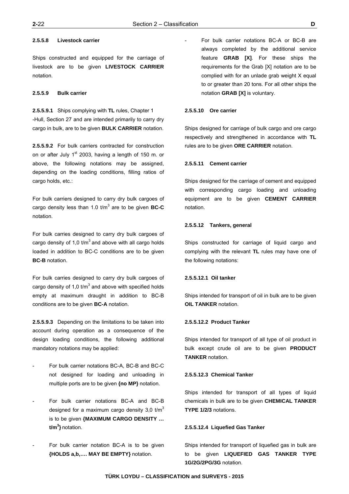Ships constructed and equipped for the carriage of livestock are to be given **LIVESTOCK CARRIER** notation.

# **2.5.5.9 Bulk carrier**

**2.5.5.9.1** Ships complying with **TL** rules, Chapter 1 -Hull, Section 27 and are intended primarily to carry dry cargo in bulk, are to be given **BULK CARRIER** notation.

**2.5.5.9.2** For bulk carriers contracted for construction on or after July  $1<sup>st</sup>$  2003, having a length of 150 m. or above, the following notations may be assigned, depending on the loading conditions, filling ratios of cargo holds, etc.:

For bulk carriers designed to carry dry bulk cargoes of cargo density less than 1.0 t/m<sup>3</sup> are to be given **BC-C** notation.

For bulk carries designed to carry dry bulk cargoes of cargo density of 1,0  $t/m<sup>3</sup>$  and above with all cargo holds loaded in addition to BC-C conditions are to be given **BC-B** notation.

For bulk carries designed to carry dry bulk cargoes of cargo density of 1,0 t/m<sup>3</sup> and above with specified holds empty at maximum draught in addition to BC-B conditions are to be given **BC-A** notation.

**2.5.5.9.3** Depending on the limitations to be taken into account during operation as a consequence of the design loading conditions, the following additional mandatory notations may be applied:

- For bulk carrier notations BC-A, BC-B and BC-C not designed for loading and unloading in multiple ports are to be given **{no MP}** notation.
- For bulk carrier notations BC-A and BC-B designed for a maximum cargo density 3.0  $tm<sup>3</sup>$ is to be given **{MAXIMUM CARGO DENSITY … t/m3 }** notation.
- For bulk carrier notation BC-A is to be given **{HOLDS a,b,…. MAY BE EMPTY}** notation.

For bulk carrier notations BC-A or BC-B are always completed by the additional service feature **GRAB [X]**. For these ships the requirements for the Grab [X] notation are to be complied with for an unlade grab weight X equal to or greater than 20 tons. For all other ships the notation **GRAB [X]** is voluntary.

#### **2.5.5.10 Ore carrier**

Ships designed for carriage of bulk cargo and ore cargo respectively and strengthened in accordance with **TL** rules are to be given **ORE CARRIER** notation.

#### **2.5.5.11 Cement carrier**

Ships designed for the carriage of cement and equipped with corresponding cargo loading and unloading equipment are to be given **CEMENT CARRIER** notation.

#### **2.5.5.12 Tankers, general**

Ships constructed for carriage of liquid cargo and complying with the relevant **TL** rules may have one of the following notations:

#### **2.5.5.12.1 Oil tanker**

Ships intended for transport of oil in bulk are to be given **OIL TANKER** notation.

#### **2.5.5.12.2 Product Tanker**

Ships intended for transport of all type of oil product in bulk except crude oil are to be given **PRODUCT TANKER** notation.

#### **2.5.5.12.3 Chemical Tanker**

Ships intended for transport of all types of liquid chemicals in bulk are to be given **CHEMICAL TANKER TYPE 1/2/3** notations.

#### **2.5.5.12.4 Liquefied Gas Tanker**

Ships intended for transport of liquefied gas in bulk are to be given **LIQUEFIED GAS TANKER TYPE 1G/2G/2PG/3G** notation.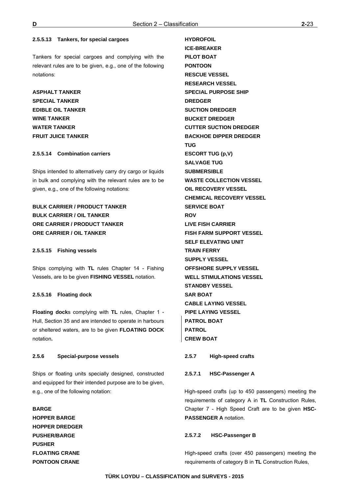**HYDROFOIL** 

#### **2.5.5.13 Tankers, for special cargoes**

Tankers for special cargoes and complying with the relevant rules are to be given, e.g., one of the following notations:

**ASPHALT TANKER SPECIAL TANKER EDIBLE OIL TANKER WINE TANKER WATER TANKER FRUIT JUICE TANKER** 

### **2.5.5.14 Combination carriers**

Ships intended to alternatively carry dry cargo or liquids in bulk and complying with the relevant rules are to be given, e.g., one of the following notations:

# **BULK CARRIER / PRODUCT TANKER BULK CARRIER / OIL TANKER ORE CARRIER / PRODUCT TANKER ORE CARRIER / OIL TANKER**

#### **2.5.5.15 Fishing vessels**

Ships complying with **TL** rules Chapter 14 - Fishing Vessels, are to be given **FISHING VESSEL** notation.

#### **2.5.5.16 Floating dock**

**Floating dock**s complying with **TL** rules, Chapter 1 - Hull, Section 35 and are intended to operate in harbours or sheltered waters, are to be given **FLOATING DOCK** notation**.** 

### **2.5.6 Special-purpose vessels**

Ships or floating units specially designed, constructed and equipped for their intended purpose are to be given, e.g., one of the following notation:

# **BARGE HOPPER BARGE HOPPER DREDGER PUSHER/BARGE PUSHER FLOATING CRANE PONTOON CRANE**

**ICE-BREAKER PILOT BOAT PONTOON RESCUE VESSEL RESEARCH VESSEL SPECIAL PURPOSE SHIP DREDGER SUCTION DREDGER BUCKET DREDGER CUTTER SUCTION DREDGER BACKHOE DIPPER DREDGER TUG ESCORT TUG (p,V) SALVAGE TUG SUBMERSIBLE WASTE COLLECTION VESSEL OIL RECOVERY VESSEL CHEMICAL RECOVERY VESSEL SERVICE BOAT ROV LIVE FISH CARRIER FISH FARM SUPPORT VESSEL SELF ELEVATING UNIT TRAIN FERRY SUPPLY VESSEL OFFSHORE SUPPLY VESSEL WELL STIMULATIONS VESSEL STANDBY VESSEL SAR BOAT CABLE LAYING VESSEL PIPE LAYING VESSEL PATROL BOAT PATROL CREW BOAT**

#### **2.5.7 High-speed crafts**

#### **2.5.7.1 HSC-Passenger A**

High-speed crafts (up to 450 passengers) meeting the requirements of category A in **TL** Construction Rules, Chapter 7 - High Speed Craft are to be given **HSC-PASSENGER A** notation.

#### **2.5.7.2 HSC-Passenger B**

High-speed crafts (over 450 passengers) meeting the requirements of category B in **TL** Construction Rules,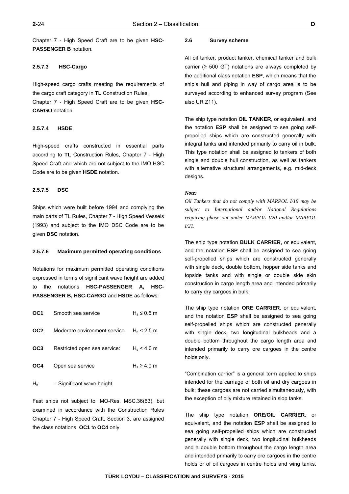Chapter 7 - High Speed Craft are to be given **HSC-PASSENGER B** notation.

# **2.5.7.3 HSC-Cargo**

High-speed cargo crafts meeting the requirements of the cargo craft category in **TL** Construction Rules, Chapter 7 - High Speed Craft are to be given **HSC-CARGO** notation.

#### **2.5.7.4 HSDE**

High-speed crafts constructed in essential parts according to **TL** Construction Rules, Chapter 7 - High Speed Craft and which are not subject to the IMO HSC Code are to be given **HSDE** notation.

### **2.5.7.5 DSC**

Ships which were built before 1994 and complying the main parts of TL Rules, Chapter 7 - High Speed Vessels (1993) and subject to the IMO DSC Code are to be given **DSC** notation.

#### **2.5.7.6 Maximum permitted operating conditions**

Notations for maximum permitted operating conditions expressed in terms of significant wave height are added to the notations **HSC-PASSENGER A, HSC-PASSENGER B, HSC-CARGO** and **HSDE** as follows:

| Smooth sea service           | $H_s \leq 0.5$ m |
|------------------------------|------------------|
| Moderate environment service | $H_s < 2.5$ m    |
| Restricted open sea service: | $H_s < 4.0$ m    |
| Open sea service             | $H_s \geq 4.0$ m |
|                              |                  |

 $H<sub>s</sub>$  = Significant wave height.

Fast ships not subject to IMO-Res. MSC.36(63), but examined in accordance with the Construction Rules Chapter 7 - High Speed Craft, Section 3, are assigned the class notations **OC1** to **OC4** only.

#### **2.6 Survey scheme**

All oil tanker, product tanker, chemical tanker and bulk carrier ( $\geq$  500 GT) notations are always completed by the additional class notation **ESP**, which means that the ship's hull and piping in way of cargo area is to be surveyed according to enhanced survey program (See also UR Z11).

The ship type notation **OIL TANKER**, or equivalent, and the notation **ESP** shall be assigned to sea going selfpropelled ships which are constructed generally with integral tanks and intended primarily to carry oil in bulk. This type notation shall be assigned to tankers of both single and double hull construction, as well as tankers with alternative structural arrangements, e.g. mid-deck designs.

#### *Note:*

*Oil Tankers that do not comply with MARPOL I/19 may be subject to International and/or National Regulations requiring phase out under MARPOL I/20 and/or MARPOL I/21.* 

The ship type notation **BULK CARRIER**, or equivalent, and the notation **ESP** shall be assigned to sea going self-propelled ships which are constructed generally with single deck, double bottom, hopper side tanks and topside tanks and with single or double side skin construction in cargo length area and intended primarily to carry dry cargoes in bulk.

The ship type notation **ORE CARRIER**, or equivalent, and the notation **ESP** shall be assigned to sea going self-propelled ships which are constructed generally with single deck, two longitudinal bulkheads and a double bottom throughout the cargo length area and intended primarily to carry ore cargoes in the centre holds only.

"Combination carrier" is a general term applied to ships intended for the carriage of both oil and dry cargoes in bulk; these cargoes are not carried simultaneously, with the exception of oily mixture retained in slop tanks.

The ship type notation **ORE/OIL CARRIER**, or equivalent, and the notation **ESP** shall be assigned to sea going self-propelled ships which are constructed generally with single deck, two longitudinal bulkheads and a double bottom throughout the cargo length area and intended primarily to carry ore cargoes in the centre holds or of oil cargoes in centre holds and wing tanks.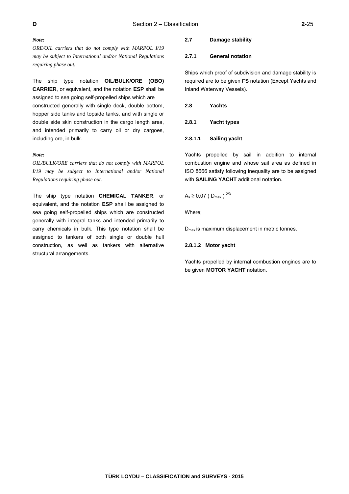#### *Note:*

*ORE/OIL carriers that do not comply with MARPOL I/19 may be subject to International and/or National Regulations requiring phase out.* 

The ship type notation **OIL/BULK/ORE (OBO) CARRIER**, or equivalent, and the notation **ESP** shall be assigned to sea going self-propelled ships which are constructed generally with single deck, double bottom, hopper side tanks and topside tanks, and with single or double side skin construction in the cargo length area, and intended primarily to carry oil or dry cargoes, including ore, in bulk.

#### *Note:*

*OIL/BULK/ORE carriers that do not comply with MARPOL I/19 may be subject to International and/or National Regulations requiring phase out.* 

The ship type notation **CHEMICAL TANKER**, or equivalent, and the notation **ESP** shall be assigned to sea going self-propelled ships which are constructed generally with integral tanks and intended primarily to carry chemicals in bulk. This type notation shall be assigned to tankers of both single or double hull construction, as well as tankers with alternative structural arrangements.

# **2.7 Damage stability**

#### **2.7.1 General notation**

Ships which proof of subdivision and damage stability is required are to be given **FS** notation (Except Yachts and Inland Waterway Vessels).

| 2.8 | <b>Yachts</b> |
|-----|---------------|
|     |               |

# **2.8.1 Yacht types**

## **2.8.1.1 Sailing yacht**

Yachts propelled by sail in addition to internal combustion engine and whose sail area as defined in ISO 8666 satisfy following inequality are to be assigned with **SAILING YACHT** additional notation.

# $A_s \ge 0.07$  (D<sub>max</sub>)<sup>2/3</sup>

Where;

D<sub>max</sub> is maximum displacement in metric tonnes.

#### **2.8.1.2 Motor yacht**

Yachts propelled by internal combustion engines are to be given **MOTOR YACHT** notation.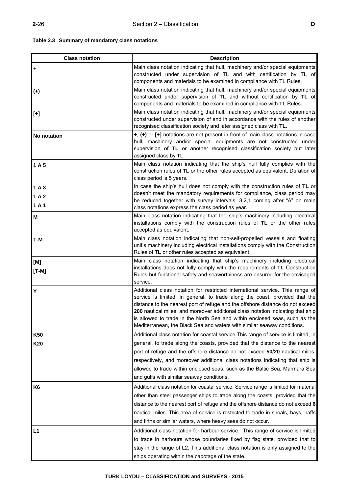# **Table 2.3 Summary of mandatory class notations**

| <b>Class notation</b> | <b>Description</b>                                                                                                                                                                                                                                                                                                                                                                                                                                                                         |
|-----------------------|--------------------------------------------------------------------------------------------------------------------------------------------------------------------------------------------------------------------------------------------------------------------------------------------------------------------------------------------------------------------------------------------------------------------------------------------------------------------------------------------|
| ÷                     | Main class notation indicating that hull, machinery and/or special equipments<br>constructed under supervision of TL and with certification by TL of<br>components and materials to be examined in compliance with TL Rules.                                                                                                                                                                                                                                                               |
| $(+)$                 | Main class notation indicating that hull, machinery and/or special equipments<br>constructed under supervision of TL and without certification by TL of<br>components and materials to be examined in compliance with TL Rules.                                                                                                                                                                                                                                                            |
| $[+]$                 | Main class notation indicating that hull, machinery and/or special equipments<br>constructed under supervision of and in accordance with the rules of another<br>recognised classification society and later assigned class with TL.                                                                                                                                                                                                                                                       |
| No notation           | +, (+) or [+] notations are not present in front of main class notations in case<br>hull, machinery and/or special equipments are not constructed under<br>supervision of TL or another recognised classification society but later<br>assigned class by TL                                                                                                                                                                                                                                |
| 1A5                   | Main class notation indicating that the ship's hull fully complies with the<br>construction rules of TL or the other rules accepted as equivalent. Duration of<br>class period is 5 years.                                                                                                                                                                                                                                                                                                 |
| 1A3                   | In case the ship's hull does not comply with the construction rules of TL or                                                                                                                                                                                                                                                                                                                                                                                                               |
| 1A2<br>1A1            | doesn't meet the mandatory requirements for compliance, class period may<br>be reduced together with survey intervals. 3,2,1 coming after "A" on main<br>class notations express the class period as year.                                                                                                                                                                                                                                                                                 |
| М                     | Main class notation indicating that the ship's machinery including electrical<br>installations comply with the construction rules of TL or the other rules<br>accepted as equivalent.                                                                                                                                                                                                                                                                                                      |
| T-M                   | Main class notation indicating that non-self-propelled vessel's and floating<br>unit's machinery including electrical installations comply with the Construction<br>Rules of TL or other rules accepted as equivalent.                                                                                                                                                                                                                                                                     |
| [M]<br>$[T-M]$        | Main class notation indicating that ship's machinery including electrical<br>installations does not fully comply with the requirements of TL Construction<br>Rules but functional safety and seaworthiness are ensured for the envisaged<br>service.                                                                                                                                                                                                                                       |
| Y                     | Additional class notation for restricted international service. This range of<br>service is limited, in general, to trade along the coast, provided that the<br>distance to the nearest port of refuge and the offshore distance do not exceed<br>200 nautical miles, and moreover additional class notation indicating that ship<br>is allowed to trade in the North Sea and within enclosed seas, such as the<br>Mediterranean, the Black Sea and waters with similar seaway conditions. |
| <b>K50</b>            | Additional class notation for coastal service. This range of service is limited, in                                                                                                                                                                                                                                                                                                                                                                                                        |
| K20                   | general, to trade along the coasts, provided that the distance to the nearest<br>port of refuge and the offshore distance do not exceed 50/20 nautical miles,<br>respectively, and moreover additional class notations indicating that ship is<br>allowed to trade within enclosed seas, such as the Baltic Sea, Marmara Sea<br>and gulfs with similar seaway conditions.                                                                                                                  |
| K <sub>6</sub>        | Additional class notation for coastal service. Service range is limited for material<br>other than steel passenger ships to trade along the coasts, provided that the<br>distance to the nearest port of refuge and the offshore distance do not exceed 6<br>nautical miles. This area of service is restricted to trade in shoals, bays, haffs<br>and firths or similar waters, where heavy seas do not occur.                                                                            |
| L1                    | Additional class notation for harbour service. This range of service is limited<br>to trade in harbours whose boundaries fixed by flag state, provided that to<br>stay in the range of L2. This additional class notation is only assigned to the<br>ships operating within the cabotage of the state.                                                                                                                                                                                     |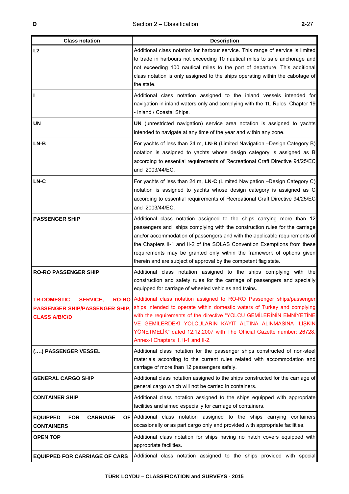| <b>Class notation</b>                                                                                              | <b>Description</b>                                                                                                                                                                                                                                                                                                                                                                                                                                           |
|--------------------------------------------------------------------------------------------------------------------|--------------------------------------------------------------------------------------------------------------------------------------------------------------------------------------------------------------------------------------------------------------------------------------------------------------------------------------------------------------------------------------------------------------------------------------------------------------|
| L2                                                                                                                 | Additional class notation for harbour service. This range of service is limited<br>to trade in harbours not exceeding 10 nautical miles to safe anchorage and<br>not exceeding 100 nautical miles to the port of departure. This additional<br>class notation is only assigned to the ships operating within the cabotage of<br>the state.                                                                                                                   |
|                                                                                                                    | Additional class notation assigned to the inland vessels intended for<br>navigation in inland waters only and complying with the TL Rules, Chapter 19<br>- Inland / Coastal Ships.                                                                                                                                                                                                                                                                           |
| <b>UN</b>                                                                                                          | UN (unrestricted navigation) service area notation is assigned to yachts<br>intended to navigate at any time of the year and within any zone.                                                                                                                                                                                                                                                                                                                |
| $LN-B$                                                                                                             | For yachts of less than 24 m, LN-B (Limited Navigation -Design Category B)<br>notation is assigned to yachts whose design category is assigned as B<br>according to essential requirements of Recreational Craft Directive 94/25/EC<br>and 2003/44/EC.                                                                                                                                                                                                       |
| LN-C                                                                                                               | For yachts of less than 24 m, LN-C (Limited Navigation -Design Category C)<br>notation is assigned to yachts whose design category is assigned as C<br>according to essential requirements of Recreational Craft Directive 94/25/EC<br>and 2003/44/EC.                                                                                                                                                                                                       |
| <b>PASSENGER SHIP</b>                                                                                              | Additional class notation assigned to the ships carrying more than 12<br>passengers and ships complying with the construction rules for the carriage<br>and/or accommodation of passengers and with the applicable requirements of<br>the Chapters II-1 and II-2 of the SOLAS Convention Exemptions from these<br>requirements may be granted only within the framework of options given<br>therein and are subject of approval by the competent flag state. |
| <b>RO-RO PASSENGER SHIP</b>                                                                                        | Additional class notation assigned to the ships complying with the<br>construction and safety rules for the carriage of passengers and specially<br>equipped for carriage of wheeled vehicles and trains.                                                                                                                                                                                                                                                    |
| <b>TR-DOMESTIC</b><br><b>SERVICE,</b><br>$RO$ -RO<br><b>PASSENGER SHIP/PASSENGER SHIP,</b><br><b>CLASS A/B/C/D</b> | Additional class notation assigned to RO-RO Passenger ships/passenger<br>ships intended to operate within domestic waters of Turkey and complying<br>with the requirements of the directive "YOLCU GEMİLERİNİN EMNİYETİNE<br>VE GEMİLERDEKİ YOLCULARIN KAYIT ALTINA ALINMASINA İLİŞKİN<br>YÖNETMELİK" dated 12.12.2007 with The Official Gazette number: 26728,<br>Annex-I Chapters 1, II-1 and II-2.                                                        |
| () PASSENGER VESSEL                                                                                                | Additional class notation for the passenger ships constructed of non-steel<br>materials according to the current rules related with accommodation and<br>carriage of more than 12 passengers safely.                                                                                                                                                                                                                                                         |
| <b>GENERAL CARGO SHIP</b>                                                                                          | Additional class notation assigned to the ships constructed for the carriage of<br>general cargo which will not be carried in containers.                                                                                                                                                                                                                                                                                                                    |
| <b>CONTAINER SHIP</b>                                                                                              | Additional class notation assigned to the ships equipped with appropriate<br>facilities and aimed especially for carriage of containers.                                                                                                                                                                                                                                                                                                                     |
| <b>EQUIPPED</b><br><b>FOR</b><br><b>CARRIAGE</b><br>OF I<br><b>CONTAINERS</b>                                      | Additional class notation assigned to the ships carrying<br>containers<br>occasionally or as part cargo only and provided with appropriate facilities.                                                                                                                                                                                                                                                                                                       |
| <b>OPEN TOP</b>                                                                                                    | Additional class notation for ships having no hatch covers equipped with<br>appropriate facilities.                                                                                                                                                                                                                                                                                                                                                          |
| <b>EQUIPPED FOR CARRIAGE OF CARS</b>                                                                               | Additional class notation assigned to the ships provided with special                                                                                                                                                                                                                                                                                                                                                                                        |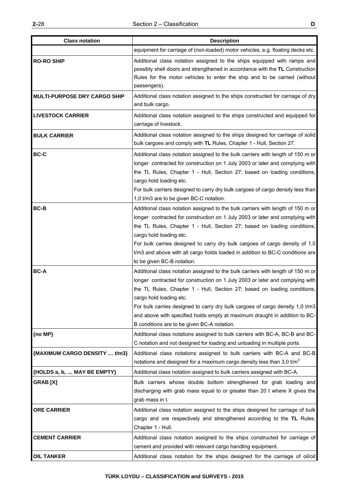| <b>Class notation</b>               | <b>Description</b>                                                                                                                                                                                                                                                                                                                                                                                                                                                                    |
|-------------------------------------|---------------------------------------------------------------------------------------------------------------------------------------------------------------------------------------------------------------------------------------------------------------------------------------------------------------------------------------------------------------------------------------------------------------------------------------------------------------------------------------|
|                                     | equipment for carriage of (non-loaded) motor vehicles, e.g. floating decks etc.                                                                                                                                                                                                                                                                                                                                                                                                       |
| <b>RO-RO SHIP</b>                   | Additional class notation assigned to the ships equipped with ramps and<br>possibly shell doors and strengthened in accordance with the TL Construction<br>Rules for the motor vehicles to enter the ship and to be carried (without<br>passengers).                                                                                                                                                                                                                                  |
| <b>MULTI-PURPOSE DRY CARGO SHIP</b> | Additional class notation assigned to the ships constructed for carriage of dry<br>and bulk cargo.                                                                                                                                                                                                                                                                                                                                                                                    |
| <b>LIVESTOCK CARRIER</b>            | Additional class notation assigned to the ships constructed and equipped for<br>carriage of livestock.                                                                                                                                                                                                                                                                                                                                                                                |
| <b>BULK CARRIER</b>                 | Additional class notation assigned to the ships designed for carriage of solid<br>bulk cargoes and comply with TL Rules, Chapter 1 - Hull, Section 27.                                                                                                                                                                                                                                                                                                                                |
| <b>BC-C</b>                         | Additional class notation assigned to the bulk carriers with length of 150 m or<br>longer contracted for construction on 1 July 2003 or later and complying with<br>the TL Rules, Chapter 1 - Hull, Section 27; based on loading conditions,<br>cargo hold loading etc.<br>For bulk carriers designed to carry dry bulk cargoes of cargo density less than<br>1,0 t/m3 are to be given BC-C notation.                                                                                 |
| <b>BC-B</b>                         | Additional class notation assigned to the bulk carriers with length of 150 m or<br>longer contracted for construction on 1 July 2003 or later and complying with<br>the TL Rules, Chapter 1 - Hull, Section 27; based on loading conditions,<br>cargo hold loading etc.<br>For bulk carries designed to carry dry bulk cargoes of cargo density of 1.0<br>t/m3 and above with all cargo holds loaded in addition to BC-C conditions are<br>to be given BC-B notation.                 |
| <b>BC-A</b>                         | Additional class notation assigned to the bulk carriers with length of 150 m or<br>longer contracted for construction on 1 July 2003 or later and complying with<br>the TL Rules, Chapter 1 - Hull, Section 27; based on loading conditions,<br>cargo hold loading etc.<br>For bulk carries designed to carry dry bulk cargoes of cargo density 1,0 t/m3<br>and above with specified holds empty at maximum draught in addition to BC-<br>B conditions are to be given BC-A notation. |
| {no MP}                             | Additional class notations assigned to bulk carriers with BC-A, BC-B and BC-<br>C notation and not designed for loading and unloading in multiple ports.                                                                                                                                                                                                                                                                                                                              |
| {MAXIMUM CARGO DENSITY  t/m3}       | Additional class notations assigned to bulk carriers with BC-A and BC-B<br>notations and designed for a maximum cargo density less than 3,0 $t/m3$                                                                                                                                                                                                                                                                                                                                    |
| {HOLDS a, b,  MAY BE EMPTY}         | Additional class notation assigned to bulk carriers assigned with BC-A.                                                                                                                                                                                                                                                                                                                                                                                                               |
| <b>GRAB</b> [X]                     | Bulk carriers whose double bottom strengthened for grab loading and<br>discharging with grab mass equal to or greater than 20 t where X gives the<br>grab mass in t.                                                                                                                                                                                                                                                                                                                  |
| <b>ORE CARRIER</b>                  | Additional class notation assigned to the ships designed for carriage of bulk<br>cargo and ore respectively and strengthened according to the TL Rules,<br>Chapter 1 - Hull.                                                                                                                                                                                                                                                                                                          |
| <b>CEMENT CARRIER</b>               | Additional class notation assigned to the ships constructed for carriage of<br>cement and provided with relevant cargo handling equipment.                                                                                                                                                                                                                                                                                                                                            |
| <b>OIL TANKER</b>                   | Additional class notation for the ships designed for the carriage of oil/oil                                                                                                                                                                                                                                                                                                                                                                                                          |

 $\overline{\phantom{a}}$ 

٦Ī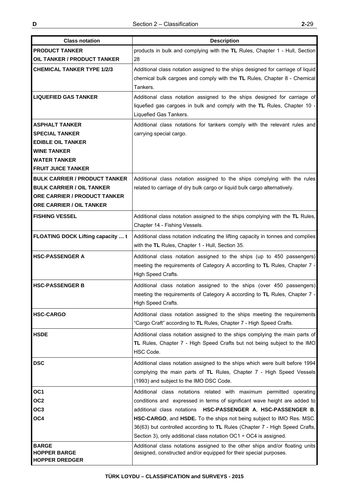| <b>Class notation</b>                                            | <b>Description</b>                                                                                                                                                                                                                                                                                                                                        |
|------------------------------------------------------------------|-----------------------------------------------------------------------------------------------------------------------------------------------------------------------------------------------------------------------------------------------------------------------------------------------------------------------------------------------------------|
| <b>PRODUCT TANKER</b>                                            | products in bulk and complying with the TL Rules, Chapter 1 - Hull, Section                                                                                                                                                                                                                                                                               |
| <b>OIL TANKER / PRODUCT TANKER</b>                               | 28                                                                                                                                                                                                                                                                                                                                                        |
| <b>CHEMICAL TANKER TYPE 1/2/3</b><br><b>LIQUEFIED GAS TANKER</b> | Additional class notation assigned to the ships designed for carriage of liquid<br>chemical bulk cargoes and comply with the TL Rules, Chapter 8 - Chemical<br>Tankers.<br>Additional class notation assigned to the ships designed for carriage of<br>liquefied gas cargoes in bulk and comply with the TL Rules, Chapter 10 -<br>Liquefied Gas Tankers. |
| <b>ASPHALT TANKER</b>                                            | Additional class notations for tankers comply with the relevant rules and                                                                                                                                                                                                                                                                                 |
| <b>SPECIAL TANKER</b>                                            | carrying special cargo.                                                                                                                                                                                                                                                                                                                                   |
| <b>EDIBLE OIL TANKER</b>                                         |                                                                                                                                                                                                                                                                                                                                                           |
| <b>WINE TANKER</b>                                               |                                                                                                                                                                                                                                                                                                                                                           |
| <b>WATER TANKER</b>                                              |                                                                                                                                                                                                                                                                                                                                                           |
| <b>FRUIT JUICE TANKER</b>                                        |                                                                                                                                                                                                                                                                                                                                                           |
| <b>BULK CARRIER / PRODUCT TANKER</b>                             | Additional class notation assigned to the ships complying with the rules                                                                                                                                                                                                                                                                                  |
| <b>BULK CARRIER / OIL TANKER</b>                                 | related to carriage of dry bulk cargo or liquid bulk cargo alternatively.                                                                                                                                                                                                                                                                                 |
| ORE CARRIER / PRODUCT TANKER                                     |                                                                                                                                                                                                                                                                                                                                                           |
| <b>ORE CARRIER / OIL TANKER</b>                                  |                                                                                                                                                                                                                                                                                                                                                           |
| <b>FISHING VESSEL</b>                                            | Additional class notation assigned to the ships complying with the TL Rules,<br>Chapter 14 - Fishing Vessels.                                                                                                                                                                                                                                             |
| FLOATING DOCK Lifting capacity  t                                | Additional class notation indicating the lifting capacity in tonnes and complies<br>with the TL Rules, Chapter 1 - Hull, Section 35.                                                                                                                                                                                                                      |
| <b>HSC-PASSENGER A</b>                                           | Additional class notation assigned to the ships (up to 450 passengers)<br>meeting the requirements of Category A according to TL Rules, Chapter 7 -<br>High Speed Crafts.                                                                                                                                                                                 |
| <b>HSC-PASSENGER B</b>                                           | Additional class notation assigned to the ships (over 450 passengers)<br>meeting the requirements of Category A according to TL Rules, Chapter 7 -<br>High Speed Crafts.                                                                                                                                                                                  |
| <b>HSC-CARGO</b>                                                 | Additional class notation assigned to the ships meeting the requirements<br>"Cargo Craft" according to TL Rules, Chapter 7 - High Speed Crafts.                                                                                                                                                                                                           |
| <b>HSDE</b>                                                      | Additional class notation assigned to the ships complying the main parts of<br>TL Rules, Chapter 7 - High Speed Crafts but not being subject to the IMO<br>HSC Code.                                                                                                                                                                                      |
| <b>DSC</b>                                                       | Additional class notation assigned to the ships which were built before 1994<br>complying the main parts of TL Rules, Chapter 7 - High Speed Vessels<br>(1993) and subject to the IMO DSC Code.                                                                                                                                                           |
| OC <sub>1</sub>                                                  | Additional class notations related with maximum permitted operating                                                                                                                                                                                                                                                                                       |
| OC <sub>2</sub>                                                  | conditions and expressed in terms of significant wave height are added to                                                                                                                                                                                                                                                                                 |
| OC <sub>3</sub>                                                  | additional class notations HSC-PASSENGER A, HSC-PASSENGER B,                                                                                                                                                                                                                                                                                              |
| OC4                                                              | HSC-CARGO, and HSDE. To the ships not being subject to IMO Res. MSC.                                                                                                                                                                                                                                                                                      |
|                                                                  | 36(63) but controlled according to TL Rules (Chapter 7 - High Speed Crafts,                                                                                                                                                                                                                                                                               |
|                                                                  | Section 3), only additional class notation $OCl \div OCA$ is assigned.                                                                                                                                                                                                                                                                                    |
| <b>BARGE</b><br><b>HOPPER BARGE</b><br><b>HOPPER DREDGER</b>     | Additional class notations assigned to the other ships and/or floating units<br>designed, constructed and/or equipped for their special purposes.                                                                                                                                                                                                         |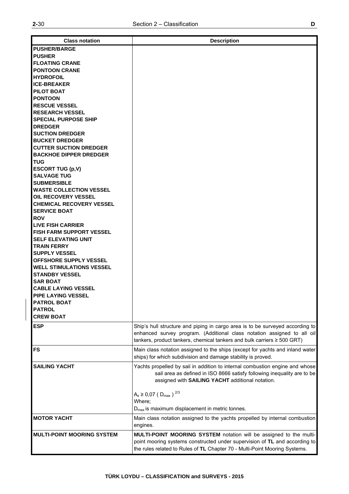| <b>Class notation</b>                                         | <b>Description</b>                                                            |
|---------------------------------------------------------------|-------------------------------------------------------------------------------|
| <b>PUSHER/BARGE</b>                                           |                                                                               |
| <b>PUSHER</b>                                                 |                                                                               |
| <b>FLOATING CRANE</b>                                         |                                                                               |
| <b>PONTOON CRANE</b>                                          |                                                                               |
| <b>HYDROFOIL</b>                                              |                                                                               |
| <b>ICE-BREAKER</b>                                            |                                                                               |
| <b>PILOT BOAT</b>                                             |                                                                               |
| <b>PONTOON</b>                                                |                                                                               |
| <b>RESCUE VESSEL</b>                                          |                                                                               |
| <b>RESEARCH VESSEL</b>                                        |                                                                               |
| <b>SPECIAL PURPOSE SHIP</b>                                   |                                                                               |
| <b>DREDGER</b>                                                |                                                                               |
| <b>SUCTION DREDGER</b>                                        |                                                                               |
| <b>BUCKET DREDGER</b>                                         |                                                                               |
| <b>CUTTER SUCTION DREDGER</b>                                 |                                                                               |
| <b>BACKHOE DIPPER DREDGER</b>                                 |                                                                               |
| <b>TUG</b>                                                    |                                                                               |
| <b>ESCORT TUG (p,V)</b>                                       |                                                                               |
| <b>SALVAGE TUG</b>                                            |                                                                               |
| <b>SUBMERSIBLE</b>                                            |                                                                               |
| <b>IWASTE COLLECTION VESSEL</b>                               |                                                                               |
| <b>OIL RECOVERY VESSEL</b><br><b>CHEMICAL RECOVERY VESSEL</b> |                                                                               |
| <b>SERVICE BOAT</b>                                           |                                                                               |
| <b>ROV</b>                                                    |                                                                               |
| <b>LIVE FISH CARRIER</b>                                      |                                                                               |
| <b>FISH FARM SUPPORT VESSEL</b>                               |                                                                               |
| <b>SELF ELEVATING UNIT</b>                                    |                                                                               |
| <b>ITRAIN FERRY</b>                                           |                                                                               |
| <b>SUPPLY VESSEL</b>                                          |                                                                               |
| <b>OFFSHORE SUPPLY VESSEL</b>                                 |                                                                               |
| <b>WELL STIMULATIONS VESSEL</b>                               |                                                                               |
| <b>STANDBY VESSEL</b>                                         |                                                                               |
| <b>SAR BOAT</b>                                               |                                                                               |
| <b>CABLE LAYING VESSEL</b>                                    |                                                                               |
| <b>PIPE LAYING VESSEL</b>                                     |                                                                               |
| <b>PATROL BOAT</b>                                            |                                                                               |
| <b>PATROL</b>                                                 |                                                                               |
| <b>CREW BOAT</b>                                              |                                                                               |
| <b>ESP</b>                                                    | Ship's hull structure and piping in cargo area is to be surveyed according to |
|                                                               | enhanced survey program. (Additional class notation assigned to all oil       |
|                                                               | tankers, product tankers, chemical tankers and bulk carriers $\geq 500$ GRT)  |
| FS                                                            | Main class notation assigned to the ships (except for yachts and inland water |
|                                                               | ships) for which subdivision and damage stability is proved.                  |
| <b>SAILING YACHT</b>                                          | Yachts propelled by sail in addition to internal combustion engine and whose  |
|                                                               | sail area as defined in ISO 8666 satisfy following inequality are to be       |
|                                                               | assigned with SAILING YACHT additional notation.                              |
|                                                               |                                                                               |
|                                                               | $A_s \ge 0.07$ (D <sub>max</sub> ) <sup>2/3</sup>                             |
|                                                               | Where:                                                                        |
|                                                               | $D_{\text{max}}$ is maximum displacement in metric tonnes.                    |
| <b>MOTOR YACHT</b>                                            | Main class notation assigned to the yachts propelled by internal combustion   |
|                                                               | engines.                                                                      |
|                                                               |                                                                               |
| <b>MULTI-POINT MOORING SYSTEM</b>                             | MULTI-POINT MOORING SYSTEM notation will be assigned to the multi-            |
|                                                               | point mooring systems constructed under supervision of TL and according to    |
|                                                               | the rules related to Rules of TL Chapter 70 - Multi-Point Mooring Systems.    |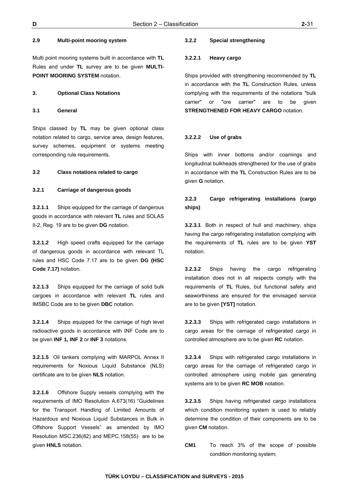### **2.9 Multi-point mooring system**

Multi point mooring systems built in accordance with **TL** Rules and under **TL** survey are to be given **MULTI-POINT MOORING SYSTEM** notation.

## **3. Optional Class Notations**

**3.1 General** 

Ships classed by **TL** may be given optional class notation related to cargo, service area, design features, survey schemes, equipment or systems meeting corresponding rule requirements.

#### **3.2 Class notations related to cargo**

## **3.2.1 Carriage of dangerous goods**

**3.2.1.1** Ships equipped for the carriage of dangerous goods in accordance with relevant **TL** rules and SOLAS II-2, Reg. 19 are to be given **DG** notation.

**3.2.1.2** High speed crafts equipped for the carriage of dangerous goods in accordance with relevant TL rules and HSC Code 7.17 are to be given **DG (HSC Code 7.17)** notation.

**3.2.1.3** Ships equipped for the carriage of solid bulk cargoes in accordance with relevant **TL** rules and IMSBC Code are to be given **DBC** notation.

**3.2.1.4** Ships equipped for the carriage of high level radioactive goods in accordance with INF Code are to be given **INF 1, INF 2** or **INF 3** notations.

**3.2.1.5** Oil tankers complying with MARPOL Annex II requirements for Noxious Liquid Substance (NLS) certificate are to be given **NLS** notation.

**3.2.1.6** Offshore Supply vessels complying with the requirements of IMO Resolution A.673(16) "Guidelines for the Transport Handling of Limited Amounts of Hazardous and Noxious Liquid Substances in Bulk in Offshore Support Vessels" as amended by IMO Resolution MSC.236(82) and MEPC.158(55) are to be given **HNLS** notation.

### **3.2.2 Special strengthening**

#### **3.2.2.1 Heavy cargo**

Ships provided with strengthening recommended by **TL**  in accordance with the **TL** Construction Rules, unless complying with the requirements of the notations "bulk carrier" or "ore carrier" are to be given **STRENGTHENED FOR HEAVY CARGO** notation.

#### **3.2.2.2 Use of grabs**

Ships with inner bottoms and/or coamings and longitudinal bulkheads strengthened for the use of grabs in accordance with the **TL** Construction Rules are to be given **G** notation.

# **3.2.3 Cargo refrigerating installations (cargo ships)**

**3.2.3.1** Both in respect of hull and machinery, ships having the cargo refrigerating installation complying with the requirements of **TL** rules are to be given **YST** notation.

**3.2.3.2** Ships having the cargo refrigerating installation does not in all respects comply with the requirements of **TL** Rules, but functional safety and seaworthiness are ensured for the envisaged service are to be given **[YST]** notation.

**3.2.3.3** Ships with refrigerated cargo installations in cargo areas for the carriage of refrigerated cargo in controlled atmosphere are to be given **RC** notation.

**3.2.3.4** Ships with refrigerated cargo installations in cargo areas for the carriage of refrigerated cargo in controlled atmosphere using mobile gas generating systems are to be given **RC MOB** notation.

**3.2.3.5** Ships having refrigerated cargo installations which condition monitoring system is used to reliably determine the condition of their components are to be given **CM** notation.

**CM1** To reach 3% of the scope of possible condition monitoring system;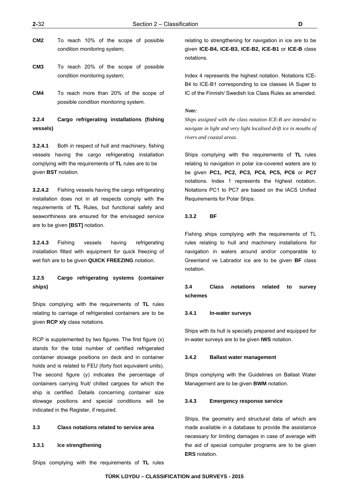- **CM2** To reach 10% of the scope of possible condition monitoring system;
- **CM3** To reach 20% of the scope of possible condition monitoring system;
- **CM4** To reach more than 20% of the scope of possible condition monitoring system.

# **3.2.4 Cargo refrigerating installations (fishing vessels)**

**3.2.4.1** Both in respect of hull and machinery, fishing vessels having the cargo refrigerating installation complying with the requirements of **TL** rules are to be given **BST** notation.

**3.2.4.2** Fishing vessels having the cargo refrigerating installation does not in all respects comply with the requirements of **TL** Rules, but functional safety and seaworthiness are ensured for the envisaged service are to be given **[BST]** notation.

**3.2.4.3** Fishing vessels having refrigerating installation fitted with equipment for quick freezing of wet fish are to be given **QUICK FREEZING** notation.

# **3.2.5 Cargo refrigerating systems (container ships)**

Ships complying with the requirements of **TL** rules relating to carriage of refrigerated containers are to be given **RCP x/y** class notations.

RCP is supplemented by two figures. The first figure (x) stands for the total number of certified refrigerated container stowage positions on deck and in container holds and is related to FEU (forty foot equivalent units). The second figure (y) indicates the percentage of containers carrying fruit/ chilled cargoes for which the ship is certified. Details concerning container size stowage positions and special conditions will be indicated in the Register, if required.

### **3.3 Class notations related to service area**

## **3.3.1 Ice strengthening**

Ships complying with the requirements of **TL** rules

relating to strengthening for navigation in ice are to be given **ICE-B4, ICE-B3, ICE-B2, ICE-B1** or **ICE-B** class notations.

Index 4 represents the highest notation. Notations ICE-B4 to ICE-B1 corresponding to ice classes IA Super to IC of the Finnish/ Swedish Ice Class Rules as amended.

#### *Note:*

*Ships assigned with the class notation ICE-B are intended to navigate in light and very light localised drift ice in mouths of rivers and coastal areas.* 

Ships complying with the requirements of **TL** rules relating to navigation in polar ice-covered waters are to be given **PC1, PC2, PC3, PC4, PC5, PC6** or **PC7** notations. Index 1 represents the highest notation. Notations PC1 to PC7 are based on the IACS Unified Requirements for Polar Ships.

## **3.3.2 BF**

Fishing ships complying with the requirements of TL rules relating to hull and machinery installations for navigation in waters around and/or comparable to Greenland ve Labrador ice are to be given **BF** class notation.

**3.4 Class notations related to survey schemes** 

## **3.4.1 In-water surveys**

Ships with its hull is specially prepared and equipped for in-water surveys are to be given **IWS** notation.

#### **3.4.2 Ballast water management**

Ships complying with the Guidelines on Ballast Water Management are to be given **BWM** notation.

#### **3.4.3 Emergency response service**

Ships, the geometry and structural data of which are made available in a database to provide the assistance necessary for limiting damages in case of average with the aid of special computer programs are to be given **ERS** notation.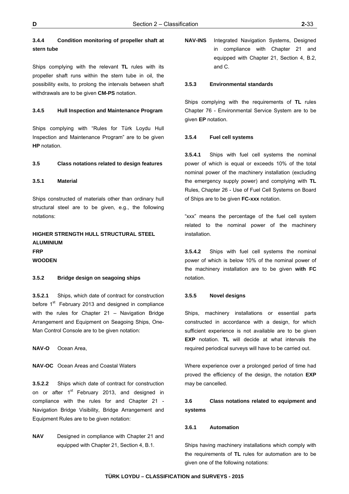# **3.4.4 Condition monitoring of propeller shaft at stern tube**

Ships complying with the relevant **TL** rules with its propeller shaft runs within the stern tube in oil, the possibility exits, to prolong the intervals between shaft withdrawals are to be given **CM-PS** notation.

## **3.4.5 Hull Inspection and Maintenance Program**

Ships complying with "Rules for Türk Loydu Hull Inspection and Maintenance Program" are to be given **HP** notation.

## **3.5 Class notations related to design features**

## **3.5.1 Material**

Ships constructed of materials other than ordinary hull structural steel are to be given, e.g., the following notations:

# **HIGHER STRENGTH HULL STRUCTURAL STEEL ALUMINIUM FRP WOODEN**

## **3.5.2 Bridge design on seagoing ships**

**3.5.2.1** Ships, which date of contract for construction before 1<sup>st</sup> February 2013 and designed in compliance with the rules for Chapter 21 - Navigation Bridge Arrangement and Equipment on Seagoing Ships, One-Man Control Console are to be given notation:

**NAV-O** Ocean Area,

**NAV-OC** Ocean Areas and Coastal Waters

**3.5.2.2** Ships which date of contract for construction on or after 1<sup>st</sup> February 2013, and designed in compliance with the rules for and Chapter 21 - Navigation Bridge Visibility, Bridge Arrangement and Equipment Rules are to be given notation:

**NAV** Designed in compliance with Chapter 21 and equipped with Chapter 21, Section 4, B.1.

**NAV-INS** Integrated Navigation Systems, Designed in compliance with Chapter 21 and equipped with Chapter 21, Section 4, B.2, and C.

#### **3.5.3 Environmental standards**

Ships complying with the requirements of **TL** rules Chapter 76 - Environmental Service System are to be given **EP** notation.

#### **3.5.4 Fuel cell systems**

**3.5.4.1** Ships with fuel cell systems the nominal power of which is equal or exceeds 10% of the total nominal power of the machinery installation (excluding the emergency supply power) and complying with **TL** Rules, Chapter 26 - Use of Fuel Cell Systems on Board of Ships are to be given **FC-xxx** notation.

"xxx" means the percentage of the fuel cell system related to the nominal power of the machinery installation.

**3.5.4.2** Ships with fuel cell systems the nominal power of which is below 10% of the nominal power of the machinery installation are to be given **with FC** notation.

## **3.5.5 Novel designs**

Ships, machinery installations or essential parts constructed in accordance with a design, for which sufficient experience is not available are to be given **EXP** notation. **TL** will decide at what intervals the required periodical surveys will have to be carried out.

Where experience over a prolonged period of time had proved the efficiency of the design, the notation **EXP** may be cancelled.

# **3.6 Class notations related to equipment and systems**

## **3.6.1 Automation**

Ships having machinery installations which comply with the requirements of **TL** rules for automation are to be given one of the following notations: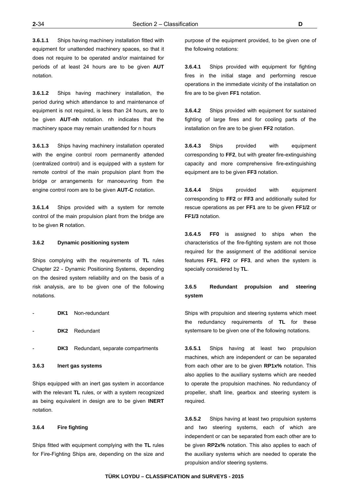**3.6.1.1** Ships having machinery installation fitted with equipment for unattended machinery spaces, so that it does not require to be operated and/or maintained for periods of at least 24 hours are to be given **AUT**  notation.

**3.6.1.2** Ships having machinery installation, the period during which attendance to and maintenance of equipment is not required, is less than 24 hours, are to be given **AUT-nh** notation. nh indicates that the machinery space may remain unattended for n hours

**3.6.1.3** Ships having machinery installation operated with the engine control room permanently attended (centralized control) and is equipped with a system for remote control of the main propulsion plant from the bridge or arrangements for manoeuvring from the engine control room are to be given **AUT-C** notation.

**3.6.1.4** Ships provided with a system for remote control of the main propulsion plant from the bridge are to be given **R** notation.

## **3.6.2 Dynamic positioning system**

Ships complying with the requirements of **TL** rules Chapter 22 - Dynamic Positioning Systems, depending on the desired system reliability and on the basis of a risk analysis, are to be given one of the following notations.

| DK1 | Non-redundant |
|-----|---------------|
|     |               |

- DK2 Redundant
- DK3 Redundant, separate compartments

**3.6.3 Inert gas systems**

Ships equipped with an inert gas system in accordance with the relevant **TL** rules, or with a system recognized as being equivalent in design are to be given **INERT** notation.

## **3.6.4 Fire fighting**

Ships fitted with equipment complying with the **TL** rules for Fire-Fighting Ships are, depending on the size and

purpose of the equipment provided, to be given one of the following notations:

**3.6.4.1** Ships provided with equipment for fighting fires in the initial stage and performing rescue operations in the immediate vicinity of the installation on fire are to be given **FF1** notation.

**3.6.4.2** Ships provided with equipment for sustained fighting of large fires and for cooling parts of the installation on fire are to be given **FF2** notation.

**3.6.4.3** Ships provided with equipment corresponding to **FF2**, but with greater fire-extinguishing capacity and more comprehensive fire-extinguishing equipment are to be given **FF3** notation.

**3.6.4.4** Ships provided with equipment corresponding to **FF2** or **FF3** and additionally suited for rescue operations as per **FF1** are to be given **FF1/2** or **FF1/3** notation.

**3.6.4.5 FF0** is assigned to ships when the characteristics of the fire-fighting system are not those required for the assignment of the additional service features **FF1**, **FF2** or **FF3**, and when the system is specially considered by **TL**.

# **3.6.5 Redundant propulsion and steering system**

Ships with propulsion and steering systems which meet the redundancy requirements of **TL** for these systemsare to be given one of the following notations.

**3.6.5.1** Ships having at least two propulsion machines, which are independent or can be separated from each other are to be given **RP1x%** notation. This also applies to the auxiliary systems which are needed to operate the propulsion machines. No redundancy of propeller, shaft line, gearbox and steering system is required.

**3.6.5.2** Ships having at least two propulsion systems and two steering systems, each of which are independent or can be separated from each other are to be given **RP2x%** notation. This also applies to each of the auxiliary systems which are needed to operate the propulsion and/or steering systems.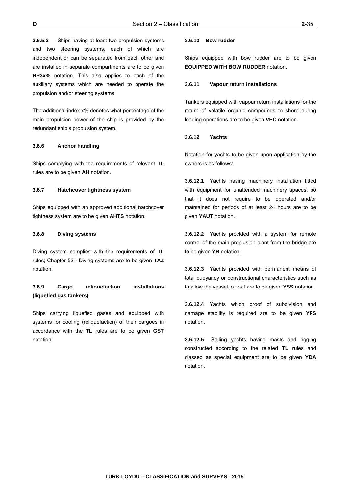**3.6.5.3** Ships having at least two propulsion systems and two steering systems, each of which are independent or can be separated from each other and are installed in separate compartments are to be given **RP3x%** notation. This also applies to each of the auxiliary systems which are needed to operate the propulsion and/or steering systems.

The additional index x% denotes what percentage of the main propulsion power of the ship is provided by the redundant ship's propulsion system.

### **3.6.6 Anchor handling**

Ships complying with the requirements of relevant **TL**  rules are to be given **AH** notation.

## **3.6.7 Hatchcover tightness system**

Ships equipped with an approved additional hatchcover tightness system are to be given **AHTS** notation.

## **3.6.8 Diving systems**

Diving system complies with the requirements of **TL**  rules; Chapter 52 - Diving systems are to be given **TAZ**  notation.

# **3.6.9 Cargo reliquefaction installations (liquefied gas tankers)**

Ships carrying liquefied gases and equipped with systems for cooling (reliquefaction) of their cargoes in accordance with the **TL** rules are to be given **GST** notation.

#### **3.6.10 Bow rudder**

Ships equipped with bow rudder are to be given **EQUIPPED WITH BOW RUDDER** notation.

#### **3.6.11 Vapour return installations**

Tankers equipped with vapour return installations for the return of volatile organic compounds to shore during loading operations are to be given **VEC** notation.

#### **3.6.12 Yachts**

Notation for yachts to be given upon application by the owners is as follows:

**3.6.12.1** Yachts having machinery installation fitted with equipment for unattended machinery spaces, so that it does not require to be operated and/or maintained for periods of at least 24 hours are to be given **YAUT** notation.

**3.6.12.2** Yachts provided with a system for remote control of the main propulsion plant from the bridge are to be given **YR** notation.

**3.6.12.3** Yachts provided with permanent means of total buoyancy or constructional characteristics such as to allow the vessel to float are to be given **YSS** notation.

**3.6.12.4** Yachts which proof of subdivision and damage stability is required are to be given **YFS** notation.

**3.6.12.5** Sailing yachts having masts and rigging constructed according to the related **TL** rules and classed as special equipment are to be given **YDA** notation.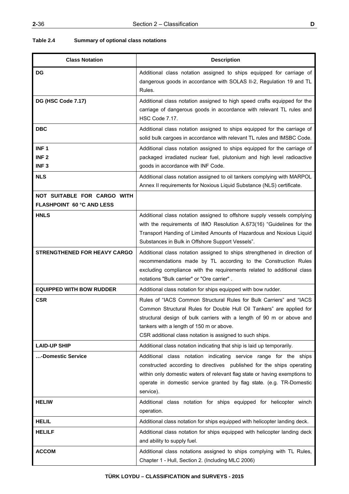| <b>Class Notation</b>                                                                                                                                                                                                                                                                                     | <b>Description</b>                                                                                                                                                                                                                                                                                                           |  |
|-----------------------------------------------------------------------------------------------------------------------------------------------------------------------------------------------------------------------------------------------------------------------------------------------------------|------------------------------------------------------------------------------------------------------------------------------------------------------------------------------------------------------------------------------------------------------------------------------------------------------------------------------|--|
| <b>DG</b>                                                                                                                                                                                                                                                                                                 | Additional class notation assigned to ships equipped for carriage of<br>dangerous goods in accordance with SOLAS II-2, Regulation 19 and TL<br>Rules.                                                                                                                                                                        |  |
| DG (HSC Code 7.17)                                                                                                                                                                                                                                                                                        | Additional class notation assigned to high speed crafts equipped for the<br>carriage of dangerous goods in accordance with relevant TL rules and<br>HSC Code 7.17.                                                                                                                                                           |  |
| <b>DBC</b>                                                                                                                                                                                                                                                                                                | Additional class notation assigned to ships equipped for the carriage of<br>solid bulk cargoes in accordance with relevant TL rules and IMSBC Code.                                                                                                                                                                          |  |
| INF <sub>1</sub><br>INF <sub>2</sub><br>INF <sub>3</sub>                                                                                                                                                                                                                                                  | Additional class notation assigned to ships equipped for the carriage of<br>packaged irradiated nuclear fuel, plutonium and high level radioactive<br>goods in accordance with INF Code.                                                                                                                                     |  |
| <b>NLS</b>                                                                                                                                                                                                                                                                                                | Additional class notation assigned to oil tankers complying with MARPOL<br>Annex II requirements for Noxious Liquid Substance (NLS) certificate.                                                                                                                                                                             |  |
| NOT SUITABLE FOR CARGO WITH<br><b>FLASHPOINT 60 °C AND LESS</b>                                                                                                                                                                                                                                           |                                                                                                                                                                                                                                                                                                                              |  |
| <b>HNLS</b>                                                                                                                                                                                                                                                                                               | Additional class notation assigned to offshore supply vessels complying<br>with the requirements of IMO Resolution A.673(16) "Guidelines for the<br>Transport Handing of Limited Amounts of Hazardous and Noxious Liquid<br>Substances in Bulk in Offshore Support Vessels".                                                 |  |
| <b>STRENGTHENED FOR HEAVY CARGO</b><br>Additional class notation assigned to ships strengthened in direction of<br>recommendations made by TL according to the Construction Rules<br>excluding compliance with the requirements related to additional class<br>notations "Bulk carrier" or "Ore carrier". |                                                                                                                                                                                                                                                                                                                              |  |
| <b>EQUIPPED WITH BOW RUDDER</b>                                                                                                                                                                                                                                                                           | Additional class notation for ships equipped with bow rudder.                                                                                                                                                                                                                                                                |  |
| <b>CSR</b>                                                                                                                                                                                                                                                                                                | Rules of "IACS Common Structural Rules for Bulk Carriers" and "IACS<br>Common Structural Rules for Double Hull Oil Tankers" are applied for<br>structural design of bulk carriers with a length of 90 m or above and<br>tankers with a length of 150 m or above.<br>CSR additional class notation is assigned to such ships. |  |
| <b>LAID-UP SHIP</b>                                                                                                                                                                                                                                                                                       | Additional class notation indicating that ship is laid up temporarily.                                                                                                                                                                                                                                                       |  |
| -Domestic Service                                                                                                                                                                                                                                                                                         | Additional class notation indicating service range for the ships<br>constructed according to directives published for the ships operating<br>within only domestic waters of relevant flag state or having exemptions to<br>operate in domestic service granted by flag state. (e.g. TR-Domestic<br>service).                 |  |
| <b>HELIW</b>                                                                                                                                                                                                                                                                                              | Additional class notation for ships equipped for helicopter winch<br>operation.                                                                                                                                                                                                                                              |  |
| <b>HELIL</b>                                                                                                                                                                                                                                                                                              | Additional class notation for ships equipped with helicopter landing deck.                                                                                                                                                                                                                                                   |  |
| <b>HELILF</b>                                                                                                                                                                                                                                                                                             | Additional class notation for ships equipped with helicopter landing deck<br>and ability to supply fuel.                                                                                                                                                                                                                     |  |
| <b>ACCOM</b>                                                                                                                                                                                                                                                                                              | Additional class notations assigned to ships complying with TL Rules,<br>Chapter 1 - Hull, Section 2. (Including MLC 2006)                                                                                                                                                                                                   |  |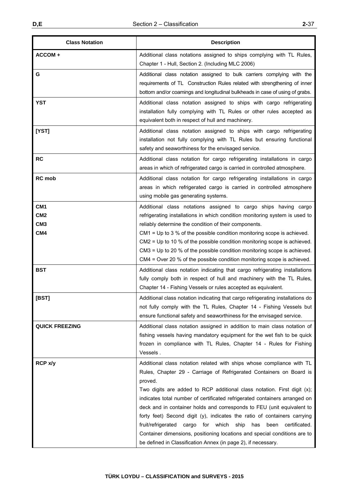| <b>Class Notation</b>                                                    | <b>Description</b>                                                                                                                                                                                                                                                                                                                                                                                                                                                                                                                                                                                                                                                                                 |  |
|--------------------------------------------------------------------------|----------------------------------------------------------------------------------------------------------------------------------------------------------------------------------------------------------------------------------------------------------------------------------------------------------------------------------------------------------------------------------------------------------------------------------------------------------------------------------------------------------------------------------------------------------------------------------------------------------------------------------------------------------------------------------------------------|--|
| ACCOM +                                                                  | Additional class notations assigned to ships complying with TL Rules,<br>Chapter 1 - Hull, Section 2. (Including MLC 2006)                                                                                                                                                                                                                                                                                                                                                                                                                                                                                                                                                                         |  |
| G                                                                        | Additional class notation assigned to bulk carriers complying with the<br>requirements of TL Construction Rules related with strengthening of inner<br>bottom and/or coamings and longitudinal bulkheads in case of using of grabs.                                                                                                                                                                                                                                                                                                                                                                                                                                                                |  |
| <b>YST</b>                                                               | Additional class notation assigned to ships with cargo refrigerating<br>installation fully complying with TL Rules or other rules accepted as<br>equivalent both in respect of hull and machinery.                                                                                                                                                                                                                                                                                                                                                                                                                                                                                                 |  |
| [YST]                                                                    | Additional class notation assigned to ships with cargo refrigerating<br>installation not fully complying with TL Rules but ensuring functional<br>safety and seaworthiness for the envisaged service.                                                                                                                                                                                                                                                                                                                                                                                                                                                                                              |  |
| <b>RC</b>                                                                | Additional class notation for cargo refrigerating installations in cargo<br>areas in which of refrigerated cargo is carried in controlled atmosphere.                                                                                                                                                                                                                                                                                                                                                                                                                                                                                                                                              |  |
| <b>RC</b> mob                                                            | Additional class notation for cargo refrigerating installations in cargo<br>areas in which refrigerated cargo is carried in controlled atmosphere<br>using mobile gas generating systems.                                                                                                                                                                                                                                                                                                                                                                                                                                                                                                          |  |
| CM <sub>1</sub><br>CM <sub>2</sub><br>CM <sub>3</sub><br>CM <sub>4</sub> | Additional class notations assigned to cargo ships having cargo<br>refrigerating installations in which condition monitoring system is used to<br>reliably determine the condition of their components.<br>$CM1 = Up to 3 % of the possible condition monitoring scope is achieved.$<br>$CM2$ = Up to 10 % of the possible condition monitoring scope is achieved.<br>CM3 = Up to 20 % of the possible condition monitoring scope is achieved.<br>CM4 = Over 20 % of the possible condition monitoring scope is achieved.                                                                                                                                                                          |  |
| <b>BST</b>                                                               | Additional class notation indicating that cargo refrigerating installations<br>fully comply both in respect of hull and machinery with the TL Rules,<br>Chapter 14 - Fishing Vessels or rules accepted as equivalent.                                                                                                                                                                                                                                                                                                                                                                                                                                                                              |  |
| [BST]                                                                    | Additional class notation indicating that cargo refrigerating installations do<br>not fully comply with the TL Rules, Chapter 14 - Fishing Vessels but<br>ensure functional safety and seaworthiness for the envisaged service.                                                                                                                                                                                                                                                                                                                                                                                                                                                                    |  |
| <b>QUICK FREEZING</b>                                                    | Additional class notation assigned in addition to main class notation of<br>fishing vessels having mandatory equipment for the wet fish to be quick<br>frozen in compliance with TL Rules, Chapter 14 - Rules for Fishing<br>Vessels.                                                                                                                                                                                                                                                                                                                                                                                                                                                              |  |
| RCP x/y                                                                  | Additional class notation related with ships whose compliance with TL<br>Rules, Chapter 29 - Carriage of Refrigerated Containers on Board is<br>proved.<br>Two digits are added to RCP additional class notation. First digit (x);<br>indicates total number of certificated refrigerated containers arranged on<br>deck and in container holds and corresponds to FEU (unit equivalent to<br>forty feet) Second digit (y), indicates the ratio of containers carrying<br>fruit/refrigerated<br>cargo for which<br>ship has<br>been<br>certificated.<br>Container dimensions, positioning locations and special conditions are to<br>be defined in Classification Annex (in page 2), if necessary. |  |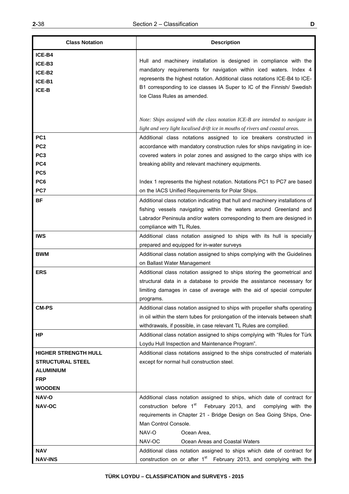| <b>Class Notation</b>                                                                                     | <b>Description</b>                                                                                                                                                                                                                                                                                                                                                                                   |  |
|-----------------------------------------------------------------------------------------------------------|------------------------------------------------------------------------------------------------------------------------------------------------------------------------------------------------------------------------------------------------------------------------------------------------------------------------------------------------------------------------------------------------------|--|
| ICE-B4<br>ICE-B3<br>ICE-B2<br>ICE-B1<br>ICE-B                                                             | Hull and machinery installation is designed in compliance with the<br>mandatory requirements for navigation within iced waters. Index 4<br>represents the highest notation. Additional class notations ICE-B4 to ICE-<br>B1 corresponding to ice classes IA Super to IC of the Finnish/ Swedish<br>Ice Class Rules as amended.                                                                       |  |
|                                                                                                           | Note: Ships assigned with the class notation ICE-B are intended to navigate in<br>light and very light localised drift ice in mouths of rivers and coastal areas.                                                                                                                                                                                                                                    |  |
| PC <sub>1</sub><br>PC <sub>2</sub><br>PC <sub>3</sub><br>PC4                                              | Additional class notations assigned to ice breakers constructed in<br>accordance with mandatory construction rules for ships navigating in ice-<br>covered waters in polar zones and assigned to the cargo ships with ice<br>breaking ability and relevant machinery equipments.                                                                                                                     |  |
| PC <sub>5</sub><br>PC <sub>6</sub><br>PC7                                                                 | Index 1 represents the highest notation. Notations PC1 to PC7 are based<br>on the IACS Unified Requirements for Polar Ships.                                                                                                                                                                                                                                                                         |  |
| <b>BF</b>                                                                                                 | Additional class notation indicating that hull and machinery installations of<br>fishing vessels navigating within the waters around Greenland and<br>Labrador Peninsula and/or waters corresponding to them are designed in<br>compliance with TL Rules.                                                                                                                                            |  |
| <b>IWS</b>                                                                                                | Additional class notation assigned to ships with its hull is specially<br>prepared and equipped for in-water surveys                                                                                                                                                                                                                                                                                 |  |
| <b>BWM</b>                                                                                                | Additional class notation assigned to ships complying with the Guidelines<br>on Ballast Water Management                                                                                                                                                                                                                                                                                             |  |
| <b>ERS</b>                                                                                                | Additional class notation assigned to ships storing the geometrical and<br>structural data in a database to provide the assistance necessary for<br>limiting damages in case of average with the aid of special computer<br>programs.                                                                                                                                                                |  |
| <b>CM-PS</b>                                                                                              | Additional class notation assigned to ships with propeller shafts operating<br>in oil within the stern tubes for prolongation of the intervals between shaft<br>withdrawals, if possible, in case relevant TL Rules are complied.                                                                                                                                                                    |  |
| HP                                                                                                        | Additional class notation assigned to ships complying with "Rules for Türk<br>Loydu Hull Inspection and Maintenance Program".                                                                                                                                                                                                                                                                        |  |
| <b>HIGHER STRENGTH HULL</b><br><b>STRUCTURAL STEEL</b><br><b>ALUMINIUM</b><br><b>FRP</b><br><b>WOODEN</b> | Additional class notations assigned to the ships constructed of materials<br>except for normal hull construction steel.                                                                                                                                                                                                                                                                              |  |
| <b>NAV-O</b><br><b>NAV-OC</b><br>NAV                                                                      | Additional class notation assigned to ships, which date of contract for<br>construction before 1 <sup>st</sup> February 2013, and<br>complying with the<br>requirements in Chapter 21 - Bridge Design on Sea Going Ships, One-<br>Man Control Console.<br>NAV-O<br>Ocean Area,<br>NAV-OC<br>Ocean Areas and Coastal Waters<br>Additional class notation assigned to ships which date of contract for |  |
| <b>NAV-INS</b>                                                                                            | construction on or after $1st$ February 2013, and complying with the                                                                                                                                                                                                                                                                                                                                 |  |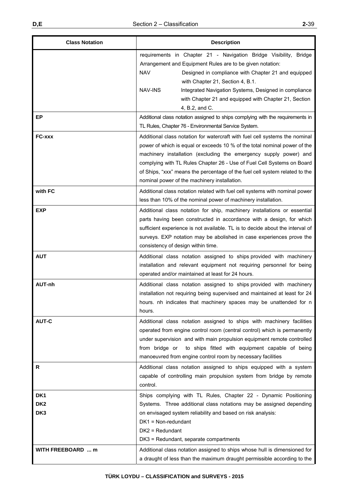| <b>Class Notation</b>                                 | <b>Description</b>                                                                                                                                                                                                                                                                                                                                                                                                                     |  |
|-------------------------------------------------------|----------------------------------------------------------------------------------------------------------------------------------------------------------------------------------------------------------------------------------------------------------------------------------------------------------------------------------------------------------------------------------------------------------------------------------------|--|
|                                                       | requirements in Chapter 21 - Navigation Bridge Visibility, Bridge<br>Arrangement and Equipment Rules are to be given notation:<br><b>NAV</b><br>Designed in compliance with Chapter 21 and equipped<br>with Chapter 21, Section 4, B.1.<br>NAV-INS<br>Integrated Navigation Systems, Designed in compliance<br>with Chapter 21 and equipped with Chapter 21, Section<br>4, B.2, and C.                                                 |  |
| <b>EP</b>                                             | Additional class notation assigned to ships complying with the requirements in<br>TL Rules, Chapter 76 - Environmental Service System.                                                                                                                                                                                                                                                                                                 |  |
| FC-xxx                                                | Additional class notation for watercraft with fuel cell systems the nominal<br>power of which is equal or exceeds 10 % of the total nominal power of the<br>machinery installation (excluding the emergency supply power) and<br>complying with TL Rules Chapter 26 - Use of Fuel Cell Systems on Board<br>of Ships, "xxx" means the percentage of the fuel cell system related to the<br>nominal power of the machinery installation. |  |
| with FC                                               | Additional class notation related with fuel cell systems with nominal power<br>less than 10% of the nominal power of machinery installation.                                                                                                                                                                                                                                                                                           |  |
| <b>EXP</b>                                            | Additional class notation for ship, machinery installations or essential<br>parts having been constructed in accordance with a design, for which<br>sufficient experience is not available. TL is to decide about the interval of<br>surveys. EXP notation may be abolished in case experiences prove the<br>consistency of design within time.                                                                                        |  |
| <b>AUT</b>                                            | Additional class notation assigned to ships provided with machinery<br>installation and relevant equipment not requiring personnel for being<br>operated and/or maintained at least for 24 hours.                                                                                                                                                                                                                                      |  |
| AUT-nh                                                | Additional class notation assigned to ships provided with machinery<br>installation not requiring being supervised and maintained at least for 24<br>hours. nh indicates that machinery spaces may be unattended for n<br>hours.                                                                                                                                                                                                       |  |
| <b>AUT-C</b>                                          | Additional class notation assigned to ships with machinery facilities<br>operated from engine control room (central control) which is permanently<br>under supervision and with main propulsion equipment remote controlled<br>to ships fitted with equipment capable of being<br>from bridge or<br>manoeuvred from engine control room by necessary facilities                                                                        |  |
| R                                                     | Additional class notation assigned to ships equipped with a system<br>capable of controlling main propulsion system from bridge by remote<br>control.                                                                                                                                                                                                                                                                                  |  |
| DK <sub>1</sub><br>DK <sub>2</sub><br>DK <sub>3</sub> | Ships complying with TL Rules, Chapter 22 - Dynamic Positioning<br>Systems. Three additional class notations may be assigned depending<br>on envisaged system reliability and based on risk analysis:<br>$DK1 = Non-redundant$<br>$DK2 = Redundant$<br>DK3 = Redundant, separate compartments                                                                                                                                          |  |
| <b>WITH FREEBOARD  m</b>                              | Additional class notation assigned to ships whose hull is dimensioned for<br>a draught of less than the maximum draught permissible according to the                                                                                                                                                                                                                                                                                   |  |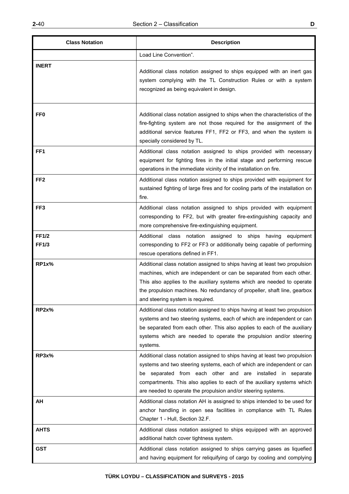| I |
|---|

| <b>Class Notation</b> | <b>Description</b>                                                                                                                                                                                                                                                                                                                                            |  |
|-----------------------|---------------------------------------------------------------------------------------------------------------------------------------------------------------------------------------------------------------------------------------------------------------------------------------------------------------------------------------------------------------|--|
|                       | Load Line Convention".                                                                                                                                                                                                                                                                                                                                        |  |
| <b>INERT</b>          | Additional class notation assigned to ships equipped with an inert gas<br>system complying with the TL Construction Rules or with a system<br>recognized as being equivalent in design.                                                                                                                                                                       |  |
| FF <sub>0</sub>       | Additional class notation assigned to ships when the characteristics of the<br>fire-fighting system are not those required for the assignment of the<br>additional service features FF1, FF2 or FF3, and when the system is<br>specially considered by TL.                                                                                                    |  |
| FF <sub>1</sub>       | Additional class notation assigned to ships provided with necessary<br>equipment for fighting fires in the initial stage and performing rescue<br>operations in the immediate vicinity of the installation on fire.                                                                                                                                           |  |
| FF <sub>2</sub>       | Additional class notation assigned to ships provided with equipment for<br>sustained fighting of large fires and for cooling parts of the installation on<br>fire.                                                                                                                                                                                            |  |
| FF3                   | Additional class notation assigned to ships provided with equipment<br>corresponding to FF2, but with greater fire-extinguishing capacity and<br>more comprehensive fire-extinguishing equipment.                                                                                                                                                             |  |
| <b>FF1/2</b><br>FF1/3 | Additional class notation assigned to ships<br>having<br>equipment<br>corresponding to FF2 or FF3 or additionally being capable of performing<br>rescue operations defined in FF1.                                                                                                                                                                            |  |
| RP1x%                 | Additional class notation assigned to ships having at least two propulsion<br>machines, which are independent or can be separated from each other.<br>This also applies to the auxiliary systems which are needed to operate<br>the propulsion machines. No redundancy of propeller, shaft line, gearbox<br>and steering system is required.                  |  |
| RP2x%                 | Additional class notation assigned to ships having at least two propulsion<br>systems and two steering systems, each of which are independent or can<br>be separated from each other. This also applies to each of the auxiliary<br>systems which are needed to operate the propulsion and/or steering<br>systems.                                            |  |
| RP3x%                 | Additional class notation assigned to ships having at least two propulsion<br>systems and two steering systems, each of which are independent or can<br>be separated from each other and are installed in separate<br>compartments. This also applies to each of the auxiliary systems which<br>are needed to operate the propulsion and/or steering systems. |  |
| ΑH                    | Additional class notation AH is assigned to ships intended to be used for<br>anchor handling in open sea facilities in compliance with TL Rules<br>Chapter 1 - Hull, Section 32.F.                                                                                                                                                                            |  |
| <b>AHTS</b>           | Additional class notation assigned to ships equipped with an approved<br>additional hatch cover tightness system.                                                                                                                                                                                                                                             |  |
| <b>GST</b>            | Additional class notation assigned to ships carrying gases as liquefied<br>and having equipment for reliquifying of cargo by cooling and complying                                                                                                                                                                                                            |  |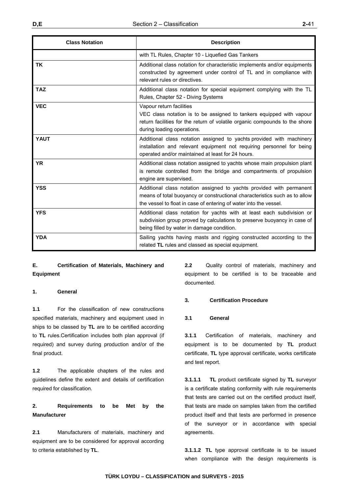| <b>Class Notation</b> | <b>Description</b>                                                                                                                                                                                                      |  |
|-----------------------|-------------------------------------------------------------------------------------------------------------------------------------------------------------------------------------------------------------------------|--|
|                       | with TL Rules, Chapter 10 - Liquefied Gas Tankers                                                                                                                                                                       |  |
| <b>TK</b>             | Additional class notation for characteristic implements and/or equipments<br>constructed by agreement under control of TL and in compliance with<br>relevant rules or directives.                                       |  |
| <b>TAZ</b>            | Additional class notation for special equipment complying with the TL<br>Rules, Chapter 52 - Diving Systems                                                                                                             |  |
| <b>VEC</b>            | Vapour return facilities<br>VEC class notation is to be assigned to tankers equipped with vapour<br>return facilities for the return of volatile organic compounds to the shore<br>during loading operations.           |  |
| <b>YAUT</b>           | Additional class notation assigned to yachts provided with machinery<br>installation and relevant equipment not requiring personnel for being<br>operated and/or maintained at least for 24 hours.                      |  |
| <b>YR</b>             | Additional class notation assigned to yachts whose main propulsion plant<br>is remote controlled from the bridge and compartments of propulsion<br>engine are supervised.                                               |  |
| <b>YSS</b>            | Additional class notation assigned to yachts provided with permanent<br>means of total buoyancy or constructional characteristics such as to allow<br>the vessel to float in case of entering of water into the vessel. |  |
| <b>YFS</b>            | Additional class notation for yachts with at least each subdivision or<br>subdivision group proved by calculations to preserve buoyancy in case of<br>being filled by water in damage condition.                        |  |
| <b>YDA</b>            | Sailing yachts having masts and rigging constructed according to the<br>related TL rules and classed as special equipment.                                                                                              |  |

# **E. Certification of Materials, Machinery and Equipment**

## **1. General**

**1.1** For the classification of new constructions specified materials, machinery and equipment used in ships to be classed by **TL** are to be certified according to **TL** rules.Certification includes both plan approval (if required) and survey during production and/or of the final product.

**1.2** The applicable chapters of the rules and guidelines define the extent and details of certification required for classification.

# **2. Requirements to be Met by the Manufacturer**

**2.1** Manufacturers of materials, machinery and equipment are to be considered for approval according to criteria established by **TL**.

**2.2** Quality control of materials, machinery and equipment to be certified is to be traceable and documented.

## **3. Certification Procedure**

## **3.1 General**

**3.1.1** Certification of materials, machinery and equipment is to be documented by **TL** product certificate, **TL** type approval certificate, works certificate and test report.

**3.1.1.1 TL** product certificate signed by **TL** surveyor is a certificate stating conformity with rule requirements that tests are carried out on the certified product itself, that tests are made on samples taken from the certified product itself and that tests are performed in presence of the surveyor or in accordance with special agreements.

**3.1.1.2 TL** type approval certificate is to be issued when compliance with the design requirements is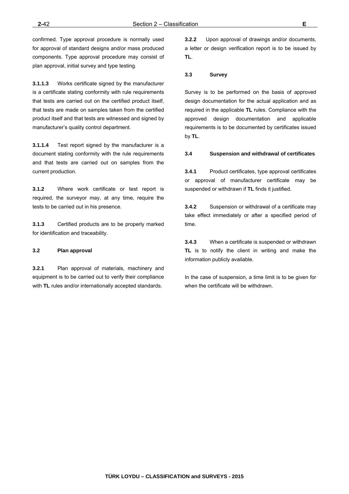confirmed. Type approval procedure is normally used for approval of standard designs and/or mass produced components. Type approval procedure may consist of plan approval, initial survey and type testing.

**3.1.1.3** Works certificate signed by the manufacturer is a certificate stating conformity with rule requirements that tests are carried out on the certified product itself, that tests are made on samples taken from the certified product itself and that tests are witnessed and signed by manufacturer's quality control department.

**3.1.1.4** Test report signed by the manufacturer is a document stating conformity with the rule requirements and that tests are carried out on samples from the current production.

**3.1.2** Where work certificate or test report is required, the surveyor may, at any time, require the tests to be carried out in his presence.

**3.1.3** Certified products are to be properly marked for identification and traceability.

## **3.2 Plan approval**

**3.2.1** Plan approval of materials, machinery and equipment is to be carried out to verify their compliance with **TL** rules and/or internationally accepted standards.

**3.2.2** Upon approval of drawings and/or documents, a letter or design verification report is to be issued by **TL**.

## **3.3 Survey**

Survey is to be performed on the basis of approved design documentation for the actual application and as required in the applicable **TL** rules. Compliance with the approved design documentation and applicable requirements is to be documented by certificates issued by **TL**.

## **3.4 Suspension and withdrawal of certificates**

**3.4.1** Product certificates, type approval certificates or approval of manufacturer certificate may be suspended or withdrawn if **TL** finds it justified.

**3.4.2** Suspension or withdrawal of a certificate may take effect immediately or after a specified period of time.

**3.4.3** When a certificate is suspended or withdrawn **TL** is to notify the client in writing and make the information publicly available.

In the case of suspension, a time limit is to be given for when the certificate will be withdrawn.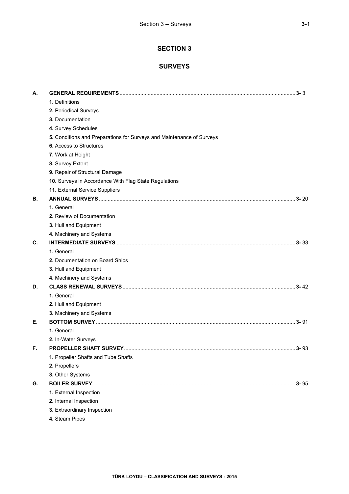# **SECTION 3**

# **SURVEYS**

| А. |                                                                       |          |
|----|-----------------------------------------------------------------------|----------|
|    | 1. Definitions                                                        |          |
|    | 2. Periodical Surveys                                                 |          |
|    | 3. Documentation                                                      |          |
|    | 4. Survey Schedules                                                   |          |
|    | 5. Conditions and Preparations for Surveys and Maintenance of Surveys |          |
|    | <b>6.</b> Access to Structures                                        |          |
|    | 7. Work at Height                                                     |          |
|    | 8. Survey Extent                                                      |          |
|    | 9. Repair of Structural Damage                                        |          |
|    | 10. Surveys in Accordance With Flag State Regulations                 |          |
|    | 11. External Service Suppliers                                        |          |
| В. |                                                                       |          |
|    | 1. General                                                            |          |
|    | 2. Review of Documentation                                            |          |
|    | 3. Hull and Equipment                                                 |          |
|    | 4. Machinery and Systems                                              |          |
| C. |                                                                       |          |
|    | 1. General                                                            |          |
|    | 2. Documentation on Board Ships                                       |          |
|    | 3. Hull and Equipment                                                 |          |
|    | 4. Machinery and Systems                                              |          |
| D. |                                                                       |          |
|    | 1. General                                                            |          |
|    | 2. Hull and Equipment                                                 |          |
|    | 3. Machinery and Systems                                              |          |
| Е. |                                                                       |          |
|    | 1. General                                                            |          |
|    | 2. In-Water Surveys                                                   |          |
| F. |                                                                       |          |
|    | 1. Propeller Shafts and Tube Shafts                                   |          |
|    | 2. Propellers                                                         |          |
|    | 3. Other Systems                                                      |          |
| G. |                                                                       | $3 - 95$ |
|    | 1. External Inspection                                                |          |
|    | 2. Internal Inspection                                                |          |
|    | 3. Extraordinary Inspection                                           |          |
|    | 4. Steam Pipes                                                        |          |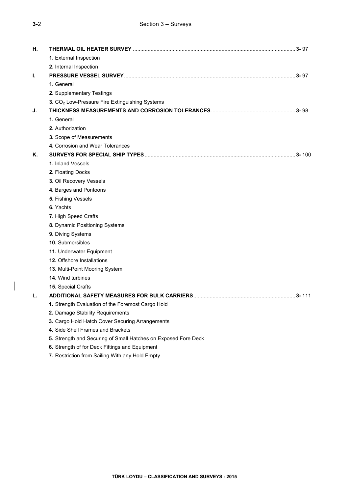| н. | THERMAL OIL HEATER SURVEY ……………………………………………………………………………………………3-97 |  |
|----|-------------------------------------------------------------------|--|
|    | 1. External Inspection                                            |  |
|    | 2. Internal Inspection                                            |  |
| ı. |                                                                   |  |
|    | 1. General                                                        |  |
|    | 2. Supplementary Testings                                         |  |
|    | 3. CO <sub>2</sub> Low-Pressure Fire Extinguishing Systems        |  |
| J. |                                                                   |  |
|    | 1. General                                                        |  |
|    | 2. Authorization                                                  |  |
|    | 3. Scope of Measurements                                          |  |
|    | 4. Corrosion and Wear Tolerances                                  |  |
| Κ. |                                                                   |  |
|    | 1. Inland Vessels                                                 |  |
|    | 2. Floating Docks                                                 |  |
|    | 3. Oil Recovery Vessels                                           |  |
|    | 4. Barges and Pontoons                                            |  |
|    | 5. Fishing Vessels                                                |  |
|    | 6. Yachts                                                         |  |
|    | 7. High Speed Crafts                                              |  |
|    | 8. Dynamic Positioning Systems                                    |  |
|    | 9. Diving Systems                                                 |  |
|    | 10. Submersibles                                                  |  |
|    | 11. Underwater Equipment                                          |  |
|    | 12. Offshore Installations                                        |  |
|    | 13. Multi-Point Mooring System                                    |  |
|    | 14. Wind turbines                                                 |  |
|    | 15. Special Crafts                                                |  |
| L. |                                                                   |  |
|    | 1. Strength Evaluation of the Foremost Cargo Hold                 |  |
|    | 2. Damage Stability Requirements                                  |  |
|    | 3. Cargo Hold Hatch Cover Securing Arrangements                   |  |
|    | 4. Side Shell Frames and Brackets                                 |  |
|    | 5. Strength and Securing of Small Hatches on Exposed Fore Deck    |  |
|    | 6. Strength of for Deck Fittings and Equipment                    |  |
|    |                                                                   |  |

**7.** Restriction from Sailing With any Hold Empty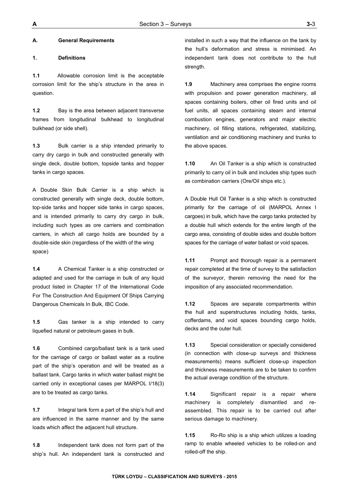## **A. General Requirements**

## **1. Definitions**

**1.1** Allowable corrosion limit is the acceptable corrosion limit for the ship's structure in the area in question.

**1.2** Bay is the area between adjacent transverse frames from longitudinal bulkhead to longitudinal bulkhead (or side shell).

**1.3** Bulk carrier is a ship intended primarily to carry dry cargo in bulk and constructed generally with single deck, double bottom, topside tanks and hopper tanks in cargo spaces.

A Double Skin Bulk Carrier is a ship which is constructed generally with single deck, double bottom, top-side tanks and hopper side tanks in cargo spaces, and is intended primarily to carry dry cargo in bulk, including such types as ore carriers and combination carriers, in which all cargo holds are bounded by a double-side skin (regardless of the width of the wing space)

**1.4** A Chemical Tanker is a ship constructed or adapted and used for the carriage in bulk of any liquid product listed in Chapter 17 of the International Code For The Construction And Equipment Of Ships Carrying Dangerous Chemicals In Bulk, IBC Code.

**1.5** Gas tanker is a ship intended to carry liquefied natural or petroleum gases in bulk.

**1.6** Combined cargo/ballast tank is a tank used for the carriage of cargo or ballast water as a routine part of the ship's operation and will be treated as a ballast tank. Cargo tanks in which water ballast might be carried only in exceptional cases per MARPOL I/18(3) are to be treated as cargo tanks.

**1.7** Integral tank form a part of the ship's hull and are influenced in the same manner and by the same loads which affect the adjacent hull structure.

**1.8** Independent tank does not form part of the ship's hull. An independent tank is constructed and installed in such a way that the influence on the tank by the hull's deformation and stress is minimised. An independent tank does not contribute to the hull strength.

**1.9** Machinery area comprises the engine rooms with propulsion and power generation machinery, all spaces containing boilers, other oil fired units and oil fuel units, all spaces containing steam and internal combustion engines, generators and major electric machinery, oil filling stations, refrigerated, stabilizing, ventilation and air conditioning machinery and trunks to the above spaces.

**1.10** An Oil Tanker is a ship which is constructed primarily to carry oil in bulk and includes ship types such as combination carriers (Ore/Oil ships etc.).

A Double Hull Oil Tanker is a ship which is constructed primarily for the carriage of oil (MARPOL Annex I cargoes) in bulk, which have the cargo tanks protected by a double hull which extends for the entire length of the cargo area, consisting of double sides and double bottom spaces for the carriage of water ballast or void spaces.

**1.11** Prompt and thorough repair is a permanent repair completed at the time of survey to the satisfaction of the surveyor, therein removing the need for the imposition of any associated recommendation.

**1.12** Spaces are separate compartments within the hull and superstructures including holds, tanks, cofferdams, and void spaces bounding cargo holds, decks and the outer hull.

**1.13** Special consideration or specially considered (in connection with close-up surveys and thickness measurements) means sufficient close-up inspection and thickness measurements are to be taken to confirm the actual average condition of the structure.

**1.14** Significant repair is a repair where machinery is completely dismantled and reassembled. This repair is to be carried out after serious damage to machinery.

**1.15** Ro-Ro ship is a ship which utilizes a loading ramp to enable wheeled vehicles to be rolled-on and rolled-off the ship.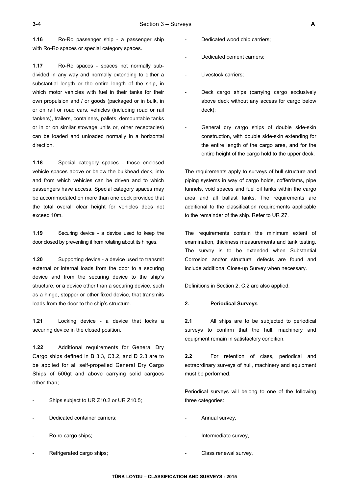**1.16** Ro-Ro passenger ship - a passenger ship with Ro-Ro spaces or special category spaces.

**1.17** Ro-Ro spaces - spaces not normally subdivided in any way and normally extending to either a substantial length or the entire length of the ship, in which motor vehicles with fuel in their tanks for their own propulsion and / or goods (packaged or in bulk, in or on rail or road cars, vehicles (including road or rail tankers), trailers, containers, pallets, demountable tanks or in or on similar stowage units or, other receptacles) can be loaded and unloaded normally in a horizontal direction.

**1.18** Special category spaces - those enclosed vehicle spaces above or below the bulkhead deck, into and from which vehicles can be driven and to which passengers have access. Special category spaces may be accommodated on more than one deck provided that the total overall clear height for vehicles does not exceed 10m.

**1.19** Securing device - a device used to keep the door closed by preventing it from rotating about its hinges.

**1.20** Supporting device - a device used to transmit external or internal loads from the door to a securing device and from the securing device to the ship's structure, or a device other than a securing device, such as a hinge, stopper or other fixed device, that transmits loads from the door to the ship's structure.

**1.21** Locking device - a device that locks a securing device in the closed position.

**1.22** Additional requirements for General Dry Cargo ships defined in B 3.3, C3.2, and D 2.3 are to be applied for all self-propelled General Dry Cargo Ships of 500gt and above carrying solid cargoes other than;

- Ships subject to UR Z10.2 or UR Z10.5;
- Dedicated container carriers;
- Ro-ro cargo ships;
- Refrigerated cargo ships;
- Dedicated wood chip carriers;
- Dedicated cement carriers;
- Livestock carriers;
- Deck cargo ships (carrying cargo exclusively above deck without any access for cargo below deck);
- General dry cargo ships of double side-skin construction, with double side-skin extending for the entire length of the cargo area, and for the entire height of the cargo hold to the upper deck.

The requirements apply to surveys of hull structure and piping systems in way of cargo holds, cofferdams, pipe tunnels, void spaces and fuel oil tanks within the cargo area and all ballast tanks. The requirements are additional to the classification requirements applicable to the remainder of the ship. Refer to UR Z7.

The requirements contain the minimum extent of examination, thickness measurements and tank testing. The survey is to be extended when Substantial Corrosion and/or structural defects are found and include additional Close-up Survey when necessary.

Definitions in Section 2, C.2 are also applied.

#### **2. Periodical Surveys**

**2.1** All ships are to be subjected to periodical surveys to confirm that the hull, machinery and equipment remain in satisfactory condition.

**2.2** For retention of class, periodical and extraordinary surveys of hull, machinery and equipment must be performed.

Periodical surveys will belong to one of the following three categories:

- Annual survey,
- Intermediate survey,
- Class renewal survey,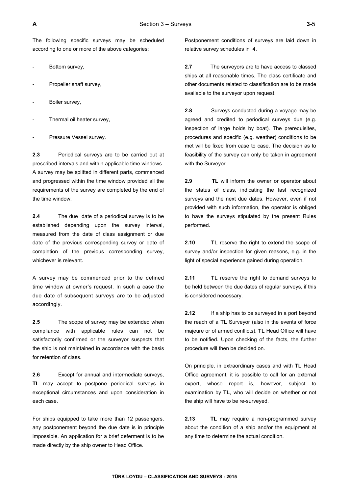The following specific surveys may be scheduled according to one or more of the above categories:

- Bottom survey,
- Propeller shaft survey,
- Boiler survey,
- Thermal oil heater survey,
- Pressure Vessel survey.

**2.3** Periodical surveys are to be carried out at prescribed intervals and within applicable time windows. A survey may be splitted in different parts, commenced and progressed within the time window provided all the requirements of the survey are completed by the end of the time window.

**2.4** The due date of a periodical survey is to be established depending upon the survey interval, measured from the date of class assignment or due date of the previous corresponding survey or date of completion of the previous corresponding survey, whichever is relevant.

A survey may be commenced prior to the defined time window at owner's request. In such a case the due date of subsequent surveys are to be adjusted accordingly.

**2.5** The scope of survey may be extended when compliance with applicable rules can not be satisfactorily confirmed or the surveyor suspects that the ship is not maintained in accordance with the basis for retention of class.

**2.6** Except for annual and intermediate surveys, **TL** may accept to postpone periodical surveys in exceptional circumstances and upon consideration in each case.

For ships equipped to take more than 12 passengers, any postponement beyond the due date is in principle impossible. An application for a brief deferment is to be made directly by the ship owner to Head Office.

Postponement conditions of surveys are laid down in relative survey schedules in 4.

**2.7** The surveyors are to have access to classed ships at all reasonable times. The class certificate and other documents related to classification are to be made available to the surveyor upon request.

**2.8** Surveys conducted during a voyage may be agreed and credited to periodical surveys due (e.g. inspection of large holds by boat). The prerequisites, procedures and specific (e.g. weather) conditions to be met will be fixed from case to case. The decision as to feasibility of the survey can only be taken in agreement with the Surveyor.

**2.9 TL** will inform the owner or operator about the status of class, indicating the last recognized surveys and the next due dates. However, even if not provided with such information, the operator is obliged to have the surveys stipulated by the present Rules performed.

**2.10 TL** reserve the right to extend the scope of survey and/or inspection for given reasons, e.g. in the light of special experience gained during operation.

**2.11** TL reserve the right to demand surveys to be held between the due dates of regular surveys, if this is considered necessary.

**2.12** If a ship has to be surveyed in a port beyond the reach of a **TL** Surveyor (also in the events of force majeure or of armed conflicts), **TL** Head Office will have to be notified. Upon checking of the facts, the further procedure will then be decided on.

On principle, in extraordinary cases and with **TL** Head Office agreement, it is possible to call for an external expert, whose report is, however, subject to examination by **TL**, who will decide on whether or not the ship will have to be re-surveyed.

**2.13 TL** may require a non-programmed survey about the condition of a ship and/or the equipment at any time to determine the actual condition.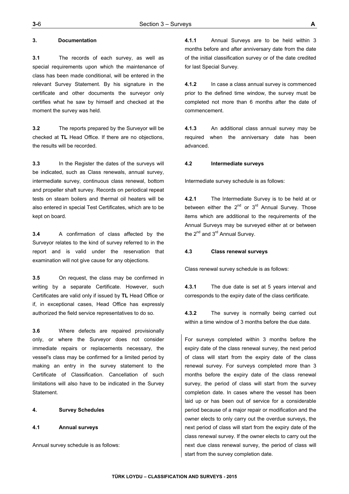## **3. Documentation**

**3.1** The records of each survey, as well as special requirements upon which the maintenance of class has been made conditional, will be entered in the relevant Survey Statement. By his signature in the certificate and other documents the surveyor only certifies what he saw by himself and checked at the moment the survey was held.

**3.2** The reports prepared by the Surveyor will be checked at **TL** Head Office. If there are no objections, the results will be recorded.

**3.3** In the Register the dates of the surveys will be indicated, such as Class renewals, annual survey, intermediate survey, continuous class renewal, bottom and propeller shaft survey. Records on periodical repeat tests on steam boilers and thermal oil heaters will be also entered in special Test Certificates, which are to be kept on board.

**3.4** A confirmation of class affected by the Surveyor relates to the kind of survey referred to in the report and is valid under the reservation that examination will not give cause for any objections.

**3.5** On request, the class may be confirmed in writing by a separate Certificate. However, such Certificates are valid only if issued by **TL** Head Office or if, in exceptional cases, Head Office has expressly authorized the field service representatives to do so.

**3.6** Where defects are repaired provisionally only, or where the Surveyor does not consider immediate repairs or replacements necessary, the vessel's class may be confirmed for a limited period by making an entry in the survey statement to the Certificate of Classification. Cancellation of such limitations will also have to be indicated in the Survey Statement.

## **4. Survey Schedules**

## **4.1 Annual surveys**

Annual survey schedule is as follows:

**4.1.1** Annual Surveys are to be held within 3 months before and after anniversary date from the date of the initial classification survey or of the date credited for last Special Survey.

**4.1.2** In case a class annual survey is commenced prior to the defined time window, the survey must be completed not more than 6 months after the date of commencement.

**4.1.3** An additional class annual survey may be required when the anniversary date has been advanced.

## **4.2 Intermediate surveys**

Intermediate survey schedule is as follows:

**4.2.1** The Intermediate Survey is to be held at or between either the  $2^{nd}$  or  $3^{rd}$  Annual Survey. Those items which are additional to the requirements of the Annual Surveys may be surveyed either at or between the  $2^{nd}$  and  $3^{rd}$  Annual Survey.

### **4.3 Class renewal surveys**

Class renewal survey schedule is as follows:

**4.3.1** The due date is set at 5 years interval and corresponds to the expiry date of the class certificate.

**4.3.2** The survey is normally being carried out within a time window of 3 months before the due date.

For surveys completed within 3 months before the expiry date of the class renewal survey, the next period of class will start from the expiry date of the class renewal survey. For surveys completed more than 3 months before the expiry date of the class renewal survey, the period of class will start from the survey completion date. In cases where the vessel has been laid up or has been out of service for a considerable period because of a major repair or modification and the owner elects to only carry out the overdue surveys, the next period of class will start from the expiry date of the class renewal survey. If the owner elects to carry out the next due class renewal survey, the period of class will start from the survey completion date.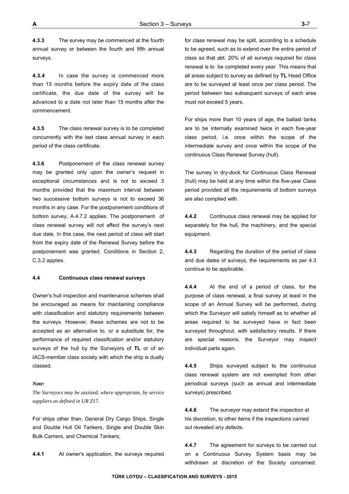**4.3.3** The survey may be commenced at the fourth annual survey or between the fourth and fifth annual surveys.

**4.3.4** In case the survey is commenced more than 15 months before the expiry date of the class certificate, the due date of the survey will be advanced to a date not later than 15 months after the commencement.

**4.3.5** The class renewal survey is to be completed concurrently with the last class annual survey in each period of the class certificate.

**4.3.6** Postponement of the class renewal survey may be granted only upon the owner's request in exceptional circumstances and is not to exceed 3 months provided that the maximum interval between two successive bottom surveys is not to exceed 36 months in any case. For the postponement conditions of bottom survey, A.4.7.2 applies. The postponement of class renewal survey will not affect the survey's next due date. In this case, the next period of class will start from the expiry date of the Renewal Survey before the postponement was granted. Conditions in Section 2, C.3.2 applies.

#### **4.4 Continuous class renewal surveys**

Owner's hull inspection and maintenance schemes shall be encouraged as means for maintaining compliance with classification and statutory requirements between the surveys. However, these schemes are not to be accepted as an alternative to, or a substitute for, the performance of required classification and/or statutory surveys of the hull by the Surveyors of **TL** or of an IACS-member class society with which the ship is dually classed.

#### *Note:*

*The Surveyors may be assisted, where appropriate, by service suppliers as defined in UR Z17.* 

For ships other than, General Dry Cargo Ships, Single and Double Hull Oil Tankers, Single and Double Skin Bulk Carriers, and Chemical Tankers;

**4.4.1** At owner's application, the surveys required

for class renewal may be split, according to a schedule to be agreed, such as to extend over the entire period of class so that abt. 20% of all surveys required for class renewal is to be completed every year. This means that all areas subject to survey as defined by **TL** Head Office are to be surveyed at least once per class period. The period between two subsequent surveys of each area must not exceed 5 years.

For ships more than 10 years of age, the ballast tanks are to be internally examined twice in each five-year class period, i.e. once within the scope of the intermediate survey and once within the scope of the continuous Class Renewal Survey (hull).

The survey in dry-dock for Continuous Class Renewal (hull) may be held at any time within the five-year Class period provided all the requirements of bottom surveys are also complied with.

**4.4.2** Continuous class renewal may be applied for separately for the hull, the machinery, and the special equipment.

**4.4.3** Regarding the duration of the period of class and due dates of surveys, the requirements as per 4.3 continue to be applicable.

**4.4.4** At the end of a period of class, for the purpose of class renewal, a final survey at least in the scope of an Annual Survey will be performed, during which the Surveyor will satisfy himself as to whether all areas required to be surveyed have in fact been surveyed throughout, with satisfactory results. If there are special reasons, the Surveyor may inspect individual parts again.

**4.4.5** Ships surveyed subject to the continuous class renewal system are not exempted from other periodical surveys (such as annual and intermediate surveys) prescribed.

**4.4.6** The surveyor may extend the inspection at his discretion, to other items if the inspections carried out revealed any defects.

**4.4.7** The agreement for surveys to be carried out on a Continuous Survey System basis may be withdrawn at discretion of the Society concerned.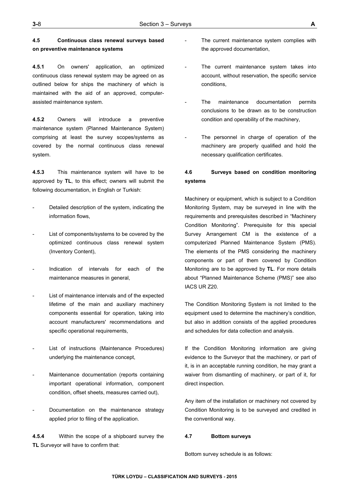# **4.5 Continuous class renewal surveys based on preventive maintenance systems**

**4.5.1** On owners' application, an optimized continuous class renewal system may be agreed on as outlined below for ships the machinery of which is maintained with the aid of an approved, computerassisted maintenance system.

**4.5.2** Owners will introduce a preventive maintenance system (Planned Maintenance System) comprising at least the survey scopes/systems as covered by the normal continuous class renewal system.

**4.5.3** This maintenance system will have to be approved by **TL**, to this effect; owners will submit the following documentation, in English or Turkish:

- Detailed description of the system, indicating the information flows,
- List of components/systems to be covered by the optimized continuous class renewal system (Inventory Content),
- Indication of intervals for each of the maintenance measures in general,
- List of maintenance intervals and of the expected lifetime of the main and auxiliary machinery components essential for operation, taking into account manufacturers' recommendations and specific operational requirements,
- List of instructions (Maintenance Procedures) underlying the maintenance concept,
- Maintenance documentation (reports containing important operational information, component condition, offset sheets, measures carried out),
- Documentation on the maintenance strategy applied prior to filing of the application.

**4.5.4** Within the scope of a shipboard survey the **TL** Surveyor will have to confirm that:

- The current maintenance system complies with the approved documentation,
- The current maintenance system takes into account, without reservation, the specific service conditions,
- The maintenance documentation permits conclusions to be drawn as to be construction condition and operability of the machinery,
- The personnel in charge of operation of the machinery are properly qualified and hold the necessary qualification certificates.

# **4.6 Surveys based on condition monitoring systems**

Machinery or equipment, which is subject to a Condition Monitoring System, may be surveyed in line with the requirements and prerequisites described in "Machinery Condition Monitoring". Prerequisite for this special Survey Arrangement CM is the existence of a computerized Planned Maintenance System (PMS). The elements of the PMS considering the machinery components or part of them covered by Condition Monitoring are to be approved by **TL**. For more details about "Planned Maintenance Scheme (PMS)" see also IACS UR Z20.

The Condition Monitoring System is not limited to the equipment used to determine the machinery's condition, but also in addition consists of the applied procedures and schedules for data collection and analysis.

If the Condition Monitoring information are giving evidence to the Surveyor that the machinery, or part of it, is in an acceptable running condition, he may grant a waiver from dismantling of machinery, or part of it, for direct inspection.

Any item of the installation or machinery not covered by Condition Monitoring is to be surveyed and credited in the conventional way.

#### **4.7 Bottom surveys**

Bottom survey schedule is as follows: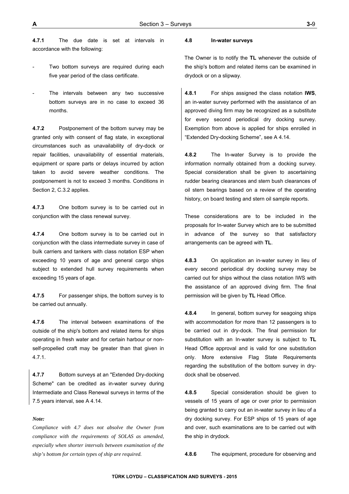**4.7.1** The due date is set at intervals in accordance with the following:

- Two bottom surveys are required during each five year period of the class certificate.
- The intervals between any two successive bottom surveys are in no case to exceed 36 months.

**4.7.2** Postponement of the bottom survey may be granted only with consent of flag state, in exceptional circumstances such as unavailability of dry-dock or repair facilities, unavailability of essential materials, equipment or spare parts or delays incurred by action taken to avoid severe weather conditions. The postponement is not to exceed 3 months. Conditions in Section 2, C.3.2 applies.

**4.7.3** One bottom survey is to be carried out in conjunction with the class renewal survey.

**4.7.4** One bottom survey is to be carried out in conjunction with the class intermediate survey in case of bulk carriers and tankers with class notation ESP when exceeding 10 years of age and general cargo ships subject to extended hull survey requirements when exceeding 15 years of age.

**4.7.5** For passenger ships, the bottom survey is to be carried out annually.

**4.7.6** The interval between examinations of the outside of the ship's bottom and related items for ships operating in fresh water and for certain harbour or nonself-propelled craft may be greater than that given in 4.7.1.

**4.7.7** Bottom surveys at an "Extended Dry-docking Scheme" can be credited as in-water survey during Intermediate and Class Renewal surveys in terms of the 7.5 years interval, see A 4.14.

#### *Note:*

*Compliance with 4.7 does not absolve the Owner from compliance with the requirements of SOLAS as amended, especially when shorter intervals between examination of the ship's bottom for certain types of ship are required.* 

#### **4.8 In-water surveys**

The Owner is to notify the **TL** whenever the outside of the ship's bottom and related items can be examined in drydock or on a slipway.

**4.8.1** For ships assigned the class notation **IWS**, an in-water survey performed with the assistance of an approved diving firm may be recognized as a substitute for every second periodical dry docking survey. Exemption from above is applied for ships enrolled in "Extended Dry-docking Scheme", see A 4.14.

**4.8.2** The In-water Survey is to provide the information normally obtained from a docking survey. Special consideration shall be given to ascertaining rudder bearing clearances and stern bush clearances of oil stern bearings based on a review of the operating history, on board testing and stern oil sample reports.

These considerations are to be included in the proposals for In-water Survey which are to be submitted in advance of the survey so that satisfactory arrangements can be agreed with **TL**.

**4.8.3** On application an in-water survey in lieu of every second periodical dry docking survey may be carried out for ships without the class notation IWS with the assistance of an approved diving firm. The final permission will be given by **TL** Head Office.

**4.8.4** In general, bottom survey for seagoing ships with accommodation for more than 12 passengers is to be carried out in dry-dock. The final permission for substitution with an In-water survey is subject to **TL** Head Office approval and is valid for one substitution only. More extensive Flag State Requirements regarding the substitution of the bottom survey in drydock shall be observed.

**4.8.5** Special consideration should be given to vessels of 15 years of age or over prior to permission being granted to carry out an in-water survey in lieu of a dry docking survey. For ESP ships of 15 years of age and over, such examinations are to be carried out with the ship in drydock.

**4.8.6** The equipment, procedure for observing and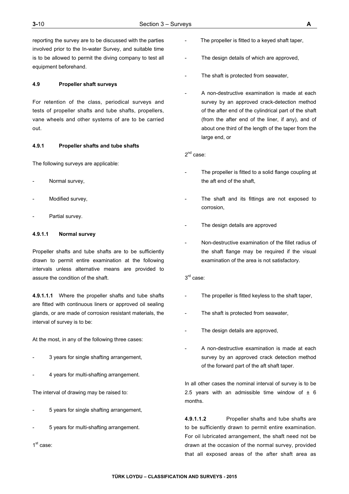reporting the survey are to be discussed with the parties involved prior to the In-water Survey, and suitable time is to be allowed to permit the diving company to test all equipment beforehand.

## **4.9 Propeller shaft surveys**

For retention of the class, periodical surveys and tests of propeller shafts and tube shafts, propellers, vane wheels and other systems of are to be carried out.

## **4.9.1 Propeller shafts and tube shafts**

The following surveys are applicable:

- Normal survey,
- Modified survey,
- Partial survey.

## **4.9.1.1 Normal survey**

Propeller shafts and tube shafts are to be sufficiently drawn to permit entire examination at the following intervals unless alternative means are provided to assure the condition of the shaft.

**4.9.1.1.1** Where the propeller shafts and tube shafts are fitted with continuous liners or approved oil sealing glands, or are made of corrosion resistant materials, the interval of survey is to be:

At the most, in any of the following three cases:

- 3 years for single shafting arrangement,
- 4 years for multi-shafting arrangement.

The interval of drawing may be raised to:

- 5 years for single shafting arrangement,
- 5 years for multi-shafting arrangement.

1<sup>st</sup> case:

- The propeller is fitted to a keyed shaft taper,
- The design details of which are approved,
- The shaft is protected from seawater,
- A non-destructive examination is made at each survey by an approved crack-detection method of the after end of the cylindrical part of the shaft (from the after end of the liner, if any), and of about one third of the length of the taper from the large end, or

2nd case:

- The propeller is fitted to a solid flange coupling at the aft end of the shaft,
- The shaft and its fittings are not exposed to corrosion,
- The design details are approved
- Non-destructive examination of the fillet radius of the shaft flange may be required if the visual examination of the area is not satisfactory.

# 3<sup>rd</sup> case:

- The propeller is fitted keyless to the shaft taper,
- The shaft is protected from seawater,
- The design details are approved,
- A non-destructive examination is made at each survey by an approved crack detection method of the forward part of the aft shaft taper.

In all other cases the nominal interval of survey is to be 2.5 years with an admissible time window of  $\pm$  6 months.

**4.9.1.1.2** Propeller shafts and tube shafts are to be sufficiently drawn to permit entire examination. For oil lubricated arrangement, the shaft need not be drawn at the occasion of the normal survey, provided that all exposed areas of the after shaft area as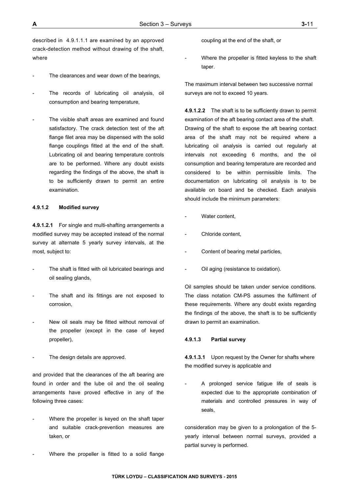described in 4.9.1.1.1 are examined by an approved crack-detection method without drawing of the shaft, where

- The clearances and wear down of the bearings,
- The records of lubricating oil analysis, oil consumption and bearing temperature,
- The visible shaft areas are examined and found satisfactory. The crack detection test of the aft flange filet area may be dispensed with the solid flange couplings fitted at the end of the shaft. Lubricating oil and bearing temperature controls are to be performed. Where any doubt exists regarding the findings of the above, the shaft is to be sufficiently drawn to permit an entire examination.

### **4.9.1.2 Modified survey**

**4.9.1.2.1** For single and multi-shafting arrangements a modified survey may be accepted instead of the normal survey at alternate 5 yearly survey intervals, at the most, subject to:

- The shaft is fitted with oil lubricated bearings and oil sealing glands,
- The shaft and its fittings are not exposed to corrosion,
- New oil seals may be fitted without removal of the propeller (except in the case of keyed propeller),
- The design details are approved.

and provided that the clearances of the aft bearing are found in order and the lube oil and the oil sealing arrangements have proved effective in any of the following three cases:

- Where the propeller is keyed on the shaft taper and suitable crack-prevention measures are taken, or
- Where the propeller is fitted to a solid flange

coupling at the end of the shaft, or

Where the propeller is fitted keyless to the shaft taper.

The maximum interval between two successive normal surveys are not to exceed 10 years.

**4.9.1.2.2** The shaft is to be sufficiently drawn to permit examination of the aft bearing contact area of the shaft. Drawing of the shaft to expose the aft bearing contact area of the shaft may not be required where a lubricating oil analysis is carried out regularly at intervals not exceeding 6 months, and the oil consumption and bearing temperature are recorded and considered to be within permissible limits. The documentation on lubricating oil analysis is to be available on board and be checked. Each analysis should include the minimum parameters:

- Water content.
- Chloride content,
- Content of bearing metal particles,
- Oil aging (resistance to oxidation).

Oil samples should be taken under service conditions. The class notation CM-PS assumes the fulfilment of these requirements. Where any doubt exists regarding the findings of the above, the shaft is to be sufficiently drawn to permit an examination.

#### **4.9.1.3 Partial survey**

**4.9.1.3.1** Upon request by the Owner for shafts where the modified survey is applicable and

A prolonged service fatigue life of seals is expected due to the appropriate combination of materials and controlled pressures in way of seals,

consideration may be given to a prolongation of the 5 yearly interval between normal surveys, provided a partial survey is performed.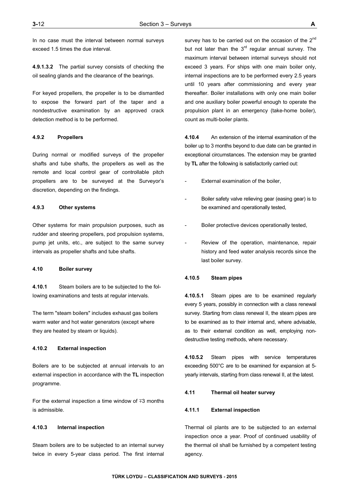In no case must the interval between normal surveys exceed 1.5 times the due interval.

**4.9.1.3.2** The partial survey consists of checking the oil sealing glands and the clearance of the bearings.

For keyed propellers, the propeller is to be dismantled to expose the forward part of the taper and a nondestructive examination by an approved crack detection method is to be performed.

### **4.9.2 Propellers**

During normal or modified surveys of the propeller shafts and tube shafts, the propellers as well as the remote and local control gear of controllable pitch propellers are to be surveyed at the Surveyor's discretion, depending on the findings.

## **4.9.3 Other systems**

Other systems for main propulsion purposes, such as rudder and steering propellers, pod propulsion systems, pump jet units, etc., are subject to the same survey intervals as propeller shafts and tube shafts.

## **4.10 Boiler survey**

**4.10.1** Steam boilers are to be subjected to the following examinations and tests at regular intervals.

The term "steam boilers" includes exhaust gas boilers warm water and hot water generators (except where they are heated by steam or liquids).

## **4.10.2 External inspection**

Boilers are to be subjected at annual intervals to an external inspection in accordance with the **TL** inspection programme.

For the external inspection a time window of  $\mp 3$  months is admissible.

## **4.10.3 Internal inspection**

Steam boilers are to be subjected to an internal survey twice in every 5-year class period. The first internal survey has to be carried out on the occasion of the 2<sup>nd</sup> but not later than the  $3<sup>rd</sup>$  regular annual survey. The maximum interval between internal surveys should not exceed 3 years. For ships with one main boiler only, internal inspections are to be performed every 2.5 years until 10 years after commissioning and every year thereafter. Boiler installations with only one main boiler and one auxiliary boiler powerful enough to operate the propulsion plant in an emergency (take-home boiler), count as multi-boiler plants.

**4.10.4** An extension of the internal examination of the boiler up to 3 months beyond to due date can be granted in exceptional circumstances. The extension may be granted by **TL** after the following is satisfactorily carried out:

- External examination of the boiler,
- Boiler safety valve relieving gear (easing gear) is to be examined and operationally tested,
- Boiler protective devices operationally tested,
- Review of the operation, maintenance, repair history and feed water analysis records since the last boiler survey.

#### **4.10.5 Steam pipes**

**4.10.5.1** Steam pipes are to be examined regularly every 5 years, possibly in connection with a class renewal survey. Starting from class renewal II, the steam pipes are to be examined as to their internal and, where advisable, as to their external condition as well, employing nondestructive testing methods, where necessary.

**4.10.5.2** Steam pipes with service temperatures exceeding 500°C are to be examined for expansion at 5 yearly intervals, starting from class renewal II, at the latest.

#### **4.11 Thermal oil heater survey**

#### **4.11.1 External inspection**

Thermal oil plants are to be subjected to an external inspection once a year. Proof of continued usability of the thermal oil shall be furnished by a competent testing agency.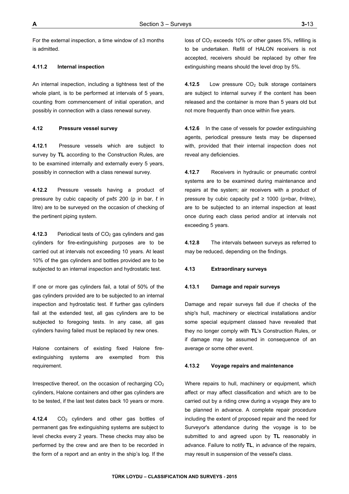For the external inspection, a time window of  $\pm 3$  months is admitted.

## **4.11.2 Internal inspection**

An internal inspection, including a tightness test of the whole plant, is to be performed at intervals of 5 years, counting from commencement of initial operation, and possibly in connection with a class renewal survey.

## **4.12 Pressure vessel survey**

**4.12.1** Pressure vessels which are subject to survey by **TL** according to the Construction Rules, are to be examined internally and externally every 5 years, possibly in connection with a class renewal survey.

**4.12.2** Pressure vessels having a product of pressure by cubic capacity of pxℓ≤ 200 (p in bar,  $\ell$  in litre) are to be surveyed on the occasion of checking of the pertinent piping system.

**4.12.3** Periodical tests of CO<sub>2</sub> gas cylinders and gas cylinders for fire-extinguishing purposes are to be carried out at intervals not exceeding 10 years. At least 10% of the gas cylinders and bottles provided are to be subjected to an internal inspection and hydrostatic test.

If one or more gas cylinders fail, a total of 50% of the gas cylinders provided are to be subjected to an internal inspection and hydrostatic test. If further gas cylinders fail at the extended test, all gas cylinders are to be subjected to foregoing tests. In any case, all gas cylinders having failed must be replaced by new ones.

Halone containers of existing fixed Halone fireextinguishing systems are exempted from this requirement.

Irrespective thereof, on the occasion of recharging  $CO<sub>2</sub>$ cylinders, Halone containers and other gas cylinders are to be tested, if the last test dates back 10 years or more.

4.12.4 CO<sub>2</sub> cylinders and other gas bottles of permanent gas fire extinguishing systems are subject to level checks every 2 years. These checks may also be performed by the crew and are then to be recorded in the form of a report and an entry in the ship's log. If the

loss of  $CO<sub>2</sub>$  exceeds 10% or other gases 5%, refilling is to be undertaken. Refill of HALON receivers is not accepted, receivers should be replaced by other fire extinguishing means should the level drop by 5%.

4.12.5 Low pressure CO<sub>2</sub> bulk storage containers are subject to internal survey if the content has been released and the container is more than 5 years old but not more frequently than once within five years.

**4.12.6** In the case of vessels for powder extinguishing agents, periodical pressure tests may be dispensed with, provided that their internal inspection does not reveal any deficiencies.

**4.12.7** Receivers in hydraulic or pneumatic control systems are to be examined during maintenance and repairs at the system; air receivers with a product of pressure by cubic capacity  $px \ge 1000$  (p=bar,  $\ell$ =litre), are to be subjected to an internal inspection at least once during each class period and/or at intervals not exceeding 5 years.

**4.12.8** The intervals between surveys as referred to may be reduced, depending on the findings.

## **4.13 Extraordinary surveys**

## **4.13.1 Damage and repair surveys**

Damage and repair surveys fall due if checks of the ship's hull, machinery or electrical installations and/or some special equipment classed have revealed that they no longer comply with **TL**'s Construction Rules, or if damage may be assumed in consequence of an average or some other event.

## **4.13.2 Voyage repairs and maintenance**

Where repairs to hull, machinery or equipment, which affect or may affect classification and which are to be carried out by a riding crew during a voyage they are to be planned in advance. A complete repair procedure including the extent of proposed repair and the need for Surveyor's attendance during the voyage is to be submitted to and agreed upon by **TL** reasonably in advance. Failure to notify **TL**, in advance of the repairs, may result in suspension of the vessel's class.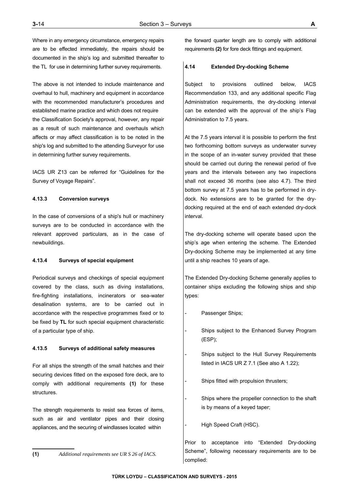Where in any emergency circumstance, emergency repairs are to be effected immediately, the repairs should be documented in the ship's log and submitted thereafter to the TL for use in determining further survey requirements.

The above is not intended to include maintenance and overhaul to hull, machinery and equipment in accordance with the recommended manufacturer's procedures and established marine practice and which does not require the Classification Society's approval, however, any repair as a result of such maintenance and overhauls which affects or may affect classification is to be noted in the ship's log and submitted to the attending Surveyor for use in determining further survey requirements.

IACS UR Z13 can be referred for "Guidelines for the Survey of Voyage Repairs".

### **4.13.3 Conversion surveys**

In the case of conversions of a ship's hull or machinery surveys are to be conducted in accordance with the relevant approved particulars, as in the case of newbuildings.

## **4.13.4 Surveys of special equipment**

Periodical surveys and checkings of special equipment covered by the class, such as diving installations, fire-fighting installations, incinerators or sea-water desalination systems, are to be carried out in accordance with the respective programmes fixed or to be fixed by **TL** for such special equipment characteristic of a particular type of ship.

#### **4.13.5 Surveys of additional safety measures**

For all ships the strength of the small hatches and their securing devices fitted on the exposed fore deck, are to comply with additional requirements **(1)** for these structures.

The strength requirements to resist sea forces of items, such as air and ventilator pipes and their closing appliances, and the securing of windlasses located within

**(1)** *Additional requirements see UR S 26 of IACS.*

the forward quarter length are to comply with additional requirements **(2)** for fore deck fittings and equipment.

## **4.14 Extended Dry-docking Scheme**

Subject to provisions outlined below, IACS Recommendation 133, and any additional specific Flag Administration requirements, the dry-docking interval can be extended with the approval of the ship's Flag Administration to 7.5 years.

At the 7.5 years interval it is possible to perform the first two forthcoming bottom surveys as underwater survey in the scope of an in-water survey provided that these should be carried out during the renewal period of five years and the intervals between any two inspections shall not exceed 36 months (see also 4.7). The third bottom survey at 7.5 years has to be performed in drydock. No extensions are to be granted for the drydocking required at the end of each extended dry-dock interval.

The dry-docking scheme will operate based upon the ship's age when entering the scheme. The Extended Dry-docking Scheme may be implemented at any time until a ship reaches 10 years of age.

The Extended Dry-docking Scheme generally applies to container ships excluding the following ships and ship types:

Passenger Ships;

- Ships subject to the Enhanced Survey Program (ESP);
- Ships subject to the Hull Survey Requirements listed in IACS UR Z 7.1 (See also A 1.22);
- Ships fitted with propulsion thrusters;
- Ships where the propeller connection to the shaft is by means of a keyed taper;

High Speed Craft (HSC).

Prior to acceptance into "Extended Dry-docking Scheme", following necessary requirements are to be complied: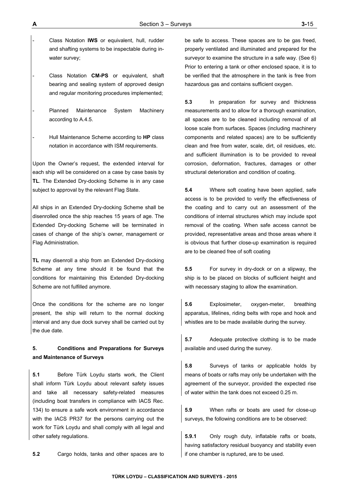- Class Notation **IWS** or equivalent, hull, rudder and shafting systems to be inspectable during inwater survey;
- Class Notation **CM-PS** or equivalent, shaft bearing and sealing system of approved design and regular monitoring procedures implemented;
- Planned Maintenance System Machinery according to A.4.5.
- Hull Maintenance Scheme according to **HP** class notation in accordance with ISM requirements.

Upon the Owner's request, the extended interval for each ship will be considered on a case by case basis by **TL**. The Extended Dry-docking Scheme is in any case subject to approval by the relevant Flag State.

All ships in an Extended Dry-docking Scheme shall be disenrolled once the ship reaches 15 years of age. The Extended Dry-docking Scheme will be terminated in cases of change of the ship's owner, management or Flag Administration.

**TL** may disenroll a ship from an Extended Dry-docking Scheme at any time should it be found that the conditions for maintaining this Extended Dry-docking Scheme are not fulfilled anymore.

Once the conditions for the scheme are no longer present, the ship will return to the normal docking interval and any due dock survey shall be carried out by the due date.

# **5. Conditions and Preparations for Surveys and Maintenance of Surveys**

**5.1** Before Türk Loydu starts work, the Client shall inform Türk Loydu about relevant safety issues and take all necessary safety-related measures (including boat transfers in compliance with IACS Rec. 134) to ensure a safe work environment in accordance with the IACS PR37 for the persons carrying out the work for Türk Loydu and shall comply with all legal and other safety regulations.

**5.2** Cargo holds, tanks and other spaces are to

be safe to access. These spaces are to be gas freed, properly ventilated and illuminated and prepared for the surveyor to examine the structure in a safe way. (See 6) Prior to entering a tank or other enclosed space, it is to be verified that the atmosphere in the tank is free from hazardous gas and contains sufficient oxygen.

**5.3** In preparation for survey and thickness measurements and to allow for a thorough examination, all spaces are to be cleaned including removal of all loose scale from surfaces. Spaces (including machinery components and related spaces) are to be sufficiently clean and free from water, scale, dirt, oil residues, etc. and sufficient illumination is to be provided to reveal corrosion, deformation, fractures, damages or other structural deterioration and condition of coating.

**5.4** Where soft coating have been applied, safe access is to be provided to verify the effectiveness of the coating and to carry out an assessment of the conditions of internal structures which may include spot removal of the coating. When safe access cannot be provided, representative areas and those areas where it is obvious that further close-up examination is required are to be cleaned free of soft coating

**5.5** For survey in dry-dock or on a slipway, the ship is to be placed on blocks of sufficient height and with necessary staging to allow the examination.

**5.6** Explosimeter, oxygen-meter, breathing apparatus, lifelines, riding belts with rope and hook and whistles are to be made available during the survey.

**5.7** Adequate protective clothing is to be made available and used during the survey.

**5.8** Surveys of tanks or applicable holds by means of boats or rafts may only be undertaken with the agreement of the surveyor, provided the expected rise of water within the tank does not exceed 0.25 m.

**5.9** When rafts or boats are used for close-up surveys, the following conditions are to be observed:

**5.9.1** Only rough duty, inflatable rafts or boats, having satisfactory residual buoyancy and stability even if one chamber is ruptured, are to be used.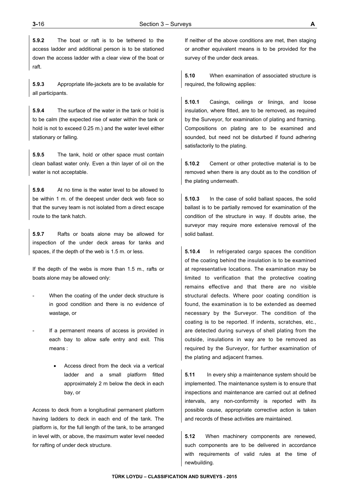**5.9.2** The boat or raft is to be tethered to the access ladder and additional person is to be stationed down the access ladder with a clear view of the boat or raft.

**5.9.3** Appropriate life-jackets are to be available for all participants.

**5.9.4** The surface of the water in the tank or hold is to be calm (the expected rise of water within the tank or hold is not to exceed 0.25 m.) and the water level either stationary or falling.

**5.9.5** The tank, hold or other space must contain clean ballast water only. Even a thin layer of oil on the water is not acceptable.

**5.9.6** At no time is the water level to be allowed to be within 1 m. of the deepest under deck web face so that the survey team is not isolated from a direct escape route to the tank hatch.

**5.9.7** Rafts or boats alone may be allowed for inspection of the under deck areas for tanks and spaces, if the depth of the web is 1.5 m. or less.

If the depth of the webs is more than 1.5 m., rafts or boats alone may be allowed only:

- When the coating of the under deck structure is in good condition and there is no evidence of wastage, or
- If a permanent means of access is provided in each bay to allow safe entry and exit. This means :
	- Access direct from the deck via a vertical ladder and a small platform fitted approximately 2 m below the deck in each bay, or

Access to deck from a longitudinal permanent platform having ladders to deck in each end of the tank. The platform is, for the full length of the tank, to be arranged in level with, or above, the maximum water level needed for rafting of under deck structure.

If neither of the above conditions are met, then staging or another equivalent means is to be provided for the survey of the under deck areas.

**5.10** When examination of associated structure is required, the following applies:

**5.10.1** Casings, ceilings or linings, and loose insulation, where fitted, are to be removed, as required by the Surveyor, for examination of plating and framing. Compositions on plating are to be examined and sounded, but need not be disturbed if found adhering satisfactorily to the plating.

**5.10.2** Cement or other protective material is to be removed when there is any doubt as to the condition of the plating underneath.

**5.10.3** In the case of solid ballast spaces, the solid ballast is to be partially removed for examination of the condition of the structure in way. If doubts arise, the surveyor may require more extensive removal of the solid ballast.

**5.10.4** In refrigerated cargo spaces the condition of the coating behind the insulation is to be examined at representative locations. The examination may be limited to verification that the protective coating remains effective and that there are no visible structural defects. Where poor coating condition is found, the examination is to be extended as deemed necessary by the Surveyor. The condition of the coating is to be reported. If indents, scratches, etc., are detected during surveys of shell plating from the outside, insulations in way are to be removed as required by the Surveyor, for further examination of the plating and adjacent frames.

**5.11** In every ship a maintenance system should be implemented. The maintenance system is to ensure that inspections and maintenance are carried out at defined intervals, any non-conformity is reported with its possible cause, appropriate corrective action is taken and records of these activities are maintained.

**5.12** When machinery components are renewed, such components are to be delivered in accordance with requirements of valid rules at the time of newbuilding.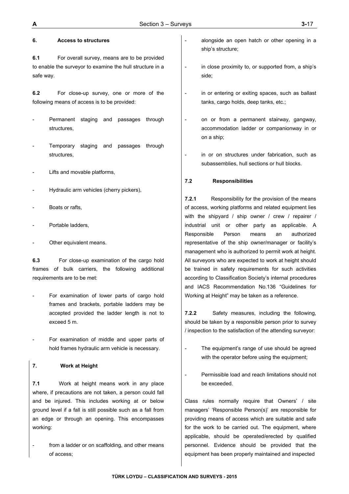## **6. Access to structures**

**6.1** For overall survey, means are to be provided to enable the surveyor to examine the hull structure in a safe way.

**6.2** For close-up survey, one or more of the following means of access is to be provided:

- Permanent staging and passages through structures,
- Temporary staging and passages through structures,
- Lifts and movable platforms,
- Hydraulic arm vehicles (cherry pickers),
- Boats or rafts,
- Portable ladders,
- Other equivalent means.

**6.3** For close-up examination of the cargo hold frames of bulk carriers, the following additional requirements are to be met:

- For examination of lower parts of cargo hold frames and brackets, portable ladders may be accepted provided the ladder length is not to exceed 5 m.
- For examination of middle and upper parts of hold frames hydraulic arm vehicle is necessary.

## **7. Work at Height**

**7.1** Work at height means work in any place where, if precautions are not taken, a person could fall and be injured. This includes working at or below ground level if a fall is still possible such as a fall from an edge or through an opening. This encompasses working:

from a ladder or on scaffolding, and other means of access;

- alongside an open hatch or other opening in a ship's structure;
- in close proximity to, or supported from, a ship's side;
- in or entering or exiting spaces, such as ballast tanks, cargo holds, deep tanks, etc.;
- on or from a permanent stairway, gangway, accommodation ladder or companionway in or on a ship;
- in or on structures under fabrication, such as subassemblies, hull sections or hull blocks.

# **7.2 Responsibilities**

**7.2.1** Responsibility for the provision of the means of access, working platforms and related equipment lies with the shipyard / ship owner / crew / repairer / industrial unit or other party as applicable. A Responsible Person means an authorized representative of the ship owner/manager or facility's management who is authorized to permit work at height. All surveyors who are expected to work at height should be trained in safety requirements for such activities according to Classification Society's internal procedures and IACS Recommendation No.136 "Guidelines for Working at Height" may be taken as a reference.

**7.2.2** Safety measures, including the following, should be taken by a responsible person prior to survey / inspection to the satisfaction of the attending surveyor:

- The equipment's range of use should be agreed with the operator before using the equipment;
- Permissible load and reach limitations should not be exceeded.

Class rules normally require that Owners' / site managers' 'Responsible Person(s)' are responsible for providing means of access which are suitable and safe for the work to be carried out. The equipment, where applicable, should be operated/erected by qualified personnel. Evidence should be provided that the equipment has been properly maintained and inspected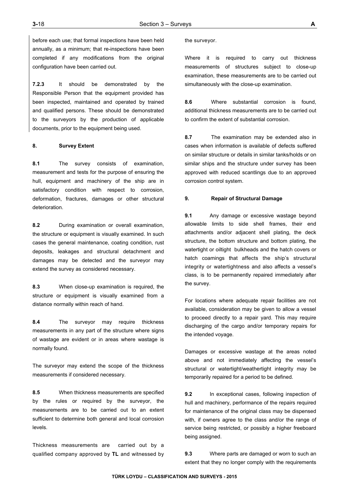before each use; that formal inspections have been held annually, as a minimum; that re-inspections have been completed if any modifications from the original configuration have been carried out.

**7.2.3** It should be demonstrated by the Responsible Person that the equipment provided has been inspected, maintained and operated by trained and qualified persons. These should be demonstrated to the surveyors by the production of applicable documents, prior to the equipment being used.

## **8. Survey Extent**

**8.1** The survey consists of examination, measurement and tests for the purpose of ensuring the hull, equipment and machinery of the ship are in satisfactory condition with respect to corrosion, deformation, fractures, damages or other structural deterioration.

**8.2** During examination or overall examination, the structure or equipment is visually examined. In such cases the general maintenance, coating condition, rust deposits, leakages and structural detachment and damages may be detected and the surveyor may extend the survey as considered necessary.

**8.3** When close-up examination is required, the structure or equipment is visually examined from a distance normally within reach of hand.

**8.4** The surveyor may require thickness measurements in any part of the structure where signs of wastage are evident or in areas where wastage is normally found.

The surveyor may extend the scope of the thickness measurements if considered necessary.

**8.5** When thickness measurements are specified by the rules or required by the surveyor, the measurements are to be carried out to an extent sufficient to determine both general and local corrosion levels.

Thickness measurements are carried out by a qualified company approved by **TL** and witnessed by the surveyor.

Where it is required to carry out thickness measurements of structures subject to close-up examination, these measurements are to be carried out simultaneously with the close-up examination.

**8.6** Where substantial corrosion is found, additional thickness measurements are to be carried out to confirm the extent of substantial corrosion.

**8.7** The examination may be extended also in cases when information is available of defects suffered on similar structure or details in similar tanks/holds or on similar ships and the structure under survey has been approved with reduced scantlings due to an approved corrosion control system.

## **9. Repair of Structural Damage**

**9.1** Any damage or excessive wastage beyond allowable limits to side shell frames, their end attachments and/or adjacent shell plating, the deck structure, the bottom structure and bottom plating, the watertight or oiltight bulkheads and the hatch covers or hatch coamings that affects the ship's structural integrity or watertightness and also affects a vessel's class, is to be permanently repaired immediately after the survey.

For locations where adequate repair facilities are not available, consideration may be given to allow a vessel to proceed directly to a repair yard. This may require discharging of the cargo and/or temporary repairs for the intended voyage.

Damages or excessive wastage at the areas noted above and not immediately affecting the vessel's structural or watertight/weathertight integrity may be temporarily repaired for a period to be defined.

**9.2** In exceptional cases, following inspection of hull and machinery, performance of the repairs required for maintenance of the original class may be dispensed with, if owners agree to the class and/or the range of service being restricted, or possibly a higher freeboard being assigned.

**9.3** Where parts are damaged or worn to such an extent that they no longer comply with the requirements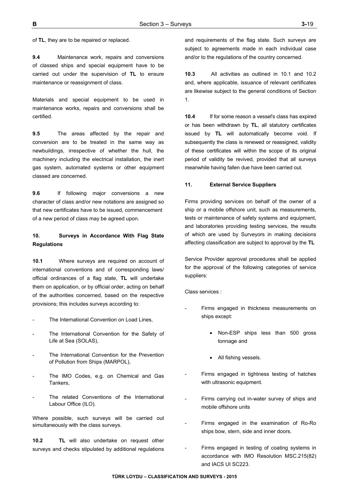of **TL**, they are to be repaired or replaced.

**9.4** Maintenance work, repairs and conversions of classed ships and special equipment have to be carried out under the supervision of **TL** to ensure maintenance or reassignment of class.

Materials and special equipment to be used in maintenance works, repairs and conversions shall be certified.

**9.5** The areas affected by the repair and conversion are to be treated in the same way as newbuildings, irrespective of whether the hull, the machinery including the electrical installation, the inert gas system, automated systems or other equipment classed are concerned.

**9.6** If following major conversions a new character of class and/or new notations are assigned so that new certificates have to be issued, commencement of a new period of class may be agreed upon.

# **10. Surveys in Accordance With Flag State Regulations**

**10.1** Where surveys are required on account of international conventions and of corresponding laws/ official ordinances of a flag state, **TL** will undertake them on application, or by official order, acting on behalf of the authorities concerned, based on the respective provisions; this includes surveys according to:

- The International Convention on Load Lines.
- The International Convention for the Safety of Life at Sea (SOLAS),
- The International Convention for the Prevention of Pollution from Ships (MARPOL),
- The IMO Codes, e.g. on Chemical and Gas Tankers,
- The related Conventions of the International Labour Office (ILO).

Where possible, such surveys will be carried out simultaneously with the class surveys.

**10.2 TL** will also undertake on request other surveys and checks stipulated by additional regulations

and requirements of the flag state. Such surveys are subject to agreements made in each individual case and/or to the regulations of the country concerned.

**10.3** All activities as outlined in 10.1 and 10.2 and, where applicable, issuance of relevant certificates are likewise subject to the general conditions of Section 1.

**10.4** If for some reason a vessel's class has expired or has been withdrawn by **TL**, all statutory certificates issued by **TL** will automatically become void. If subsequently the class is renewed or reassigned, validity of these certificates will within the scope of its original period of validity be revived, provided that all surveys meanwhile having fallen due have been carried out.

## **11. External Service Suppliers**

Firms providing services on behalf of the owner of a ship or a mobile offshore unit, such as measurements, tests or maintenance of safety systems and equipment, and laboratories providing testing services, the results of which are used by Surveyors in making decisions affecting classification are subject to approval by the **TL**

Service Provider approval procedures shall be applied for the approval of the following categories of service suppliers:

Class services :

- Firms engaged in thickness measurements on ships except:
	- Non-ESP ships less than 500 gross tonnage and
	- All fishing vessels.
- Firms engaged in tightness testing of hatches with ultrasonic equipment.
- Firms carrying out in-water survey of ships and mobile offshore units
- Firms engaged in the examination of Ro-Ro ships bow, stern, side and inner doors.
- Firms engaged in testing of coating systems in accordance with IMO Resolution MSC.215(82) and IACS UI SC223.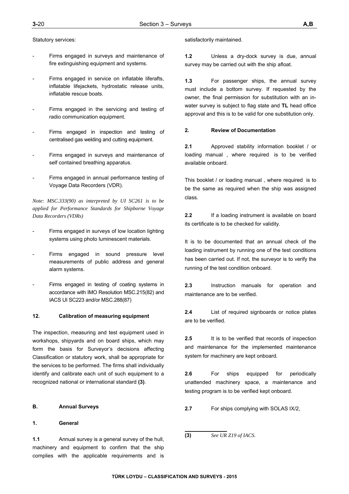Statutory services:

- Firms engaged in surveys and maintenance of fire extinguishing equipment and systems.
- Firms engaged in service on inflatable liferafts, inflatable lifejackets, hydrostatic release units, inflatable rescue boats.
- Firms engaged in the servicing and testing of radio communication equipment.
- Firms engaged in inspection and testing of centralised gas welding and cutting equipment.
- Firms engaged in surveys and maintenance of self contained breathing apparatus.
- Firms engaged in annual performance testing of Voyage Data Recorders (VDR).

*Note: MSC.333(90) as interpreted by UI SC261 is to be applied for Performance Standards for Shipborne Voyage Data Recorders (VDRs)* 

- Firms engaged in surveys of low location lighting systems using photo luminescent materials.
- Firms engaged in sound pressure level measurements of public address and general alarm systems.
- Firms engaged in testing of coating systems in accordance with IMO Resolution MSC.215(82) and IACS UI SC223 and/or MSC.288(87)

## **12. Calibration of measuring equipment**

The inspection, measuring and test equipment used in workshops, shipyards and on board ships, which may form the basis for Surveyor's decisions affecting Classification or statutory work, shall be appropriate for the services to be performed. The firms shall individually identify and calibrate each unit of such equipment to a recognized national or international standard **(3)**.

## **B. Annual Surveys**

## **1. General**

**1.1** Annual survey is a general survey of the hull, machinery and equipment to confirm that the ship complies with the applicable requirements and is

#### satisfactorily maintained.

**1.2** Unless a dry-dock survey is due, annual survey may be carried out with the ship afloat.

**1.3** For passenger ships, the annual survey must include a bottom survey. If requested by the owner, the final permission for substitution with an inwater survey is subject to flag state and **TL** head office approval and this is to be valid for one substitution only.

#### **2. Review of Documentation**

**2.1** Approved stability information booklet / or loading manual , where required is to be verified available onboard.

This booklet / or loading manual , where required is to be the same as required when the ship was assigned class.

**2.2** If a loading instrument is available on board its certificate is to be checked for validity.

It is to be documented that an annual check of the loading instrument by running one of the test conditions has been carried out. If not, the surveyor is to verify the running of the test condition onboard.

**2.3** Instruction manuals for operation and maintenance are to be verified.

**2.4** List of required signboards or notice plates are to be verified.

**2.5** It is to be verified that records of inspection and maintenance for the implemented maintenance system for machinery are kept onboard.

**2.6** For ships equipped for periodically unattended machinery space, a maintenance and testing program is to be verified kept onboard.

**2.7** For ships complying with SOLAS IX/2,

**(3)** *See UR Z19 of IACS.*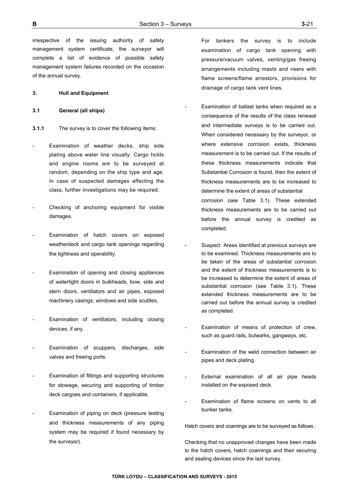irrespective of the issuing authority of safety management system certificate, the surveyor will complete a list of evidence of possible safety management system failures recorded on the occasion of the annual survey.

## **3. Hull and Equipment**

### **3.1 General (all ships)**

- **3.1.1** The survey is to cover the following items:
- Examination of weather decks, ship side plating above water line visually. Cargo holds and engine rooms are to be surveyed at random, depending on the ship type and age. In case of suspected damages affecting the class, further investigations may be required.
- Checking of anchoring equipment for visible damages.
- Examination of hatch covers on exposed weatherdeck and cargo tank openings regarding the tightness and operability.
- Examination of opening and closing appliances of watertight doors in bulkheads, bow, side and stern doors, ventilators and air pipes, exposed machinery casings, windows and side scuttles.
- Examination of ventilators, including closing devices, if any.
- Examination of scuppers, discharges, side valves and freeing ports.
- Examination of fittings and supporting structures for stowage, securing and supporting of timber deck cargoes and containers, if applicable.
- Examination of piping on deck (pressure testing and thickness measurements of any piping system may be required if found necessary by the surveyor).

 For tankers the survey is to include examination of cargo tank opening with pressure/vacuum valves, venting/gas freeing arrangements including masts and risers with flame screens/flame arrestors, provisions for drainage of cargo tank vent lines.

- Examination of ballast tanks when required as a consequence of the results of the class renewal and intermediate surveys is to be carried out. When considered necessary by the surveyor, or where extensive corrosion exists, thickness measurement is to be carried out. If the results of these thickness measurements indicate that Substantial Corrosion is found, then the extent of thickness measurements are to be increased to determine the extent of areas of substantial corrosion (see Table 3.1). These extended thickness measurements are to be carried out before the annual survey is credited as completed.
- Suspect Areas identified at previous surveys are to be examined. Thickness measurements are to be taken of the areas of substantial corrosion and the extent of thickness measurements is to be increased to determine the extent of areas of substantial corrosion (see Table 3.1). These extended thickness measurements are to be carried out before the annual survey is credited as completed.
- Examination of means of protection of crew. such as guard rails, bulwarks, gangways, etc.
- Examination of the weld connection between air pipes and deck plating.
- External examination of all air pipe heads installed on the exposed deck.
- Examination of flame screens on vents to all bunker tanks.

Hatch covers and coamings are to be surveyed as follows :

Checking that no unapproved changes have been made to the hatch covers, hatch coamings and their securing and sealing devices since the last survey.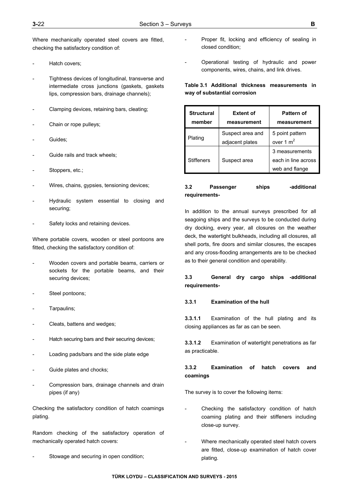Where mechanically operated steel covers are fitted, checking the satisfactory condition of:

- Hatch covers:
- Tightness devices of longitudinal, transverse and intermediate cross junctions (gaskets, gaskets lips, compression bars, drainage channels);
- Clamping devices, retaining bars, cleating;
- Chain or rope pulleys;
- Guides;
- Guide rails and track wheels:
- Stoppers, etc.;
- Wires, chains, gypsies, tensioning devices;
- Hydraulic system essential to closing and securing;
- Safety locks and retaining devices.

Where portable covers, wooden or steel pontoons are fitted, checking the satisfactory condition of:

- Wooden covers and portable beams, carriers or sockets for the portable beams, and their securing devices;
- Steel pontoons;
- Tarpaulins;
- Cleats, battens and wedges;
- Hatch securing bars and their securing devices;
- Loading pads/bars and the side plate edge
- Guide plates and chocks;
- Compression bars, drainage channels and drain pipes (if any)

Checking the satisfactory condition of hatch coamings plating.

Random checking of the satisfactory operation of mechanically operated hatch covers:

Stowage and securing in open condition;

- Proper fit, locking and efficiency of sealing in closed condition;
- Operational testing of hydraulic and power components, wires, chains, and link drives.

**Table 3.1 Additional thickness measurements in way of substantial corrosion** 

| <b>Structural</b><br>member | <b>Extent of</b><br>measurement     | <b>Pattern of</b><br>measurement                        |
|-----------------------------|-------------------------------------|---------------------------------------------------------|
| Plating                     | Suspect area and<br>adjacent plates | 5 point pattern<br>over 1 $m2$                          |
| <b>Stiffeners</b>           | Suspect area                        | 3 measurements<br>each in line across<br>web and flange |

## **3.2 Passenger ships -additional requirements-**

In addition to the annual surveys prescribed for all seagoing ships and the surveys to be conducted during dry docking, every year, all closures on the weather deck, the watertight bulkheads, including all closures, all shell ports, fire doors and similar closures, the escapes and any cross-flooding arrangements are to be checked as to their general condition and operability.

# **3.3 General dry cargo ships -additional requirements-**

## **3.3.1 Examination of the hull**

**3.3.1.1** Examination of the hull plating and its closing appliances as far as can be seen.

**3.3.1.2** Examination of watertight penetrations as far as practicable.

## **3.3.2 Examination of hatch covers and coamings**

The survey is to cover the following items:

- Checking the satisfactory condition of hatch coaming plating and their stiffeners including close-up survey.
- Where mechanically operated steel hatch covers are fitted, close-up examination of hatch cover plating.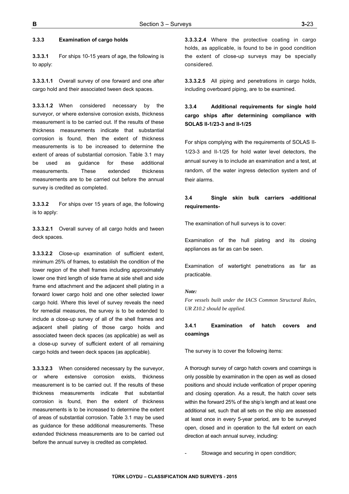## **3.3.3 Examination of cargo holds**

**3.3.3.1** For ships 10-15 years of age, the following is to apply:

**3.3.3.1.1** Overall survey of one forward and one after cargo hold and their associated tween deck spaces.

**3.3.3.1.2** When considered necessary by the surveyor, or where extensive corrosion exists, thickness measurement is to be carried out. If the results of these thickness measurements indicate that substantial corrosion is found, then the extent of thickness measurements is to be increased to determine the extent of areas of substantial corrosion. Table 3.1 may be used as guidance for these additional measurements. These extended thickness measurements are to be carried out before the annual survey is credited as completed.

**3.3.3.2** For ships over 15 years of age, the following is to apply:

**3.3.3.2.1** Overall survey of all cargo holds and tween deck spaces.

**3.3.3.2.2** Close-up examination of sufficient extent, minimum 25% of frames, to establish the condition of the lower region of the shell frames including approximately lower one third length of side frame at side shell and side frame end attachment and the adjacent shell plating in a forward lower cargo hold and one other selected lower cargo hold. Where this level of survey reveals the need for remedial measures, the survey is to be extended to include a close-up survey of all of the shell frames and adjacent shell plating of those cargo holds and associated tween deck spaces (as applicable) as well as a close-up survey of sufficient extent of all remaining cargo holds and tween deck spaces (as applicable).

**3.3.3.2.3** When considered necessary by the surveyor, or where extensive corrosion exists, thickness measurement is to be carried out. If the results of these thickness measurements indicate that substantial corrosion is found, then the extent of thickness measurements is to be increased to determine the extent of areas of substantial corrosion. Table 3.1 may be used as guidance for these additional measurements. These extended thickness measurements are to be carried out before the annual survey is credited as completed.

**3.3.3.2.4** Where the protective coating in cargo holds, as applicable, is found to be in good condition the extent of close-up surveys may be specially considered.

**3.3.3.2.5** All piping and penetrations in cargo holds, including overboard piping, are to be examined.

# **3.3.4 Additional requirements for single hold cargo ships after determining compliance with SOLAS II-1/23-3 and II-1/25**

For ships complying with the requirements of SOLAS II-1/23-3 and II-1/25 for hold water level detectors, the annual survey is to include an examination and a test, at random, of the water ingress detection system and of their alarms.

# **3.4 Single skin bulk carriers -additional requirements-**

The examination of hull surveys is to cover:

Examination of the hull plating and its closing appliances as far as can be seen.

Examination of watertight penetrations as far as practicable.

### *Note:*

*For vessels built under the IACS Common Structural Rules, UR Z10.2 should be applied.*

## **3.4.1 Examination of hatch covers and coamings**

The survey is to cover the following items:

A thorough survey of cargo hatch covers and coamings is only possible by examination in the open as well as closed positions and should include verification of proper opening and closing operation. As a result, the hatch cover sets within the forward 25% of the ship's length and at least one additional set, such that all sets on the ship are assessed at least once in every 5-year period, are to be surveyed open, closed and in operation to the full extent on each direction at each annual survey, including:

Stowage and securing in open condition;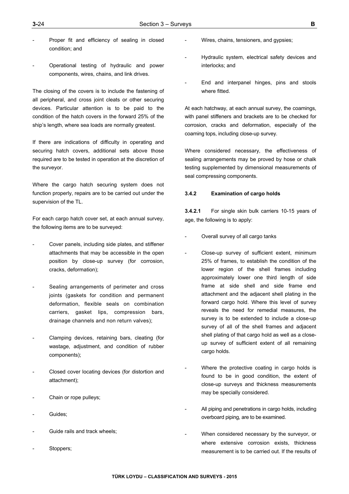- Proper fit and efficiency of sealing in closed condition; and
- Operational testing of hydraulic and power components, wires, chains, and link drives.

The closing of the covers is to include the fastening of all peripheral, and cross joint cleats or other securing devices. Particular attention is to be paid to the condition of the hatch covers in the forward 25% of the ship's length, where sea loads are normally greatest.

If there are indications of difficulty in operating and securing hatch covers, additional sets above those required are to be tested in operation at the discretion of the surveyor.

Where the cargo hatch securing system does not function properly, repairs are to be carried out under the supervision of the TL.

For each cargo hatch cover set, at each annual survey, the following items are to be surveyed:

- Cover panels, including side plates, and stiffener attachments that may be accessible in the open position by close-up survey (for corrosion, cracks, deformation);
- Sealing arrangements of perimeter and cross joints (gaskets for condition and permanent deformation, flexible seals on combination carriers, gasket lips, compression bars, drainage channels and non return valves);
- Clamping devices, retaining bars, cleating (for wastage, adjustment, and condition of rubber components);
- Closed cover locating devices (for distortion and attachment);
- Chain or rope pulleys;
- Guides;
- Guide rails and track wheels;
- Stoppers;
- Wires, chains, tensioners, and gypsies;
- Hydraulic system, electrical safety devices and interlocks; and
- End and interpanel hinges, pins and stools where fitted.

At each hatchway, at each annual survey, the coamings, with panel stiffeners and brackets are to be checked for corrosion, cracks and deformation, especially of the coaming tops, including close-up survey.

Where considered necessary, the effectiveness of sealing arrangements may be proved by hose or chalk testing supplemented by dimensional measurements of seal compressing components.

### **3.4.2 Examination of cargo holds**

**3.4.2.1** For single skin bulk carriers 10-15 years of age, the following is to apply:

- Overall survey of all cargo tanks
- Close-up survey of sufficient extent, minimum 25% of frames, to establish the condition of the lower region of the shell frames including approximately lower one third length of side frame at side shell and side frame end attachment and the adjacent shell plating in the forward cargo hold. Where this level of survey reveals the need for remedial measures, the survey is to be extended to include a close-up survey of all of the shell frames and adjacent shell plating of that cargo hold as well as a closeup survey of sufficient extent of all remaining cargo holds.
- Where the protective coating in cargo holds is found to be in good condition, the extent of close-up surveys and thickness measurements may be specially considered.
- All piping and penetrations in cargo holds, including overboard piping, are to be examined.
- When considered necessary by the surveyor, or where extensive corrosion exists, thickness measurement is to be carried out. If the results of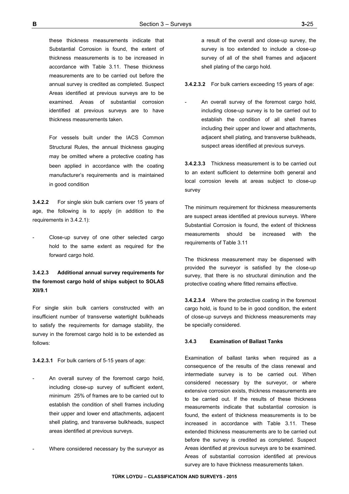these thickness measurements indicate that Substantial Corrosion is found, the extent of thickness measurements is to be increased in accordance with Table 3.11. These thickness measurements are to be carried out before the annual survey is credited as completed. Suspect Areas identified at previous surveys are to be examined. Areas of substantial corrosion identified at previous surveys are to have thickness measurements taken.

 For vessels built under the IACS Common Structural Rules, the annual thickness gauging may be omitted where a protective coating has been applied in accordance with the coating manufacturer's requirements and is maintained in good condition

**3.4.2.2** For single skin bulk carriers over 15 years of age, the following is to apply (in addition to the requirements in 3.4.2.1):

Close-up survey of one other selected cargo hold to the same extent as required for the forward cargo hold.

## **3.4.2.3 Additional annual survey requirements for the foremost cargo hold of ships subject to SOLAS XII/9.1**

For single skin bulk carriers constructed with an insufficient number of transverse watertight bulkheads to satisfy the requirements for damage stability, the survey in the foremost cargo hold is to be extended as follows:

**3.4.2.3.1** For bulk carriers of 5-15 years of age:

- An overall survey of the foremost cargo hold, including close-up survey of sufficient extent, minimum 25% of frames are to be carried out to establish the condition of shell frames including their upper and lower end attachments, adjacent shell plating, and transverse bulkheads, suspect areas identified at previous surveys.
- Where considered necessary by the surveyor as

a result of the overall and close-up survey, the survey is too extended to include a close-up survey of all of the shell frames and adjacent shell plating of the cargo hold.

**3.4.2.3.2** For bulk carriers exceeding 15 years of age:

An overall survey of the foremost cargo hold, including close-up survey is to be carried out to establish the condition of all shell frames including their upper and lower and attachments, adjacent shell plating, and transverse bulkheads, suspect areas identified at previous surveys.

**3.4.2.3.3** Thickness measurement is to be carried out to an extent sufficient to determine both general and local corrosion levels at areas subject to close-up survey

The minimum requirement for thickness measurements are suspect areas identified at previous surveys. Where Substantial Corrosion is found, the extent of thickness measurements should be increased with the requirements of Table 3.11

The thickness measurement may be dispensed with provided the surveyor is satisfied by the close-up survey, that there is no structural diminution and the protective coating where fitted remains effective.

**3.4.2.3.4** Where the protective coating in the foremost cargo hold, is found to be in good condition, the extent of close-up surveys and thickness measurements may be specially considered.

#### **3.4.3 Examination of Ballast Tanks**

Examination of ballast tanks when required as a consequence of the results of the class renewal and intermediate survey is to be carried out. When considered necessary by the surveyor, or where extensive corrosion exists, thickness measurements are to be carried out. If the results of these thickness measurements indicate that substantial corrosion is found, the extent of thickness measurements is to be increased in accordance with Table 3.11. These extended thickness measurements are to be carried out before the survey is credited as completed. Suspect Areas identified at previous surveys are to be examined. Areas of substantial corrosion identified at previous survey are to have thickness measurements taken.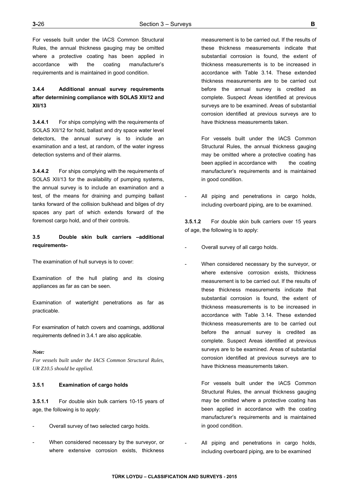For vessels built under the IACS Common Structural Rules, the annual thickness gauging may be omitted where a protective coating has been applied in accordance with the coating manufacturer's requirements and is maintained in good condition.

## **3.4.4 Additional annual survey requirements after determining compliance with SOLAS XII/12 and XII/13**

**3.4.4.1** For ships complying with the requirements of SOLAS XII/12 for hold, ballast and dry space water level detectors, the annual survey is to include an examination and a test, at random, of the water ingress detection systems and of their alarms.

**3.4.4.2** For ships complying with the requirements of SOLAS XII/13 for the availability of pumping systems, the annual survey is to include an examination and a test, of the means for draining and pumping ballast tanks forward of the collision bulkhead and bilges of dry spaces any part of which extends forward of the foremost cargo hold, and of their controls.

## **3.5 Double skin bulk carriers –additional requirements-**

The examination of hull surveys is to cover:

Examination of the hull plating and its closing appliances as far as can be seen.

Examination of watertight penetrations as far as practicable.

For examination of hatch covers and coamings, additional requirements defined in 3.4.1 are also applicable.

#### *Note:*

*For vessels built under the IACS Common Structural Rules, UR Z10.5 should be applied.*

## **3.5.1 Examination of cargo holds**

**3.5.1.1** For double skin bulk carriers 10-15 years of age, the following is to apply:

- Overall survey of two selected cargo holds.
- When considered necessary by the surveyor, or where extensive corrosion exists, thickness

measurement is to be carried out. If the results of these thickness measurements indicate that substantial corrosion is found, the extent of thickness measurements is to be increased in accordance with Table 3.14. These extended thickness measurements are to be carried out before the annual survey is credited as complete. Suspect Areas identified at previous surveys are to be examined. Areas of substantial corrosion identified at previous surveys are to have thickness measurements taken.

 For vessels built under the IACS Common Structural Rules, the annual thickness gauging may be omitted where a protective coating has been applied in accordance with the coating manufacturer's requirements and is maintained in good condition.

All piping and penetrations in cargo holds, including overboard piping, are to be examined.

**3.5.1.2** For double skin bulk carriers over 15 years of age, the following is to apply:

- Overall survey of all cargo holds.
- When considered necessary by the surveyor, or where extensive corrosion exists, thickness measurement is to be carried out. If the results of these thickness measurements indicate that substantial corrosion is found, the extent of thickness measurements is to be increased in accordance with Table 3.14. These extended thickness measurements are to be carried out before the annual survey is credited as complete. Suspect Areas identified at previous surveys are to be examined. Areas of substantial corrosion identified at previous surveys are to have thickness measurements taken.

 For vessels built under the IACS Common Structural Rules, the annual thickness gauging may be omitted where a protective coating has been applied in accordance with the coating manufacturer's requirements and is maintained in good condition.

All piping and penetrations in cargo holds, including overboard piping, are to be examined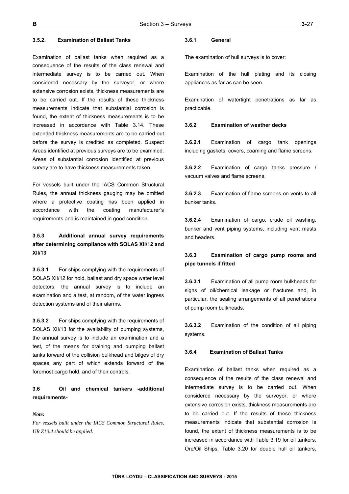#### **3.5.2. Examination of Ballast Tanks**

Examination of ballast tanks when required as a consequence of the results of the class renewal and intermediate survey is to be carried out. When considered necessary by the surveyor, or where extensive corrosion exists, thickness measurements are to be carried out. If the results of these thickness measurements indicate that substantial corrosion is found, the extent of thickness measurements is to be increased in accordance with Table 3.14. These extended thickness measurements are to be carried out before the survey is credited as completed. Suspect Areas identified at previous surveys are to be examined. Areas of substantial corrosion identified at previous survey are to have thickness measurements taken.

For vessels built under the IACS Common Structural Rules, the annual thickness gauging may be omitted where a protective coating has been applied in accordance with the coating manufacturer's requirements and is maintained in good condition.

# **3.5.3 Additional annual survey requirements after determining compliance with SOLAS XII/12 and XII/13**

**3.5.3.1** For ships complying with the requirements of SOLAS XII/12 for hold, ballast and dry space water level detectors, the annual survey is to include an examination and a test, at random, of the water ingress detection systems and of their alarms.

**3.5.3.2** For ships complying with the requirements of SOLAS XII/13 for the availability of pumping systems, the annual survey is to include an examination and a test, of the means for draining and pumping ballast tanks forward of the collision bulkhead and bilges of dry spaces any part of which extends forward of the foremost cargo hold, and of their controls.

## **3.6 Oil and chemical tankers -additional requirements-**

### *Note:*

*For vessels built under the IACS Common Structural Rules, UR Z10.4 should be applied.*

#### **3.6.1 General**

The examination of hull surveys is to cover:

Examination of the hull plating and its closing appliances as far as can be seen.

Examination of watertight penetrations as far as practicable.

### **3.6.2 Examination of weather decks**

**3.6.2.1** Examination of cargo tank openings including gaskets, covers, coaming and flame screens.

**3.6.2.2** Examination of cargo tanks pressure / vacuum valves and flame screens.

**3.6.2.3** Examination of flame screens on vents to all bunker tanks.

**3.6.2.4** Examination of cargo, crude oil washing, bunker and vent piping systems, including vent masts and headers.

## **3.6.3 Examination of cargo pump rooms and pipe tunnels if fitted**

**3.6.3.1** Examination of all pump room bulkheads for signs of oil/chemical leakage or fractures and, in particular, the sealing arrangements of all penetrations of pump room bulkheads.

**3.6.3.2** Examination of the condition of all piping systems.

#### **3.6.4 Examination of Ballast Tanks**

Examination of ballast tanks when required as a consequence of the results of the class renewal and intermediate survey is to be carried out. When considered necessary by the surveyor, or where extensive corrosion exists, thickness measurements are to be carried out. If the results of these thickness measurements indicate that substantial corrosion is found, the extent of thickness measurements is to be increased in accordance with Table 3.19 for oil tankers, Ore/Oil Ships, Table 3.20 for double hull oil tankers,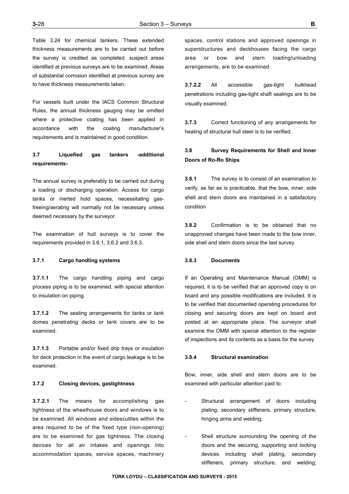Table 3.24 for chemical tankers. These extended thickness measurements are to be carried out before the survey is credited as completed. suspect areas identified at previous surveys are to be examined. Areas of substantial corrosion identified at previous survey are to have thickness measurements taken.

For vessels built under the IACS Common Structural Rules, the annual thickness gauging may be omitted where a protective coating has been applied in accordance with the coating manufacturer's requirements and is maintained in good condition.

## **3.7 Liquefied gas tankers -additional requirements-**

The annual survey is preferably to be carried out during a loading or discharging operation. Access for cargo tanks or inerted hold spaces, necessitating gasfreeing/aerating will normally not be necessary unless deemed necessary by the surveyor.

The examination of hull surveys is to cover the requirements provided in 3.6.1, 3.6.2 and 3.6.3.

## **3.7.1 Cargo handling systems**

**3.7.1.1** The cargo handling piping and cargo process piping is to be examined, with special attention to insulation on piping.

**3.7.1.2** The sealing arrangements for tanks or tank domes penetrating decks or tank covers are to be examined.

**3.7.1.3** Portable and/or fixed drip trays or insulation for deck protection in the event of cargo leakage is to be examined.

#### **3.7.2 Closing devices, gastightness**

**3.7.2.1** The means for accomplishing gas tightness of the wheelhouse doors and windows is to be examined. All windows and sidescuttles within the area required to be of the fixed type (non-opening) are to be examined for gas tightness. The closing devices for all air intakes and openings into accommodation spaces, service spaces, machinery

spaces, control stations and approved openings in superstructures and deckhouses facing the cargo area or bow and stern loading/unloading arrangements, are to be examined.

**3.7.2.2** All accessible gas-tight bulkhead penetrations including gas-tight shaft sealings are to be visually examined.

**3.7.3** Correct functioning of any arrangements for heating of structural hull steel is to be verified.

# **3.8 Survey Requirements for Shell and Inner Doors of Ro-Ro Ships**

**3.8.1** The survey is to consist of an examination to verify, as far as is practicable, that the bow, inner, side shell and stern doors are maintained in a satisfactory condition

**3.8.2** Confirmation is to be obtained that no unapproved changes have been made to the bow inner, side shell and stern doors since the last survey.

### **3.8.3 Documents**

If an Operating and Maintenance Manual (OMM) is required, it is to be verified that an approved copy is on board and any possible modifications are included. It is to be verified that documented operating procedures for closing and securing doors are kept on board and posted at an appropriate place. The surveyor shall examine the OMM with special attention to the register of inspections and its contents as a basis for the survey

#### **3.8.4 Structural examination**

Bow, inner, side shell and stern doors are to be examined with particular attention paid to:

- Structural arrangement of doors including plating, secondary stiffeners, primary structure, hinging arms and welding;
- Shell structure surrounding the opening of the doors and the securing, supporting and locking devices including shell plating, secondary stiffeners, primary structure, and welding;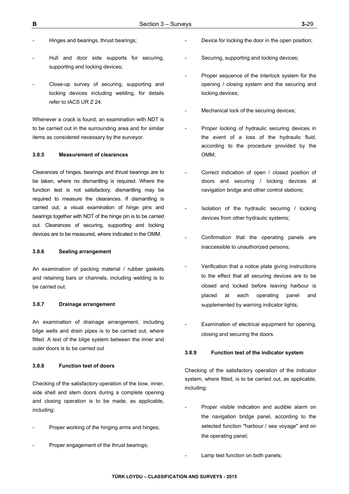- Hinges and bearings, thrust bearings;
- Hull and door side supports for securing, supporting and locking devices;
- Close-up survey of securing, supporting and locking devices including welding, for details refer to IACS UR Z 24.

Whenever a crack is found, an examination with NDT is to be carried out in the surrounding area and for similar items as considered necessary by the surveyor.

#### **3.8.5 Measurement of clearances**

Clearances of hinges, bearings and thrust bearings are to be taken, where no dismantling is required. Where the function test is not satisfactory, dismantling may be required to measure the clearances. If dismantling is carried out, a visual examination of hinge pins and bearings together with NDT of the hinge pin is to be carried out. Clearances of securing, supporting and locking devices are to be measured, where indicated in the OMM.

#### **3.8.6 Sealing arrangement**

An examination of packing material / rubber gaskets and retaining bars or channels, including welding is to be carried out.

### **3.8.7 Drainage arrangement**

An examination of drainage arrangement, including bilge wells and drain pipes is to be carried out, where fitted. A test of the bilge system between the inner and outer doors is to be carried out

#### **3.8.8 Function test of doors**

Checking of the satisfactory operation of the bow, inner, side shell and stern doors during a complete opening and closing operation is to be made, as applicable, including:

- Proper working of the hinging arms and hinges;
- Proper engagement of the thrust bearings;
- Device for locking the door in the open position;
- Securing, supporting and locking devices;
- Proper sequence of the interlock system for the opening / closing system and the securing and locking devices;
- Mechanical lock of the securing devices;
- Proper locking of hydraulic securing devices in the event of a loss of the hydraulic fluid, according to the procedure provided by the OMM;
- Correct indication of open / closed position of doors and securing / locking devices at navigation bridge and other control stations;
- Isolation of the hydraulic securing / locking devices from other hydraulic systems;
- Confirmation that the operating panels are inaccessible to unauthorized persons;
- Verification that a notice plate giving instructions to the effect that all securing devices are to be closed and locked before leaving harbour is placed at each operating panel and supplemented by warning indicator lights;
- Examination of electrical equipment for opening, closing and securing the doors.

#### **3.8.9 Function test of the indicator system**

Checking of the satisfactory operation of the indicator system, where fitted, is to be carried out, as applicable, including:

- Proper visible indication and audible alarm on the navigation bridge panel, according to the selected function "harbour / sea voyage" and on the operating panel;
	- Lamp test function on both panels;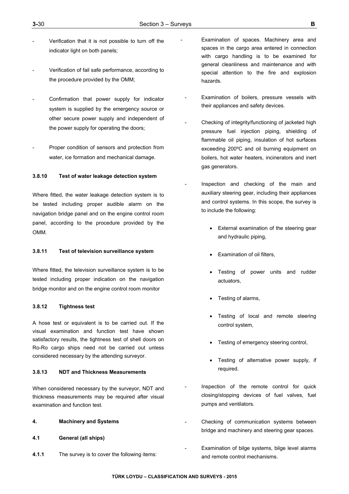- Verification that it is not possible to turn off the indicator light on both panels;
- Verification of fail safe performance, according to the procedure provided by the OMM;
- Confirmation that power supply for indicator system is supplied by the emergency source or other secure power supply and independent of the power supply for operating the doors;
- Proper condition of sensors and protection from water, ice formation and mechanical damage.

## **3.8.10 Test of water leakage detection system**

Where fitted, the water leakage detection system is to be tested including proper audible alarm on the navigation bridge panel and on the engine control room panel, according to the procedure provided by the OMM.

### **3.8.11 Test of television surveillance system**

Where fitted, the television surveillance system is to be tested including proper indication on the navigation bridge monitor and on the engine control room monitor

### **3.8.12 Tightness test**

A hose test or equivalent is to be carried out. If the visual examination and function test have shown satisfactory results, the tightness test of shell doors on Ro-Ro cargo ships need not be carried out unless considered necessary by the attending surveyor.

#### **3.8.13 NDT and Thickness Measurements**

When considered necessary by the surveyor, NDT and thickness measurements may be required after visual examination and function test.

- **4. Machinery and Systems**
- **4.1 General (all ships)**
- **4.1.1** The survey is to cover the following items:
- Examination of spaces. Machinery area and spaces in the cargo area entered in connection with cargo handling is to be examined for general cleanliness and maintenance and with special attention to the fire and explosion hazards.
- Examination of boilers, pressure vessels with their appliances and safety devices.
- Checking of integrity/functioning of jacketed high pressure fuel injection piping, shielding of flammable oil piping, insulation of hot surfaces exceeding 200ºC and oil burning equipment on boilers, hot water heaters, incinerators and inert gas generators.
- Inspection and checking of the main and auxiliary steering gear, including their appliances and control systems. In this scope, the survey is to include the following:
	- External examination of the steering gear and hydraulic piping,
	- Examination of oil filters,
	- Testing of power units and rudder actuators,
	- Testing of alarms,
	- Testing of local and remote steering control system,
	- Testing of emergency steering control,
	- Testing of alternative power supply, if required.
- Inspection of the remote control for quick closing/stopping devices of fuel valves, fuel pumps and ventilators.
- Checking of communication systems between bridge and machinery and steering gear spaces.
- Examination of bilge systems, bilge level alarms and remote control mechanisms.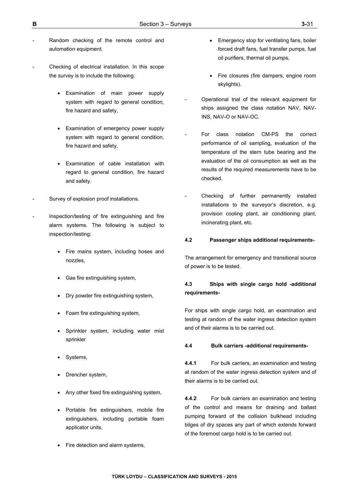- Random checking of the remote control and automation equipment.
- Checking of electrical installation. In this scope the survey is to include the following:
	- Examination of main power supply system with regard to general condition, fire hazard and safety,
	- Examination of emergency power supply system with regard to general condition, fire hazard and safety,
	- Examination of cable installation with regard to general condition, fire hazard and safety.
- Survey of explosion proof installations.
- Inspection/testing of fire extinguishing and fire alarm systems. The following is subject to inspection/testing:
	- Fire mains system, including hoses and nozzles,
	- Gas fire extinguishing system,
	- Dry powder fire extinguishing system,
	- Foam fire extinguishing system,
	- Sprinkler system, including water mist sprinkler
	- Systems,
	- Drencher system,
	- Any other fixed fire extinguishing system,
	- Portable fire extinguishers, mobile fire extinguishers, including portable foam applicator units,
	- Fire detection and alarm systems,
- Emergency stop for ventilating fans, boiler forced draft fans, fuel transfer pumps, fuel oil purifiers, thermal oil pumps,
- Fire closures (fire dampers, engine room skylights).
- Operational trial of the relevant equipment for ships assigned the class notation NAV, NAV-INS, NAV-O or NAV-OC.
- For class notation CM-PS the correct performance of oil sampling, evaluation of the temperature of the stern tube bearing and the evaluation of the oil consumption as well as the results of the required measurements have to be checked.
- Checking of further permanently installed installations to the surveyor's discretion, e.g. provision cooling plant, air conditioning plant, incinerating plant, etc.

### **4.2 Passenger ships additional requirements-**

The arrangement for emergency and transitional source of power is to be tested.

## **4.3 Ships with single cargo hold -additional requirements-**

For ships with single cargo hold, an examination and testing at random of the water ingress detection system and of their alarms is to be carried out.

#### **4.4 Bulk carriers -additional requirements-**

**4.4.1** For bulk carriers, an examination and testing at random of the water ingress detection system and of their alarms is to be carried out.

**4.4.2** For bulk carriers an examination and testing of the control and means for draining and ballast pumping forward of the collision bulkhead including bilges of dry spaces any part of which extends forward of the foremost cargo hold is to be carried out.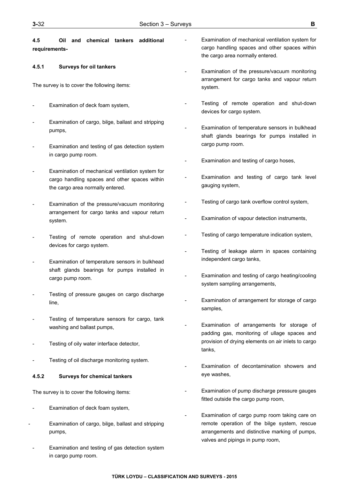**4.5 Oil and chemical tankers additional requirements-**

### **4.5.1 Surveys for oil tankers**

The survey is to cover the following items:

- Examination of deck foam system,
- Examination of cargo, bilge, ballast and stripping pumps,
- Examination and testing of gas detection system in cargo pump room.
- Examination of mechanical ventilation system for cargo handling spaces and other spaces within the cargo area normally entered.
- Examination of the pressure/vacuum monitoring arrangement for cargo tanks and vapour return system.
- Testing of remote operation and shut-down devices for cargo system.
- Examination of temperature sensors in bulkhead shaft glands bearings for pumps installed in cargo pump room.
- Testing of pressure gauges on cargo discharge line,
- Testing of temperature sensors for cargo, tank washing and ballast pumps,
- Testing of oily water interface detector,
- Testing of oil discharge monitoring system.

#### **4.5.2 Surveys for chemical tankers**

The survey is to cover the following items:

- Examination of deck foam system,
- Examination of cargo, bilge, ballast and stripping pumps,
- Examination and testing of gas detection system in cargo pump room.
- Examination of mechanical ventilation system for cargo handling spaces and other spaces within the cargo area normally entered.
- Examination of the pressure/vacuum monitoring arrangement for cargo tanks and vapour return system.
- Testing of remote operation and shut-down devices for cargo system.
- Examination of temperature sensors in bulkhead shaft glands bearings for pumps installed in cargo pump room.
- Examination and testing of cargo hoses,
- Examination and testing of cargo tank level gauging system,
- Testing of cargo tank overflow control system,
- Examination of vapour detection instruments,
- Testing of cargo temperature indication system,
- Testing of leakage alarm in spaces containing independent cargo tanks,
- Examination and testing of cargo heating/cooling system sampling arrangements,
- Examination of arrangement for storage of cargo samples,
- Examination of arrangements for storage of padding gas, monitoring of ullage spaces and provision of drying elements on air inlets to cargo tanks,
- Examination of decontamination showers and eye washes,
- Examination of pump discharge pressure gauges fitted outside the cargo pump room,
- Examination of cargo pump room taking care on remote operation of the bilge system, rescue arrangements and distinctive marking of pumps, valves and pipings in pump room,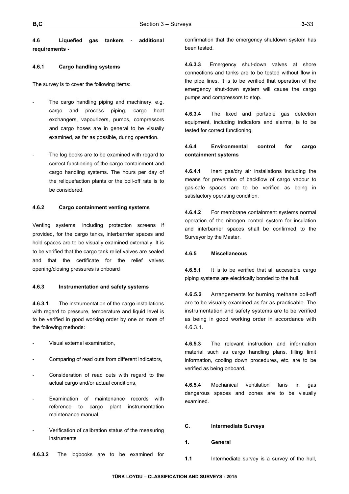**4.6 Liquefied gas tankers - additional requirements -** 

#### **4.6.1 Cargo handling systems**

The survey is to cover the following items:

- The cargo handling piping and machinery, e.g. cargo and process piping, cargo heat exchangers, vapourizers, pumps, compressors and cargo hoses are in general to be visually examined, as far as possible, during operation.
- The log books are to be examined with regard to correct functioning of the cargo containment and cargo handling systems. The hours per day of the reliquefaction plants or the boil-off rate is to be considered.

#### **4.6.2 Cargo containment venting systems**

Venting systems, including protection screens if provided, for the cargo tanks, interbarrrier spaces and hold spaces are to be visually examined externally. It is to be verified that the cargo tank relief valves are sealed and that the certificate for the relief valves opening/closing pressures is onboard

## **4.6.3 Instrumentation and safety systems**

**4.6.3.1** The instrumentation of the cargo installations with regard to pressure, temperature and liquid level is to be verified in good working order by one or more of the following methods:

- Visual external examination,
- Comparing of read outs from different indicators,
- Consideration of read outs with regard to the actual cargo and/or actual conditions,
- Examination of maintenance records with reference to cargo plant instrumentation maintenance manual,
- Verification of calibration status of the measuring instruments

confirmation that the emergency shutdown system has been tested.

**4.6.3.3** Emergency shut-down valves at shore connections and tanks are to be tested without flow in the pipe lines. It is to be verified that operation of the emergency shut-down system will cause the cargo pumps and compressors to stop.

**4.6.3.4** The fixed and portable gas detection equipment, including indicators and alarms, is to be tested for correct functioning.

## **4.6.4 Environmental control for cargo containment systems**

**4.6.4.1** Inert gas/dry air installations including the means for prevention of backflow of cargo vapour to gas-safe spaces are to be verified as being in satisfactory operating condition.

**4.6.4.2** For membrane containment systems normal operation of the nitrogen control system for insulation and interbarrier spaces shall be confirmed to the Surveyor by the Master.

#### **4.6.5 Miscellaneous**

**4.6.5.1** It is to be verified that all accessible cargo piping systems are electrically bonded to the hull.

**4.6.5.2** Arrangements for burning methane boil-off are to be visually examined as far as practicable. The instrumentation and safety systems are to be verified as being in good working order in accordance with 4.6.3.1.

**4.6.5.3** The relevant instruction and information material such as cargo handling plans, filling limit information, cooling down procedures, etc. are to be verified as being onboard.

**4.6.5.4** Mechanical ventilation fans in gas dangerous spaces and zones are to be visually examined.

#### **C. Intermediate Surveys**

- **1. General**
- **4.6.3.2** The logbooks are to be examined for
- **1.1** Intermediate survey is a survey of the hull,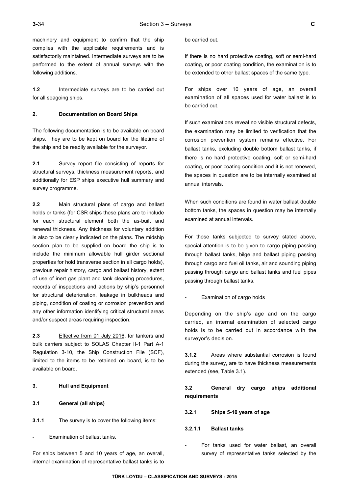machinery and equipment to confirm that the ship complies with the applicable requirements and is satisfactorily maintained. Intermediate surveys are to be performed to the extent of annual surveys with the following additions.

**1.2** Intermediate surveys are to be carried out for all seagoing ships.

### **2. Documentation on Board Ships**

The following documentation is to be available on board ships. They are to be kept on board for the lifetime of the ship and be readily available for the surveyor.

**2.1** Survey report file consisting of reports for structural surveys, thickness measurement reports, and additionally for ESP ships executive hull summary and survey programme.

**2.2** Main structural plans of cargo and ballast holds or tanks (for CSR ships these plans are to include for each structural element both the as-built and renewal thickness. Any thickness for voluntary addition is also to be clearly indicated on the plans. The midship section plan to be supplied on board the ship is to include the minimum allowable hull girder sectional properties for hold transverse section in all cargo holds), previous repair history, cargo and ballast history, extent of use of inert gas plant and tank cleaning procedures, records of inspections and actions by ship's personnel for structural deterioration, leakage in bulkheads and piping, condition of coating or corrosion prevention and any other information identifying critical structural areas and/or suspect areas requiring inspection.

**2.3** Effective from 01 July 2016, for tankers and bulk carriers subject to SOLAS Chapter II-1 Part A-1 Regulation 3-10, the Ship Construction File (SCF), limited to the items to be retained on board, is to be available on board.

- **3. Hull and Equipment**
- **3.1 General (all ships)**
- **3.1.1** The survey is to cover the following items:

Examination of ballast tanks.

For ships between 5 and 10 years of age, an overall, internal examination of representative ballast tanks is to

#### be carried out.

If there is no hard protective coating, soft or semi-hard coating, or poor coating condition, the examination is to be extended to other ballast spaces of the same type.

For ships over 10 years of age, an overall examination of all spaces used for water ballast is to be carried out.

If such examinations reveal no visible structural defects, the examination may be limited to verification that the corrosion prevention system remains effective. For ballast tanks, excluding double bottom ballast tanks, if there is no hard protective coating, soft or semi-hard coating, or poor coating condition and it is not renewed, the spaces in question are to be internally examined at annual intervals.

When such conditions are found in water ballast double bottom tanks, the spaces in question may be internally examined at annual intervals.

For those tanks subjected to survey stated above, special attention is to be given to cargo piping passing through ballast tanks, bilge and ballast piping passing through cargo and fuel oil tanks, air and sounding piping passing through cargo and ballast tanks and fuel pipes passing through ballast tanks.

Examination of cargo holds

Depending on the ship's age and on the cargo carried, an internal examination of selected cargo holds is to be carried out in accordance with the surveyor's decision.

**3.1.2** Areas where substantial corrosion is found during the survey, are to have thickness measurements extended (see, Table 3.1).

## **3.2 General dry cargo ships additional requirements**

- **3.2.1 Ships 5-10 years of age**
- **3.2.1.1 Ballast tanks**
- For tanks used for water ballast, an overall survey of representative tanks selected by the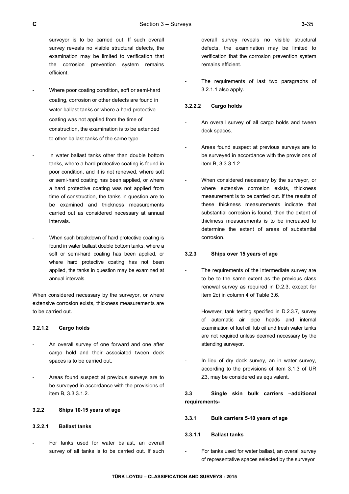surveyor is to be carried out. If such overall survey reveals no visible structural defects, the examination may be limited to verification that the corrosion prevention system remains efficient.

- Where poor coating condition, soft or semi-hard coating, corrosion or other defects are found in water ballast tanks or where a hard protective coating was not applied from the time of construction, the examination is to be extended to other ballast tanks of the same type.
- In water ballast tanks other than double bottom tanks, where a hard protective coating is found in poor condition, and it is not renewed, where soft or semi-hard coating has been applied, or where a hard protective coating was not applied from time of construction, the tanks in question are to be examined and thickness measurements carried out as considered necessary at annual intervals.
- When such breakdown of hard protective coating is found in water ballast double bottom tanks, where a soft or semi-hard coating has been applied, or where hard protective coating has not been applied, the tanks in question may be examined at annual intervals.

When considered necessary by the surveyor, or where extensive corrosion exists, thickness measurements are to be carried out.

## **3.2.1.2 Cargo holds**

- An overall survey of one forward and one after cargo hold and their associated tween deck spaces is to be carried out.
- Areas found suspect at previous surveys are to be surveyed in accordance with the provisions of item B, 3.3.3.1.2.

## **3.2.2 Ships 10-15 years of age**

## **3.2.2.1 Ballast tanks**

For tanks used for water ballast, an overall survey of all tanks is to be carried out. If such overall survey reveals no visible structural defects, the examination may be limited to verification that the corrosion prevention system remains efficient.

The requirements of last two paragraphs of 3.2.1.1 also apply.

### **3.2.2.2 Cargo holds**

- An overall survey of all cargo holds and tween deck spaces.
- Areas found suspect at previous surveys are to be surveyed in accordance with the provisions of item B, 3.3.3.1.2.
- When considered necessary by the surveyor, or where extensive corrosion exists, thickness measurement is to be carried out. If the results of these thickness measurements indicate that substantial corrosion is found, then the extent of thickness measurements is to be increased to determine the extent of areas of substantial corrosion.

### **3.2.3 Ships over 15 years of age**

The requirements of the intermediate survey are to be to the same extent as the previous class renewal survey as required in D.2.3, except for item 2c) in column 4 of Table 3.6.

> However, tank testing specified in D.2.3.7, survey of automatic air pipe heads and internal examination of fuel oil, lub oil and fresh water tanks are not required unless deemed necessary by the attending surveyor.

In lieu of dry dock survey, an in water survey, according to the provisions of item 3.1.3 of UR Z3, may be considered as equivalent.

## **3.3 Single skin bulk carriers –additional requirements-**

#### **3.3.1 Bulk carriers 5-10 years of age**

#### **3.3.1.1 Ballast tanks**

For tanks used for water ballast, an overall survey of representative spaces selected by the surveyor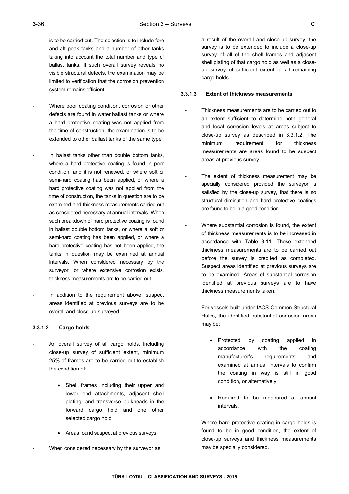is to be carried out. The selection is to include fore and aft peak tanks and a number of other tanks taking into account the total number and type of ballast tanks. If such overall survey reveals no visible structural defects, the examination may be limited to verification that the corrosion prevention system remains efficient.

- Where poor coating condition, corrosion or other defects are found in water ballast tanks or where a hard protective coating was not applied from the time of construction, the examination is to be extended to other ballast tanks of the same type.
- In ballast tanks other than double bottom tanks, where a hard protective coating is found in poor condition, and it is not renewed, or where soft or semi-hard coating has been applied, or where a hard protective coating was not applied from the time of construction, the tanks in question are to be examined and thickness measurements carried out as considered necessary at annual intervals. When such breakdown of hard protective coating is found in ballast double bottom tanks, or where a soft or semi-hard coating has been applied, or where a hard protective coating has not been applied, the tanks in question may be examined at annual intervals. When considered necessary by the surveyor, or where extensive corrosion exists, thickness measurements are to be carried out.
- In addition to the requirement above, suspect areas identified at previous surveys are to be overall and close-up surveyed.

#### **3.3.1.2 Cargo holds**

- An overall survey of all cargo holds, including close-up survey of sufficient extent, minimum 25% of frames are to be carried out to establish the condition of:
	- Shell frames including their upper and lower end attachments, adjacent shell plating, and transverse bulkheads in the forward cargo hold and one other selected cargo hold.
	- Areas found suspect at previous surveys.
- When considered necessary by the surveyor as

a result of the overall and close-up survey, the survey is to be extended to include a close-up survey of all of the shell frames and adjacent shell plating of that cargo hold as well as a closeup survey of sufficient extent of all remaining cargo holds.

#### **3.3.1.3 Extent of thickness measurements**

- Thickness measurements are to be carried out to an extent sufficient to determine both general and local corrosion levels at areas subject to close-up survey as described in 3.3.1.2. The minimum requirement for thickness measurements are areas found to be suspect areas at previous survey.
- The extent of thickness measurement may be specially considered provided the surveyor is satisfied by the close-up survey, that there is no structural diminution and hard protective coatings are found to be in a good condition.
- Where substantial corrosion is found, the extent of thickness measurements is to be increased in accordance with Table 3.11. These extended thickness measurements are to be carried out before the survey is credited as completed. Suspect areas identified at previous surveys are to be examined. Areas of substantial corrosion identified at previous surveys are to have thickness measurements taken.
- For vessels built under IACS Common Structural Rules, the identified substantial corrosion areas may be:
	- Protected by coating applied in accordance with the coating manufacturer's requirements and examined at annual intervals to confirm the coating in way is still in good condition, or alternatively
	- Required to be measured at annual intervals.
- Where hard protective coating in cargo holds is found to be in good condition, the extent of close-up surveys and thickness measurements may be specially considered.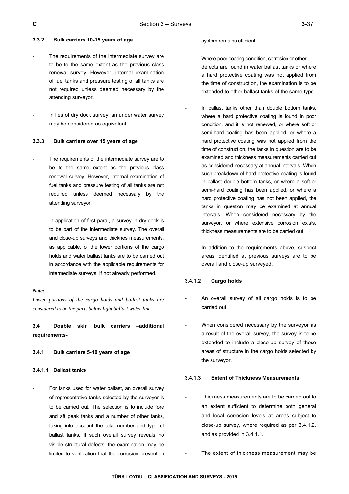#### **3.3.2 Bulk carriers 10-15 years of age**

- The requirements of the intermediate survey are to be to the same extent as the previous class renewal survey. However, internal examination of fuel tanks and pressure testing of all tanks are not required unless deemed necessary by the attending surveyor.
- In lieu of dry dock survey, an under water survey may be considered as equivalent.

#### **3.3.3 Bulk carriers over 15 years of age**

- The requirements of the intermediate survey are to be to the same extent as the previous class renewal survey. However, internal examination of fuel tanks and pressure testing of all tanks are not required unless deemed necessary by the attending surveyor.
- In application of first para., a survey in dry-dock is to be part of the intermediate survey. The overall and close-up surveys and thicknes measurements, as applicable, of the lower portions of the cargo holds and water ballast tanks are to be carried out in accordance with the applicable requirements for intermediate surveys, if not already performed.

#### *Note:*

*Lower portions of the cargo holds and ballast tanks are considered to be the parts below light ballast water line.* 

**3.4 Double skin bulk carriers –additional requirements-**

#### **3.4.1 Bulk carriers 5-10 years of age**

#### **3.4.1.1 Ballast tanks**

For tanks used for water ballast, an overall survey of representative tanks selected by the surveyor is to be carried out. The selection is to include fore and aft peak tanks and a number of other tanks, taking into account the total number and type of ballast tanks. If such overall survey reveals no visible structural defects, the examination may be limited to verification that the corrosion prevention

#### system remains efficient.

- Where poor coating condition, corrosion or other defects are found in water ballast tanks or where a hard protective coating was not applied from the time of construction, the examination is to be extended to other ballast tanks of the same type.
- In ballast tanks other than double bottom tanks, where a hard protective coating is found in poor condition, and it is not renewed, or where soft or semi-hard coating has been applied, or where a hard protective coating was not applied from the time of construction, the tanks in question are to be examined and thickness measurements carried out as considered necessary at annual intervals. When such breakdown of hard protective coating is found in ballast double bottom tanks, or where a soft or semi-hard coating has been applied, or where a hard protective coating has not been applied, the tanks in question may be examined at annual intervals. When considered necessary by the surveyor, or where extensive corrosion exists, thickness measurements are to be carried out.
- In addition to the requirements above, suspect areas identified at previous surveys are to be overall and close-up surveyed.

### **3.4.1.2 Cargo holds**

- An overall survey of all cargo holds is to be carried out.
- When considered necessary by the surveyor as a result of the overall survey, the survey is to be extended to include a close-up survey of those areas of structure in the cargo holds selected by the surveyor.

#### **3.4.1.3 Extent of Thickness Measurements**

- Thickness measurements are to be carried out to an extent sufficient to determine both general and local corrosion levels at areas subject to close-up survey, where required as per 3.4.1.2, and as provided in 3.4.1.1.
	- The extent of thickness measurement may be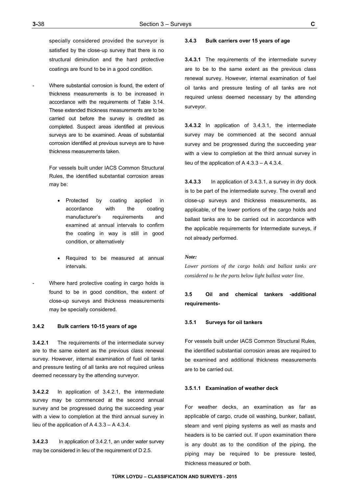specially considered provided the surveyor is satisfied by the close-up survey that there is no structural diminution and the hard protective coatings are found to be in a good condition.

Where substantial corrosion is found, the extent of thickness measurements is to be increased in accordance with the requirements of Table 3.14. These extended thickness measurements are to be carried out before the survey is credited as completed. Suspect areas identified at previous surveys are to be examined. Areas of substantial corrosion identified at previous surveys are to have thickness measurements taken.

> For vessels built under IACS Common Structural Rules, the identified substantial corrosion areas may be:

- Protected by coating applied in accordance with the coating manufacturer's requirements and examined at annual intervals to confirm the coating in way is still in good condition, or alternatively
- Required to be measured at annual intervals.
- Where hard protective coating in cargo holds is found to be in good condition, the extent of close-up surveys and thickness measurements may be specially considered.

#### **3.4.2 Bulk carriers 10-15 years of age**

**3.4.2.1** The requirements of the intermediate survey are to the same extent as the previous class renewal survey. However, internal examination of fuel oil tanks and pressure testing of all tanks are not required unless deemed necessary by the attending surveyor.

**3.4.2.2** In application of 3.4.2.1, the intermediate survey may be commenced at the second annual survey and be progressed during the succeeding year with a view to completion at the third annual survey in lieu of the application of A 4.3.3 – A 4.3.4.

**3.4.2.3** In application of 3.4.2.1, an under water survey may be considered in lieu of the requirement of D 2.5.

#### **3.4.3 Bulk carriers over 15 years of age**

**3.4.3.1** The requirements of the intermediate survey are to be to the same extent as the previous class renewal survey. However, internal examination of fuel oil tanks and pressure testing of all tanks are not required unless deemed necessary by the attending surveyor.

**3.4.3.2** In application of 3.4.3.1, the intermediate survey may be commenced at the second annual survey and be progressed during the succeeding year with a view to completion at the third annual survey in lieu of the application of A 4.3.3 – A 4.3.4.

**3.4.3.3** In application of 3.4.3.1, a survey in dry dock is to be part of the intermediate survey. The overall and close-up surveys and thickness measurements, as applicable, of the lower portions of the cargo holds and ballast tanks are to be carried out in accordance with the applicable requirements for Intermediate surveys, if not already performed.

#### *Note:*

*Lower portions of the cargo holds and ballast tanks are considered to be the parts below light ballast water line.* 

## **3.5 Oil and chemical tankers -additional requirements-**

#### **3.5.1 Surveys for oil tankers**

For vessels built under IACS Common Structural Rules, the identified substantial corrosion areas are required to be examined and additional thickness measurements are to be carried out.

#### **3.5.1.1 Examination of weather deck**

For weather decks, an examination as far as applicable of cargo, crude oil washing, bunker, ballast, steam and vent piping systems as well as masts and headers is to be carried out. If upon examination there is any doubt as to the condition of the piping, the piping may be required to be pressure tested, thickness measured or both.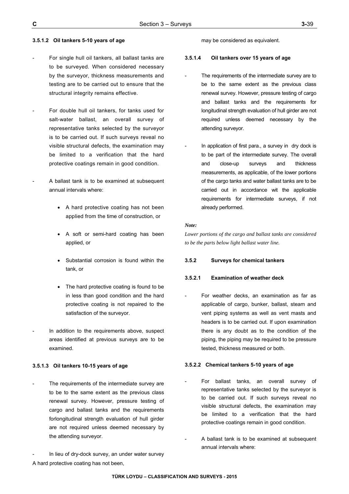### **3.5.1.2 Oil tankers 5-10 years of age**

- For single hull oil tankers, all ballast tanks are to be surveyed. When considered necessary by the surveyor, thickness measurements and testing are to be carried out to ensure that the structural integrity remains effective.
- For double hull oil tankers, for tanks used for salt-water ballast, an overall survey of representative tanks selected by the surveyor is to be carried out. If such surveys reveal no visible structural defects, the examination may be limited to a verification that the hard protective coatings remain in good condition.
- A ballast tank is to be examined at subsequent annual intervals where:
	- A hard protective coating has not been applied from the time of construction, or
	- A soft or semi-hard coating has been applied, or
	- Substantial corrosion is found within the tank, or
	- The hard protective coating is found to be in less than good condition and the hard protective coating is not repaired to the satisfaction of the surveyor.
- In addition to the requirements above, suspect areas identified at previous surveys are to be examined.

### **3.5.1.3 Oil tankers 10-15 years of age**

The requirements of the intermediate survey are to be to the same extent as the previous class renewal survey. However, pressure testing of cargo and ballast tanks and the requirements forlongitudinal strength evaluation of hull girder are not required unless deemed necessary by the attending surveyor.

In lieu of dry-dock survey, an under water survey A hard protective coating has not been,

may be considered as equivalent.

## **3.5.1.4 Oil tankers over 15 years of age**

- The requirements of the intermediate survey are to be to the same extent as the previous class renewal survey. However, pressure testing of cargo and ballast tanks and the requirements for longitudinal strength evaluation of hull girder are not required unless deemed necessary by the attending surveyor.
- In application of first para., a survey in dry dock is to be part of the intermediate survey. The overall and close-up surveys and thickness measurements, as applicable, of the lower portions of the cargo tanks and water ballast tanks are to be carried out in accordance wit the applicable requirements for intermediate surveys, if not already performed.

#### *Note:*

*Lower portions of the cargo and ballast tanks are considered to be the parts below light ballast water line.*

## **3.5.2 Surveys for chemical tankers**

#### **3.5.2.1 Examination of weather deck**

For weather decks, an examination as far as applicable of cargo, bunker, ballast, steam and vent piping systems as well as vent masts and headers is to be carried out. If upon examination there is any doubt as to the condition of the piping, the piping may be required to be pressure tested, thickness measured or both.

#### **3.5.2.2 Chemical tankers 5-10 years of age**

- For ballast tanks, an overall survey of representative tanks selected by the surveyor is to be carried out. If such surveys reveal no visible structural defects, the examination may be limited to a verification that the hard protective coatings remain in good condition.
- A ballast tank is to be examined at subsequent annual intervals where: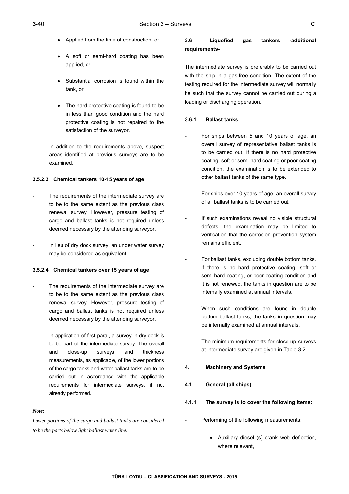- Applied from the time of construction, or
- A soft or semi-hard coating has been applied, or
- Substantial corrosion is found within the tank, or
- The hard protective coating is found to be in less than good condition and the hard protective coating is not repaired to the satisfaction of the surveyor.
- In addition to the requirements above, suspect areas identified at previous surveys are to be examined.

### **3.5.2.3 Chemical tankers 10-15 years of age**

- The requirements of the intermediate survey are to be to the same extent as the previous class renewal survey. However, pressure testing of cargo and ballast tanks is not required unless deemed necessary by the attending surveyor.
- In lieu of dry dock survey, an under water survey may be considered as equivalent.

#### **3.5.2.4 Chemical tankers over 15 years of age**

- The requirements of the intermediate survey are to be to the same extent as the previous class renewal survey. However, pressure testing of cargo and ballast tanks is not required unless deemed necessary by the attending surveyor.
- In application of first para., a survey in dry-dock is to be part of the intermediate survey. The overall and close-up surveys and thickness measurements, as applicable, of the lower portions of the cargo tanks and water ballast tanks are to be carried out in accordance with the applicable requirements for intermediate surveys, if not already performed.

#### *Note:*

*Lower portions of the cargo and ballast tanks are considered to be the parts below light ballast water line.* 

## **3.6 Liquefied gas tankers -additional requirements-**

The intermediate survey is preferably to be carried out with the ship in a gas-free condition. The extent of the testing required for the intermediate survey will normally be such that the survey cannot be carried out during a loading or discharging operation.

## **3.6.1 Ballast tanks**

- For ships between 5 and 10 years of age, an overall survey of representative ballast tanks is to be carried out. If there is no hard protective coating, soft or semi-hard coating or poor coating condition, the examination is to be extended to other ballast tanks of the same type.
- For ships over 10 years of age, an overall survey of all ballast tanks is to be carried out.
- If such examinations reveal no visible structural defects, the examination may be limited to verification that the corrosion prevention system remains efficient.
- For ballast tanks, excluding double bottom tanks, if there is no hard protective coating, soft or semi-hard coating, or poor coating condition and it is not renewed, the tanks in question are to be internally examined at annual intervals.
- When such conditions are found in double bottom ballast tanks, the tanks in question may be internally examined at annual intervals.
- The minimum requirements for close-up surveys at intermediate survey are given in Table 3.2.

#### **4. Machinery and Systems**

- **4.1 General (all ships)**
- **4.1.1 The survey is to cover the following items:**
- Performing of the following measurements:
	- Auxiliary diesel (s) crank web deflection, where relevant,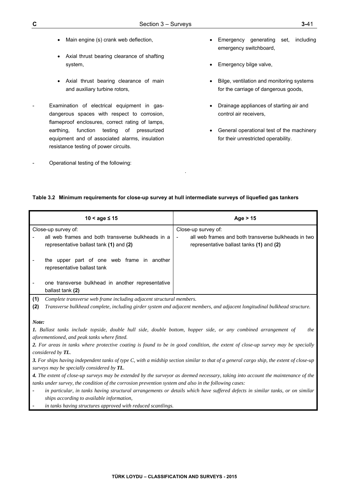- Main engine (s) crank web deflection,
- Axial thrust bearing clearance of shafting system,
- Axial thrust bearing clearance of main and auxiliary turbine rotors,
- Examination of electrical equipment in gasdangerous spaces with respect to corrosion, flameproof enclosures, correct rating of lamps, earthing, function testing of pressurized equipment and of associated alarms, insulation resistance testing of power circuits.
- Operational testing of the following:
- Emergency generating set, including emergency switchboard,
- Emergency bilge valve,
- Bilge, ventilation and monitoring systems for the carriage of dangerous goods,
- Drainage appliances of starting air and control air receivers,
- General operational test of the machinery for their unrestricted operability.

## **Table 3.2 Minimum requirements for close-up survey at hull intermediate surveys of liquefied gas tankers**

.

| $10 <$ age $\leq 15$                                                                                                              | Age $> 15$                                                                                                                                 |  |  |  |
|-----------------------------------------------------------------------------------------------------------------------------------|--------------------------------------------------------------------------------------------------------------------------------------------|--|--|--|
| Close-up survey of:                                                                                                               | Close-up survey of:                                                                                                                        |  |  |  |
| all web frames and both transverse bulkheads in a<br>representative ballast tank (1) and (2)                                      | all web frames and both transverse bulkheads in two<br>representative ballast tanks (1) and (2)                                            |  |  |  |
| the upper part of one web frame in another<br>representative ballast tank                                                         |                                                                                                                                            |  |  |  |
| one transverse bulkhead in another representative<br>ballast tank (2)                                                             |                                                                                                                                            |  |  |  |
| (1)<br>Complete transverse web frame including adjacent structural members.                                                       |                                                                                                                                            |  |  |  |
| (2)<br>Transverse bulkhead complete, including girder system and adjacent members, and adjacent longitudinal bulkhead structure.  |                                                                                                                                            |  |  |  |
|                                                                                                                                   |                                                                                                                                            |  |  |  |
| Note:                                                                                                                             |                                                                                                                                            |  |  |  |
| 1. Ballast tanks include topside, double hull side, double bottom, hopper side, or any combined arrangement of                    | <i>the</i>                                                                                                                                 |  |  |  |
| aforementioned, and peak tanks where fitted.                                                                                      |                                                                                                                                            |  |  |  |
|                                                                                                                                   | 2. For areas in tanks where protective coating is found to be in good condition, the extent of close-up survey may be specially            |  |  |  |
| considered by TL.                                                                                                                 |                                                                                                                                            |  |  |  |
|                                                                                                                                   | 3. For ships having independent tanks of type $C$ , with a midship section similar to that of a general cargo ship, the extent of close-up |  |  |  |
| surveys may be specially considered by TL.                                                                                        |                                                                                                                                            |  |  |  |
| 4. The extent of close-up surveys may be extended by the surveyor as deemed necessary, taking into account the maintenance of the |                                                                                                                                            |  |  |  |
| tanks under survey, the condition of the corrosion prevention system and also in the following cases:                             |                                                                                                                                            |  |  |  |
|                                                                                                                                   | in particular, in tanks having structural arrangements or details which have suffered defects in similar tanks, or on similar              |  |  |  |
| ships according to available information,                                                                                         |                                                                                                                                            |  |  |  |
| in tanks having structures approved with reduced scantlings.                                                                      |                                                                                                                                            |  |  |  |
|                                                                                                                                   |                                                                                                                                            |  |  |  |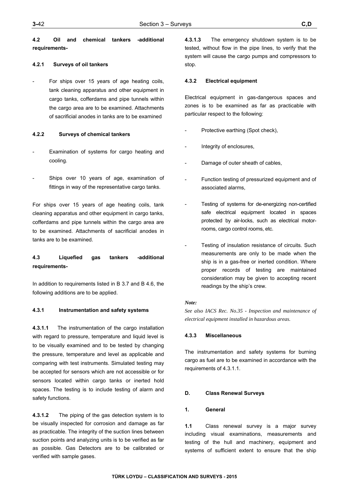**4.2 Oil and chemical tankers -additional requirements-**

#### **4.2.1 Surveys of oil tankers**

For ships over 15 years of age heating coils, tank cleaning apparatus and other equipment in cargo tanks, cofferdams and pipe tunnels within the cargo area are to be examined. Attachments of sacrificial anodes in tanks are to be examined

### **4.2.2 Surveys of chemical tankers**

- Examination of systems for cargo heating and cooling.
- Ships over 10 years of age, examination of fittings in way of the representative cargo tanks.

For ships over 15 years of age heating coils, tank cleaning apparatus and other equipment in cargo tanks, cofferdams and pipe tunnels within the cargo area are to be examined. Attachments of sacrificial anodes in tanks are to be examined.

## **4.3 Liquefied gas tankers -additional requirements-**

In addition to requirements listed in B 3.7 and B 4.6, the following additions are to be applied.

#### **4.3.1 Instrumentation and safety systems**

**4.3.1.1** The instrumentation of the cargo installation with regard to pressure, temperature and liquid level is to be visually examined and to be tested by changing the pressure, temperature and level as applicable and comparing with test instruments. Simulated testing may be accepted for sensors which are not accessible or for sensors located within cargo tanks or inerted hold spaces. The testing is to include testing of alarm and safety functions.

**4.3.1.2** The piping of the gas detection system is to be visually inspected for corrosion and damage as far as practicable. The integrity of the suction lines between suction points and analyzing units is to be verified as far as possible. Gas Detectors are to be calibrated or verified with sample gases.

**4.3.1.3** The emergency shutdown system is to be tested, without flow in the pipe lines, to verify that the system will cause the cargo pumps and compressors to stop.

#### **4.3.2 Electrical equipment**

Electrical equipment in gas-dangerous spaces and zones is to be examined as far as practicable with particular respect to the following:

- Protective earthing (Spot check),
- Integrity of enclosures,
- Damage of outer sheath of cables,
- Function testing of pressurized equipment and of associated alarms,
- Testing of systems for de-energizing non-certified safe electrical equipment located in spaces protected by air-locks, such as electrical motorrooms, cargo control rooms, etc.
- Testing of insulation resistance of circuits. Such measurements are only to be made when the ship is in a gas-free or inerted condition. Where proper records of testing are maintained consideration may be given to accepting recent readings by the ship's crew.

#### *Note:*

*See also IACS Rec. No.35 - Inspection and maintenance of electrical equipment installed in hazardous areas.* 

#### **4.3.3 Miscellaneous**

The instrumentation and safety systems for burning cargo as fuel are to be examined in accordance with the requirements of 4.3.1.1.

#### **D. Class Renewal Surveys**

#### **1. General**

**1.1** Class renewal survey is a major survey including visual examinations, measurements and testing of the hull and machinery, equipment and systems of sufficient extent to ensure that the ship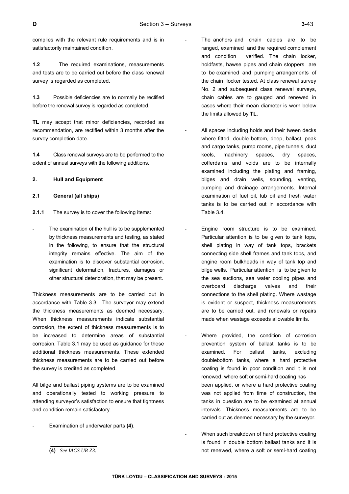complies with the relevant rule requirements and is in satisfactorily maintained condition.

**1.2** The required examinations, measurements and tests are to be carried out before the class renewal survey is regarded as completed.

**1.3** Possible deficiencies are to normally be rectified before the renewal survey is regarded as completed.

**TL** may accept that minor deficiencies, recorded as recommendation, are rectified within 3 months after the survey completion date.

**1.4** Class renewal surveys are to be performed to the extent of annual surveys with the following additions.

### **2. Hull and Equipment**

## **2.1 General (all ships)**

- **2.1.1** The survey is to cover the following items:
- The examination of the hull is to be supplemented by thickness measurements and testing, as stated in the following, to ensure that the structural integrity remains effective. The aim of the examination is to discover substantial corrosion, significant deformation, fractures, damages or other structural deterioration, that may be present.

Thickness measurements are to be carried out in accordance with Table 3.3. The surveyor may extend the thickness measurements as deemed necessary. When thickness measurements indicate substantial corrosion, the extent of thickness measurements is to be increased to determine areas of substantial corrosion. Table 3.1 may be used as guidance for these additional thickness measurements. These extended thickness measurements are to be carried out before the survey is credited as completed.

All bilge and ballast piping systems are to be examined and operationally tested to working pressure to attending surveyor's satisfaction to ensure that tightness and condition remain satisfactory.

- Examination of underwater parts **(4)**.

- The anchors and chain cables are to be ranged, examined and the required complement and condition verified. The chain locker, holdfasts, hawse pipes and chain stoppers are to be examined and pumping arrangements of the chain locker tested. At class renewal survey No. 2 and subsequent class renewal surveys, chain cables are to gauged and renewed in cases where their mean diameter is worn below the limits allowed by **TL**.
- All spaces including holds and their tween decks where fitted, double bottom, deep, ballast, peak and cargo tanks, pump rooms, pipe tunnels, duct keels, machinery spaces, dry spaces, cofferdams and voids are to be internally examined including the plating and framing, bilges and drain wells, sounding, venting, pumping and drainage arrangements. Internal examination of fuel oil, lub oil and fresh water tanks is to be carried out in accordance with Table 3.4.
- Engine room structure is to be examined. Particular attention is to be given to tank tops, shell plating in way of tank tops, brackets connecting side shell frames and tank tops, and engine room bulkheads in way of tank top and bilge wells. Particular attention is to be given to the sea suctions, sea water cooling pipes and overboard discharge valves and their connections to the shell plating. Where wastage is evident or suspect, thickness measurements are to be carried out, and renewals or repairs made when wastage exceeds allowable limits.
- Where provided, the condition of corrosion prevention system of ballast tanks is to be examined. For ballast tanks, excluding doublebottom tanks, where a hard protective coating is found in poor condition and it is not renewed, where soft or semi-hard coating has been applied, or where a hard protective coating was not applied from time of construction, the tanks in question are to be examined at annual intervals. Thickness measurements are to be carried out as deemed necessary by the surveyor.
- When such breakdown of hard protective coating is found in double bottom ballast tanks and it is not renewed, where a soft or semi-hard coating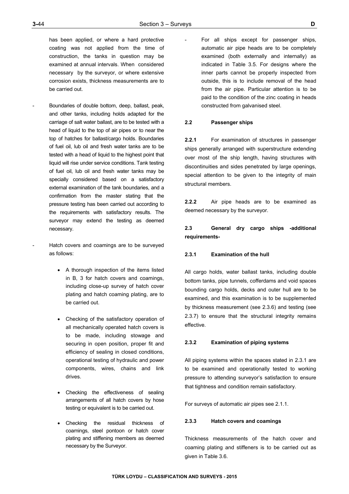has been applied, or where a hard protective coating was not applied from the time of construction, the tanks in question may be examined at annual intervals. When considered necessary by the surveyor, or where extensive corrosion exists, thickness measurements are to be carried out.

- Boundaries of double bottom, deep, ballast, peak, and other tanks, including holds adapted for the carriage of salt water ballast, are to be tested with a head of liquid to the top of air pipes or to near the top of hatches for ballast/cargo holds. Boundaries of fuel oil, lub oil and fresh water tanks are to be tested with a head of liquid to the highest point that liquid will rise under service conditions. Tank testing of fuel oil, lub oil and fresh water tanks may be specially considered based on a satisfactory external examination of the tank boundaries, and a confirmation from the master stating that the pressure testing has been carried out according to the requirements with satisfactory results. The surveyor may extend the testing as deemed necessary.
- Hatch covers and coamings are to be surveyed as follows:
	- A thorough inspection of the items listed in B, 3 for hatch covers and coamings, including close-up survey of hatch cover plating and hatch coaming plating, are to be carried out.
	- Checking of the satisfactory operation of all mechanically operated hatch covers is to be made, including stowage and securing in open position, proper fit and efficiency of sealing in closed conditions, operational testing of hydraulic and power components, wires, chains and link drives.
	- Checking the effectiveness of sealing arrangements of all hatch covers by hose testing or equivalent is to be carried out.
	- Checking the residual thickness of coamings, steel pontoon or hatch cover plating and stiffening members as deemed necessary by the Surveyor.

For all ships except for passenger ships, automatic air pipe heads are to be completely examined (both externally and internally) as indicated in Table 3.5. For designs where the inner parts cannot be properly inspected from outside, this is to include removal of the head from the air pipe. Particular attention is to be paid to the condition of the zinc coating in heads constructed from galvanised steel.

### **2.2 Passenger ships**

**2.2.1** For examination of structures in passenger ships generally arranged with superstructure extending over most of the ship length, having structures with discontinuities and sides penetrated by large openings, special attention to be given to the integrity of main structural members.

**2.2.2** Air pipe heads are to be examined as deemed necessary by the surveyor.

## **2.3 General dry cargo ships -additional requirements-**

#### **2.3.1 Examination of the hull**

All cargo holds, water ballast tanks, including double bottom tanks, pipe tunnels, cofferdams and void spaces bounding cargo holds, decks and outer hull are to be examined, and this examination is to be supplemented by thickness measurement (see 2.3.6) and testing (see 2.3.7) to ensure that the structural integrity remains effective.

## **2.3.2 Examination of piping systems**

All piping systems within the spaces stated in 2.3.1 are to be examined and operationally tested to working pressure to attending surveyor's satisfaction to ensure that tightness and condition remain satisfactory.

For surveys of automatic air pipes see 2.1.1.

#### **2.3.3 Hatch covers and coamings**

Thickness measurements of the hatch cover and coaming plating and stiffeners is to be carried out as given in Table 3.6.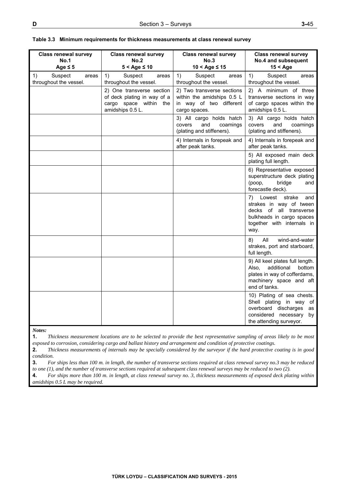| <b>Class renewal survey</b><br><b>No.1</b><br>Age $\leq 5$ | Class renewal survey<br>No.2<br>$5 <$ Age $\leq 10$                                                       | <b>Class renewal survey</b><br>No.3<br>$10 <$ Age $\leq 15$                                          | <b>Class renewal survey</b><br>No.4 and subsequent<br>$15 <$ Age                                                                                    |
|------------------------------------------------------------|-----------------------------------------------------------------------------------------------------------|------------------------------------------------------------------------------------------------------|-----------------------------------------------------------------------------------------------------------------------------------------------------|
| Suspect<br>1)<br>areas<br>throughout the vessel.           | 1)<br>Suspect<br>areas<br>throughout the vessel.                                                          | 1)<br>Suspect<br>areas<br>throughout the vessel.                                                     | 1)<br>Suspect<br>areas<br>throughout the vessel.                                                                                                    |
|                                                            | 2) One transverse section<br>of deck plating in way of a<br>cargo space within<br>the<br>amidships 0.5 L. | 2) Two transverse sections<br>within the amidships 0.5 L<br>in way of two different<br>cargo spaces. | 2) A minimum of three<br>transverse sections in way<br>of cargo spaces within the<br>amidships 0.5 L.                                               |
|                                                            |                                                                                                           | 3) All cargo holds hatch<br>and<br>covers<br>coamings<br>(plating and stiffeners).                   | 3) All cargo holds hatch<br>and<br>covers<br>coamings<br>(plating and stiffeners).                                                                  |
|                                                            |                                                                                                           | 4) Internals in forepeak and<br>after peak tanks.                                                    | 4) Internals in forepeak and<br>after peak tanks.                                                                                                   |
|                                                            |                                                                                                           |                                                                                                      | 5) All exposed main deck<br>plating full length.                                                                                                    |
|                                                            |                                                                                                           |                                                                                                      | 6) Representative exposed<br>superstructure deck plating<br>(роор,<br>bridge<br>and<br>forecastle deck).                                            |
|                                                            |                                                                                                           |                                                                                                      | Lowest strake<br>7)<br>and<br>strakes in way of tween<br>decks of all transverse<br>bulkheads in cargo spaces<br>together with internals in<br>way. |
|                                                            |                                                                                                           |                                                                                                      | All<br>8)<br>wind-and-water<br>strakes, port and starboard,<br>full length.                                                                         |
|                                                            |                                                                                                           |                                                                                                      | 9) All keel plates full length.<br>additional<br>bottom<br>Also.<br>plates in way of cofferdams,<br>machinery space and aft<br>end of tanks.        |
|                                                            |                                                                                                           |                                                                                                      | 10) Plating of sea chests.<br>Shell plating in way of<br>overboard discharges<br>as<br>considered necessary<br>by<br>the attending surveyor.        |

| Table 3.3 Minimum requirements for thickness measurements at class renewal survey |
|-----------------------------------------------------------------------------------|
|-----------------------------------------------------------------------------------|

*Notes:* 

**1.** *Thickness measurement locations are to be selected to provide the best representative sampling of areas likely to be most exposed to corrosion, considering cargo and ballast history and arrangement and condition of protective coatings.* 

**2.** *Thickness measurements of internals may be specially considered by the surveyor if the hard protective coating is in good condition.* 

**3.** *For ships less than 100 m. in length, the number of transverse sections required at class renewal survey no.3 may be reduced* 

*to one (1), and the number of transverse sections required at subsequent class renewal surveys may be reduced to two (2).* 

**4.** *For ships more than 100 m. in length, at class renewal survey no. 3, thickness measurements of exposed deck plating within amidships 0.5 L may be required.*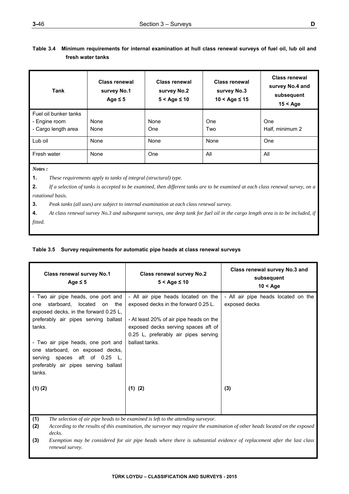# **Table 3.4 Minimum requirements for internal examination at hull class renewal surveys of fuel oil, lub oil and fresh water tanks**

| <b>Tank</b>           | <b>Class renewal</b><br>survey No.1<br>Age $\leq 5$ | <b>Class renewal</b><br>survey No.2<br>$5 <$ Age $\leq 10$ | <b>Class renewal</b><br>survey No.3<br>$10 <$ Age $\leq 15$ | <b>Class renewal</b><br>survey No.4 and<br>subsequent<br>$15 <$ Age |
|-----------------------|-----------------------------------------------------|------------------------------------------------------------|-------------------------------------------------------------|---------------------------------------------------------------------|
| Fuel oil bunker tanks |                                                     |                                                            |                                                             |                                                                     |
| - Engine room         | None                                                | None                                                       | One                                                         | One                                                                 |
| - Cargo length area   | None                                                | One                                                        | Two                                                         | Half, minimum 2                                                     |
| Lub oil               | None                                                | None                                                       | None                                                        | One                                                                 |
| Fresh water           | None                                                | One                                                        | All                                                         | All                                                                 |
| Notes:                |                                                     |                                                            |                                                             |                                                                     |

**1.** *These requirements apply to tanks of integral (structural) type.* 

**2.** *If a selection of tanks is accepted to be examined, then different tanks are to be examined at each class renewal survey, on a rotational basis.* 

**3.** *Peak tanks (all uses) are subject to internal examination at each class renewal survey.* 

**4.** *At class renewal survey No.3 and subsequent surveys, one deep tank for fuel oil in the cargo length area is to be included, if fitted.* 

## **Table 3.5 Survey requirements for automatic pipe heads at class renewal surveys**

| Class renewal survey No.1<br>Age $\leq$ 5                                                                                                                         | Class renewal survey No.2<br>$5 <$ Age $\leq 10$                                                                                                                                                      | Class renewal survey No.3 and<br>subsequent<br>$10 <$ Age |
|-------------------------------------------------------------------------------------------------------------------------------------------------------------------|-------------------------------------------------------------------------------------------------------------------------------------------------------------------------------------------------------|-----------------------------------------------------------|
| - Two air pipe heads, one port and<br>starboard, located on the<br>one<br>exposed decks, in the forward 0.25 L,<br>preferably air pipes serving ballast<br>tanks. | - All air pipe heads located on the<br>exposed decks in the forward 0.25 L.<br>- At least 20% of air pipe heads on the<br>exposed decks serving spaces aft of<br>0.25 L, preferably air pipes serving | - All air pipe heads located on the<br>exposed decks      |
| - Two air pipe heads, one port and<br>one starboard, on exposed decks,<br>serving spaces aft of 0.25 L,<br>preferably air pipes serving ballast<br>tanks.         | ballast tanks.                                                                                                                                                                                        |                                                           |
| $(1)$ $(2)$<br>(1)                                                                                                                                                | $(1)$ $(2)$<br>The selection of air pine heads to be examined is left to the attending surveyor                                                                                                       | (3)                                                       |

**(1)** *The selection of air pipe heads to be examined is left to the attending surveyor.* 

**(2)** *According to the results of this examination, the surveyor may require the examination of other heads located on the exposed decks.* 

**(3)** *Exemption may be considered for air pipe heads where there is substantial evidence of replacement after the last class renewal survey.*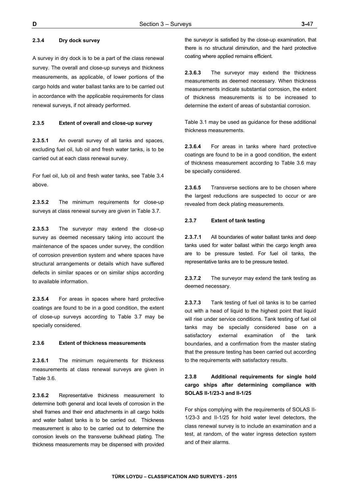## **2.3.4 Dry dock survey**

A survey in dry dock is to be a part of the class renewal survey. The overall and close-up surveys and thickness measurements, as applicable, of lower portions of the cargo holds and water ballast tanks are to be carried out in accordance with the applicable requirements for class renewal surveys, if not already performed.

#### **2.3.5 Extent of overall and close-up survey**

**2.3.5.1** An overall survey of all tanks and spaces, excluding fuel oil, lub oil and fresh water tanks, is to be carried out at each class renewal survey.

For fuel oil, lub oil and fresh water tanks, see Table 3.4 above.

**2.3.5.2** The minimum requirements for close-up surveys at class renewal survey are given in Table 3.7.

**2.3.5.3** The surveyor may extend the close-up survey as deemed necessary taking into account the maintenance of the spaces under survey, the condition of corrosion prevention system and where spaces have structural arrangements or details which have suffered defects in similar spaces or on similar ships according to available information.

**2.3.5.4** For areas in spaces where hard protective coatings are found to be in a good condition, the extent of close-up surveys according to Table 3.7 may be specially considered.

#### **2.3.6 Extent of thickness measurements**

**2.3.6.1** The minimum requirements for thickness measurements at class renewal surveys are given in Table 3.6.

**2.3.6.2** Representative thickness measurement to determine both general and local levels of corrosion in the shell frames and their end attachments in all cargo holds and water ballast tanks is to be carried out. Thickness measurement is also to be carried out to determine the corrosion levels on the transverse bulkhead plating. The thickness measurements may be dispensed with provided the surveyor is satisfied by the close-up examination, that there is no structural diminution, and the hard protective coating where applied remains efficient.

**2.3.6.3** The surveyor may extend the thickness measurements as deemed necessary. When thickness measurements indicate substantial corrosion, the extent of thickness measurements is to be increased to determine the extent of areas of substantial corrosion.

Table 3.1 may be used as guidance for these additional thickness measurements.

**2.3.6.4** For areas in tanks where hard protective coatings are found to be in a good condition, the extent of thickness measurement according to Table 3.6 may be specially considered.

**2.3.6.5** Transverse sections are to be chosen where the largest reductions are suspected to occur or are revealed from deck plating measurements.

### **2.3.7 Extent of tank testing**

**2.3.7.1** All boundaries of water ballast tanks and deep tanks used for water ballast within the cargo length area are to be pressure tested. For fuel oil tanks, the representative tanks are to be pressure tested.

**2.3.7.2** The surveyor may extend the tank testing as deemed necessary.

**2.3.7.3** Tank testing of fuel oil tanks is to be carried out with a head of liquid to the highest point that liquid will rise under service conditions. Tank testing of fuel oil tanks may be specially considered base on a satisfactory external examination of the tank boundaries, and a confirmation from the master stating that the pressure testing has been carried out according to the requirements with satisfactory results.

## **2.3.8 Additional requirements for single hold cargo ships after determining compliance with SOLAS II-1/23-3 and II-1/25**

For ships complying with the requirements of SOLAS II-1/23-3 and II-1/25 for hold water level detectors, the class renewal survey is to include an examination and a test, at random, of the water ingress detection system and of their alarms.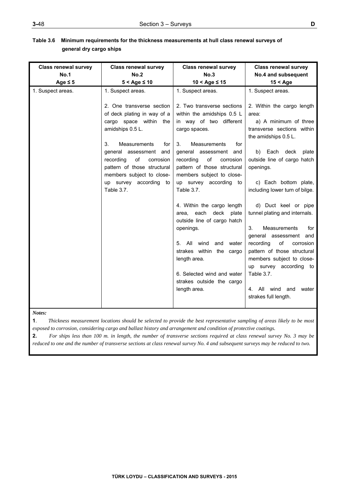| <b>Class renewal survey</b>      | <b>Class renewal survey</b>                                                                                                                                                                                                                                                                                                                     | <b>Class renewal survey</b>                                                                                                                                                                                                                                                                                                                                                                                                                                                                                                                              | <b>Class renewal survey</b>                                                                                                                                                                                                                                                                                                                                                                                                                                                                                                                        |
|----------------------------------|-------------------------------------------------------------------------------------------------------------------------------------------------------------------------------------------------------------------------------------------------------------------------------------------------------------------------------------------------|----------------------------------------------------------------------------------------------------------------------------------------------------------------------------------------------------------------------------------------------------------------------------------------------------------------------------------------------------------------------------------------------------------------------------------------------------------------------------------------------------------------------------------------------------------|----------------------------------------------------------------------------------------------------------------------------------------------------------------------------------------------------------------------------------------------------------------------------------------------------------------------------------------------------------------------------------------------------------------------------------------------------------------------------------------------------------------------------------------------------|
| Age $\leq 5$                     | $5 <$ Age $\leq 10$                                                                                                                                                                                                                                                                                                                             | $10 <$ Age ≤ 15                                                                                                                                                                                                                                                                                                                                                                                                                                                                                                                                          | $15 <$ Age                                                                                                                                                                                                                                                                                                                                                                                                                                                                                                                                         |
| <b>No.1</b><br>1. Suspect areas. | <b>No.2</b><br>1. Suspect areas.<br>2. One transverse section<br>of deck plating in way of a<br>cargo space within the<br>amidships 0.5 L.<br>3.<br><b>Measurements</b><br>for<br>general assessment<br>and<br>of<br>recording<br>corrosion<br>pattern of those structural<br>members subject to close-<br>up survey according to<br>Table 3.7. | No.3<br>1. Suspect areas.<br>2. Two transverse sections<br>within the amidships 0.5 L<br>in way of two different<br>cargo spaces.<br><b>Measurements</b><br>3.<br>for<br>general assessment and<br>of<br>recording<br>corrosion<br>pattern of those structural<br>members subject to close-<br>up survey according to<br>Table 3.7.<br>4. Within the cargo length<br>area, each deck<br>plate<br>outside line of cargo hatch<br>openings.<br>All<br>wind<br>and<br>water<br>5.<br>strakes within the cargo<br>length area.<br>6. Selected wind and water | No.4 and subsequent<br>1. Suspect areas.<br>2. Within the cargo length<br>area:<br>a) A minimum of three<br>transverse sections within<br>the amidships 0.5 L.<br>b) Each deck<br>plate<br>outside line of cargo hatch<br>openings.<br>c) Each bottom plate,<br>including lower turn of bilge.<br>d) Duct keel or pipe<br>tunnel plating and internals.<br>Measurements<br>3.<br>for<br>general assessment and<br>of<br>recording<br>corrosion<br>pattern of those structural<br>members subject to close-<br>up survey according to<br>Table 3.7. |
|                                  |                                                                                                                                                                                                                                                                                                                                                 | strakes outside the cargo<br>length area.                                                                                                                                                                                                                                                                                                                                                                                                                                                                                                                | 4. All wind and<br>water<br>strakes full length.                                                                                                                                                                                                                                                                                                                                                                                                                                                                                                   |

## **Table 3.6 Minimum requirements for the thickness measurements at hull class renewal surveys of general dry cargo ships**

*Notes:* 

**1**. *Thickness measurement locations should be selected to provide the best representative sampling of areas likely to be most exposed to corrosion, considering cargo and ballast history and arrangement and condition of protective coatings.* 

**2.** *For ships less than 100 m. in length, the number of transverse sections required at class renewal survey No. 3 may be reduced to one and the number of transverse sections at class renewal survey No. 4 and subsequent surveys may be reduced to two.*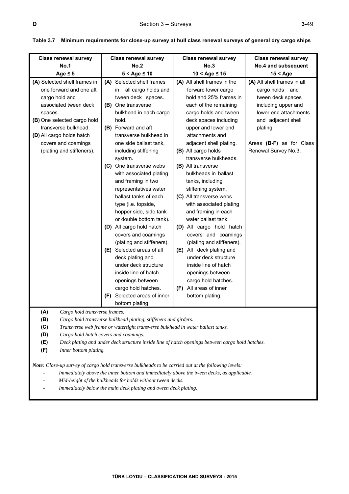| <b>Class renewal survey</b>                                                                                                                                                                                                                                           | <b>Class renewal survey</b>                                                                                                                                                                                                                                                                                                                                                                                                                                                                                                                                                                                                                                                                                      | <b>Class renewal survey</b>                                                                                                                                                                                                                                                                                                                                                                                                                                                                                                                                                                                                                                                                                                       | <b>Class renewal survey</b>                                                                                                                                                                                             |
|-----------------------------------------------------------------------------------------------------------------------------------------------------------------------------------------------------------------------------------------------------------------------|------------------------------------------------------------------------------------------------------------------------------------------------------------------------------------------------------------------------------------------------------------------------------------------------------------------------------------------------------------------------------------------------------------------------------------------------------------------------------------------------------------------------------------------------------------------------------------------------------------------------------------------------------------------------------------------------------------------|-----------------------------------------------------------------------------------------------------------------------------------------------------------------------------------------------------------------------------------------------------------------------------------------------------------------------------------------------------------------------------------------------------------------------------------------------------------------------------------------------------------------------------------------------------------------------------------------------------------------------------------------------------------------------------------------------------------------------------------|-------------------------------------------------------------------------------------------------------------------------------------------------------------------------------------------------------------------------|
| <b>No.1</b>                                                                                                                                                                                                                                                           | No.2                                                                                                                                                                                                                                                                                                                                                                                                                                                                                                                                                                                                                                                                                                             | No.3                                                                                                                                                                                                                                                                                                                                                                                                                                                                                                                                                                                                                                                                                                                              | No.4 and subsequent                                                                                                                                                                                                     |
|                                                                                                                                                                                                                                                                       |                                                                                                                                                                                                                                                                                                                                                                                                                                                                                                                                                                                                                                                                                                                  |                                                                                                                                                                                                                                                                                                                                                                                                                                                                                                                                                                                                                                                                                                                                   |                                                                                                                                                                                                                         |
| Age $\leq$ 5<br>(A) Selected shell frames in<br>one forward and one aft<br>cargo hold and<br>associated tween deck<br>spaces.<br>(B) One selected cargo hold<br>transverse bulkhead.<br>(D) All cargo holds hatch<br>covers and coamings<br>(plating and stiffeners). | $5 <$ Age $\leq 10$<br>(A) Selected shell frames<br>all cargo holds and<br>in<br>tween deck spaces.<br>(B) One transverse<br>bulkhead in each cargo<br>hold.<br>(B) Forward and aft<br>transverse bulkhead in<br>one side ballast tank,<br>including stiffening<br>system.<br>(C) One transverse webs<br>with associated plating<br>and framing in two<br>representatives water<br>ballast tanks of each<br>type (i.e. topside,<br>hopper side, side tank<br>or double bottom tank).<br>(D) All cargo hold hatch<br>covers and coamings<br>(plating and stiffeners).<br>(E) Selected areas of all<br>deck plating and<br>under deck structure<br>inside line of hatch<br>openings between<br>cargo hold hatches. | $10 <$ Age $\leq 15$<br>(A) All shell frames in the<br>forward lower cargo<br>hold and 25% frames in<br>each of the remaining<br>cargo holds and tween<br>deck spaces including<br>upper and lower end<br>attachments and<br>adjacent shell plating.<br>(B) All cargo holds<br>transverse bulkheads.<br>(B) All transverse<br>bulkheads in ballast<br>tanks, including<br>stiffening system.<br>(C) All transverse webs<br>with associated plating<br>and framing in each<br>water ballast tank.<br>(D) All cargo hold hatch<br>covers and coamings<br>(plating and stiffeners).<br>(E) All deck plating and<br>under deck structure<br>inside line of hatch<br>openings between<br>cargo hold hatches.<br>(F) All areas of inner | $15 <$ Age<br>(A) All shell frames in all<br>cargo holds and<br>tween deck spaces<br>including upper and<br>lower end attachments<br>and adjacent shell<br>plating.<br>Areas (B-F) as for Class<br>Renewal Survey No.3. |
|                                                                                                                                                                                                                                                                       | Selected areas of inner<br>(F)<br>bottom plating.                                                                                                                                                                                                                                                                                                                                                                                                                                                                                                                                                                                                                                                                | bottom plating.                                                                                                                                                                                                                                                                                                                                                                                                                                                                                                                                                                                                                                                                                                                   |                                                                                                                                                                                                                         |
| (A)<br>Cargo hold transverse frames.<br>(B)<br>(C)<br>(D)<br>(E)<br>(F)<br>Inner bottom plating.                                                                                                                                                                      | Cargo hold transverse bulkhead plating, stiffeners and girders.<br>Transverse web frame or watertight transverse bulkhead in water ballast tanks.<br>Cargo hold hatch covers and coamings.<br>Deck plating and under deck structure inside line of hatch openings between cargo hold hatches.                                                                                                                                                                                                                                                                                                                                                                                                                    |                                                                                                                                                                                                                                                                                                                                                                                                                                                                                                                                                                                                                                                                                                                                   |                                                                                                                                                                                                                         |
| Note: Close-up survey of cargo hold transverse bulkheads to be carried out at the following levels:<br>Immediately above the inner bottom and immediately above the tween decks, as applicable.<br>Mid-height of the bulkheads for holds without tween decks.         |                                                                                                                                                                                                                                                                                                                                                                                                                                                                                                                                                                                                                                                                                                                  |                                                                                                                                                                                                                                                                                                                                                                                                                                                                                                                                                                                                                                                                                                                                   |                                                                                                                                                                                                                         |

## **Table 3.7 Minimum requirements for close-up survey at hull class renewal surveys of general dry cargo ships**

Immediately below the main deck plating and tween deck plating.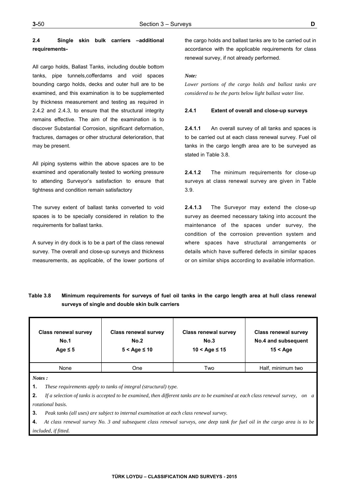## **2.4 Single skin bulk carriers –additional requirements-**

All cargo holds, Ballast Tanks, including double bottom tanks, pipe tunnels,cofferdams and void spaces bounding cargo holds, decks and outer hull are to be examined, and this examination is to be supplemented by thickness measurement and testing as required in 2.4.2 and 2.4.3, to ensure that the structural integrity remains effective. The aim of the examination is to discover Substantial Corrosion, significant deformation, fractures, damages or other structural deterioration, that may be present.

All piping systems within the above spaces are to be examined and operationally tested to working pressure to attending Surveyor's satisfaction to ensure that tightness and condition remain satisfactory

The survey extent of ballast tanks converted to void spaces is to be specially considered in relation to the requirements for ballast tanks.

A survey in dry dock is to be a part of the class renewal survey. The overall and close-up surveys and thickness measurements, as applicable, of the lower portions of the cargo holds and ballast tanks are to be carried out in accordance with the applicable requirements for class renewal survey, if not already performed.

#### *Note:*

*Lower portions of the cargo holds and ballast tanks are considered to be the parts below light ballast water line.*

#### **2.4.1 Extent of overall and close-up surveys**

**2.4.1.1** An overall survey of all tanks and spaces is to be carried out at each class renewal survey. Fuel oil tanks in the cargo length area are to be surveyed as stated in Table 3.8.

**2.4.1.2** The minimum requirements for close-up surveys at class renewal survey are given in Table 3.9.

**2.4.1.3** The Surveyor may extend the close-up survey as deemed necessary taking into account the maintenance of the spaces under survey, the condition of the corrosion prevention system and where spaces have structural arrangements or details which have suffered defects in similar spaces or on similar ships according to available information.

# **Table 3.8 Minimum requirements for surveys of fuel oil tanks in the cargo length area at hull class renewal surveys of single and double skin bulk carriers**

| <b>Class renewal survey</b><br>No.1<br>Age $\leq 5$ | <b>Class renewal survey</b><br>No.2<br>$5 <$ Age $\leq 10$ | <b>Class renewal survey</b><br>No.3<br>$10 < A$ ge ≤ 15 | <b>Class renewal survey</b><br>No.4 and subsequent<br>$15 <$ Age |
|-----------------------------------------------------|------------------------------------------------------------|---------------------------------------------------------|------------------------------------------------------------------|
| None                                                | One                                                        | Two                                                     | Half, minimum two                                                |
|                                                     |                                                            |                                                         |                                                                  |

*Notes :* 

**1.** *These requirements apply to tanks of integral (structural) type.* 

**2.** *If a selection of tanks is accepted to be examined, then different tanks are to be examined at each class renewal survey, on a rotational basis.* 

**3.** *Peak tanks (all uses) are subject to internal examination at each class renewal survey.* 

**4.** *At class renewal survey No. 3 and subsequent class renewal surveys, one deep tank for fuel oil in the cargo area is to be included, if fitted.*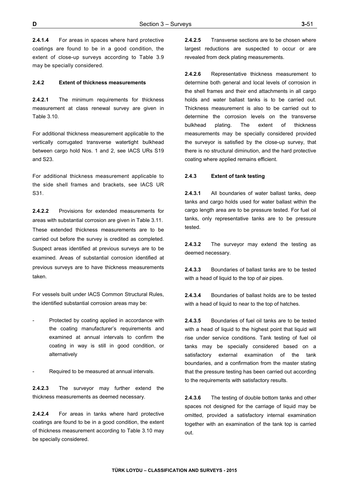**2.4.1.4** For areas in spaces where hard protective coatings are found to be in a good condition, the extent of close-up surveys according to Table 3.9 may be specially considered.

#### **2.4.2 Extent of thickness measurements**

**2.4.2.1** The minimum requirements for thickness measurement at class renewal survey are given in Table 3.10.

For additional thickness measurement applicable to the vertically corrugated transverse watertight bulkhead between cargo hold Nos. 1 and 2, see IACS URs S19 and S23.

For additional thickness measurement applicable to the side shell frames and brackets, see IACS UR S31.

**2.4.2.2** Provisions for extended measurements for areas with substantial corrosion are given in Table 3.11. These extended thickness measurements are to be carried out before the survey is credited as completed. Suspect areas identified at previous surveys are to be examined. Areas of substantial corrosion identified at previous surveys are to have thickness measurements taken.

For vessels built under IACS Common Structural Rules, the identified substantial corrosion areas may be:

- Protected by coating applied in accordance with the coating manufacturer's requirements and examined at annual intervals to confirm the coating in way is still in good condition, or alternatively
- Required to be measured at annual intervals.

**2.4.2.3** The surveyor may further extend the thickness measurements as deemed necessary.

**2.4.2.4** For areas in tanks where hard protective coatings are found to be in a good condition, the extent of thickness measurement according to Table 3.10 may be specially considered.

**2.4.2.5** Transverse sections are to be chosen where largest reductions are suspected to occur or are revealed from deck plating measurements.

**2.4.2.6** Representative thickness measurement to determine both general and local levels of corrosion in the shell frames and their end attachments in all cargo holds and water ballast tanks is to be carried out. Thickness measurement is also to be carried out to determine the corrosion levels on the transverse bulkhead plating. The extent of thickness measurements may be specially considered provided the surveyor is satisfied by the close-up survey, that there is no structural diminution, and the hard protective coating where applied remains efficient.

#### **2.4.3 Extent of tank testing**

**2.4.3.1** All boundaries of water ballast tanks, deep tanks and cargo holds used for water ballast within the cargo length area are to be pressure tested. For fuel oil tanks, only representative tanks are to be pressure tested.

**2.4.3.2** The surveyor may extend the testing as deemed necessary.

**2.4.3.3** Boundaries of ballast tanks are to be tested with a head of liquid to the top of air pipes.

**2.4.3.4** Boundaries of ballast holds are to be tested with a head of liquid to near to the top of hatches.

**2.4.3.5** Boundaries of fuel oil tanks are to be tested with a head of liquid to the highest point that liquid will rise under service conditions. Tank testing of fuel oil tanks may be specially considered based on a satisfactory external examination of the tank boundaries, and a confirmation from the master stating that the pressure testing has been carried out according to the requirements with satisfactory results.

**2.4.3.6** The testing of double bottom tanks and other spaces not designed for the carriage of liquid may be omitted, provided a satisfactory internal examination together with an examination of the tank top is carried out.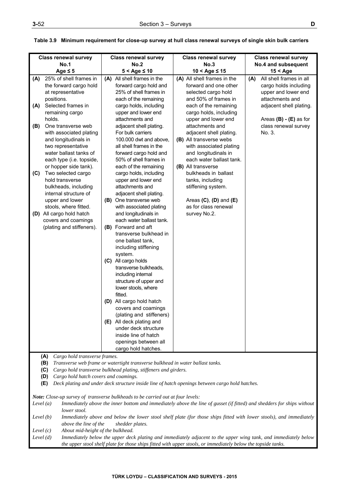| n a |         |   |  |
|-----|---------|---|--|
|     | I<br>۰. | I |  |

|             | <b>Class renewal survey</b>                                                                            | <b>Class renewal survey</b>                                                                                                                       | <b>Class renewal survey</b>                                                                                     | <b>Class renewal survey</b>            |  |
|-------------|--------------------------------------------------------------------------------------------------------|---------------------------------------------------------------------------------------------------------------------------------------------------|-----------------------------------------------------------------------------------------------------------------|----------------------------------------|--|
|             | <b>No.1</b>                                                                                            | No.2                                                                                                                                              | No.3                                                                                                            | No.4 and subsequent                    |  |
|             | Age $\leq 5$                                                                                           | $5 <$ Age $\leq 10$                                                                                                                               | $10 <$ Age $\leq 15$                                                                                            | $15 <$ Age                             |  |
| (A)         | 25% of shell frames in                                                                                 | (A) All shell frames in the                                                                                                                       | (A) All shell frames in the                                                                                     | All shell frames in all<br>(A)         |  |
|             | the forward cargo hold                                                                                 | forward cargo hold and                                                                                                                            | forward and one other                                                                                           | cargo holds including                  |  |
|             | at representative<br>positions.                                                                        | 25% of shell frames in<br>each of the remaining                                                                                                   | selected cargo hold<br>and 50% of frames in                                                                     | upper and lower end<br>attachments and |  |
| (A)         | Selected frames in                                                                                     | cargo holds, including                                                                                                                            | each of the remaining                                                                                           | adjacent shell plating.                |  |
|             | remaining cargo                                                                                        | upper and lower end                                                                                                                               | cargo holds, including                                                                                          |                                        |  |
|             | holds.                                                                                                 | attachments and                                                                                                                                   | upper and lower end                                                                                             | Areas $(B) - (E)$ as for               |  |
| (B)         | One transverse web                                                                                     | adjacent shell plating.                                                                                                                           | attachments and                                                                                                 | class renewal survey                   |  |
|             | with associated plating                                                                                | For bulk carriers                                                                                                                                 | adjacent shell plating.                                                                                         | No. 3.                                 |  |
|             | and longitudinals in                                                                                   | 100.000 dwt and above,                                                                                                                            | (B) All transverse webs                                                                                         |                                        |  |
|             | two representative                                                                                     | all shell frames in the                                                                                                                           | with associated plating                                                                                         |                                        |  |
|             | water ballast tanks of                                                                                 | forward cargo hold and                                                                                                                            | and longitudinals in                                                                                            |                                        |  |
|             | each type (i.e. topside,                                                                               | 50% of shell frames in                                                                                                                            | each water ballast tank.                                                                                        |                                        |  |
|             | or hopper side tank).                                                                                  | each of the remaining                                                                                                                             | (B) All transverse                                                                                              |                                        |  |
| (C)         | Two selected cargo                                                                                     | cargo holds, including                                                                                                                            | bulkheads in ballast                                                                                            |                                        |  |
|             | hold transverse<br>bulkheads, including                                                                | upper and lower end<br>attachments and                                                                                                            | tanks, including<br>stiffening system.                                                                          |                                        |  |
|             | internal structure of                                                                                  | adjacent shell plating.                                                                                                                           |                                                                                                                 |                                        |  |
|             | upper and lower                                                                                        | (B) One transverse web                                                                                                                            | Areas $(C)$ , $(D)$ and $(E)$                                                                                   |                                        |  |
|             | stools, where fitted.                                                                                  | with associated plating                                                                                                                           | as for class renewal                                                                                            |                                        |  |
| (D)         | All cargo hold hatch                                                                                   | and longitudinals in                                                                                                                              | survey No.2.                                                                                                    |                                        |  |
|             | covers and coamings                                                                                    | each water ballast tank.                                                                                                                          |                                                                                                                 |                                        |  |
|             | (plating and stiffeners).                                                                              | (B) Forward and aft                                                                                                                               |                                                                                                                 |                                        |  |
|             |                                                                                                        | transverse bulkhead in                                                                                                                            |                                                                                                                 |                                        |  |
|             |                                                                                                        | one ballast tank,                                                                                                                                 |                                                                                                                 |                                        |  |
|             |                                                                                                        | including stiffening                                                                                                                              |                                                                                                                 |                                        |  |
|             |                                                                                                        | system.                                                                                                                                           |                                                                                                                 |                                        |  |
|             |                                                                                                        | (C) All cargo holds                                                                                                                               |                                                                                                                 |                                        |  |
|             |                                                                                                        | transverse bulkheads,<br>including internal                                                                                                       |                                                                                                                 |                                        |  |
|             |                                                                                                        | structure of upper and                                                                                                                            |                                                                                                                 |                                        |  |
|             |                                                                                                        | lower stools, where                                                                                                                               |                                                                                                                 |                                        |  |
|             |                                                                                                        | fitted.                                                                                                                                           |                                                                                                                 |                                        |  |
|             |                                                                                                        | (D) All cargo hold hatch                                                                                                                          |                                                                                                                 |                                        |  |
|             |                                                                                                        | covers and coamings                                                                                                                               |                                                                                                                 |                                        |  |
|             |                                                                                                        | (plating and stiffeners)                                                                                                                          |                                                                                                                 |                                        |  |
|             |                                                                                                        | (E) All deck plating and                                                                                                                          |                                                                                                                 |                                        |  |
|             |                                                                                                        | under deck structure                                                                                                                              |                                                                                                                 |                                        |  |
|             |                                                                                                        | inside line of hatch                                                                                                                              |                                                                                                                 |                                        |  |
|             |                                                                                                        | openings between all                                                                                                                              |                                                                                                                 |                                        |  |
|             |                                                                                                        | cargo hold hatches.                                                                                                                               |                                                                                                                 |                                        |  |
|             | (A)<br>Cargo hold transverse frames.                                                                   |                                                                                                                                                   |                                                                                                                 |                                        |  |
|             | (B)<br>(C)                                                                                             | Transverse web frame or watertight transverse bulkhead in water ballast tanks.<br>Cargo hold transverse bulkhead plating, stiffeners and girders. |                                                                                                                 |                                        |  |
|             | Cargo hold hatch covers and coamings.<br>(D)                                                           |                                                                                                                                                   |                                                                                                                 |                                        |  |
|             | Deck plating and under deck structure inside line of hatch openings between cargo hold hatches.<br>(E) |                                                                                                                                                   |                                                                                                                 |                                        |  |
|             |                                                                                                        |                                                                                                                                                   |                                                                                                                 |                                        |  |
|             |                                                                                                        | Note: Close-up survey of transverse bulkheads to be carried out at four levels:                                                                   |                                                                                                                 |                                        |  |
| Level $(a)$ |                                                                                                        | Immediately above the inner bottom and immediately above the line of gusset (if fitted) and shedders for ships without                            |                                                                                                                 |                                        |  |
|             | lower stool.                                                                                           |                                                                                                                                                   |                                                                                                                 |                                        |  |
| Level $(b)$ |                                                                                                        | Immediately above and below the lower stool shelf plate (for those ships fitted with lower stools), and immediately                               |                                                                                                                 |                                        |  |
|             | above the line of the                                                                                  | shedder plates.                                                                                                                                   |                                                                                                                 |                                        |  |
| Level $(c)$ | About mid-height of the bulkhead.                                                                      |                                                                                                                                                   |                                                                                                                 |                                        |  |
| Level $(d)$ |                                                                                                        |                                                                                                                                                   | Immediately below the upper deck plating and immediately adjacent to the upper wing tank, and immediately below |                                        |  |

 **Table 3.9 Minimum requirement for close-up survey at hull class renewal surveys of single skin bulk carriers** 

*the upper stool shelf plate for those ships fitted with upper stools, or immediately below the topside tanks.*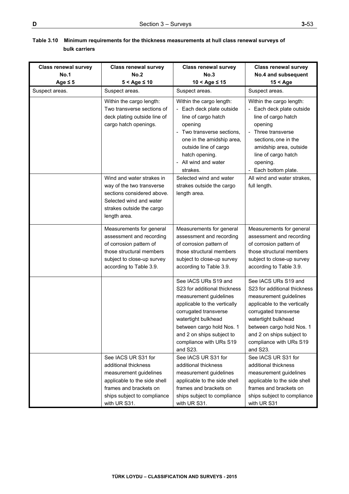| <b>Class renewal survey</b><br><b>No.1</b><br>Age $\leq 5$ | <b>Class renewal survey</b><br>No.2<br>$5 <$ Age $\leq 10$                                                                                                                     | <b>Class renewal survey</b><br>No.3<br>$10 <$ Age $\leq 15$                                                                                                                                                                                                     | <b>Class renewal survey</b><br>No.4 and subsequent<br>$15 <$ Age                                                                                                                                                                                                |
|------------------------------------------------------------|--------------------------------------------------------------------------------------------------------------------------------------------------------------------------------|-----------------------------------------------------------------------------------------------------------------------------------------------------------------------------------------------------------------------------------------------------------------|-----------------------------------------------------------------------------------------------------------------------------------------------------------------------------------------------------------------------------------------------------------------|
| Suspect areas.                                             | Suspect areas.                                                                                                                                                                 | Suspect areas.                                                                                                                                                                                                                                                  | Suspect areas.                                                                                                                                                                                                                                                  |
|                                                            | Within the cargo length:<br>Two transverse sections of<br>deck plating outside line of<br>cargo hatch openings.                                                                | Within the cargo length:<br>- Each deck plate outside<br>line of cargo hatch<br>opening<br>- Two transverse sections,<br>one in the amidship area,<br>outside line of cargo<br>hatch opening.<br>- All wind and water<br>strakes.                               | Within the cargo length:<br>- Each deck plate outside<br>line of cargo hatch<br>opening<br>- Three transverse<br>sections, one in the<br>amidship area, outside<br>line of cargo hatch<br>opening.<br>- Each bottom plate.                                      |
|                                                            | Wind and water strakes in<br>way of the two transverse<br>sections considered above.<br>Selected wind and water<br>strakes outside the cargo<br>length area.                   | Selected wind and water<br>strakes outside the cargo<br>length area.                                                                                                                                                                                            | All wind and water strakes,<br>full length.                                                                                                                                                                                                                     |
|                                                            | Measurements for general<br>assessment and recording<br>of corrosion pattern of<br>those structural members<br>subject to close-up survey<br>according to Table 3.9.           | Measurements for general<br>assessment and recording<br>of corrosion pattern of<br>those structural members<br>subject to close-up survey<br>according to Table 3.9.                                                                                            | Measurements for general<br>assessment and recording<br>of corrosion pattern of<br>those structural members<br>subject to close-up survey<br>according to Table 3.9.                                                                                            |
|                                                            |                                                                                                                                                                                | See IACS URs S19 and<br>S23 for additional thickness<br>measurement guidelines<br>applicable to the vertically<br>corrugated transverse<br>watertight bulkhead<br>between cargo hold Nos. 1<br>and 2 on ships subject to<br>compliance with URs S19<br>and S23. | See IACS URs S19 and<br>S23 for additional thickness<br>measurement guidelines<br>applicable to the vertically<br>corrugated transverse<br>watertight bulkhead<br>between cargo hold Nos. 1<br>and 2 on ships subject to<br>compliance with URs S19<br>and S23. |
|                                                            | See IACS UR S31 for<br>additional thickness<br>measurement guidelines<br>applicable to the side shell<br>frames and brackets on<br>ships subject to compliance<br>with UR S31. | See IACS UR S31 for<br>additional thickness<br>measurement guidelines<br>applicable to the side shell<br>frames and brackets on<br>ships subject to compliance<br>with UR S31.                                                                                  | See IACS UR S31 for<br>additional thickness<br>measurement guidelines<br>applicable to the side shell<br>frames and brackets on<br>ships subject to compliance<br>with UR S31                                                                                   |

## **Table 3.10 Minimum requirements for the thickness measurements at hull class renewal surveys of bulk carriers**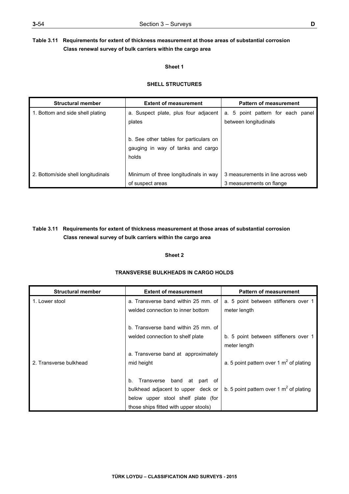# **Table 3.11 Requirements for extent of thickness measurement at those areas of substantial corrosion Class renewal survey of bulk carriers within the cargo area**

## **Sheet 1**

## **SHELL STRUCTURES**

| <b>Structural member</b>           | <b>Extent of measurement</b>                                                         | <b>Pattern of measurement</b>                                 |
|------------------------------------|--------------------------------------------------------------------------------------|---------------------------------------------------------------|
| 1. Bottom and side shell plating   | a. Suspect plate, plus four adjacent<br>plates                                       | a. 5 point pattern for each panel<br>between longitudinals    |
|                                    | b. See other tables for particulars on<br>gauging in way of tanks and cargo<br>holds |                                                               |
| 2. Bottom/side shell longitudinals | Minimum of three longitudinals in way<br>of suspect areas                            | 3 measurements in line across web<br>3 measurements on flange |

# **Table 3.11 Requirements for extent of thickness measurement at those areas of substantial corrosion Class renewal survey of bulk carriers within the cargo area**

## **Sheet 2**

| <b>Structural member</b> | <b>Extent of measurement</b>                 | <b>Pattern of measurement</b>             |
|--------------------------|----------------------------------------------|-------------------------------------------|
| 1. Lower stool           | a. Transverse band within 25 mm, of          | a. 5 point between stiffeners over 1      |
|                          | welded connection to inner bottom            | meter length                              |
|                          |                                              |                                           |
|                          | b. Transverse band within 25 mm, of          |                                           |
|                          | welded connection to shelf plate             | b. 5 point between stiffeners over 1      |
|                          |                                              | meter length                              |
|                          | a. Transverse band at approximately          |                                           |
| 2. Transverse bulkhead   | mid height                                   | a. 5 point pattern over 1 $m2$ of plating |
|                          |                                              |                                           |
|                          | Transverse band at part of<br>b <sub>1</sub> |                                           |
|                          | bulkhead adjacent to upper deck or           | b. 5 point pattern over 1 $m2$ of plating |
|                          | below upper stool shelf plate (for           |                                           |
|                          | those ships fitted with upper stools)        |                                           |

# **TRANSVERSE BULKHEADS IN CARGO HOLDS**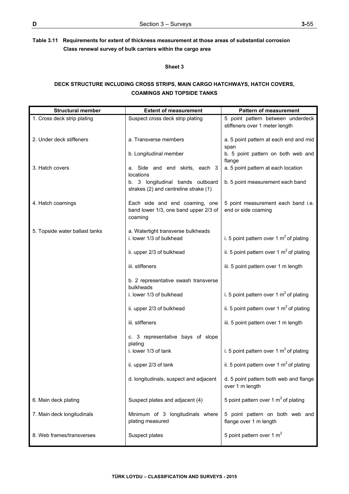# **Table 3.11 Requirements for extent of thickness measurement at those areas of substantial corrosion Class renewal survey of bulk carriers within the cargo area**

#### **Sheet 3**

## **DECK STRUCTURE INCLUDING CROSS STRIPS, MAIN CARGO HATCHWAYS, HATCH COVERS, COAMINGS AND TOPSIDE TANKS**

| <b>Structural member</b>       | <b>Extent of measurement</b>                                                       | <b>Pattern of measurement</b>                                       |
|--------------------------------|------------------------------------------------------------------------------------|---------------------------------------------------------------------|
| 1. Cross deck strip plating    | Suspect cross deck strip plating                                                   | 5 point pattern between underdeck<br>stiffeners over 1 meter length |
| 2. Under deck stiffeners       | a. Transverse members                                                              | a. 5 point pattern at each end and mid<br>span                      |
|                                | b. Longitudinal member                                                             | b. 5 point pattern on both web and<br>flange                        |
| 3. Hatch covers                | a. Side and end skirts, each 3<br>locations                                        | a. 5 point pattern at each location                                 |
|                                | b. 3 longitudinal bands outboard<br>strakes (2) and centreline strake (1)          | b. 5 point measurement each band                                    |
| 4. Hatch coamings              | Each side and end coaming, one<br>band lower 1/3, one band upper 2/3 of<br>coaming | 5 point measurement each band i.e.<br>end or side coaming           |
| 5. Topside water ballast tanks | a. Watertight transverse bulkheads<br>i. lower 1/3 of bulkhead                     |                                                                     |
|                                |                                                                                    | i. 5 point pattern over 1 $m2$ of plating                           |
|                                | ii. upper 2/3 of bulkhead                                                          | ii. 5 point pattern over 1 $m2$ of plating                          |
|                                | iii. stiffeners                                                                    | iii. 5 point pattern over 1 m length                                |
|                                | b. 2 representative swash transverse<br>bulkheads                                  |                                                                     |
|                                | i. lower 1/3 of bulkhead                                                           | i. 5 point pattern over 1 $m2$ of plating                           |
|                                | ii. upper 2/3 of bulkhead                                                          | ii. 5 point pattern over 1 $m2$ of plating                          |
|                                | iii. stiffeners                                                                    | iii. 5 point pattern over 1 m length                                |
|                                | c. 3 representative bays of slope<br>plating                                       |                                                                     |
|                                | i. lower 1/3 of tank                                                               | i. 5 point pattern over 1 $m2$ of plating                           |
|                                | ii. upper 2/3 of tank                                                              | ii. 5 point pattern over 1 $m2$ of plating                          |
|                                | d. longitudinals, suspect and adjacent                                             | d. 5 point pattern both web and flange<br>over 1 m length           |
| 6. Main deck plating           | Suspect plates and adjacent (4)                                                    | 5 point pattern over 1 $m2$ of plating                              |
| 7. Main deck longitudinals     | Minimum of 3 longitudinals where<br>plating measured                               | 5 point pattern on both web and<br>flange over 1 m length           |
| 8. Web frames/transverses      | Suspect plates                                                                     | 5 point pattern over 1 $m2$                                         |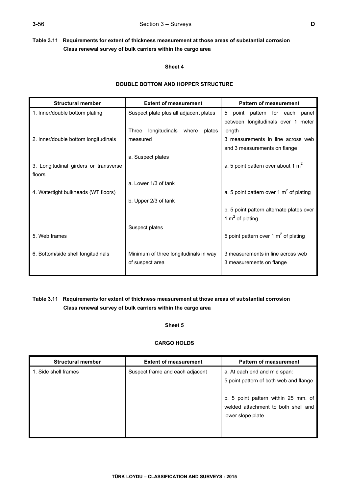# **Table 3.11 Requirements for extent of thickness measurement at those areas of substantial corrosion Class renewal survey of bulk carriers within the cargo area**

### **Sheet 4**

## **DOUBLE BOTTOM AND HOPPER STRUCTURE**

| <b>Structural member</b>              | <b>Extent of measurement</b>           | <b>Pattern of measurement</b>             |  |
|---------------------------------------|----------------------------------------|-------------------------------------------|--|
| 1. Inner/double bottom plating        | Suspect plate plus all adjacent plates | 5<br>pattern for each<br>point<br>panel   |  |
|                                       |                                        | between longitudinals over 1 meter        |  |
|                                       | longitudinals where<br>Three<br>plates | length                                    |  |
| 2. Inner/double bottom longitudinals  | measured                               | 3 measurements in line across web         |  |
|                                       |                                        | and 3 measurements on flange              |  |
|                                       | a. Suspect plates                      |                                           |  |
| 3. Longitudinal girders or transverse |                                        | a. 5 point pattern over about 1 $m2$      |  |
| floors                                |                                        |                                           |  |
|                                       | a. Lower 1/3 of tank                   |                                           |  |
| 4. Watertight bulkheads (WT floors)   |                                        | a. 5 point pattern over 1 $m2$ of plating |  |
|                                       | b. Upper 2/3 of tank                   |                                           |  |
|                                       |                                        | b. 5 point pattern alternate plates over  |  |
|                                       |                                        | 1 $m2$ of plating                         |  |
|                                       | Suspect plates                         |                                           |  |
| 5. Web frames                         |                                        | 5 point pattern over 1 $m2$ of plating    |  |
|                                       |                                        |                                           |  |
| 6. Bottom/side shell longitudinals    | Minimum of three longitudinals in way  | 3 measurements in line across web         |  |
|                                       | of suspect area                        | 3 measurements on flange                  |  |
|                                       |                                        |                                           |  |

# **Table 3.11 Requirements for extent of thickness measurement at those areas of substantial corrosion Class renewal survey of bulk carriers within the cargo area**

## **Sheet 5**

## **CARGO HOLDS**

| <b>Structural member</b> | <b>Extent of measurement</b>    | <b>Pattern of measurement</b>                                                                   |
|--------------------------|---------------------------------|-------------------------------------------------------------------------------------------------|
| 1. Side shell frames     | Suspect frame and each adjacent | a. At each end and mid span:<br>5 point pattern of both web and flange                          |
|                          |                                 | b. 5 point pattern within 25 mm. of<br>welded attachment to both shell and<br>lower slope plate |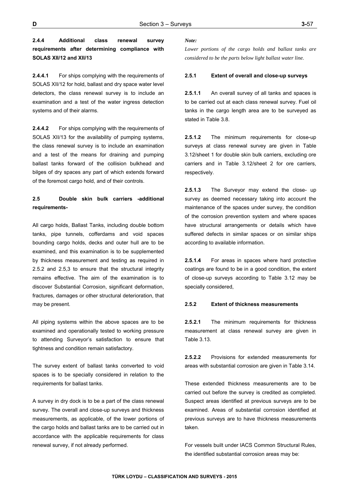**2.4.4 Additional class renewal survey requirements after determining compliance with SOLAS XII/12 and XII/13** 

**2.4.4.1** For ships complying with the requirements of SOLAS XII/12 for hold, ballast and dry space water level detectors, the class renewal survey is to include an examination and a test of the water ingress detection systems and of their alarms.

**2.4.4.2** For ships complying with the requirements of SOLAS XII/13 for the availability of pumping systems, the class renewal survey is to include an examination and a test of the means for draining and pumping ballast tanks forward of the collision bulkhead and bilges of dry spaces any part of which extends forward of the foremost cargo hold, and of their controls.

## **2.5 Double skin bulk carriers -additional requirements-**

All cargo holds, Ballast Tanks, including double bottom tanks, pipe tunnels, cofferdams and void spaces bounding cargo holds, decks and outer hull are to be examined, and this examination is to be supplemented by thickness measurement and testing as required in 2.5.2 and 2.5,3 to ensure that the structural integrity remains effective. The aim of the examination is to discover Substantial Corrosion, significant deformation, fractures, damages or other structural deterioration, that may be present.

All piping systems within the above spaces are to be examined and operationally tested to working pressure to attending Surveyor's satisfaction to ensure that tightness and condition remain satisfactory.

The survey extent of ballast tanks converted to void spaces is to be specially considered in relation to the requirements for ballast tanks.

A survey in dry dock is to be a part of the class renewal survey. The overall and close-up surveys and thickness measurements, as applicable, of the lower portions of the cargo holds and ballast tanks are to be carried out in accordance with the applicable requirements for class renewal survey, if not already performed.

#### *Note:*

*Lower portions of the cargo holds and ballast tanks are considered to be the parts below light ballast water line.* 

### **2.5.1 Extent of overall and close-up surveys**

**2.5.1.1** An overall survey of all tanks and spaces is to be carried out at each class renewal survey. Fuel oil tanks in the cargo length area are to be surveyed as stated in Table 3.8.

**2.5.1.2** The minimum requirements for close-up surveys at class renewal survey are given in Table 3.12/sheet 1 for double skin bulk carriers, excluding ore carriers and in Table 3.12/sheet 2 for ore carriers, respectively.

**2.5.1.3** The Surveyor may extend the close- up survey as deemed necessary taking into account the maintenance of the spaces under survey, the condition of the corrosion prevention system and where spaces have structural arrangements or details which have suffered defects in similar spaces or on similar ships according to available information.

**2.5.1.4** For areas in spaces where hard protective coatings are found to be in a good condition, the extent of close-up surveys according to Table 3.12 may be specially considered,

### **2.5.2 Extent of thickness measurements**

**2.5.2.1** The minimum requirements for thickness measurement at class renewal survey are given in Table 3.13.

**2.5.2.2** Provisions for extended measurements for areas with substantial corrosion are given in Table 3.14.

These extended thickness measurements are to be carried out before the survey is credited as completed. Suspect areas identified at previous surveys are to be examined. Areas of substantial corrosion identified at previous surveys are to have thickness measurements taken.

For vessels built under IACS Common Structural Rules, the identified substantial corrosion areas may be: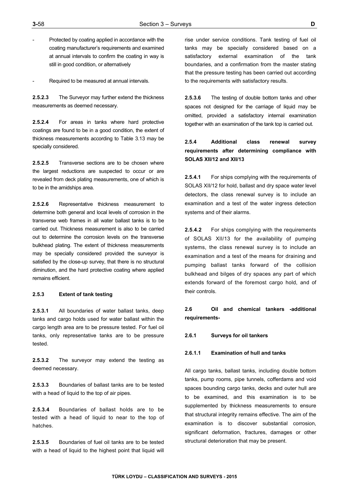Protected by coating applied in accordance with the coating manufacturer's requirements and examined at annual intervals to confirm the coating in way is still in good condition, or alternatively

Required to be measured at annual intervals.

**2.5.2.3** The Surveyor may further extend the thickness measurements as deemed necessary.

**2.5.2.4** For areas in tanks where hard protective coatings are found to be in a good condition, the extent of thickness measurements according to Table 3.13 may be specially considered.

**2.5.2.5** Transverse sections are to be chosen where the largest reductions are suspected to occur or are revealed from deck plating measurements, one of which is to be in the amidships area.

**2.5.2.6** Representative thickness measurement to determine both general and local levels of corrosion in the transverse web frames in all water ballast tanks is to be carried out. Thickness measurement is also to be carried out to determine the corrosion levels on the transverse bulkhead plating. The extent of thickness measurements may be specially considered provided the surveyor is satisfied by the close-up survey, that there is no structural diminution, and the hard protective coating where applied remains efficient.

#### **2.5.3 Extent of tank testing**

**2.5.3.1** All boundaries of water ballast tanks, deep tanks and cargo holds used for water ballast within the cargo length area are to be pressure tested. For fuel oil tanks, only representative tanks are to be pressure tested.

**2.5.3.2** The surveyor may extend the testing as deemed necessary.

**2.5.3.3** Boundaries of ballast tanks are to be tested with a head of liquid to the top of air pipes.

**2.5.3.4** Boundaries of ballast holds are to be tested with a head of liquid to near to the top of hatches.

**2.5.3.5** Boundaries of fuel oil tanks are to be tested with a head of liquid to the highest point that liquid will rise under service conditions. Tank testing of fuel oil tanks may be specially considered based on a satisfactory external examination of the tank boundaries, and a confirmation from the master stating that the pressure testing has been carried out according to the requirements with satisfactory results.

**2.5.3.6** The testing of double bottom tanks and other spaces not designed for the carriage of liquid may be omitted, provided a satisfactory internal examination together with an examination of the tank top is carried out.

## **2.5.4 Additional class renewal survey requirements after determining compliance with SOLAS XII/12 and XII/13**

**2.5.4.1** For ships complying with the requirements of SOLAS XII/12 for hold, ballast and dry space water level detectors, the class renewal survey is to include an examination and a test of the water ingress detection systems and of their alarms.

**2.5.4.2** For ships complying with the requirements of SOLAS XII/13 for the availability of pumping systems, the class renewal survey is to include an examination and a test of the means for draining and pumping ballast tanks forward of the collision bulkhead and bilges of dry spaces any part of which extends forward of the foremost cargo hold, and of their controls.

## **2.6 Oil and chemical tankers -additional requirements-**

#### **2.6.1 Surveys for oil tankers**

## **2.6.1.1 Examination of hull and tanks**

All cargo tanks, ballast tanks, including double bottom tanks, pump rooms, pipe tunnels, cofferdams and void spaces bounding cargo tanks, decks and outer hull are to be examined, and this examination is to be supplemented by thickness measurements to ensure that structural integrity remains effective. The aim of the examination is to discover substantial corrosion, significant deformation, fractures, damages or other structural deterioration that may be present.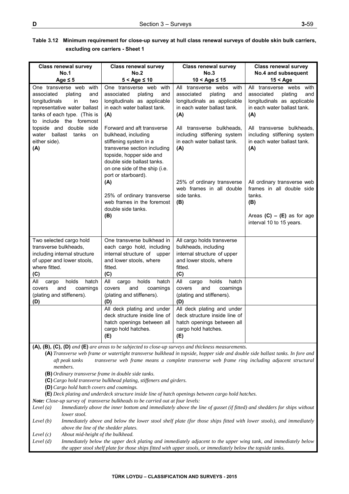| Table 3.12 Minimum requirement for close-up survey at hull class renewal surveys of double skin bulk carriers, |
|----------------------------------------------------------------------------------------------------------------|
| excluding ore carriers - Sheet 1                                                                               |

| <b>Class renewal survey</b>                                                                                                                                                                                                                                                                                                                                  | <b>Class renewal survey</b>                                                                                                                                                                                                   | <b>Class renewal survey</b>                                                                                                    | <b>Class renewal survey</b>                                                                                                   |
|--------------------------------------------------------------------------------------------------------------------------------------------------------------------------------------------------------------------------------------------------------------------------------------------------------------------------------------------------------------|-------------------------------------------------------------------------------------------------------------------------------------------------------------------------------------------------------------------------------|--------------------------------------------------------------------------------------------------------------------------------|-------------------------------------------------------------------------------------------------------------------------------|
| <b>No.1</b>                                                                                                                                                                                                                                                                                                                                                  | No.2                                                                                                                                                                                                                          | No.3                                                                                                                           | No.4 and subsequent                                                                                                           |
| Age $\leq$ 5                                                                                                                                                                                                                                                                                                                                                 | $5 <$ Age $\leq 10$                                                                                                                                                                                                           | $10 <$ Age $\leq 15$                                                                                                           | $15 <$ Age                                                                                                                    |
| One transverse web with<br>plating<br>associated<br>and<br>longitudinals<br>in<br>two<br>representative water ballast<br>tanks of each type. (This is<br>to include the foremost                                                                                                                                                                             | One transverse web with<br>associated<br>plating<br>and<br>longitudinals as applicable<br>in each water ballast tank.<br>(A)                                                                                                  | All transverse webs with<br>associated<br>plating<br>and<br>longitudinals as applicable<br>in each water ballast tank.<br>(A)  | All transverse webs with<br>associated<br>plating<br>and<br>longitudinals as applicable<br>in each water ballast tank.<br>(A) |
| topside and double side<br>water ballast tanks<br>on<br>either side).<br>(A)                                                                                                                                                                                                                                                                                 | Forward and aft transverse<br>bulkhead, including<br>stiffening system in a<br>transverse section including<br>topside, hopper side and<br>double side ballast tanks.<br>on one side of the ship (i.e.<br>port or starboard). | All transverse bulkheads,<br>including stiffening system<br>in each water ballast tank.<br>(A)                                 | All transverse bulkheads,<br>including stiffening system<br>in each water ballast tank.<br>(A)                                |
|                                                                                                                                                                                                                                                                                                                                                              | (A)<br>25% of ordinary transverse<br>web frames in the foremost                                                                                                                                                               | 25% of ordinary transverse<br>web frames in all double<br>side tanks.<br>(B)                                                   | All ordinary transverse web<br>frames in all double side<br>tanks.<br>(B)                                                     |
|                                                                                                                                                                                                                                                                                                                                                              | double side tanks.<br>(B)                                                                                                                                                                                                     |                                                                                                                                | Areas $(C) - (E)$ as for age<br>interval 10 to 15 years.                                                                      |
| Two selected cargo hold<br>transverse bulkheads,<br>including internal structure<br>of upper and lower stools,<br>where fitted.<br>(C)                                                                                                                                                                                                                       | One transverse bulkhead in<br>each cargo hold, including<br>internal structure of upper<br>and lower stools, where<br>fitted.<br>(C)                                                                                          | All cargo holds transverse<br>bulkheads, including<br>internal structure of upper<br>and lower stools, where<br>fitted.<br>(C) |                                                                                                                               |
| holds<br>hatch<br>All<br>cargo<br>covers<br>and<br>coamings<br>(plating and stiffeners).<br>(D)                                                                                                                                                                                                                                                              | All<br>holds<br>hatch<br>cargo<br>covers<br>and<br>coamings<br>(plating and stiffeners).<br>(D)                                                                                                                               | All<br>holds<br>hatch<br>cargo<br>and<br>coamings<br>covers<br>(plating and stiffeners).<br>(D)                                |                                                                                                                               |
|                                                                                                                                                                                                                                                                                                                                                              | All deck plating and under<br>deck structure inside line of<br>hatch openings between all<br>cargo hold hatches.<br>(E)                                                                                                       | All deck plating and under<br>deck structure inside line of<br>hatch openings between all<br>cargo hold hatches.<br>(E)        |                                                                                                                               |
| $(A), (B), (C), (D)$ and $(E)$ are areas to be subjected to close-up surveys and thickness measurements.<br>(A) Transverse web frame or watertight transverse bulkhead in topside, hopper side and double side ballast tanks. In fore and<br>aft peak tanks<br>transverse web frame means a complete transverse web frame ring including adjacent structural |                                                                                                                                                                                                                               |                                                                                                                                |                                                                                                                               |
| members.<br>(B) Ordinary transverse frame in double side tanks.<br>(C) Cargo hold transverse bulkhead plating, stiffeners and girders.<br>(D) Cargo hold hatch covers and coamings.                                                                                                                                                                          |                                                                                                                                                                                                                               |                                                                                                                                |                                                                                                                               |
| (E) Deck plating and underdeck structure inside line of hatch openings between cargo hold hatches.<br>Note: Close-up survey of transverse bulkheads to be carried out at four levels:                                                                                                                                                                        |                                                                                                                                                                                                                               |                                                                                                                                |                                                                                                                               |
| Level $(a)$<br>Immediately above the inner bottom and immediately above the line of gusset (if fitted) and shedders for ships without<br>lower stool.                                                                                                                                                                                                        |                                                                                                                                                                                                                               |                                                                                                                                |                                                                                                                               |
| Immediately above and below the lower stool shelf plate (for those ships fitted with lower stools), and immediately<br>Level $(b)$<br>above the line of the shedder plates.                                                                                                                                                                                  |                                                                                                                                                                                                                               |                                                                                                                                |                                                                                                                               |

- *Level (c) About mid-height of the bulkhead.*
- *Level (d) Immediately below the upper deck plating and immediately adjacent to the upper wing tank, and immediately below the upper stool shelf plate for those ships fitted with upper stools, or immediately below the topside tanks.*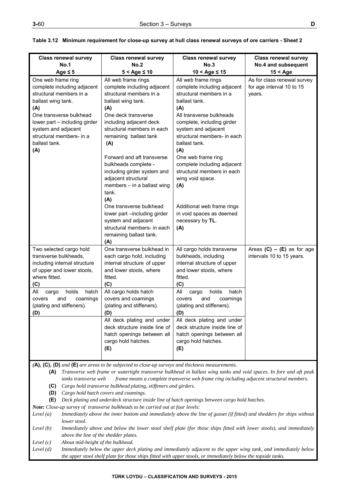| <b>Class renewal survey</b><br><b>No.1</b>                                                                                                                                                                                                       | <b>Class renewal survey</b><br>No.2                                                                                                                                                                                                                                                                                                                                                                                                                                                                                                | <b>Class renewal survey</b><br>No.3                                                                                                                                                                                                                                                                                                                                                                                                              | <b>Class renewal survey</b>                                        |
|--------------------------------------------------------------------------------------------------------------------------------------------------------------------------------------------------------------------------------------------------|------------------------------------------------------------------------------------------------------------------------------------------------------------------------------------------------------------------------------------------------------------------------------------------------------------------------------------------------------------------------------------------------------------------------------------------------------------------------------------------------------------------------------------|--------------------------------------------------------------------------------------------------------------------------------------------------------------------------------------------------------------------------------------------------------------------------------------------------------------------------------------------------------------------------------------------------------------------------------------------------|--------------------------------------------------------------------|
| Age $\leq$ 5                                                                                                                                                                                                                                     | $5 <$ Age $\leq 10$                                                                                                                                                                                                                                                                                                                                                                                                                                                                                                                | $10 <$ Age $\leq 15$                                                                                                                                                                                                                                                                                                                                                                                                                             | No.4 and subsequent<br>$15 <$ Age                                  |
| One web frame ring<br>complete including adjacent<br>structural members in a<br>ballast wing tank.<br>(A)<br>One transverse bulkhead<br>lower part - including girder<br>system and adjacent<br>structural members- in a<br>ballast tank.<br>(A) | All web frame rings<br>complete including adjacent<br>structural members in a<br>ballast wing tank.<br>(A)<br>One deck transverse<br>including adjacent deck<br>structural members in each<br>remaining ballast tank<br>(A)<br>Forward and aft transverse<br>bulkheads complete -<br>including girder system and<br>adjacent structural<br>members - in a ballast wing<br>tank.<br>(A)<br>One transverse bulkhead<br>lower part -including girder<br>system and adjacent<br>structural members- in each<br>remaining ballast tank. | All web frame rings<br>complete including adjacent<br>structural members in a<br>ballast tank.<br>(A)<br>All transverse bulkheads<br>complete, including girder<br>system and adjacent<br>structural members- in each<br>ballast tank.<br>(A)<br>One web frame ring<br>complete including adjacent<br>structural members in each<br>wing void space.<br>(A)<br>Additional web frame rings<br>in void spaces as deemed<br>necessary by TL.<br>(A) | As for class renewal survey<br>for age interval 10 to 15<br>years. |
| Two selected cargo hold<br>transverse bulkheads,<br>including internal structure<br>of upper and lower stools,<br>where fitted.<br>(C)<br>holds<br>All<br>hatch<br>cargo<br>covers<br>and<br>coamings<br>(plating and stiffeners).<br>(D)        | (A)<br>One transverse bulkhead in<br>each cargo hold, including<br>internal structure of upper<br>and lower stools, where<br>fitted.<br>(C)<br>All cargo holds hatch<br>covers and coamings<br>(plating and stiffeners).<br>(D)<br>All deck plating and under<br>deck structure inside line of<br>hatch openings between all<br>cargo hold hatches.<br>(E)                                                                                                                                                                         | All cargo holds transverse<br>bulkheads, including<br>internal structure of upper<br>and lower stools, where<br>fitted.<br>(C)<br>All<br>holds<br>hatch<br>cargo<br>and<br>covers<br>coamings<br>(plating and stiffeners).<br>(D)<br>All deck plating and under<br>deck structure inside line of<br>hatch openings between all<br>cargo hold hatches.<br>(E)                                                                                     | Areas $(C) - (E)$ as for age<br>intervals 10 to 15 years.          |

**Table 3.12 Minimum requirement for close-up survey at hull class renewal surveys of ore carriers - Sheet 2** 

*(***A), (C), (D)** *and* **(E)** *are areas to be subjected to close-up surveys and thickness measurements.* 

**(A)** *Transverse web frame or watertight transverse bulkhead in ballast wing tanks and void spaces. In fore and aft peak tanks transverse web frame means a complete transverse web frame ring including adjacent structural members.*  **(C)** *Cargo hold transverse bulkhead plating, stiffeners and girders.*

 **(D)** *Cargo hold hatch covers and coamings.*

**(E)** *Deck plating and underdeck structure inside line of hatch openings between cargo hold hatches.*

*Note: Close-up survey of transverse bulkheads to be carried out at four levels:* 

*Level (a) Immediately above the inner bottom and immediately above the line of gusset (if fitted) and shedders for ships without lower stool.* 

Level (b) Immediately above and below the lower stool shelf plate (for those ships fitted with lower stools), and immediately *above the line of the shedder plates.* 

*Level (c) About mid-height of the bulkhead.* 

*Level (d) Immediately below the upper deck plating and immediately adjacent to the upper wing tank, and immediately below the upper stool shelf plate for those ships fitted with upper stools, or immediately below the topside tanks.*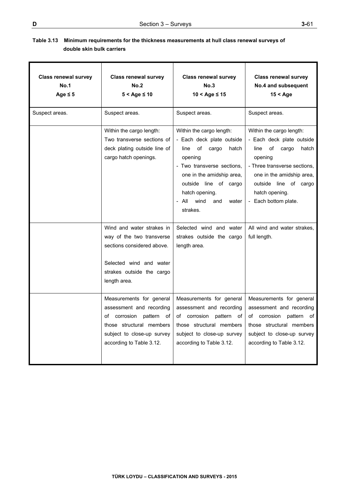# **Table 3.13 Minimum requirements for the thickness measurements at hull class renewal surveys of double skin bulk carriers**

| <b>Class renewal survey</b><br><b>No.1</b><br>Age $\leq$ 5 | <b>Class renewal survey</b><br>No.2<br>$5 <$ Age $\leq 10$                                                                                                            | <b>Class renewal survey</b><br>No.3<br>$10 <$ Age $\leq 15$                                                                                                                                                                                         | <b>Class renewal survey</b><br>No.4 and subsequent<br>$15 <$ Age                                                                                                                                                                 |
|------------------------------------------------------------|-----------------------------------------------------------------------------------------------------------------------------------------------------------------------|-----------------------------------------------------------------------------------------------------------------------------------------------------------------------------------------------------------------------------------------------------|----------------------------------------------------------------------------------------------------------------------------------------------------------------------------------------------------------------------------------|
| Suspect areas.                                             | Suspect areas.                                                                                                                                                        | Suspect areas.                                                                                                                                                                                                                                      | Suspect areas.                                                                                                                                                                                                                   |
|                                                            | Within the cargo length:<br>Two transverse sections of<br>deck plating outside line of<br>cargo hatch openings.                                                       | Within the cargo length:<br>- Each deck plate outside<br>of<br>cargo<br>line<br>hatch<br>opening<br>- Two transverse sections,<br>one in the amidship area,<br>outside line of cargo<br>hatch opening.<br>wind<br>- All<br>and<br>water<br>strakes. | Within the cargo length:<br>- Each deck plate outside<br>of<br>cargo<br>line<br>hatch<br>opening<br>- Three transverse sections.<br>one in the amidship area,<br>outside line of cargo<br>hatch opening.<br>- Each bottom plate. |
|                                                            | Wind and water strakes in<br>way of the two transverse<br>sections considered above.<br>Selected wind and water<br>strakes outside the cargo<br>length area.          | Selected wind and water<br>strakes outside the cargo<br>length area.                                                                                                                                                                                | All wind and water strakes,<br>full length.                                                                                                                                                                                      |
|                                                            | Measurements for general<br>assessment and recording<br>of corrosion pattern of<br>those structural members<br>subject to close-up survey<br>according to Table 3.12. | Measurements for general<br>assessment and recording<br>of corrosion pattern of<br>those structural members<br>subject to close-up survey<br>according to Table 3.12.                                                                               | Measurements for general<br>assessment and recording<br>of corrosion pattern of<br>those structural members<br>subject to close-up survey<br>according to Table 3.12.                                                            |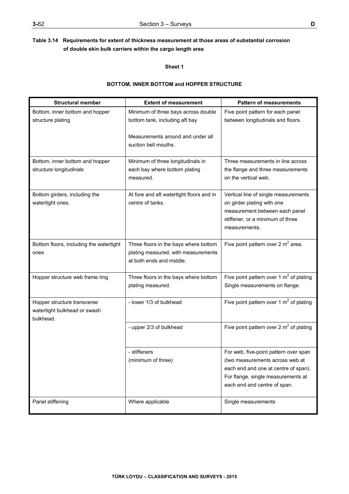## **Sheet 1**

# **BOTTOM, INNER BOTTOM and HOPPER STRUCTURE**

| <b>Structural member</b>                                                 | <b>Extent of measurement</b>                                                                             | <b>Pattern of measurements</b>                                                                                                                                                         |
|--------------------------------------------------------------------------|----------------------------------------------------------------------------------------------------------|----------------------------------------------------------------------------------------------------------------------------------------------------------------------------------------|
| Bottom, inner bottom and hopper<br>structure plating                     | Minimum of three bays across double<br>bottom tank, including aft bay                                    | Five point pattern for each panel<br>between longitudinals and floors.                                                                                                                 |
|                                                                          | Measurements around and under all<br>suction bell mouths.                                                |                                                                                                                                                                                        |
| Bottom, inner bottom and hopper<br>structure longitudinals               | Minimum of three longitudinals in<br>each bay where bottom plating<br>measured.                          | Three measurements in line across<br>the flange and three measurements<br>on the vertical web.                                                                                         |
| Bottom girders, including the<br>watertight ones.                        | At fore and aft watertight floors and in<br>centre of tanks.                                             | Vertical line of single measurements<br>on girder plating with one<br>measurement between each panel<br>stiffener, or a minimum of three<br>measurements.                              |
| Bottom floors, including the watertight<br>ones                          | Three floors in the bays where bottom<br>plating measured, with measurements<br>at both ends and middle. | Five point pattern over 2 $m^2$ area.                                                                                                                                                  |
| Hopper structure web frame ring                                          | Three floors in the bays where bottom<br>plating measured.                                               | Five point pattern over 1 $m^2$ of plating<br>Single measurements on flange.                                                                                                           |
| Hopper structure transverse<br>watertight bulkhead or swash<br>bulkhead. | - lower 1/3 of bulkhead                                                                                  | Five point pattern over 1 $m2$ of plating                                                                                                                                              |
|                                                                          | - upper 2/3 of bulkhead                                                                                  | Five point pattern over 2 $m^2$ of plating                                                                                                                                             |
|                                                                          | - stiffeners<br>(minimum of three)                                                                       | For web, five-point pattern over span<br>(two measurements across web at<br>each end and one at centre of span).<br>For flange, single measurements at<br>each end and centre of span. |
| Panel stiffening                                                         | Where applicable                                                                                         | Single measurements                                                                                                                                                                    |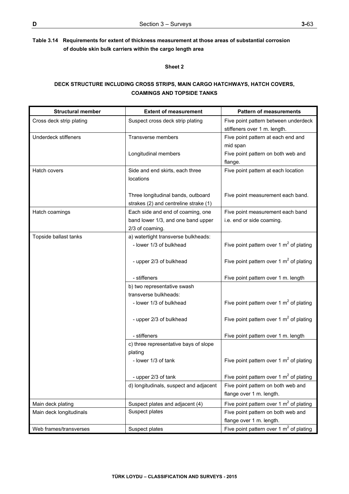## **Sheet 2**

# **DECK STRUCTURE INCLUDING CROSS STRIPS, MAIN CARGO HATCHWAYS, HATCH COVERS, COAMINGS AND TOPSIDE TANKS**

| <b>Structural member</b>    | <b>Extent of measurement</b>                                            | <b>Pattern of measurements</b>                                |
|-----------------------------|-------------------------------------------------------------------------|---------------------------------------------------------------|
| Cross deck strip plating    | Suspect cross deck strip plating                                        | Five point pattern between underdeck                          |
|                             |                                                                         | stiffeners over 1 m. length.                                  |
| <b>Underdeck stiffeners</b> | Transverse members                                                      | Five point pattern at each end and                            |
|                             |                                                                         | mid span                                                      |
|                             | Longitudinal members                                                    | Five point pattern on both web and                            |
|                             |                                                                         | flange.                                                       |
| Hatch covers                | Side and end skirts, each three                                         | Five point pattern at each location                           |
|                             | locations                                                               |                                                               |
|                             |                                                                         |                                                               |
|                             | Three longitudinal bands, outboard                                      | Five point measurement each band.                             |
|                             | strakes (2) and centreline strake (1)                                   |                                                               |
| Hatch coamings              | Each side and end of coaming, one<br>band lower 1/3, and one band upper | Five point measurement each band<br>i.e. end or side coaming. |
|                             | 2/3 of coaming.                                                         |                                                               |
| Topside ballast tanks       | a) watertight transverse bulkheads:                                     |                                                               |
|                             | - lower 1/3 of bulkhead                                                 | Five point pattern over 1 $m2$ of plating                     |
|                             |                                                                         |                                                               |
|                             | - upper 2/3 of bulkhead                                                 | Five point pattern over 1 $m2$ of plating                     |
|                             |                                                                         |                                                               |
|                             | - stiffeners                                                            | Five point pattern over 1 m. length                           |
|                             | b) two representative swash                                             |                                                               |
|                             | transverse bulkheads:                                                   |                                                               |
|                             | - lower 1/3 of bulkhead                                                 | Five point pattern over 1 $m2$ of plating                     |
|                             |                                                                         |                                                               |
|                             | - upper 2/3 of bulkhead                                                 | Five point pattern over 1 $m2$ of plating                     |
|                             |                                                                         |                                                               |
|                             | - stiffeners                                                            | Five point pattern over 1 m. length                           |
|                             | c) three representative bays of slope                                   |                                                               |
|                             | plating                                                                 | Five point pattern over 1 $m2$ of plating                     |
|                             | - lower 1/3 of tank                                                     |                                                               |
|                             | - upper 2/3 of tank                                                     | Five point pattern over 1 $m2$ of plating                     |
|                             | d) longitudinals, suspect and adjacent                                  | Five point pattern on both web and                            |
|                             |                                                                         | flange over 1 m. length.                                      |
| Main deck plating           | Suspect plates and adjacent (4)                                         | Five point pattern over 1 $m2$ of plating                     |
| Main deck longitudinals     | Suspect plates                                                          | Five point pattern on both web and                            |
|                             |                                                                         | flange over 1 m. length.                                      |
| Web frames/transverses      | Suspect plates                                                          | Five point pattern over 1 $m^2$ of plating                    |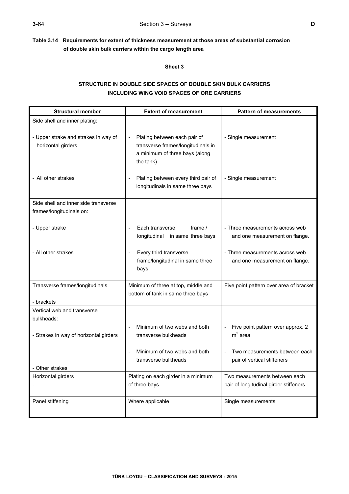**Sheet 3** 

# **STRUCTURE IN DOUBLE SIDE SPACES OF DOUBLE SKIN BULK CARRIERS INCLUDING WING VOID SPACES OF ORE CARRIERS**

| <b>Structural member</b>                                         | <b>Extent of measurement</b>                                                                                                                  | <b>Pattern of measurements</b>                                    |
|------------------------------------------------------------------|-----------------------------------------------------------------------------------------------------------------------------------------------|-------------------------------------------------------------------|
| Side shell and inner plating:                                    |                                                                                                                                               |                                                                   |
| - Upper strake and strakes in way of<br>horizontal girders       | Plating between each pair of<br>$\overline{\phantom{a}}$<br>transverse frames/longitudinals in<br>a minimum of three bays (along<br>the tank) | - Single measurement                                              |
| - All other strakes                                              | Plating between every third pair of<br>longitudinals in same three bays                                                                       | - Single measurement                                              |
| Side shell and inner side transverse<br>frames/longitudinals on: |                                                                                                                                               |                                                                   |
| - Upper strake                                                   | Each transverse<br>frame $/$<br>longitudinal in same three bays                                                                               | - Three measurements across web<br>and one measurement on flange. |
| - All other strakes                                              | Every third transverse<br>frame/longitudinal in same three<br>bays                                                                            | - Three measurements across web<br>and one measurement on flange. |
| Transverse frames/longitudinals<br>- brackets                    | Minimum of three at top, middle and<br>bottom of tank in same three bays                                                                      | Five point pattern over area of bracket                           |
| Vertical web and transverse                                      |                                                                                                                                               |                                                                   |
| bulkheads:                                                       |                                                                                                                                               |                                                                   |
| - Strakes in way of horizontal girders                           | Minimum of two webs and both<br>transverse bulkheads                                                                                          | Five point pattern over approx. 2<br>$m2$ area                    |
| Other strakes                                                    | Minimum of two webs and both<br>transverse bulkheads                                                                                          | Two measurements between each<br>pair of vertical stiffeners      |
| Horizontal girders                                               | Plating on each girder in a minimum                                                                                                           | Two measurements between each                                     |
|                                                                  | of three bays                                                                                                                                 | pair of longitudinal girder stiffeners                            |
| Panel stiffening                                                 | Where applicable                                                                                                                              | Single measurements                                               |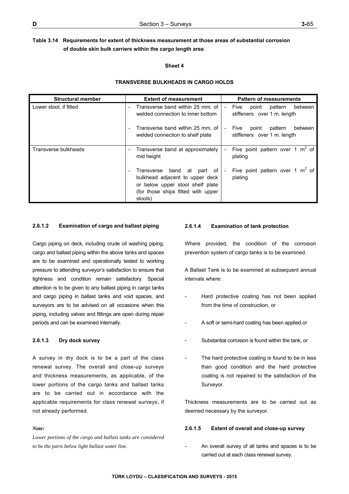## **Sheet 4**

## **TRANSVERSE BULKHEADS IN CARGO HOLDS**

| <b>Structural member</b> | <b>Extent of measurement</b>                                                                                                                       | <b>Pattern of measurements</b>                                     |
|--------------------------|----------------------------------------------------------------------------------------------------------------------------------------------------|--------------------------------------------------------------------|
| Lower stool, if fitted   | Transverse band within 25 mm, of<br>welded connection to inner bottom                                                                              | pattern<br>between<br>point<br>Five<br>stiffeners over 1 m. length |
|                          | Transverse band within 25 mm, of<br>welded connection to shelf plate                                                                               | between<br>pattern<br>Five<br>point<br>stiffeners over 1 m. length |
| Transverse bulkheads     | Transverse band at approximately<br>mid height                                                                                                     | Five point pattern over 1 $m2$ of<br>plating                       |
|                          | Transverse band at part of<br>bulkhead adjacent to upper deck<br>or below upper stool shelf plate<br>(for those ships fitted with upper<br>stools) | Five point pattern over 1 $m2$ of<br>plating                       |

## **2.6.1.2 Examination of cargo and ballast piping**

Cargo piping on deck, including crude oil washing piping, cargo and ballast piping within the above tanks and spaces are to be examined and operationally tested to working pressure to attending surveyor's satisfaction to ensure that tightness and condition remain satisfactory. Special attention is to be given to any ballast piping in cargo tanks and cargo piping in ballast tanks and void spaces, and surveyors are to be advised on all occasions when this piping, including valves and fittings are open during repair periods and can be examined internally.

## **2.6.1.3 Dry dock survey**

A survey in dry dock is to be a part of the class renewal survey. The overall and close-up surveys and thickness measurements, as applicable, of the lower portions of the cargo tanks and ballast tanks are to be carried out in accordance with the applicable requirements for class renewal surveys, if not already performed.

## *Note:*

*Lower portions of the cargo and ballast tanks are considered to be the parts below light ballast water line.* 

## **2.6.1.4 Examination of tank protection**

Where provided, the condition of the corrosion prevention system of cargo tanks is to be examined.

A Ballast Tank is to be examined at subsequent annual intervals where:

- Hard protective coating has not been applied from the time of construction, or
- A soft or semi-hard coating has been applied, or
- Substantial corrosion is found within the tank, or
- The hard protective coating is found to be in less than good condition and the hard protective coating is not repaired to the satisfaction of the Surveyor.

Thickness measurements are to be carried out as deemed necessary by the surveyor.

## **2.6.1.5 Extent of overall and close-up survey**

An overall survey of all tanks and spaces is to be carried out at each class renewal survey.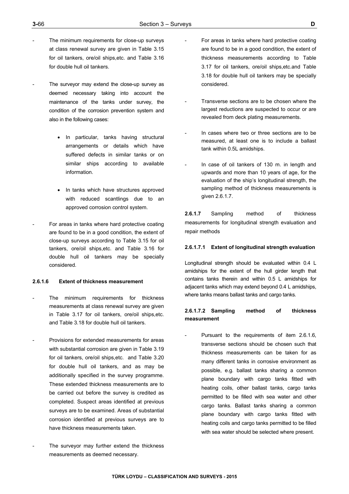- The minimum requirements for close-up surveys at class renewal survey are given in Table 3.15 for oil tankers, ore/oil ships,etc. and Table 3.16 for double hull oil tankers.
- The surveyor may extend the close-up survey as deemed necessary taking into account the maintenance of the tanks under survey, the condition of the corrosion prevention system and also in the following cases:
	- In particular, tanks having structural arrangements or details which have suffered defects in similar tanks or on similar ships according to available information.
	- In tanks which have structures approved with reduced scantlings due to an approved corrosion control system.
- For areas in tanks where hard protective coating are found to be in a good condition, the extent of close-up surveys according to Table 3.15 for oil tankers, ore/oil ships,etc. and Table 3.16 for double hull oil tankers may be specially considered.

## **2.6.1.6 Extent of thickness measurement**

- The minimum requirements for thickness measurements at class renewal survey are given in Table 3.17 for oil tankers, ore/oil ships,etc. and Table 3.18 for double hull oil tankers.
- Provisions for extended measurements for areas with substantial corrosion are given in Table 3.19 for oil tankers, ore/oil ships,etc. and Table 3.20 for double hull oil tankers, and as may be additionally specified in the survey programme. These extended thickness measurements are to be carried out before the survey is credited as completed. Suspect areas identified at previous surveys are to be examined. Areas of substantial corrosion identified at previous surveys are to have thickness measurements taken.
- The surveyor may further extend the thickness measurements as deemed necessary.
- For areas in tanks where hard protective coating are found to be in a good condition, the extent of thickness measurements according to Table 3.17 for oil tankers, ore/oil ships,etc.and Table 3.18 for double hull oil tankers may be specially considered.
- Transverse sections are to be chosen where the largest reductions are suspected to occur or are revealed from deck plating measurements.
- In cases where two or three sections are to be measured, at least one is to include a ballast tank within 0.5L amidships.
- In case of oil tankers of 130 m. in length and upwards and more than 10 years of age, for the evaluation of the ship's longitudinal strength, the sampling method of thickness measurements is given 2.6.1.7.

**2.6.1.7** Sampling method of thickness measurements for longitudinal strength evaluation and repair methods

## **2.6.1.7.1 Extent of longitudinal strength evaluation**

Longitudinal strength should be evaluated within 0.4 L amidships for the extent of the hull girder length that contains tanks therein and within 0.5 L amidships for adjacent tanks which may extend beyond 0.4 L amidships, where tanks means ballast tanks and cargo tanks.

## **2.6.1.7.2 Sampling method of thickness measurement**

Pursuant to the requirements of item 2.6.1.6, transverse sections should be chosen such that thickness measurements can be taken for as many different tanks in corrosive environment as possible, e.g. ballast tanks sharing a common plane boundary with cargo tanks fitted with heating coils, other ballast tanks, cargo tanks permitted to be filled with sea water and other cargo tanks. Ballast tanks sharing a common plane boundary with cargo tanks fitted with heating coils and cargo tanks permitted to be filled with sea water should be selected where present.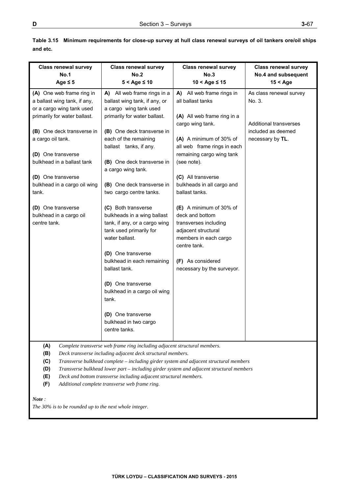| <b>Class renewal survey</b><br><b>No.1</b><br>Age $\leq 5$                                                                                                                                                                                                                                                                                                    | <b>Class renewal survey</b><br>No.2<br>$5 <$ Age $\leq 10$                                                                                                                                                                                                                                                                                                                                                                                                                                                                                                                                                                                                   | <b>Class renewal survey</b><br><b>No.3</b><br>$10 <$ Age $\leq 15$                                                                                                                                                                                                                                                                                                                                                                                                      | <b>Class renewal survey</b><br>No.4 and subsequent<br>$15 <$ Age                                             |
|---------------------------------------------------------------------------------------------------------------------------------------------------------------------------------------------------------------------------------------------------------------------------------------------------------------------------------------------------------------|--------------------------------------------------------------------------------------------------------------------------------------------------------------------------------------------------------------------------------------------------------------------------------------------------------------------------------------------------------------------------------------------------------------------------------------------------------------------------------------------------------------------------------------------------------------------------------------------------------------------------------------------------------------|-------------------------------------------------------------------------------------------------------------------------------------------------------------------------------------------------------------------------------------------------------------------------------------------------------------------------------------------------------------------------------------------------------------------------------------------------------------------------|--------------------------------------------------------------------------------------------------------------|
| (A) One web frame ring in<br>a ballast wing tank, if any,<br>or a cargo wing tank used<br>primarily for water ballast.<br>(B) One deck transverse in<br>a cargo oil tank.<br>(D) One transverse<br>bulkhead in a ballast tank<br>(D) One transverse<br>bulkhead in a cargo oil wing<br>tank.<br>(D) One transverse<br>bulkhead in a cargo oil<br>centre tank. | A) All web frame rings in a<br>ballast wing tank, if any, or<br>a cargo wing tank used<br>primarily for water ballast.<br>(B) One deck transverse in<br>each of the remaining<br>ballast tanks, if any.<br>(B) One deck transverse in<br>a cargo wing tank.<br>(B) One deck transverse in<br>two cargo centre tanks.<br>(C) Both transverse<br>bulkheads in a wing ballast<br>tank, if any, or a cargo wing<br>tank used primarily for<br>water ballast.<br>(D) One transverse<br>bulkhead in each remaining<br>ballast tank.<br>(D) One transverse<br>bulkhead in a cargo oil wing<br>tank.<br>(D) One transverse<br>bulkhead in two cargo<br>centre tanks. | A) All web frame rings in<br>all ballast tanks<br>(A) All web frame ring in a<br>cargo wing tank.<br>(A) A minimum of 30% of<br>all web frame rings in each<br>remaining cargo wing tank<br>(see note).<br>(C) All transverse<br>bulkheads in all cargo and<br>ballast tanks.<br>(E) A minimum of 30% of<br>deck and bottom<br>transverses including<br>adjacent structural<br>members in each cargo<br>centre tank.<br>(F) As considered<br>necessary by the surveyor. | As class renewal survey<br>No. 3.<br><b>Additional transverses</b><br>included as deemed<br>necessary by TL. |
| (A)<br>(B)<br>(C)<br>(D)<br>(E)<br>(F)                                                                                                                                                                                                                                                                                                                        | Complete transverse web frame ring including adjacent structural members.<br>Deck transverse including adjacent deck structural members.<br>Transverse bulkhead complete - including girder system and adjacent structural members<br>Transverse bulkhead lower part - including girder system and adjacent structural members<br>Deck and bottom transverse including adjacent structural members.<br>Additional complete transverse web frame ring.                                                                                                                                                                                                        |                                                                                                                                                                                                                                                                                                                                                                                                                                                                         |                                                                                                              |

**Table 3.15 Minimum requirements for close-up survey at hull class renewal surveys of oil tankers ore/oil ships and etc.** 

*Note :* 

*The 30% is to be rounded up to the next whole integer.*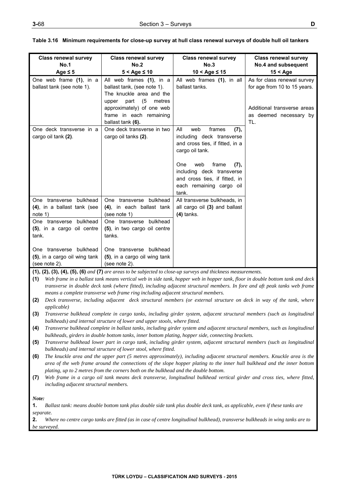| <b>Class renewal survey</b><br>No.1<br>Age $\leq$ 5                       | <b>Class renewal survey</b><br>No.2<br>$5 <$ Age $\leq 10$                                                            | <b>Class renewal survey</b><br>No.3<br>$10 <$ Age $\leq 15$                                                                                                                                                                                       | <b>Class renewal survey</b><br>No.4 and subsequent<br>$15 <$ Age |
|---------------------------------------------------------------------------|-----------------------------------------------------------------------------------------------------------------------|---------------------------------------------------------------------------------------------------------------------------------------------------------------------------------------------------------------------------------------------------|------------------------------------------------------------------|
| One web frame (1), in a<br>ballast tank (see note 1).                     | All web frames (1), in a<br>ballast tank, (see note 1).<br>The knuckle area and the<br>(5)<br>part<br>metres<br>upper | All web frames (1), in all<br>ballast tanks.                                                                                                                                                                                                      | As for class renewal survey<br>for age from 10 to 15 years.      |
|                                                                           | approximately) of one web<br>frame in each remaining<br>ballast tank (6).                                             |                                                                                                                                                                                                                                                   | Additional transverse areas<br>as deemed necessary by<br>TL.     |
| One deck transverse in a<br>cargo oil tank (2).                           | One deck transverse in two<br>cargo oil tanks (2).                                                                    | All<br>frames<br>web<br>(7),<br>including deck transverse<br>and cross ties, if fitted, in a<br>cargo oil tank.<br>web<br>frame<br>One<br>(7),<br>including deck transverse<br>and cross ties, if fitted, in<br>each remaining cargo oil<br>tank. |                                                                  |
| One transverse bulkhead<br>(4), in a ballast tank (see<br>note 1)         | One transverse bulkhead<br>(4), in each ballast tank<br>(see note 1)                                                  | All transverse bulkheads, in<br>all cargo oil (3) and ballast<br>$(4)$ tanks.                                                                                                                                                                     |                                                                  |
| bulkhead<br>One transverse<br>(5), in a cargo oil centre<br>tank.         | One transverse bulkhead<br>(5), in two cargo oil centre<br>tanks.                                                     |                                                                                                                                                                                                                                                   |                                                                  |
| One transverse bulkhead<br>(5), in a cargo oil wing tank<br>(see note 2). | One transverse bulkhead<br>(5), in a cargo oil wing tank<br>(see note 2).                                             |                                                                                                                                                                                                                                                   |                                                                  |

|  |  | Table 3.16 Minimum requirements for close-up survey at hull class renewal surveys of double hull oil tankers |
|--|--|--------------------------------------------------------------------------------------------------------------|
|  |  |                                                                                                              |

**(1), (2), (3), (4), (5), (6)** *and* **(7)** *are areas to be subjected to close-up surveys and thickness measurements.* 

**(1)** *Web frame in a ballast tank means vertical web in side tank, hopper web in hopper tank, floor in double bottom tank and deck transverse in double deck tank (where fitted), including adjacent structural members. In fore and aft peak tanks web frame means a complete transverse web frame ring including adjacent structural members.* 

- **(2)** *Deck transverse, including adjacent deck structural members (or external structure on deck in way of the tank, where applicable)*
- **(3)** *Transverse bulkhead complete in cargo tanks, including girder system, adjacent structural members (such as longitudinal bulkheads) and internal structure of lower and upper stools, where fitted.*

**(4)** *Transverse bulkhead complete in ballast tanks, including girder system and adjacent structural members, such as longitudinal bulkheads, girders in double bottom tanks, inner bottom plating, hopper side, connecting brackets.* 

- **(5)** *Transverse bulkhead lower part in cargo tank, including girder system, adjacent structural members (such as longitudinal bulkheads) and internal structure of lower stool, where fitted.*
- **(6)** *The knuckle area and the upper part (5 metres approximately), including adjacent structural members. Knuckle area is the area of the web frame around the connections of the slope hopper plating to the inner hull bulkhead and the inner bottom plating, up to 2 metres from the corners both on the bulkhead and the double bottom.*
- **(7)** *Web frame in a cargo oil tank means deck transverse, longitudinal bulkhead vertical girder and cross ties, where fitted, including adjacent structural members.*

*Note:* 

**1.** *Ballast tank: means double bottom tank plus double side tank plus double deck tank, as applicable, even if these tanks are separate.* 

**2.** *Where no centre cargo tanks are fitted (as in case of centre longitudinal bulkhead), transverse bulkheads in wing tanks are to be surveyed.*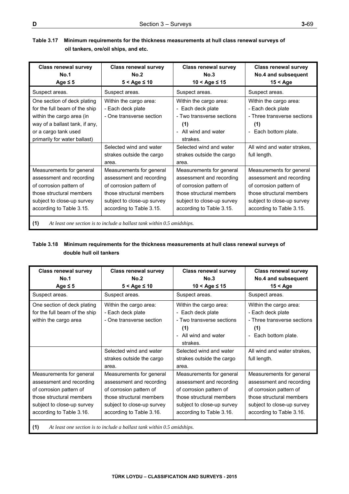| Table 3.17 Minimum requirements for the thickness measurements at hull class renewal surveys of |
|-------------------------------------------------------------------------------------------------|
| oil tankers, ore/oil ships, and etc.                                                            |

| <b>Class renewal survey</b><br>No.1<br>Age $\leq$ 5                                                                                                                                 | <b>Class renewal survey</b><br>No.2<br>$5 <$ Age $\leq 10$                                                                                                            | <b>Class renewal survey</b><br>No.3<br>$10 <$ Age $\leq 15$                                                                                                           | <b>Class renewal survey</b><br>No.4 and subsequent<br>$15 <$ Age                                                                                                      |
|-------------------------------------------------------------------------------------------------------------------------------------------------------------------------------------|-----------------------------------------------------------------------------------------------------------------------------------------------------------------------|-----------------------------------------------------------------------------------------------------------------------------------------------------------------------|-----------------------------------------------------------------------------------------------------------------------------------------------------------------------|
| Suspect areas.                                                                                                                                                                      | Suspect areas.                                                                                                                                                        | Suspect areas.                                                                                                                                                        | Suspect areas.                                                                                                                                                        |
| One section of deck plating<br>for the full beam of the ship<br>within the cargo area (in<br>way of a ballast tank, if any,<br>or a cargo tank used<br>primarily for water ballast) | Within the cargo area:<br>- Each deck plate<br>- One transverse section                                                                                               | Within the cargo area:<br>- Each deck plate<br>- Two transverse sections<br>(1)<br>- All wind and water<br>strakes.                                                   | Within the cargo area:<br>- Each deck plate<br>- Three transverse sections<br>(1)<br>- Each bottom plate.                                                             |
|                                                                                                                                                                                     | Selected wind and water<br>strakes outside the cargo<br>area.                                                                                                         | Selected wind and water<br>strakes outside the cargo<br>area.                                                                                                         | All wind and water strakes.<br>full length.                                                                                                                           |
| Measurements for general<br>assessment and recording<br>of corrosion pattern of<br>those structural members<br>subject to close-up survey<br>according to Table 3.15.               | Measurements for general<br>assessment and recording<br>of corrosion pattern of<br>those structural members<br>subject to close-up survey<br>according to Table 3.15. | Measurements for general<br>assessment and recording<br>of corrosion pattern of<br>those structural members<br>subject to close-up survey<br>according to Table 3.15. | Measurements for general<br>assessment and recording<br>of corrosion pattern of<br>those structural members<br>subject to close-up survey<br>according to Table 3.15. |
| (1)                                                                                                                                                                                 | At least one section is to include a ballast tank within 0.5 amidships.                                                                                               |                                                                                                                                                                       |                                                                                                                                                                       |

# **Table 3.18 Minimum requirements for the thickness measurements at hull class renewal surveys of double hull oil tankers**

| <b>Class renewal survey</b><br>No.1<br>Age $\leq$ 5                                                                                                                   | <b>Class renewal survey</b><br>No.2<br>$5 <$ Age $\leq 10$                                                                                                            | <b>Class renewal survey</b><br>No.3<br>$10 <$ Age $\leq 15$                                                                                                           | <b>Class renewal survey</b><br>No.4 and subsequent<br>$15 <$ Age                                                                                                      |
|-----------------------------------------------------------------------------------------------------------------------------------------------------------------------|-----------------------------------------------------------------------------------------------------------------------------------------------------------------------|-----------------------------------------------------------------------------------------------------------------------------------------------------------------------|-----------------------------------------------------------------------------------------------------------------------------------------------------------------------|
| Suspect areas.                                                                                                                                                        | Suspect areas.                                                                                                                                                        | Suspect areas.                                                                                                                                                        | Suspect areas.                                                                                                                                                        |
| One section of deck plating<br>for the full beam of the ship<br>within the cargo area                                                                                 | Within the cargo area:<br>- Each deck plate<br>- One transverse section                                                                                               | Within the cargo area:<br>- Each deck plate<br>- Two transverse sections<br>(1)<br>All wind and water<br>$\overline{a}$<br>strakes.                                   | Within the cargo area:<br>- Each deck plate<br>- Three transverse sections<br>(1)<br>Each bottom plate.<br>$\overline{\phantom{0}}$                                   |
|                                                                                                                                                                       | Selected wind and water<br>strakes outside the cargo<br>area.                                                                                                         | Selected wind and water<br>strakes outside the cargo<br>area.                                                                                                         | All wind and water strakes,<br>full length.                                                                                                                           |
| Measurements for general<br>assessment and recording<br>of corrosion pattern of<br>those structural members<br>subject to close-up survey<br>according to Table 3.16. | Measurements for general<br>assessment and recording<br>of corrosion pattern of<br>those structural members<br>subject to close-up survey<br>according to Table 3.16. | Measurements for general<br>assessment and recording<br>of corrosion pattern of<br>those structural members<br>subject to close-up survey<br>according to Table 3.16. | Measurements for general<br>assessment and recording<br>of corrosion pattern of<br>those structural members<br>subject to close-up survey<br>according to Table 3.16. |
| (1)<br>At least one section is to include a ballast tank within 0.5 amidships.                                                                                        |                                                                                                                                                                       |                                                                                                                                                                       |                                                                                                                                                                       |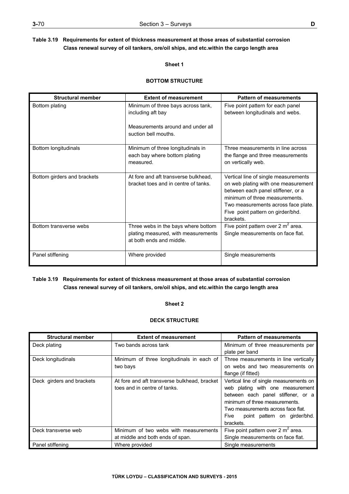# **Table 3.19 Requirements for extent of thickness measurement at those areas of substantial corrosion Class renewal survey of oil tankers, ore/oil ships, and etc.within the cargo length area**

## **Sheet 1**

## **BOTTOM STRUCTURE**

| <b>Structural member</b>    | <b>Extent of measurement</b>                                                                           | <b>Pattern of measurements</b>                                                                                                                                                                                                               |
|-----------------------------|--------------------------------------------------------------------------------------------------------|----------------------------------------------------------------------------------------------------------------------------------------------------------------------------------------------------------------------------------------------|
| Bottom plating              | Minimum of three bays across tank,<br>including aft bay                                                | Five point pattern for each panel<br>between longitudinals and webs.                                                                                                                                                                         |
|                             | Measurements around and under all<br>suction bell mouths.                                              |                                                                                                                                                                                                                                              |
| Bottom longitudinals        | Minimum of three longitudinals in<br>each bay where bottom plating<br>measured.                        | Three measurements in line across<br>the flange and three measurements<br>on vertically web.                                                                                                                                                 |
| Bottom girders and brackets | At fore and aft transverse bulkhead.<br>bracket toes and in centre of tanks.                           | Vertical line of single measurements<br>on web plating with one measurement<br>between each panel stiffener, or a<br>minimum of three measurements.<br>Two measurements across face plate.<br>Five point pattern on girder/bhd.<br>brackets. |
| Bottom transverse webs      | Three webs in the bays where bottom<br>plating measured, with measurements<br>at both ends and middle. | Five point pattern over 2 $m^2$ area.<br>Single measurements on face flat.                                                                                                                                                                   |
| Panel stiffening            | Where provided                                                                                         | Single measurements                                                                                                                                                                                                                          |

# **Table 3.19 Requirements for extent of thickness measurement at those areas of substantial corrosion Class renewal survey of oil tankers, ore/oil ships, and etc.within the cargo length area**

## **Sheet 2**

## **DECK STRUCTURE**

| <b>Structural member</b>  | <b>Extent of measurement</b>                 | <b>Pattern of measurements</b>          |
|---------------------------|----------------------------------------------|-----------------------------------------|
| Deck plating              | Two bands across tank                        | Minimum of three measurements per       |
|                           |                                              | plate per band                          |
| Deck longitudinals        | Minimum of three longitudinals in each of    | Three measurements in line vertically   |
|                           | two bays                                     | on webs and two measurements on         |
|                           |                                              | flange (if fitted)                      |
| Deck girders and brackets | At fore and aft transverse bulkhead, bracket | Vertical line of single measurements on |
|                           | toes and in centre of tanks.                 | web plating with one measurement        |
|                           |                                              | between each panel stiffener, or a      |
|                           |                                              | minimum of three measurements.          |
|                           |                                              | Two measurements across face flat.      |
|                           |                                              | point pattern on girder/bhd.<br>Five    |
|                           |                                              | brackets.                               |
| Deck transverse web       | Minimum of two webs with measurements        | Five point pattern over 2 $m^2$ area.   |
|                           | at middle and both ends of span.             | Single measurements on face flat.       |
| Panel stiffening          | Where provided                               | Single measurements                     |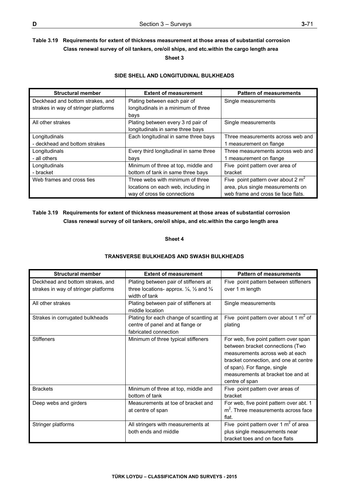# **Table 3.19 Requirements for extent of thickness measurement at those areas of substantial corrosion Class renewal survey of oil tankers, ore/oil ships, and etc.within the cargo length area Sheet 3**

## **SIDE SHELL AND LONGITUDINAL BULKHEADS**

| <b>Structural member</b>             | <b>Extent of measurement</b>           | <b>Pattern of measurements</b>        |
|--------------------------------------|----------------------------------------|---------------------------------------|
| Deckhead and bottom strakes, and     | Plating between each pair of           | Single measurements                   |
| strakes in way of stringer platforms | longitudinals in a minimum of three    |                                       |
|                                      | bays                                   |                                       |
| All other strakes                    | Plating between every 3 rd pair of     | Single measurements                   |
|                                      | longitudinals in same three bays       |                                       |
| Longitudinals                        | Each longitudinal in same three bays   | Three measurements across web and     |
| - deckhead and bottom strakes        |                                        | 1 measurement on flange               |
| Longitudinals                        | Every third longitudinal in same three | Three measurements across web and     |
| - all others                         | bays                                   | 1 measurement on flange               |
| Longitudinals                        | Minimum of three at top, middle and    | Five point pattern over area of       |
| - bracket                            | bottom of tank in same three bays      | bracket                               |
| Web frames and cross ties            | Three webs with minimum of three       | Five point pattern over about 2 $m^2$ |
|                                      | locations on each web, including in    | area, plus single measurements on     |
|                                      | way of cross tie connections           | web frame and cross tie face flats.   |

# **Table 3.19 Requirements for extent of thickness measurement at those areas of substantial corrosion Class renewal survey of oil tankers, ore/oil ships, and etc.within the cargo length area**

**Sheet 4** 

## **TRANSVERSE BULKHEADS AND SWASH BULKHEADS**

| <b>Structural member</b>                                                 | <b>Extent of measurement</b>                                                                                                       | <b>Pattern of measurements</b>                                                                                                                                                                                                                |
|--------------------------------------------------------------------------|------------------------------------------------------------------------------------------------------------------------------------|-----------------------------------------------------------------------------------------------------------------------------------------------------------------------------------------------------------------------------------------------|
| Deckhead and bottom strakes, and<br>strakes in way of stringer platforms | Plating between pair of stiffeners at<br>three locations- approx. $\frac{1}{4}$ , $\frac{1}{2}$ and $\frac{3}{4}$<br>width of tank | Five point pattern between stiffeners<br>over 1 m length                                                                                                                                                                                      |
| All other strakes                                                        | Plating between pair of stiffeners at<br>middle location                                                                           | Single measurements                                                                                                                                                                                                                           |
| Strakes in corrugated bulkheads                                          | Plating for each change of scantling at<br>centre of panel and at flange or<br>fabricated connection                               | Five point pattern over about 1 $m^2$ of<br>plating                                                                                                                                                                                           |
| <b>Stiffeners</b>                                                        | Minimum of three typical stiffeners                                                                                                | For web, five point pattern over span<br>between bracket connections (Two<br>measurements across web at each<br>bracket connection, and one at centre<br>of span). For flange, single<br>measurements at bracket toe and at<br>centre of span |
| <b>Brackets</b>                                                          | Minimum of three at top, middle and<br>bottom of tank                                                                              | Five point pattern over areas of<br>bracket                                                                                                                                                                                                   |
| Deep webs and girders                                                    | Measurements at toe of bracket and<br>at centre of span                                                                            | For web, five point pattern over abt. 1<br>$m2$ . Three measurements across face<br>flat.                                                                                                                                                     |
| Stringer platforms                                                       | All stringers with measurements at<br>both ends and middle                                                                         | Five point pattern over 1 $m2$ of area<br>plus single measurements near<br>bracket toes and on face flats                                                                                                                                     |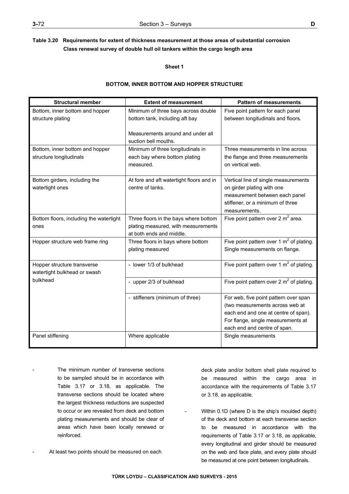**Sheet 1** 

## **BOTTOM, INNER BOTTOM AND HOPPER STRUCTURE**

| <b>Structural member</b>                | <b>Extent of measurement</b>                              | <b>Pattern of measurements</b>              |
|-----------------------------------------|-----------------------------------------------------------|---------------------------------------------|
| Bottom, inner bottom and hopper         | Minimum of three bays across double                       | Five point pattern for each panel           |
| structure plating                       | bottom tank, including aft bay                            | between longitudinals and floors.           |
|                                         | Measurements around and under all<br>suction bell mouths. |                                             |
| Bottom, inner bottom and hopper         | Minimum of three longitudinals in                         | Three measurements in line across           |
| structure longitudinals                 | each bay where bottom plating                             | the flange and three measurements           |
|                                         | measured.                                                 | on vertical web.                            |
|                                         |                                                           |                                             |
| Bottom girders, including the           | At fore and aft watertight floors and in                  | Vertical line of single measurements        |
| watertight ones                         | centre of tanks.                                          | on girder plating with one                  |
|                                         |                                                           | measurement between each panel              |
|                                         |                                                           | stiffener, or a minimum of three            |
|                                         |                                                           | measurements.                               |
| Bottom floors, including the watertight | Three floors in the bays where bottom                     | Five point pattern over 2 $m^2$ area.       |
| ones                                    | plating measured, with measurements                       |                                             |
|                                         | at both ends and middle.                                  |                                             |
| Hopper structure web frame ring         | Three floors in bays where bottom                         | Five point pattern over 1 $m2$ of plating.  |
|                                         | plating measured                                          | Single measurements on flange.              |
| Hopper structure transverse             | - lower 1/3 of bulkhead                                   | Five point pattern over 1 $m2$ of plating.  |
| watertight bulkhead or swash            |                                                           |                                             |
| bulkhead                                | - upper 2/3 of bulkhead                                   | Five point pattern over 2 $m^2$ of plating. |
|                                         | - stiffeners (minimum of three)                           | For web, five point pattern over span       |
|                                         |                                                           | (two measurements across web at             |
|                                         |                                                           | each end and one at centre of span).        |
|                                         |                                                           | For flange, single measurements at          |
|                                         |                                                           | each end and centre of span.                |
| Panel stiffening                        | Where applicable                                          | Single measurements                         |
|                                         |                                                           |                                             |

- The minimum number of transverse sections to be sampled should be in accordance with Table 3.17 or 3.18, as applicable. The transverse sections should be located where the largest thickness reductions are suspected to occur or are revealed from deck and bottom plating measurements and should be clear of areas which have been locally renewed or reinforced.
- At least two points should be measured on each

 deck plate and/or bottom shell plate required to be measured within the cargo area in accordance with the requirements of Table 3.17 or 3.18, as applicable.

Within 0.1D (where D is the ship's moulded depth) of the deck and bottom at each transverse section to be measured in accordance with the requirements of Table 3.17 or 3.18, as applicable, every longitudinal and girder should be measured on the web and face plate, and every plate should be measured at one point between longitudinals.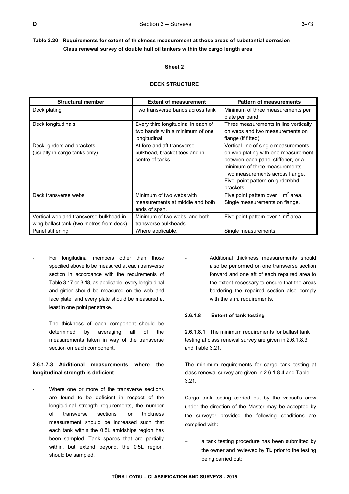## **Sheet 2**

## **DECK STRUCTURE**

| <b>Structural member</b>                                                            | <b>Extent of measurement</b>                                                           | <b>Pattern of measurements</b>                                                                                                                                                                                                           |
|-------------------------------------------------------------------------------------|----------------------------------------------------------------------------------------|------------------------------------------------------------------------------------------------------------------------------------------------------------------------------------------------------------------------------------------|
| Deck plating                                                                        | Two transverse bands across tank                                                       | Minimum of three measurements per<br>plate per band                                                                                                                                                                                      |
| Deck longitudinals                                                                  | Every third longitudinal in each of<br>two bands with a minimum of one<br>longitudinal | Three measurements in line vertically<br>on webs and two measurements on<br>flange (if fitted)                                                                                                                                           |
| Deck girders and brackets<br>(usually in cargo tanks only)                          | At fore and aft transverse<br>bulkhead, bracket toes and in<br>centre of tanks.        | Vertical line of single measurements<br>on web plating with one measurement<br>between each panel stiffener, or a<br>minimum of three measurements.<br>Two measurements across flange.<br>Five point pattern on girder/bhd.<br>brackets. |
| Deck transverse webs                                                                | Minimum of two webs with<br>measurements at middle and both<br>ends of span.           | Five point pattern over 1 $m^2$ area.<br>Single measurements on flange.                                                                                                                                                                  |
| Vertical web and transverse bulkhead in<br>wing ballast tank (two metres from deck) | Minimum of two webs, and both<br>transverse bulkheads                                  | Five point pattern over 1 $m^2$ area.                                                                                                                                                                                                    |
| Panel stiffening                                                                    | Where applicable.                                                                      | Single measurements                                                                                                                                                                                                                      |

- For longitudinal members other than those specified above to be measured at each transverse section in accordance with the requirements of Table 3.17 or 3.18, as applicable, every longitudinal and girder should be measured on the web and face plate, and every plate should be measured at least in one point per strake.
- The thickness of each component should be determined by averaging all of the measurements taken in way of the transverse section on each component.

# **2.6.1.7.3 Additional measurements where the longitudinal strength is deficient**

Where one or more of the transverse sections are found to be deficient in respect of the longitudinal strength requirements, the number of transverse sections for thickness measurement should be increased such that each tank within the 0.5L amidships region has been sampled. Tank spaces that are partially within, but extend beyond, the 0.5L region, should be sampled.

Additional thickness measurements should also be performed on one transverse section forward and one aft of each repaired area to the extent necessary to ensure that the areas bordering the repaired section also comply with the a.m. requirements.

## **2.6.1.8 Extent of tank testing**

**2.6.1.8.1** The minimum requirements for ballast tank testing at class renewal survey are given in 2.6.1.8.3 and Table 3.21.

The minimum requirements for cargo tank testing at class renewal survey are given in 2.6.1.8.4 and Table 3.21.

Cargo tank testing carried out by the vessel's crew under the direction of the Master may be accepted by the surveyor provided the following conditions are complied with:

 a tank testing procedure has been submitted by the owner and reviewed by **TL** prior to the testing being carried out;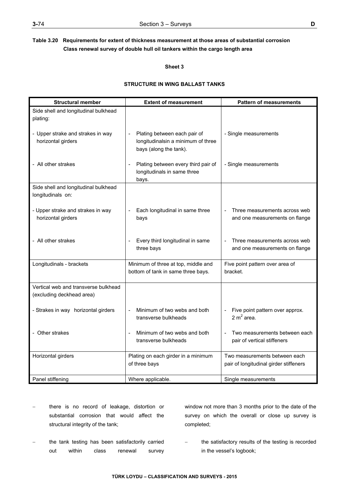**Sheet 3** 

## **STRUCTURE IN WING BALLAST TANKS**

| <b>Structural member</b>                                          | <b>Extent of measurement</b>                                                                 | <b>Pattern of measurements</b>                                          |
|-------------------------------------------------------------------|----------------------------------------------------------------------------------------------|-------------------------------------------------------------------------|
| Side shell and longitudinal bulkhead<br>plating:                  |                                                                                              |                                                                         |
| - Upper strake and strakes in way<br>horizontal girders           | Plating between each pair of<br>longitudinalsin a minimum of three<br>bays (along the tank). | - Single measurements                                                   |
| - All other strakes                                               | Plating between every third pair of<br>longitudinals in same three<br>bays.                  | - Single measurements                                                   |
| Side shell and longitudinal bulkhead<br>longitudinals on:         |                                                                                              |                                                                         |
| - Upper strake and strakes in way<br>horizontal girders           | Each longitudinal in same three<br>bays                                                      | Three measurements across web<br>and one measurements on flange         |
| - All other strakes                                               | Every third longitudinal in same<br>three bays                                               | Three measurements across web<br>and one measurements on flange         |
| Longitudinals - brackets                                          | Minimum of three at top, middle and<br>bottom of tank in same three bays.                    | Five point pattern over area of<br>bracket.                             |
| Vertical web and transverse bulkhead<br>(excluding deckhead area) |                                                                                              |                                                                         |
| - Strakes in way horizontal girders                               | Minimum of two webs and both<br>transverse bulkheads                                         | Five point pattern over approx.<br>2 $m^2$ area.                        |
| - Other strakes                                                   | Minimum of two webs and both<br>transverse bulkheads                                         | Two measurements between each<br>pair of vertical stiffeners            |
| Horizontal girders                                                | Plating on each girder in a minimum<br>of three bays                                         | Two measurements between each<br>pair of longitudinal girder stiffeners |
| Panel stiffening                                                  | Where applicable.                                                                            | Single measurements                                                     |

- there is no record of leakage, distortion or substantial corrosion that would affect the structural integrity of the tank;
- the tank testing has been satisfactorily carried out within class renewal survey

window not more than 3 months prior to the date of the survey on which the overall or close up survey is completed;

 the satisfactory results of the testing is recorded in the vessel's logbook;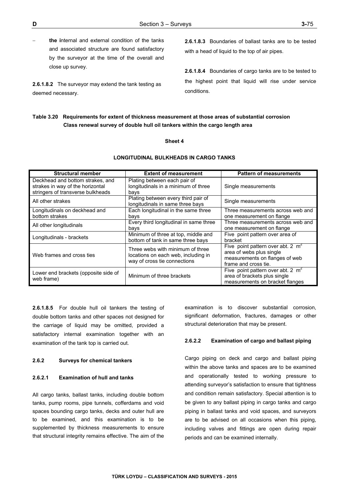**the i**nternal and external condition of the tanks and associated structure are found satisfactory by the surveyor at the time of the overall and close up survey.

**2.6.1.8.2** The surveyor may extend the tank testing as deemed necessary.

**2.6.1.8.3** Boundaries of ballast tanks are to be tested with a head of liquid to the top of air pipes.

**2.6.1.8.4** Boundaries of cargo tanks are to be tested to the highest point that liquid will rise under service conditions.

## **Table 3.20 Requirements for extent of thickness measurement at those areas of substantial corrosion Class renewal survey of double hull oil tankers within the cargo length area**

#### **Sheet 4**

#### **LONGITUDINAL BULKHEADS IN CARGO TANKS**

| <b>Structural member</b>                                                                                  | <b>Extent of measurement</b>                                                                                                                                                                                                          | <b>Pattern of measurements</b>                                                                         |
|-----------------------------------------------------------------------------------------------------------|---------------------------------------------------------------------------------------------------------------------------------------------------------------------------------------------------------------------------------------|--------------------------------------------------------------------------------------------------------|
| Deckhead and bottom strakes, and<br>strakes in way of the horizontal<br>stringers of transverse bulkheads | Plating between each pair of<br>longitudinals in a minimum of three<br>bays                                                                                                                                                           | Single measurements                                                                                    |
| All other strakes                                                                                         | Plating between every third pair of<br>longitudinals in same three bays                                                                                                                                                               | Single measurements                                                                                    |
| Longitudinals on deckhead and<br>bottom strakes                                                           | Each longitudinal in the same three<br>bays                                                                                                                                                                                           | Three measurements across web and<br>one measurement on flange                                         |
| All other longitudinals                                                                                   | Every third longitudinal in same three<br>bays                                                                                                                                                                                        | Three measurements across web and<br>one measurement on flange                                         |
| Longitudinals - brackets                                                                                  | Minimum of three at top, middle and<br>bottom of tank in same three bays                                                                                                                                                              | Five point pattern over area of<br>bracket                                                             |
| Web frames and cross ties                                                                                 | Five point pattern over abt. 2 $m^2$<br>Three webs with minimum of three<br>area of webs plus single<br>locations on each web, including in<br>measurements on flanges of web<br>way of cross tie connections<br>frame and cross tie. |                                                                                                        |
| Lower end brackets (opposite side of<br>web frame)                                                        | Minimum of three brackets                                                                                                                                                                                                             | Five point pattern over abt. 2 $m2$<br>area of brackets plus single<br>measurements on bracket flanges |

**2.6.1.8.5** For double hull oil tankers the testing of double bottom tanks and other spaces not designed for the carriage of liquid may be omitted, provided a satisfactory internal examination together with an examination of the tank top is carried out.

## **2.6.2 Surveys for chemical tankers**

## **2.6.2.1 Examination of hull and tanks**

All cargo tanks, ballast tanks, including double bottom tanks, pump rooms, pipe tunnels, cofferdams and void spaces bounding cargo tanks, decks and outer hull are to be examined, and this examination is to be supplemented by thickness measurements to ensure that structural integrity remains effective. The aim of the examination is to discover substantial corrosion, significant deformation, fractures, damages or other structural deterioration that may be present.

#### **2.6.2.2 Examination of cargo and ballast piping**

Cargo piping on deck and cargo and ballast piping within the above tanks and spaces are to be examined and operationally tested to working pressure to attending surveyor's satisfaction to ensure that tightness and condition remain satisfactory. Special attention is to be given to any ballast piping in cargo tanks and cargo piping in ballast tanks and void spaces, and surveyors are to be advised on all occasions when this piping, including valves and fittings are open during repair periods and can be examined internally.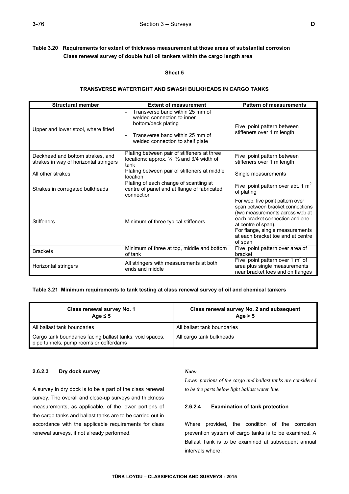## **Sheet 5**

## **TRANSVERSE WATERTIGHT AND SWASH BULKHEADS IN CARGO TANKS**

| <b>Structural member</b>                                                   | <b>Extent of measurement</b>                                                                                                                                | <b>Pattern of measurements</b>                                                                                                                                                                                                                       |
|----------------------------------------------------------------------------|-------------------------------------------------------------------------------------------------------------------------------------------------------------|------------------------------------------------------------------------------------------------------------------------------------------------------------------------------------------------------------------------------------------------------|
| Upper and lower stool, where fitted                                        | Transverse band within 25 mm of<br>welded connection to inner<br>bottom/deck plating<br>Transverse band within 25 mm of<br>welded connection to shelf plate | Five point pattern between<br>stiffeners over 1 m length                                                                                                                                                                                             |
| Deckhead and bottom strakes, and<br>strakes in way of horizontal stringers | Plating between pair of stiffeners at three<br>locations: approx. 1/4, 1/2 and 3/4 width of<br>tank                                                         | Five point pattern between<br>stiffeners over 1 m length                                                                                                                                                                                             |
| All other strakes                                                          | Plating between pair of stiffeners at middle<br>location                                                                                                    | Single measurements                                                                                                                                                                                                                                  |
| Strakes in corrugated bulkheads                                            | Plating of each change of scantling at<br>centre of panel and at flange of fabricated<br>connection                                                         | Five point pattern over abt. 1 $m^2$<br>of plating                                                                                                                                                                                                   |
| <b>Stiffeners</b>                                                          | Minimum of three typical stiffeners                                                                                                                         | For web, five point pattern over<br>span between bracket connections<br>(two measurements across web at<br>each bracket connection and one<br>at centre of span).<br>For flange, single measurements<br>at each bracket toe and at centre<br>of span |
| <b>Brackets</b>                                                            | Minimum of three at top, middle and bottom<br>of tank                                                                                                       | Five point pattern over area of<br>bracket                                                                                                                                                                                                           |
| Horizontal stringers                                                       | All stringers with measurements at both<br>ends and middle                                                                                                  | Five point pattern over 1 $m^2$ of<br>area plus single measurements<br>near bracket toes and on flanges                                                                                                                                              |

## **Table 3.21 Minimum requirements to tank testing at class renewal survey of oil and chemical tankers**

| Class renewal survey No. 1<br>Age $\leq$ 5                                                         | Class renewal survey No. 2 and subsequent<br>Age $> 5$ |
|----------------------------------------------------------------------------------------------------|--------------------------------------------------------|
| All ballast tank boundaries                                                                        | All ballast tank boundaries                            |
| Cargo tank boundaries facing ballast tanks, void spaces,<br>pipe tunnels, pump rooms or cofferdams | All cargo tank bulkheads                               |

## **2.6.2.3 Dry dock survey**

A survey in dry dock is to be a part of the class renewal survey. The overall and close-up surveys and thickness measurements, as applicable, of the lower portions of the cargo tanks and ballast tanks are to be carried out in accordance with the applicable requirements for class renewal surveys, if not already performed.

#### *Note:*

*Lower portions of the cargo and ballast tanks are considered to be the parts below light ballast water line.* 

## **2.6.2.4 Examination of tank protection**

Where provided, the condition of the corrosion prevention system of cargo tanks is to be examined**.** A Ballast Tank is to be examined at subsequent annual intervals where: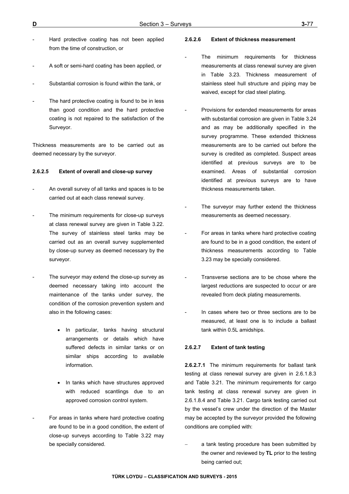- Hard protective coating has not been applied from the time of construction, or
- A soft or semi-hard coating has been applied, or
- Substantial corrosion is found within the tank, or
- The hard protective coating is found to be in less than good condition and the hard protective coating is not repaired to the satisfaction of the Surveyor.

Thickness measurements are to be carried out as deemed necessary by the surveyor.

## **2.6.2.5 Extent of overall and close-up survey**

- An overall survey of all tanks and spaces is to be carried out at each class renewal survey.
- The minimum requirements for close-up surveys at class renewal survey are given in Table 3.22. The survey of stainless steel tanks may be carried out as an overall survey supplemented by close-up survey as deemed necessary by the surveyor.
- The surveyor may extend the close-up survey as deemed necessary taking into account the maintenance of the tanks under survey, the condition of the corrosion prevention system and also in the following cases:
	- In particular, tanks having structural arrangements or details which have suffered defects in similar tanks or on similar ships according to available information.
	- In tanks which have structures approved with reduced scantlings due to an approved corrosion control system.
- For areas in tanks where hard protective coating are found to be in a good condition, the extent of close-up surveys according to Table 3.22 may be specially considered.

#### **2.6.2.6 Extent of thickness measurement**

- The minimum requirements for thickness measurements at class renewal survey are given in Table 3.23. Thickness measurement of stainless steel hull structure and piping may be waived, except for clad steel plating.
- Provisions for extended measurements for areas with substantial corrosion are given in Table 3.24 and as may be additionally specified in the survey programme. These extended thickness measurements are to be carried out before the survey is credited as completed. Suspect areas identified at previous surveys are to be examined. Areas of substantial corrosion identified at previous surveys are to have thickness measurements taken.
- The surveyor may further extend the thickness measurements as deemed necessary.
- For areas in tanks where hard protective coating are found to be in a good condition, the extent of thickness measurements according to Table 3.23 may be specially considered.
- Transverse sections are to be chose where the largest reductions are suspected to occur or are revealed from deck plating measurements.
- In cases where two or three sections are to be measured, at least one is to include a ballast tank within 0.5L amidships.

#### **2.6.2.7 Extent of tank testing**

**2.6.2.7.1** The minimum requirements for ballast tank testing at class renewal survey are given in 2.6.1.8.3 and Table 3.21. The minimum requirements for cargo tank testing at class renewal survey are given in 2.6.1.8.4 and Table 3.21. Cargo tank testing carried out by the vessel's crew under the direction of the Master may be accepted by the surveyor provided the following conditions are complied with:

 a tank testing procedure has been submitted by the owner and reviewed by **TL** prior to the testing being carried out;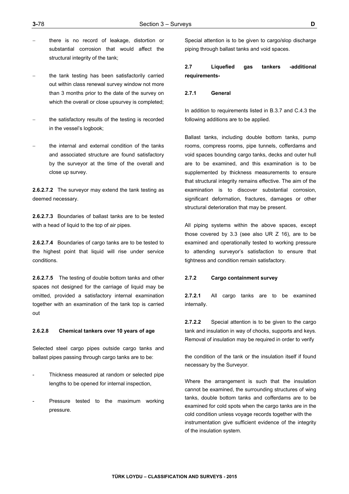- there is no record of leakage, distortion or substantial corrosion that would affect the structural integrity of the tank;
- the tank testing has been satisfactorily carried out within class renewal survey window not more than 3 months prior to the date of the survey on which the overall or close upsurvey is completed;
- the satisfactory results of the testing is recorded in the vessel's logbook;
- the internal and external condition of the tanks and associated structure are found satisfactory by the surveyor at the time of the overall and close up survey.

**2.6.2.7.2** The surveyor may extend the tank testing as deemed necessary.

**2.6.2.7.3** Boundaries of ballast tanks are to be tested with a head of liquid to the top of air pipes.

**2.6.2.7.4** Boundaries of cargo tanks are to be tested to the highest point that liquid will rise under service conditions.

**2.6.2.7.5** The testing of double bottom tanks and other spaces not designed for the carriage of liquid may be omitted, provided a satisfactory internal examination together with an examination of the tank top is carried out

#### **2.6.2.8 Chemical tankers over 10 years of age**

Selected steel cargo pipes outside cargo tanks and ballast pipes passing through cargo tanks are to be:

- Thickness measured at random or selected pipe lengths to be opened for internal inspection,
- Pressure tested to the maximum working pressure.

Special attention is to be given to cargo/slop discharge piping through ballast tanks and void spaces.

# **2.7 Liquefied gas tankers -additional requirements-**

## **2.7.1 General**

In addition to requirements listed in B.3.7 and C.4.3 the following additions are to be applied.

Ballast tanks, including double bottom tanks, pump rooms, compress rooms, pipe tunnels, cofferdams and void spaces bounding cargo tanks, decks and outer hull are to be examined, and this examination is to be supplemented by thickness measurements to ensure that structural integrity remains effective. The aim of the examination is to discover substantial corrosion, significant deformation, fractures, damages or other structural deterioration that may be present.

All piping systems within the above spaces, except those covered by 3.3 (see also UR Z 16), are to be examined and operationally tested to working pressure to attending surveyor's satisfaction to ensure that tightness and condition remain satisfactory.

#### **2.7.2 Cargo containment survey**

**2.7.2.1** All cargo tanks are to be examined internally.

**2.7.2.2** Special attention is to be given to the cargo tank and insulation in way of chocks, supports and keys. Removal of insulation may be required in order to verify

the condition of the tank or the insulation itself if found necessary by the Surveyor.

Where the arrangement is such that the insulation cannot be examined, the surrounding structures of wing tanks, double bottom tanks and cofferdams are to be examined for cold spots when the cargo tanks are in the cold condition unless voyage records together with the instrumentation give sufficient evidence of the integrity of the insulation system.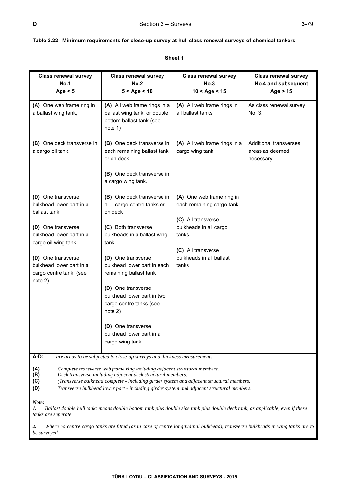## **Table 3.22 Minimum requirements for close-up survey at hull class renewal surveys of chemical tankers**

| <b>Class renewal survey</b><br><b>No.1</b><br>Age $<$ 5                                                                                                                                                                                                                                                                                                                                                                                              | <b>Class renewal survey</b><br>No.2<br>$5 <$ Age $<$ 10                                                                                                                                                                                                                                                                                                                         | <b>Class renewal survey</b><br>No.3<br>$10 <$ Age $<$ 15                                                                                                                    | <b>Class renewal survey</b><br>No.4 and subsequent<br>Age $> 15$ |
|------------------------------------------------------------------------------------------------------------------------------------------------------------------------------------------------------------------------------------------------------------------------------------------------------------------------------------------------------------------------------------------------------------------------------------------------------|---------------------------------------------------------------------------------------------------------------------------------------------------------------------------------------------------------------------------------------------------------------------------------------------------------------------------------------------------------------------------------|-----------------------------------------------------------------------------------------------------------------------------------------------------------------------------|------------------------------------------------------------------|
| (A) One web frame ring in<br>a ballast wing tank,                                                                                                                                                                                                                                                                                                                                                                                                    | (A) All web frame rings in a<br>ballast wing tank, or double<br>bottom ballast tank (see<br>note 1)                                                                                                                                                                                                                                                                             | (A) All web frame rings in<br>all ballast tanks                                                                                                                             | As class renewal survey<br>No. 3.                                |
| (B) One deck transverse in<br>a cargo oil tank.                                                                                                                                                                                                                                                                                                                                                                                                      | (B) One deck transverse in<br>each remaining ballast tank<br>or on deck<br>(B) One deck transverse in<br>a cargo wing tank.                                                                                                                                                                                                                                                     | (A) All web frame rings in a<br>cargo wing tank.                                                                                                                            | <b>Additional transverses</b><br>areas as deemed<br>necessary    |
| (D) One transverse<br>bulkhead lower part in a<br>ballast tank<br>(D) One transverse<br>bulkhead lower part in a<br>cargo oil wing tank.<br>(D) One transverse<br>bulkhead lower part in a<br>cargo centre tank. (see<br>note 2)                                                                                                                                                                                                                     | (B) One deck transverse in<br>cargo centre tanks or<br>a<br>on deck<br>(C) Both transverse<br>bulkheads in a ballast wing<br>tank<br>(D) One transverse<br>bulkhead lower part in each<br>remaining ballast tank<br>(D) One transverse<br>bulkhead lower part in two<br>cargo centre tanks (see<br>note 2)<br>(D) One transverse<br>bulkhead lower part in a<br>cargo wing tank | (A) One web frame ring in<br>each remaining cargo tank<br>(C) All transverse<br>bulkheads in all cargo<br>tanks.<br>(C) All transverse<br>bulkheads in all ballast<br>tanks |                                                                  |
| $A-D$ :<br>are areas to be subjected to close-up surveys and thickness measurements<br>(A)<br>Complete transverse web frame ring including adjacent structural members.<br>(B)<br>Deck transverse including adjacent deck structural members.<br>(C)<br>(Transverse bulkhead complete - including girder system and adjacent structural members.<br>(D)<br>Transverse bulkhead lower part - including girder system and adjacent structural members. |                                                                                                                                                                                                                                                                                                                                                                                 |                                                                                                                                                                             |                                                                  |

**Sheet 1** 

*Note:* 

*1. Ballast double hull tank: means double bottom tank plus double side tank plus double deck tank, as applicable, even if these tanks are separate.* 

*2. Where no centre cargo tanks are fitted (as in case of centre longitudinal bulkhead), transverse bulkheads in wing tanks are to be surveyed.*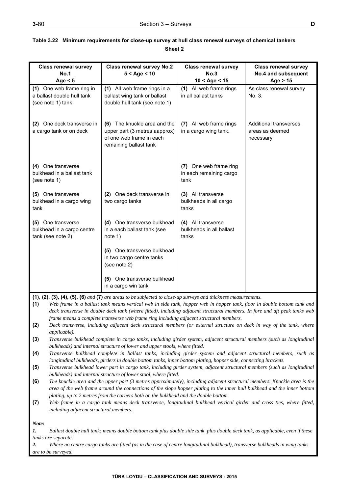| I<br>I<br>۰. |
|--------------|

| <b>Class renewal survey</b>                      | <b>Class renewal survey No.2</b>                                                                                                                                                            | <b>Class renewal survey</b>                       | <b>Class renewal survey</b>   |  |
|--------------------------------------------------|---------------------------------------------------------------------------------------------------------------------------------------------------------------------------------------------|---------------------------------------------------|-------------------------------|--|
| <b>No.1</b>                                      | $5 <$ Age $<$ 10                                                                                                                                                                            | <b>No.3</b>                                       | No.4 and subsequent           |  |
| Age $<$ 5                                        |                                                                                                                                                                                             | $10 <$ Age $<$ 15                                 | Age $> 15$                    |  |
| (1) One web frame ring in                        | (1) All web frame rings in a                                                                                                                                                                | (1) All web frame rings                           | As class renewal survey       |  |
| a ballast double hull tank                       | ballast wing tank or ballast                                                                                                                                                                | in all ballast tanks                              | No. 3.                        |  |
| (see note 1) tank                                | double hull tank (see note 1)                                                                                                                                                               |                                                   |                               |  |
|                                                  |                                                                                                                                                                                             |                                                   |                               |  |
| (2) One deck transverse in                       | (6) The knuckle area and the                                                                                                                                                                | (7) All web frame rings                           | <b>Additional transverses</b> |  |
| a cargo tank or on deck                          | upper part (3 metres aapprox)                                                                                                                                                               | in a cargo wing tank.                             | areas as deemed               |  |
|                                                  | of one web frame in each                                                                                                                                                                    |                                                   | necessary                     |  |
|                                                  | remaining ballast tank                                                                                                                                                                      |                                                   |                               |  |
|                                                  |                                                                                                                                                                                             |                                                   |                               |  |
|                                                  |                                                                                                                                                                                             |                                                   |                               |  |
| (4) One transverse<br>bulkhead in a ballast tank |                                                                                                                                                                                             | (7) One web frame ring<br>in each remaining cargo |                               |  |
| (see note 1)                                     |                                                                                                                                                                                             | tank                                              |                               |  |
|                                                  |                                                                                                                                                                                             |                                                   |                               |  |
| (5) One transverse                               | (2) One deck transverse in                                                                                                                                                                  | (3) All transverse                                |                               |  |
| bulkhead in a cargo wing                         | two cargo tanks                                                                                                                                                                             | bulkheads in all cargo                            |                               |  |
| tank                                             |                                                                                                                                                                                             | tanks                                             |                               |  |
|                                                  |                                                                                                                                                                                             |                                                   |                               |  |
| (5) One transverse                               | (4) One transverse bulkhead                                                                                                                                                                 | (4) All transverse                                |                               |  |
| bulkhead in a cargo centre<br>tank (see note 2)  | in a each ballast tank (see<br>note 1)                                                                                                                                                      | bulkheads in all ballast<br>tanks                 |                               |  |
|                                                  |                                                                                                                                                                                             |                                                   |                               |  |
|                                                  | (5) One transverse bulkhead                                                                                                                                                                 |                                                   |                               |  |
|                                                  | in two cargo centre tanks                                                                                                                                                                   |                                                   |                               |  |
|                                                  | (see note 2)                                                                                                                                                                                |                                                   |                               |  |
|                                                  |                                                                                                                                                                                             |                                                   |                               |  |
|                                                  | (5) One transverse bulkhead                                                                                                                                                                 |                                                   |                               |  |
|                                                  | in a cargo win tank                                                                                                                                                                         |                                                   |                               |  |
|                                                  | $(1), (2), (3), (4), (5), (6)$ and $(7)$ are areas to be subjected to close-up surveys and thickness measurements.                                                                          |                                                   |                               |  |
| (1)                                              | Web frame in a ballast tank means vertical web in side tank, hopper web in hopper tank, floor in double bottom tank and                                                                     |                                                   |                               |  |
|                                                  | deck transverse in double deck tank (where fitted), including adjacent structural members. In fore and aft peak tanks web                                                                   |                                                   |                               |  |
|                                                  | frame means a complete transverse web frame ring including adjacent structural members.                                                                                                     |                                                   |                               |  |
| (2)<br><i>applicable</i> ).                      | Deck transverse, including adjacent deck structural members (or external structure on deck in way of the tank, where                                                                        |                                                   |                               |  |
| (3)                                              | Transverse bulkhead complete in cargo tanks, including girder system, adjacent structural members (such as longitudinal                                                                     |                                                   |                               |  |
|                                                  | bulkheads) and internal structure of lower and upper stools, where fitted.                                                                                                                  |                                                   |                               |  |
| (4)                                              | Transverse bulkhead complete in ballast tanks, including girder system and adjacent structural members, such as                                                                             |                                                   |                               |  |
|                                                  | longitudinal bulkheads, girders in double bottom tanks, inner bottom plating, hopper side, connecting brackets.                                                                             |                                                   |                               |  |
|                                                  | (5)<br>Transverse bulkhead lower part in cargo tank, including girder system, adjacent structural members (such as longitudinal                                                             |                                                   |                               |  |
| (6)                                              | bulkheads) and internal structure of lower stool, where fitted.<br>The knuckle area and the upper part (3 metres approximately), including adjacent structural members. Knuckle area is the |                                                   |                               |  |
|                                                  | area of the web frame around the connections of the slope hopper plating to the inner hull bulkhead and the inner bottom                                                                    |                                                   |                               |  |
|                                                  | plating, up to 2 metres from the corners both on the bulkhead and the double bottom.                                                                                                        |                                                   |                               |  |
| (7)                                              | Web frame in a cargo tank means deck transverse, longitudinal bulkhead vertical girder and cross ties, where fitted,                                                                        |                                                   |                               |  |
|                                                  | including adjacent structural members.                                                                                                                                                      |                                                   |                               |  |
|                                                  |                                                                                                                                                                                             |                                                   |                               |  |
| Note:                                            |                                                                                                                                                                                             |                                                   |                               |  |
| 1.<br>tanks are separate.                        | Ballast double hull tank: means double bottom tank plus double side tank plus double deck tank, as applicable, even if these                                                                |                                                   |                               |  |
|                                                  |                                                                                                                                                                                             |                                                   |                               |  |

## **Table 3.22 Minimum requirements for close-up survey at hull class renewal surveys of chemical tankers Sheet 2**

*2. Where no centre cargo tanks are fitted (as in the case of centre longitudinal bulkhead), transverse bulkheads in wing tanks are to be surveyed.*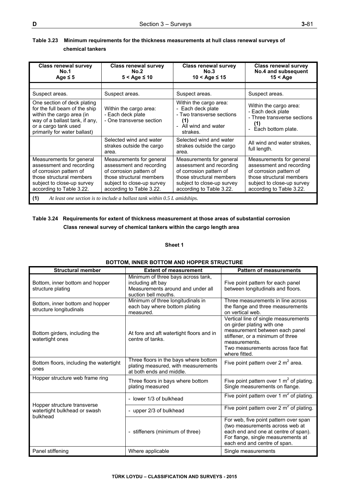| <b>Class renewal survey</b><br><b>No.1</b><br>Age $\leq$ 5                                                                                                                          | <b>Class renewal survey</b><br>No.2<br>$5 <$ Age $\leq 10$                                                                                                            | <b>Class renewal survey</b><br>No.3<br>$10 <$ Age $\leq 15$                                                                                                           | <b>Class renewal survey</b><br>No.4 and subsequent<br>$15 <$ Age                                                                                                      |
|-------------------------------------------------------------------------------------------------------------------------------------------------------------------------------------|-----------------------------------------------------------------------------------------------------------------------------------------------------------------------|-----------------------------------------------------------------------------------------------------------------------------------------------------------------------|-----------------------------------------------------------------------------------------------------------------------------------------------------------------------|
|                                                                                                                                                                                     |                                                                                                                                                                       |                                                                                                                                                                       |                                                                                                                                                                       |
| Suspect areas.                                                                                                                                                                      | Suspect areas.                                                                                                                                                        | Suspect areas.                                                                                                                                                        | Suspect areas.                                                                                                                                                        |
| One section of deck plating<br>for the full beam of the ship<br>within the cargo area (in<br>way of a ballast tank, if any,<br>or a cargo tank used<br>primarily for water ballast) | Within the cargo area:<br>- Each deck plate<br>- One transverse section                                                                                               | Within the cargo area:<br>- Each deck plate<br>- Two transverse sections<br>(1)<br>- All wind and water<br>strakes.                                                   | Within the cargo area:<br>- Each deck plate<br>- Three transverse sections<br>(1)<br>Each bottom plate.<br>$\overline{\phantom{a}}$                                   |
|                                                                                                                                                                                     | Selected wind and water<br>strakes outside the cargo<br>area.                                                                                                         | Selected wind and water<br>strakes outside the cargo<br>area.                                                                                                         | All wind and water strakes,<br>full length.                                                                                                                           |
| Measurements for general<br>assessment and recording<br>of corrosion pattern of<br>those structural members<br>subject to close-up survey<br>according to Table 3.22.               | Measurements for general<br>assessment and recording<br>of corrosion pattern of<br>those structural members<br>subject to close-up survey<br>according to Table 3.22. | Measurements for general<br>assessment and recording<br>of corrosion pattern of<br>those structural members<br>subject to close-up survey<br>according to Table 3.22. | Measurements for general<br>assessment and recording<br>of corrosion pattern of<br>those structural members<br>subject to close-up survey<br>according to Table 3.22. |
| (1)<br>At least one section is to include a ballast tank within 0.5 L amidships.                                                                                                    |                                                                                                                                                                       |                                                                                                                                                                       |                                                                                                                                                                       |

## **Table 3.23 Minimum requirements for the thickness measurements at hull class renewal surveys of chemical tankers**

# **Table 3.24 Requirements for extent of thickness measurement at those areas of substantial corrosion Class renewal survey of chemical tankers within the cargo length area**

## **Sheet 1**

| <b>Structural member</b>                                                | <b>Extent of measurement</b>                                                                                         | <b>Pattern of measurements</b>                                                                                                                                                                                  |
|-------------------------------------------------------------------------|----------------------------------------------------------------------------------------------------------------------|-----------------------------------------------------------------------------------------------------------------------------------------------------------------------------------------------------------------|
| Bottom, inner bottom and hopper<br>structure plating                    | Minimum of three bays across tank,<br>including aft bay<br>Measurements around and under all<br>suction bell mouths. | Five point pattern for each panel<br>between longitudinals and floors.                                                                                                                                          |
| Bottom, inner bottom and hopper<br>structure longitudinals              | Minimum of three longitudinals in<br>each bay where bottom plating<br>measured.                                      | Three measurements in line across<br>the flange and three measurements<br>on vertical web.                                                                                                                      |
| Bottom girders, including the<br>watertight ones                        | At fore and aft watertight floors and in<br>centre of tanks.                                                         | Vertical line of single measurements<br>on girder plating with one<br>measurement between each panel<br>stiffener, or a minimum of three<br>measurements.<br>Two measurements across face flat<br>where fitted. |
| Bottom floors, including the watertight<br>ones                         | Three floors in the bays where bottom<br>plating measured, with measurements<br>at both ends and middle.             | Five point pattern over 2 $m2$ area.                                                                                                                                                                            |
| Hopper structure web frame ring                                         | Three floors in bays where bottom<br>plating measured                                                                | Five point pattern over 1 $m2$ of plating.<br>Single measurements on flange.                                                                                                                                    |
|                                                                         | - lower 1/3 of bulkhead                                                                                              | Five point pattern over 1 $m2$ of plating.                                                                                                                                                                      |
| Hopper structure transverse<br>watertight bulkhead or swash<br>bulkhead | - upper 2/3 of bulkhead                                                                                              | Five point pattern over $2 \text{ m}^2$ of plating.                                                                                                                                                             |
|                                                                         | - stiffeners (minimum of three)                                                                                      | For web, five point pattern over span<br>(two measurements across web at<br>each end and one at centre of span).<br>For flange, single measurements at<br>each end and centre of span.                          |
| Panel stiffening                                                        | Where applicable                                                                                                     | Single measurements                                                                                                                                                                                             |

## **BOTTOM, INNER BOTTOM AND HOPPER STRUCTURE**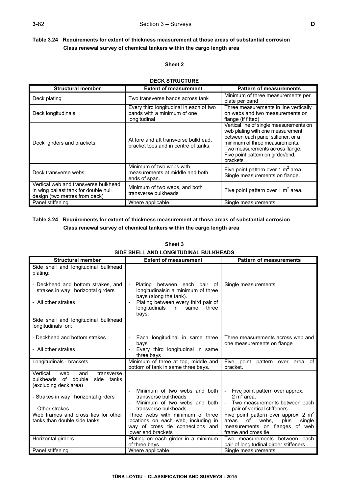## **Sheet 2**

# **DECK STRUCTURE**

| <b>Structural member</b>                                                                                      | <b>Extent of measurement</b>                                                           | <b>Pattern of measurements</b>                                                                                                                                                                                                           |
|---------------------------------------------------------------------------------------------------------------|----------------------------------------------------------------------------------------|------------------------------------------------------------------------------------------------------------------------------------------------------------------------------------------------------------------------------------------|
| Deck plating                                                                                                  | Two transverse bands across tank                                                       | Minimum of three measurements per<br>plate per band                                                                                                                                                                                      |
| Deck longitudinals                                                                                            | Every third longitudinal in each of two<br>bands with a minimum of one<br>longitudinal | Three measurements in line vertically<br>on webs and two measurements on<br>flange (if fitted)                                                                                                                                           |
| Deck girders and brackets                                                                                     | At fore and aft transverse bulkhead.<br>bracket toes and in centre of tanks.           | Vertical line of single measurements on<br>web plating with one measurement<br>between each panel stiffener, or a<br>minimum of three measurements.<br>Two measurements across flange.<br>Five point pattern on girder/bhd.<br>brackets. |
| Deck transverse webs                                                                                          | Minimum of two webs with<br>measurements at middle and both<br>ends of span.           | Five point pattern over 1 $m2$ area.<br>Single measurements on flange.                                                                                                                                                                   |
| Vertical web and transverse bulkhead<br>in wing ballast tank for double hull<br>design (two metres from deck) | Minimum of two webs, and both<br>transverse bulkheads                                  | Five point pattern over 1 $m^2$ area.                                                                                                                                                                                                    |
| Panel stiffening                                                                                              | Where applicable.                                                                      | Single measurements                                                                                                                                                                                                                      |

## **Table 3.24 Requirements for extent of thickness measurement at those areas of substantial corrosion Class renewal survey of chemical tankers within the cargo length area**

| SIDE SHELL AND LONGH UDINAL DULNHEADS                                                              |                                                                                                                                   |                                                                                                                                            |  |
|----------------------------------------------------------------------------------------------------|-----------------------------------------------------------------------------------------------------------------------------------|--------------------------------------------------------------------------------------------------------------------------------------------|--|
| <b>Structural member</b>                                                                           | <b>Extent of measurement</b>                                                                                                      | <b>Pattern of measurements</b>                                                                                                             |  |
| Side shell and longitudinal bulkhead<br>plating:                                                   |                                                                                                                                   |                                                                                                                                            |  |
| - Deckhead and bottom strakes, and<br>strakes in way horizontal girders                            | Plating between each pair of<br>$\sim$ $-$<br>longitudinalsin a minimum of three<br>bays (along the tank).                        | Single measurements                                                                                                                        |  |
| - All other strakes                                                                                | Plating between every third pair of<br>longitudinals<br>in l<br>same<br>three<br>bays.                                            |                                                                                                                                            |  |
| Side shell and longitudinal bulkhead<br>longitudinals on:                                          |                                                                                                                                   |                                                                                                                                            |  |
| - Deckhead and bottom strakes                                                                      | Each longitudinal in same three<br>bays                                                                                           | Three measurements across web and<br>one measurements on flange                                                                            |  |
| - All other strakes                                                                                | Every third longitudinal in same<br>three bays                                                                                    |                                                                                                                                            |  |
| Longitudinals - brackets                                                                           | Minimum of three at top, middle and<br>bottom of tank in same three bays.                                                         | Five point pattern<br>of<br>over area<br>bracket.                                                                                          |  |
| Vertical<br>web<br>and<br>transverse<br>bulkheads of double<br>side tanks<br>(excluding deck area) |                                                                                                                                   |                                                                                                                                            |  |
| - Strakes in way horizontal girders                                                                | Minimum of two webs and both<br>transverse bulkheads                                                                              | - Five point pattern over approx.<br>$2 \text{ m}^2$ area.                                                                                 |  |
| - Other strakes                                                                                    | Minimum of two webs and both<br>transverse bulkheads                                                                              | - Two measurements between each<br>pair of vertical stiffeners                                                                             |  |
| Web frames and cross ties for other<br>tanks than double side tanks                                | Three webs with minimum of three<br>locations on each web, including in<br>way of cross tie connections and<br>lower end brackets | Five point pattern over approx. 2 $m2$<br>of<br>webs.<br>plus<br>areas<br>single<br>measurements on flanges of web<br>frame and cross tie. |  |
| Horizontal girders                                                                                 | Plating on each girder in a minimum<br>of three bays                                                                              | Two measurements between each<br>pair of longitudinal girder stiffeners                                                                    |  |
| Panel stiffening                                                                                   | Where applicable.                                                                                                                 | Single measurements                                                                                                                        |  |

# **Sheet 3 SIDE SHELL AND LONGITUDINAL BULKHEADS**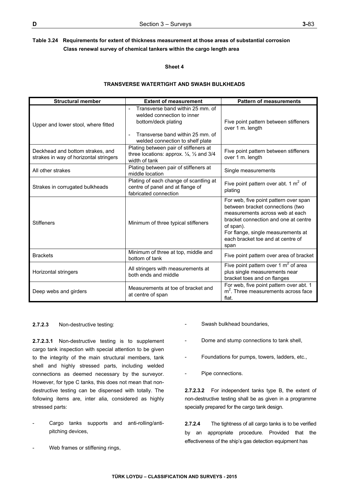## **Sheet 4**

## **TRANSVERSE WATERTIGHT AND SWASH BULKHEADS**

| <b>Structural member</b>                                                   | <b>Extent of measurement</b>                                                                                                                                  | <b>Pattern of measurements</b>                                                                                                                                                                                                                       |
|----------------------------------------------------------------------------|---------------------------------------------------------------------------------------------------------------------------------------------------------------|------------------------------------------------------------------------------------------------------------------------------------------------------------------------------------------------------------------------------------------------------|
| Upper and lower stool, where fitted                                        | Transverse band within 25 mm, of<br>welded connection to inner<br>bottom/deck plating<br>Transverse band within 25 mm, of<br>welded connection to shelf plate | Five point pattern between stiffeners<br>over 1 m. length                                                                                                                                                                                            |
| Deckhead and bottom strakes, and<br>strakes in way of horizontal stringers | Plating between pair of stiffeners at<br>three locations: approx. $\frac{1}{4}$ , $\frac{1}{2}$ and 3/4<br>width of tank                                      | Five point pattern between stiffeners<br>over 1 m. length                                                                                                                                                                                            |
| All other strakes                                                          | Plating between pair of stiffeners at<br>middle location                                                                                                      | Single measurements                                                                                                                                                                                                                                  |
| Strakes in corrugated bulkheads                                            | Plating of each change of scantling at<br>centre of panel and at flange of<br>fabricated connection                                                           | Five point pattern over abt. 1 $m2$ of<br>plating                                                                                                                                                                                                    |
| <b>Stiffeners</b>                                                          | Minimum of three typical stiffeners                                                                                                                           | For web, five point pattern over span<br>between bracket connections (two<br>measurements across web at each<br>bracket connection and one at centre<br>of span).<br>For flange, single measurements at<br>each bracket toe and at centre of<br>span |
| <b>Brackets</b>                                                            | Minimum of three at top, middle and<br>bottom of tank                                                                                                         | Five point pattern over area of bracket                                                                                                                                                                                                              |
| Horizontal stringers                                                       | All stringers with measurements at<br>both ends and middle                                                                                                    | Five point pattern over 1 $m2$ of area<br>plus single measurements near<br>bracket toes and on flanges                                                                                                                                               |
| Deep webs and girders                                                      | Measurements at toe of bracket and<br>at centre of span                                                                                                       | For web, five point pattern over abt. 1<br>$m2$ . Three measurements across face<br>flat.                                                                                                                                                            |

## **2.7.2.3** Non-destructive testing:

**2.7.2.3.1** Non-destructive testing is to supplement cargo tank inspection with special attention to be given to the integrity of the main structural members, tank shell and highly stressed parts, including welded connections as deemed necessary by the surveyor. However, for type C tanks, this does not mean that nondestructive testing can be dispensed with totally. The following items are, inter alia, considered as highly stressed parts:

- Cargo tanks supports and anti-rolling/antipitching devices,
- Web frames or stiffening rings,
- Swash bulkhead boundaries,
- Dome and stump connections to tank shell,
- Foundations for pumps, towers, ladders, etc.,
- Pipe connections.

**2.7.2.3.2** For independent tanks type B, the extent of non-destructive testing shall be as given in a programme specially prepared for the cargo tank design.

**2.7.2.4** The tightness of all cargo tanks is to be verified by an appropriate procedure. Provided that the effectiveness of the ship's gas detection equipment has

**TÜRK LOYDU – CLASSIFICATION AND SURVEYS - 2015**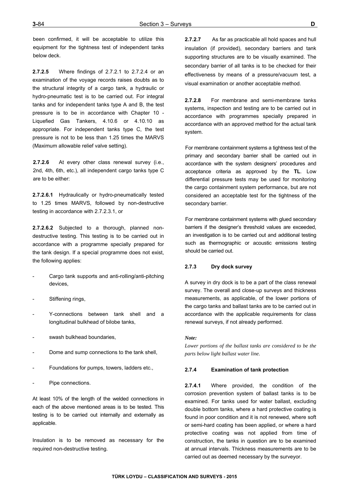been confirmed, it will be acceptable to utilize this equipment for the tightness test of independent tanks below deck.

**2.7.2.5** Where findings of 2.7.2.1 to 2.7.2.4 or an examination of the voyage records raises doubts as to the structural integrity of a cargo tank, a hydraulic or hydro-pneumatic test is to be carried out. For integral tanks and for independent tanks type A and B, the test pressure is to be in accordance with Chapter 10 - Liquefied Gas Tankers, 4.10.6 or 4.10.10 as appropriate. For independent tanks type C, the test pressure is not to be less than 1.25 times the MARVS (Maximum allowable relief valve setting).

**2.7.2.6** At every other class renewal survey (i.e., 2nd, 4th, 6th, etc.), all independent cargo tanks type C are to be either:

**2.7.2.6.1** Hydraulically or hydro-pneumatically tested to 1.25 times MARVS, followed by non-destructive testing in accordance with 2.7.2.3.1, or

**2.7.2.6.2** Subjected to a thorough, planned nondestructive testing. This testing is to be carried out in accordance with a programme specially prepared for the tank design. If a special programme does not exist, the following applies:

- Cargo tank supports and anti-rolling/anti-pitching devices,
- Stiffening rings,
- Y-connections between tank shell and a longitudinal bulkhead of bilobe tanks,
- swash bulkhead boundaries,
- Dome and sump connections to the tank shell.
- Foundations for pumps, towers, ladders etc.,
- Pipe connections.

At least 10% of the length of the welded connections in each of the above mentioned areas is to be tested. This testing is to be carried out internally and externally as applicable.

Insulation is to be removed as necessary for the required non-destructive testing.

**2.7.2.7** As far as practicable all hold spaces and hull insulation (if provided), secondary barriers and tank supporting structures are to be visually examined. The secondary barrier of all tanks is to be checked for their effectiveness by means of a pressure/vacuum test, a visual examination or another acceptable method.

**2.7.2.8** For membrane and semi-membrane tanks systems, inspection and testing are to be carried out in accordance with programmes specially prepared in accordance with an approved method for the actual tank system.

For membrane containment systems a tightness test of the primary and secondary barrier shall be carried out in accordance with the system designers' procedures and acceptance criteria as approved by the **TL**. Low differential pressure tests may be used for monitoring the cargo containment system performance, but are not considered an acceptable test for the tightness of the secondary barrier.

For membrane containment systems with glued secondary barriers if the designer's threshold values are exceeded, an investigation is to be carried out and additional testing such as thermographic or acoustic emissions testing should be carried out.

## **2.7.3 Dry dock survey**

A survey in dry dock is to be a part of the class renewal survey. The overall and close-up surveys and thickness measurements, as applicable, of the lower portions of the cargo tanks and ballast tanks are to be carried out in accordance with the applicable requirements for class renewal surveys, if not already performed.

## *Note:*

*Lower portions of the ballast tanks are considered to be the parts below light ballast water line.*

## **2.7.4 Examination of tank protection**

**2.7.4.1** Where provided, the condition of the corrosion prevention system of ballast tanks is to be examined. For tanks used for water ballast, excluding double bottom tanks, where a hard protective coating is found in poor condition and it is not renewed, where soft or semi-hard coating has been applied, or where a hard protective coating was not applied from time of construction, the tanks in question are to be examined at annual intervals. Thickness measurements are to be carried out as deemed necessary by the surveyor.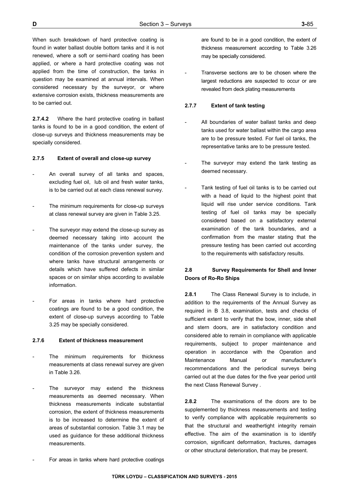When such breakdown of hard protective coating is found in water ballast double bottom tanks and it is not renewed, where a soft or semi-hard coating has been applied, or where a hard protective coating was not applied from the time of construction, the tanks in question may be examined at annual intervals. When considered necessary by the surveyor, or where extensive corrosion exists, thickness measurements are to be carried out.

**2.7.4.2** Where the hard protective coating in ballast tanks is found to be in a good condition, the extent of close-up surveys and thickness measurements may be specially considered.

## **2.7.5 Extent of overall and close-up survey**

- An overall survey of all tanks and spaces, excluding fuel oil, lub oil and fresh water tanks, is to be carried out at each class renewal survey.
- The minimum requirements for close-up surveys at class renewal survey are given in Table 3.25.
- The surveyor may extend the close-up survey as deemed necessary taking into account the maintenance of the tanks under survey, the condition of the corrosion prevention system and where tanks have structural arrangements or details which have suffered defects in similar spaces or on similar ships according to available information.
- For areas in tanks where hard protective coatings are found to be a good condition, the extent of close-up surveys according to Table 3.25 may be specially considered.

#### **2.7.6 Extent of thickness measurement**

- The minimum requirements for thickness measurements at class renewal survey are given in Table 3.26.
- The surveyor may extend the thickness measurements as deemed necessary. When thickness measurements indicate substantial corrosion, the extent of thickness measurements is to be increased to determine the extent of areas of substantial corrosion. Table 3.1 may be used as guidance for these additional thickness measurements.

For areas in tanks where hard protective coatings

are found to be in a good condition, the extent of thickness measurement according to Table 3.26 may be specially considered.

Transverse sections are to be chosen where the largest reductions are suspected to occur or are revealed from deck plating measurements

## **2.7.7 Extent of tank testing**

- All boundaries of water ballast tanks and deep tanks used for water ballast within the cargo area are to be pressure tested. For fuel oil tanks, the representative tanks are to be pressure tested.
- The surveyor may extend the tank testing as deemed necessary.
- Tank testing of fuel oil tanks is to be carried out with a head of liquid to the highest point that liquid will rise under service conditions. Tank testing of fuel oil tanks may be specially considered based on a satisfactory external examination of the tank boundaries, and a confirmation from the master stating that the pressure testing has been carried out according to the requirements with satisfactory results.

## **2.8 Survey Requirements for Shell and Inner Doors of Ro-Ro Ships**

**2.8.1** The Class Renewal Survey is to include, in addition to the requirements of the Annual Survey as required in B 3.8, examination, tests and checks of sufficient extent to verify that the bow, inner, side shell and stern doors, are in satisfactory condition and considered able to remain in compliance with applicable requirements, subject to proper maintenance and operation in accordance with the Operation and Maintenance Manual or manufacturer's recommendations and the periodical surveys being carried out at the due dates for the five year period until the next Class Renewal Survey .

**2.8.2** The examinations of the doors are to be supplemented by thickness measurements and testing to verify compliance with applicable requirements so that the structural and weathertight integrity remain effective. The aim of the examination is to identify corrosion, significant deformation, fractures, damages or other structural deterioration, that may be present.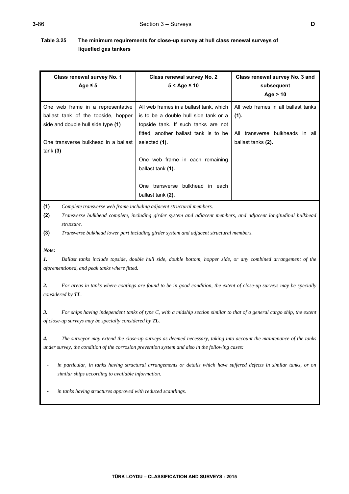## **Table 3.25 The minimum requirements for close-up survey at hull class renewal surveys of liquefied gas tankers**

| Class renewal survey No. 1<br>Age $\leq$ 5                               | Class renewal survey No. 2<br>$5 <$ Age $\leq 10$                                                                                                                                      | Class renewal survey No. 3 and<br>subsequent<br>Age $> 10$ |
|--------------------------------------------------------------------------|----------------------------------------------------------------------------------------------------------------------------------------------------------------------------------------|------------------------------------------------------------|
| One web frame in a representative<br>ballast tank of the topside, hopper | All web frames in a ballast tank, which<br>is to be a double hull side tank or a                                                                                                       | All web frames in all ballast tanks<br>(1).                |
| side and double hull side type (1)                                       | topside tank. If such tanks are not<br>fitted, another ballast tank is to be                                                                                                           | transverse bulkheads in all<br>All                         |
| One transverse bulkhead in a ballast                                     | selected (1).                                                                                                                                                                          | ballast tanks (2).                                         |
| tank(3)                                                                  | One web frame in each remaining<br>ballast tank (1).                                                                                                                                   |                                                            |
|                                                                          | One transverse bulkhead in each<br>ballast tank (2).                                                                                                                                   |                                                            |
| (1)<br>(2)<br>structure.                                                 | Complete transverse web frame including adjacent structural members.<br>Transverse bulkhead complete, including girder system and adjacent members, and adjacent longitudinal bulkhead |                                                            |

**(3)** *Transverse bulkhead lower part including girder system and adjacent structural members.* 

*Note:* 

*1. Ballast tanks include topside, double hull side, double bottom, hopper side, or any combined arrangement of the aforementioned, and peak tanks where fitted.* 

*2. For areas in tanks where coatings are found to be in good condition, the extent of close-up surveys may be specially considered by TL.* 

*3. For ships having independent tanks of type C, with a midship section similar to that of a general cargo ship, the extent of close-up surveys may be specially considered by TL.* 

*4. The surveyor may extend the close-up surveys as deemed necessary, taking into account the maintenance of the tanks under survey, the condition of the corrosion prevention system and also in the following cases:* 

in particular, in tanks having structural arrangements or details which have suffered defects in similar tanks, or on *similar ships according to available information.* 

in tanks having structures approved with reduced scantlings.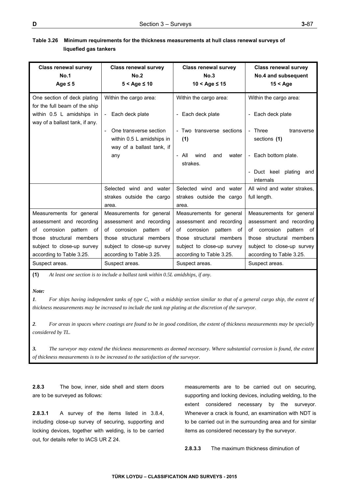| <b>Class renewal survey</b>                                  | <b>Class renewal survey</b>              | <b>Class renewal survey</b>   | <b>Class renewal survey</b>                 |
|--------------------------------------------------------------|------------------------------------------|-------------------------------|---------------------------------------------|
| <b>No.1</b>                                                  | No.2                                     | No.3                          | No.4 and subsequent                         |
| Age $\leq$ 5                                                 | $5 <$ Age $\leq 10$                      | $10 <$ Age $\leq 15$          | $15 <$ Age                                  |
| One section of deck plating<br>for the full beam of the ship | Within the cargo area:                   | Within the cargo area:        | Within the cargo area:                      |
| within 0.5 L amidships in<br>way of a ballast tank, if any.  | - Each deck plate                        | - Each deck plate             | Each deck plate<br>$\overline{\phantom{0}}$ |
|                                                              | One transverse section<br>$\blacksquare$ | - Two transverse sections     | - Three<br>transverse                       |
|                                                              | within 0.5 L amidships in                | (1)                           | sections (1)                                |
|                                                              | way of a ballast tank, if                |                               |                                             |
|                                                              | any                                      | - All<br>wind<br>and<br>water | - Each bottom plate.                        |
|                                                              |                                          | strakes.                      |                                             |
|                                                              |                                          |                               | Duct keel plating<br>and<br>internals       |
|                                                              | Selected wind and water                  | Selected wind and water       | All wind and water strakes.                 |
|                                                              | strakes outside the cargo                | strakes outside the cargo     | full length.                                |
|                                                              | area.                                    | area.                         |                                             |
| Measurements for general                                     | Measurements for general                 | Measurements for general      | Measurements for general                    |
| assessment and recording                                     | assessment and recording                 | assessment and recording      | assessment and recording                    |
| corrosion pattern<br>οf<br>of                                | corrosion<br>pattern of<br>of            | of corrosion<br>pattern of    | of corrosion<br>pattern<br>of               |
| those structural members                                     | those structural members                 | those structural members      | those structural members                    |
| subject to close-up survey                                   | subject to close-up survey               | subject to close-up survey    | subject to close-up survey                  |
| according to Table 3.25.                                     | according to Table 3.25.                 | according to Table 3.25.      | according to Table 3.25.                    |
| Suspect areas.                                               | Suspect areas.                           | Suspect areas.                | Suspect areas.                              |

## **Table 3.26 Minimum requirements for the thickness measurements at hull class renewal surveys of liquefied gas tankers**

**(1)** *At least one section is to include a ballast tank within 0.5L amidships, if any.*

*Note:* 

*1. For ships having independent tanks of type C, with a midship section similar to that of a general cargo ship, the extent of thickness measurements may be increased to include the tank top plating at the discretion of the surveyor.* 

*2. For areas in spaces where coatings are found to be in good condition, the extent of thickness measurements may be specially considered by TL.* 

*3. The surveyor may extend the thickness measurements as deemed necessary. Where substantial corrosion is found, the extent of thickness measurements is to be increased to the satisfaction of the surveyor.*

**2.8.3** The bow, inner, side shell and stern doors are to be surveyed as follows:

**2.8.3.1** A survey of the items listed in 3.8.4, including close-up survey of securing, supporting and locking devices, together with welding, is to be carried out, for details refer to IACS UR Z 24.

measurements are to be carried out on securing, supporting and locking devices, including welding, to the extent considered necessary by the surveyor. Whenever a crack is found, an examination with NDT is to be carried out in the surrounding area and for similar items as considered necessary by the surveyor.

**2.8.3.3** The maximum thickness diminution of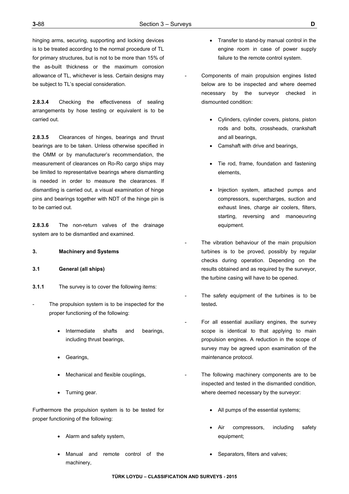hinging arms, securing, supporting and locking devices is to be treated according to the normal procedure of TL for primary structures, but is not to be more than 15% of the as-built thickness or the maximum corrosion allowance of TL, whichever is less. Certain designs may be subject to TL's special consideration.

**2.8.3.4** Checking the effectiveness of sealing arrangements by hose testing or equivalent is to be carried out.

**2.8.3.5** Clearances of hinges, bearings and thrust bearings are to be taken. Unless otherwise specified in the OMM or by manufacturer's recommendation, the measurement of clearances on Ro-Ro cargo ships may be limited to representative bearings where dismantling is needed in order to measure the clearances. If dismantling is carried out, a visual examination of hinge pins and bearings together with NDT of the hinge pin is to be carried out.

**2.8.3.6** The non-return valves of the drainage system are to be dismantled and examined.

## **3. Machinery and Systems**

## **3.1 General (all ships)**

- **3.1.1** The survey is to cover the following items:
- The propulsion system is to be inspected for the proper functioning of the following:
	- Intermediate shafts and bearings, including thrust bearings,
	- Gearings,
	- Mechanical and flexible couplings,
	- Turning gear.

Furthermore the propulsion system is to be tested for proper functioning of the following:

- Alarm and safety system,
- Manual and remote control of the machinery,
- Transfer to stand-by manual control in the engine room in case of power supply failure to the remote control system.
- Components of main propulsion engines listed below are to be inspected and where deemed necessary by the surveyor checked in dismounted condition:
	- Cylinders, cylinder covers, pistons, piston rods and bolts, crossheads, crankshaft and all bearings,
	- Camshaft with drive and bearings,
	- Tie rod, frame, foundation and fastening elements,
	- Injection system, attached pumps and compressors, supercharges, suction and exhaust lines, charge air coolers, filters, starting, reversing and manoeuvring equipment.
- The vibration behaviour of the main propulsion turbines is to be proved, possibly by regular checks during operation. Depending on the results obtained and as required by the surveyor, the turbine casing will have to be opened.
- The safety equipment of the turbines is to be tested**.**
- For all essential auxiliary engines, the survey scope is identical to that applying to main propulsion engines. A reduction in the scope of survey may be agreed upon examination of the maintenance protocol.
- The following machinery components are to be inspected and tested in the dismantled condition, where deemed necessary by the surveyor:
	- All pumps of the essential systems;
	- Air compressors, including safety equipment;
	- Separators, filters and valves;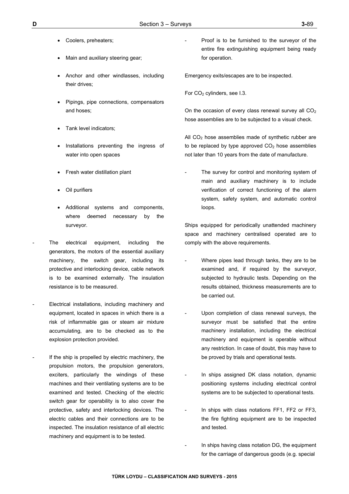- Coolers, preheaters;
- Main and auxiliary steering gear;
- Anchor and other windlasses, including their drives;
- Pipings, pipe connections, compensators and hoses;
- Tank level indicators;
- Installations preventing the ingress of water into open spaces
- Fresh water distillation plant
- Oil purifiers
- Additional systems and components, where deemed necessary by the surveyor.
- The electrical equipment, including the generators, the motors of the essential auxiliary machinery, the switch gear, including its protective and interlocking device, cable network is to be examined externally. The insulation resistance is to be measured.
- Electrical installations, including machinery and equipment, located in spaces in which there is a risk of inflammable gas or steam air mixture accumulating, are to be checked as to the explosion protection provided.
- If the ship is propelled by electric machinery, the propulsion motors, the propulsion generators, exciters, particularly the windings of these machines and their ventilating systems are to be examined and tested. Checking of the electric switch gear for operability is to also cover the protective, safety and interlocking devices. The electric cables and their connections are to be inspected. The insulation resistance of all electric machinery and equipment is to be tested.

Proof is to be furnished to the surveyor of the entire fire extinguishing equipment being ready for operation.

Emergency exits/escapes are to be inspected.

For CO<sub>2</sub> cylinders, see I.3.

On the occasion of every class renewal survey all  $CO<sub>2</sub>$ hose assemblies are to be subjected to a visual check.

All  $CO<sub>2</sub>$  hose assemblies made of synthetic rubber are to be replaced by type approved  $CO<sub>2</sub>$  hose assemblies not later than 10 years from the date of manufacture.

The survey for control and monitoring system of main and auxiliary machinery is to include verification of correct functioning of the alarm system, safety system, and automatic control loops.

Ships equipped for periodically unattended machinery space and machinery centralised operated are to comply with the above requirements.

- Where pipes lead through tanks, they are to be examined and, if required by the surveyor, subjected to hydraulic tests. Depending on the results obtained, thickness measurements are to be carried out.
- Upon completion of class renewal surveys, the surveyor must be satisfied that the entire machinery installation, including the electrical machinery and equipment is operable without any restriction. In case of doubt, this may have to be proved by trials and operational tests.
- In ships assigned DK class notation, dynamic positioning systems including electrical control systems are to be subjected to operational tests.
- In ships with class notations FF1, FF2 or FF3, the fire fighting equipment are to be inspected and tested.
- In ships having class notation DG, the equipment for the carriage of dangerous goods (e.g. special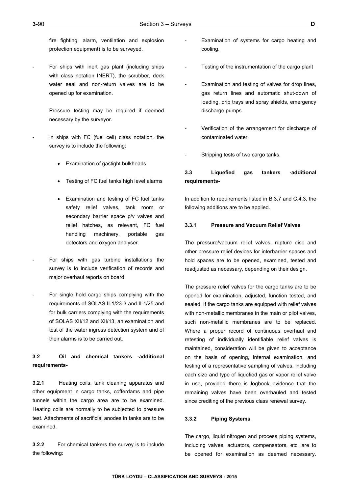fire fighting, alarm, ventilation and explosion protection equipment) is to be surveyed.

For ships with inert gas plant (including ships with class notation INERT), the scrubber, deck water seal and non-return valves are to be opened up for examination.

> Pressure testing may be required if deemed necessary by the surveyor.

- In ships with FC (fuel cell) class notation, the survey is to include the following:
	- Examination of gastight bulkheads,
	- Testing of FC fuel tanks high level alarms
	- Examination and testing of FC fuel tanks safety relief valves, tank room or secondary barrier space p/v valves and relief hatches, as relevant, FC fuel handling machinery, portable gas detectors and oxygen analyser.
- For ships with gas turbine installations the survey is to include verification of records and major overhaul reports on board.
- For single hold cargo ships complying with the requirements of SOLAS II-1/23-3 and II-1/25 and for bulk carriers complying with the requirements of SOLAS XII/12 and XII/13, an examination and test of the water ingress detection system and of their alarms is to be carried out.

# **3.2 Oil and chemical tankers -additional requirements-**

**3.2.1** Heating coils, tank cleaning apparatus and other equipment in cargo tanks, cofferdams and pipe tunnels within the cargo area are to be examined. Heating coils are normally to be subjected to pressure test. Attachments of sacrificial anodes in tanks are to be examined.

**3.2.2** For chemical tankers the survey is to include the following:

- Examination of systems for cargo heating and cooling.
- Testing of the instrumentation of the cargo plant
- Examination and testing of valves for drop lines, gas return lines and automatic shut-down of loading, drip trays and spray shields, emergency discharge pumps.
- Verification of the arrangement for discharge of contaminated water.
- Stripping tests of two cargo tanks.

## **3.3 Liquefied gas tankers -additional requirements-**

In addition to requirements listed in B.3.7 and C.4.3, the following additions are to be applied.

#### **3.3.1 Pressure and Vacuum Relief Valves**

The pressure/vacuum relief valves, rupture disc and other pressure relief devices for interbarrier spaces and hold spaces are to be opened, examined, tested and readjusted as necessary, depending on their design.

The pressure relief valves for the cargo tanks are to be opened for examination, adjusted, function tested, and sealed. If the cargo tanks are equipped with relief valves with non-metallic membranes in the main or pilot valves. such non-metallic membranes are to be replaced. Where a proper record of continuous overhaul and retesting of individually identifiable relief valves is maintained, consideration will be given to acceptance on the basis of opening, internal examination, and testing of a representative sampling of valves, including each size and type of liquefied gas or vapor relief valve in use, provided there is logbook evidence that the remaining valves have been overhauled and tested since crediting of the previous class renewal survey.

## **3.3.2 Piping Systems**

The cargo, liquid nitrogen and process piping systems, including valves, actuators, compensators, etc. are to be opened for examination as deemed necessary.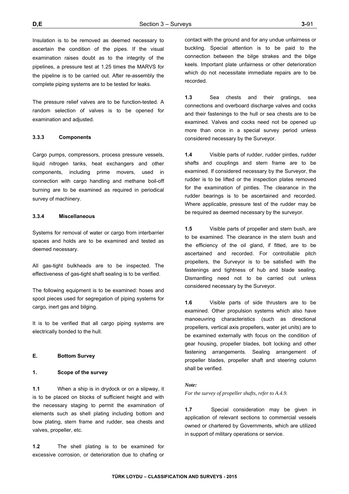Insulation is to be removed as deemed necessary to ascertain the condition of the pipes. If the visual examination raises doubt as to the integrity of the pipelines, a pressure test at 1.25 times the MARVS for the pipeline is to be carried out. After re-assembly the complete piping systems are to be tested for leaks.

The pressure relief valves are to be function-tested. A random selection of valves is to be opened for examination and adjusted.

#### **3.3.3 Components**

Cargo pumps, compressors, process pressure vessels, liquid nitrogen tanks, heat exchangers and other components, including prime movers, used in connection with cargo handling and methane boil-off burning are to be examined as required in periodical survey of machinery.

## **3.3.4 Miscellaneous**

Systems for removal of water or cargo from interbarrier spaces and holds are to be examined and tested as deemed necessary.

All gas-tight bulkheads are to be inspected. The effectiveness of gas-tight shaft sealing is to be verified.

The following equipment is to be examined: hoses and spool pieces used for segregation of piping systems for cargo, inert gas and bilging.

It is to be verified that all cargo piping systems are electrically bonded to the hull.

## **E. Bottom Survey**

## **1. Scope of the survey**

**1.1** When a ship is in drydock or on a slipway, it is to be placed on blocks of sufficient height and with the necessary staging to permit the examination of elements such as shell plating including bottom and bow plating, stern frame and rudder, sea chests and valves, propeller, etc.

**1.2** The shell plating is to be examined for excessive corrosion, or deterioration due to chafing or contact with the ground and for any undue unfairness or buckling. Special attention is to be paid to the connection between the bilge strakes and the bilge keels. Important plate unfairness or other deterioration which do not necessitate immediate repairs are to be recorded.

**1.3** Sea chests and their gratings, sea connections and overboard discharge valves and cocks and their fastenings to the hull or sea chests are to be examined. Valves and cocks need not be opened up more than once in a special survey period unless considered necessary by the Surveyor.

**1.4** Visible parts of rudder, rudder pintles, rudder shafts and couplings and stern frame are to be examined. If considered necessary by the Surveyor, the rudder is to be lifted or the inspection plates removed for the examination of pintles. The clearance in the rudder bearings is to be ascertained and recorded. Where applicable, pressure test of the rudder may be be required as deemed necessary by the surveyor.

**1.5** Visible parts of propeller and stern bush, are to be examined. The clearance in the stern bush and the efficiency of the oil gland, if fitted, are to be ascertained and recorded. For controllable pitch propellers, the Surveyor is to be satisfied with the fastenings and tightness of hub and blade sealing. Dismantling need not to be carried out unless considered necessary by the Surveyor.

**1.6** Visible parts of side thrusters are to be examined. Other propulsion systems which also have manoeuvring characteristics (such as directional propellers, vertical axis propellers, water jet units) are to be examined externally with focus on the condition of gear housing, propeller blades, bolt locking and other fastening arrangements. Sealing arrangement of propeller blades, propeller shaft and steering column shall be verified.

#### *Note:*

*For the survey of propeller shafts, refer to A.4.9.* 

**1.7** Special consideration may be given in application of relevant sections to commercial vessels owned or chartered by Governments, which are utilized in support of military operations or service.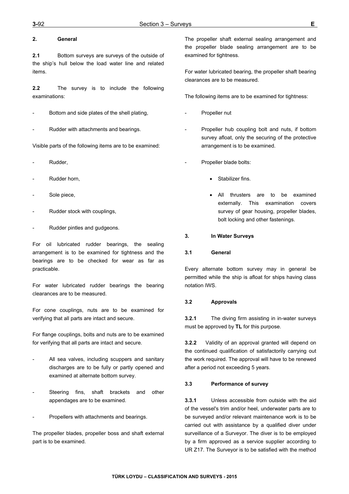## **2. General**

**2.1** Bottom surveys are surveys of the outside of the ship's hull below the load water line and related items.

**2.2** The survey is to include the following examinations:

- Bottom and side plates of the shell plating,
- Rudder with attachments and bearings.

Visible parts of the following items are to be examined:

- Rudder,
- Rudder horn.
- Sole piece,
- Rudder stock with couplings,
- Rudder pintles and gudgeons.

For oil lubricated rudder bearings, the sealing arrangement is to be examined for tightness and the bearings are to be checked for wear as far as practicable.

For water lubricated rudder bearings the bearing clearances are to be measured.

For cone couplings, nuts are to be examined for verifying that all parts are intact and secure.

For flange couplings, bolts and nuts are to be examined for verifying that all parts are intact and secure.

- All sea valves, including scuppers and sanitary discharges are to be fully or partly opened and examined at alternate bottom survey.
- Steering fins, shaft brackets and other appendages are to be examined.
- Propellers with attachments and bearings.

The propeller blades, propeller boss and shaft external part is to be examined.

The propeller shaft external sealing arrangement and the propeller blade sealing arrangement are to be examined for tightness.

For water lubricated bearing, the propeller shaft bearing clearances are to be measured.

The following items are to be examined for tightness:

- Propeller nut
- Propeller hub coupling bolt and nuts, if bottom survey afloat, only the securing of the protective arrangement is to be examined.
- Propeller blade bolts:
	- Stabilizer fins.
	- All thrusters are to be examined externally. This examination covers survey of gear housing, propeller blades, bolt locking and other fastenings.

## **3. In Water Surveys**

#### **3.1 General**

Every alternate bottom survey may in general be permitted while the ship is afloat for ships having class notation IWS.

## **3.2 Approvals**

**3.2.1** The diving firm assisting in in-water surveys must be approved by **TL** for this purpose.

**3.2.2** Validity of an approval granted will depend on the continued qualification of satisfactorily carrying out the work required. The approval will have to be renewed after a period not exceeding 5 years.

## **3.3 Performance of survey**

**3.3.1** Unless accessible from outside with the aid of the vessel's trim and/or heel, underwater parts are to be surveyed and/or relevant maintenance work is to be carried out with assistance by a qualified diver under surveillance of a Surveyor. The diver is to be employed by a firm approved as a service supplier according to UR Z17. The Surveyor is to be satisfied with the method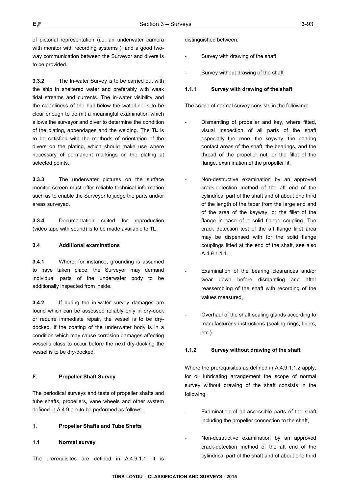of pictorial representation (i.e. an underwater camera with monitor with recording systems ), and a good twoway communication between the Surveyor and divers is to be provided.

**3.3.2** The In-water Survey is to be carried out with the ship in sheltered water and preferably with weak tidal streams and currents. The in-water visibility and the cleanliness of the hull below the waterline is to be clear enough to permit a meaningful examination which allows the surveyor and diver to determine the condition of the plating, appendages and the welding. The **TL** is to be satisfied with the methods of orientation of the divers on the plating, which should make use where necessary of permanent markings on the plating at selected points.

**3.3.3** The underwater pictures on the surface monitor screen must offer reliable technical information such as to enable the Surveyor to judge the parts and/or areas surveyed.

**3.3.4** Documentation suited for reproduction (video tape with sound) is to be made available to **TL.** 

## **3.4 Additional examinations**

**3.4.1** Where, for instance, grounding is assumed to have taken place, the Surveyor may demand individual parts of the underwater body to be additionally inspected from inside.

**3.4.2** If during the in-water survey damages are found which can be assessed reliably only in dry-dock or require immediate repair, the vessel is to be drydocked. If the coating of the underwater body is in a condition which may cause corrosion damages affecting vessel's class to occur before the next dry-docking the vessel is to be dry-docked.

## **F. Propeller Shaft Survey**

The periodical surveys and tests of propeller shafts and tube shafts, propellers, vane wheels and other system defined in A.4.9 are to be performed as follows.

## **1. Propeller Shafts and Tube Shafts**

**1.1 Normal survey** 

The prerequisites are defined in A.4.9.1.1. It is

distinguished between:

- Survey with drawing of the shaft
- Survey without drawing of the shaft

## **1.1.1 Survey with drawing of the shaft**

The scope of normal survey consists in the following:

- Dismantling of propeller and key, where fitted, visual inspection of all parts of the shaft especially the cone, the keyway, the bearing contact areas of the shaft, the bearings, and the thread of the propeller nut, or the fillet of the flange, examination of the propeller fit,
- Non-destructive examination by an approved crack-detection method of the aft end of the cylindrical part of the shaft and of about one third of the length of the taper from the large end and of the area of the keyway, or the fillet of the flange in case of a solid flange coupling. The crack detection test of the aft flange fillet area may be dispensed with for the solid flange couplings fitted at the end of the shaft, see also A.4.9.1.1.1.
- Examination of the bearing clearances and/or wear down before dismantling and after reassembling of the shaft with recording of the values measured,
- Overhaul of the shaft sealing glands according to manufacturer's instructions (sealing rings, liners, etc.).

## **1.1.2 Survey without drawing of the shaft**

Where the prerequisites as defined in A.4.9.1.1.2 apply, for oil lubricating arrangement the scope of normal survey without drawing of the shaft consists in the following:

- Examination of all accessible parts of the shaft including the propeller connection to the shaft,
- Non-destructive examination by an approved crack-detection method of the aft end of the cylindrical part of the shaft and of about one third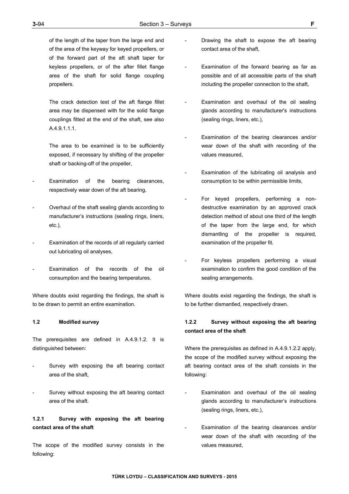of the length of the taper from the large end and of the area of the keyway for keyed propellers, or of the forward part of the aft shaft taper for keyless propellers, or of the after fillet flange area of the shaft for solid flange coupling propellers.

 The crack detection test of the aft flange fillet area may be dispensed with for the solid flange couplings fitted at the end of the shaft, see also A.4.9.1.1.1.

The area to be examined is to be sufficiently exposed, if necessary by shifting of the propeller shaft or backing-off of the propeller,

- Examination of the bearing clearances, respectively wear down of the aft bearing,
- Overhaul of the shaft sealing glands according to manufacturer's instructions (sealing rings, liners, etc.),
- Examination of the records of all regularly carried out lubricating oil analyses,
- Examination of the records of the oil consumption and the bearing temperatures.

Where doubts exist regarding the findings, the shaft is to be drawn to permit an entire examination.

#### **1.2 Modified survey**

The prerequisites are defined in A.4.9.1.2. It is distinguished between:

- Survey with exposing the aft bearing contact area of the shaft,
- Survey without exposing the aft bearing contact area of the shaft.

## **1.2.1 Survey with exposing the aft bearing contact area of the shaft**

The scope of the modified survey consists in the following:

- Drawing the shaft to expose the aft bearing contact area of the shaft,
- Examination of the forward bearing as far as possible and of all accessible parts of the shaft including the propeller connection to the shaft,
- Examination and overhaul of the oil sealing glands according to manufacturer's instructions (sealing rings, liners, etc.),
- Examination of the bearing clearances and/or wear down of the shaft with recording of the values measured,
- Examination of the lubricating oil analysis and consumption to be within permissible limits,
- For keyed propellers, performing a nondestructive examination by an approved crack detection method of about one third of the length of the taper from the large end, for which dismantling of the propeller is required, examination of the propeller fit.
- For keyless propellers performing a visual examination to confirm the good condition of the sealing arrangements.

Where doubts exist regarding the findings, the shaft is to be further dismantled, respectively drawn.

## **1.2.2 Survey without exposing the aft bearing contact area of the shaft**

Where the prerequisites as defined in A.4.9.1.2.2 apply, the scope of the modified survey without exposing the aft bearing contact area of the shaft consists in the following:

- Examination and overhaul of the oil sealing glands according to manufacturer's instructions (sealing rings, liners, etc.),
- Examination of the bearing clearances and/or wear down of the shaft with recording of the values measured,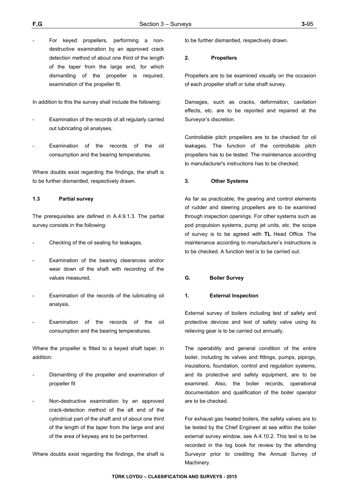For keyed propellers, performing a nondestructive examination by an approved crack detection method of about one third of the length of the taper from the large end, for which dismantling of the propeller is required, examination of the propeller fit.

In addition to this the survey shall include the following:

- Examination of the records of all regularly carried out lubricating oil analyses,
- Examination of the records of the oil consumption and the bearing temperatures.

Where doubts exist regarding the findings, the shaft is to be further dismantled, respectively drawn.

#### **1.3 Partial survey**

The prerequisites are defined in A.4.9.1.3. The partial survey consists in the following:

- Checking of the oil sealing for leakages,
- Examination of the bearing clearances and/or wear down of the shaft with recording of the values measured,
- Examination of the records of the lubricating oil analysis,
- Examination of the records of the oil consumption and the bearing temperatures.

Where the propeller is fitted to a keyed shaft taper, in addition:

- Dismantling of the propeller and examination of propeller fit
- Non-destructive examination by an approved crack-detection method of the aft end of the cylindrical part of the shaft and of about one third of the length of the taper from the large end and of the area of keyway are to be performed.

Where doubts exist regarding the findings, the shaft is

to be further dismantled, respectively drawn.

#### **2. Propellers**

Propellers are to be examined visually on the occasion of each propeller shaft or tube shaft survey.

Damages, such as cracks, deformation, cavitation effects, etc. are to be reported and repaired at the Surveyor's discretion.

Controllable pitch propellers are to be checked for oil leakages. The function of the controllable pitch propellers has to be tested. The maintenance according to manufacturer's instructions has to be checked.

#### **3. Other Systems**

As far as practicable, the gearing and control elements of rudder and steering propellers are to be examined through inspection openings. For other systems such as pod propulsion systems, pump jet units, etc. the scope of survey is to be agreed with **TL** Head Office. The maintenance according to manufacturer's instructions is to be checked. A function test is to be carried out.

#### **G. Boiler Survey**

## **1. External Inspection**

External survey of boilers including test of safety and protective devices and test of safety valve using its relieving gear is to be carried out annually.

The operability and general condition of the entire boiler, including its valves and fittings, pumps, pipings, insulations, foundation, control and regulation systems, and its protective and safety equipment, are to be examined. Also, the boiler records, operational documentation and qualification of the boiler operator are to be checked.

For exhaust gas heated boilers, the safety valves are to be tested by the Chief Engineer at sea within the boiler external survey window, see A.4.10.2. This test is to be recorded in the log book for review by the attending Surveyor prior to crediting the Annual Survey of Machinery.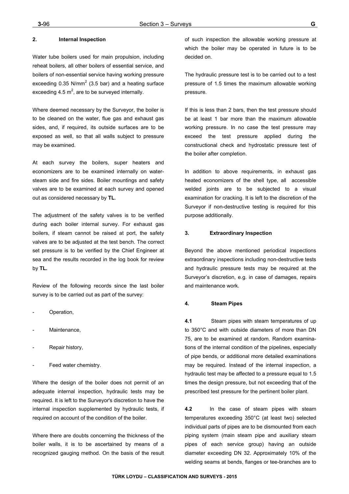Water tube boilers used for main propulsion, including reheat boilers, all other boilers of essential service, and boilers of non-essential service having working pressure exceeding 0.35 N/mm<sup>2</sup> (3.5 bar) and a heating surface exceeding 4.5  $m^2$ , are to be surveyed internally.

Where deemed necessary by the Surveyor, the boiler is to be cleaned on the water, flue gas and exhaust gas sides, and, if required, its outside surfaces are to be exposed as well, so that all walls subject to pressure may be examined.

At each survey the boilers, super heaters and economizers are to be examined internally on watersteam side and fire sides. Boiler mountings and safety valves are to be examined at each survey and opened out as considered necessary by **TL**.

The adjustment of the safety valves is to be verified during each boiler internal survey. For exhaust gas boilers, if steam cannot be raised at port, the safety valves are to be adjusted at the test bench. The correct set pressure is to be verified by the Chief Engineer at sea and the results recorded in the log book for review by **TL.** 

Review of the following records since the last boiler survey is to be carried out as part of the survey:

- Operation,
- Maintenance
- Repair history,
- Feed water chemistry.

Where the design of the boiler does not permit of an adequate internal inspection, hydraulic tests may be required. It is left to the Surveyor's discretion to have the internal inspection supplemented by hydraulic tests, if required on account of the condition of the boiler.

Where there are doubts concerning the thickness of the boiler walls, it is to be ascertained by means of a recognized gauging method. On the basis of the result of such inspection the allowable working pressure at which the boiler may be operated in future is to be decided on.

The hydraulic pressure test is to be carried out to a test pressure of 1.5 times the maximum allowable working pressure.

If this is less than 2 bars, then the test pressure should be at least 1 bar more than the maximum allowable working pressure. In no case the test pressure may exceed the test pressure applied during the constructional check and hydrostatic pressure test of the boiler after completion.

In addition to above requirements, in exhaust gas heated economizers of the shell type, all accessible welded joints are to be subjected to a visual examination for cracking. It is left to the discretion of the Surveyor if non-destructive testing is required for this purpose additionally.

#### **3. Extraordinary Inspection**

Beyond the above mentioned periodical inspections extraordinary inspections including non-destructive tests and hydraulic pressure tests may be required at the Surveyor's discretion, e.g. in case of damages, repairs and maintenance work.

#### **4. Steam Pipes**

**4.1** Steam pipes with steam temperatures of up to 350°C and with outside diameters of more than DN 75, are to be examined at random. Random examinations of the internal condition of the pipelines, especially of pipe bends, or additional more detailed examinations may be required. Instead of the internal inspection, a hydraulic test may be affected to a pressure equal to 1.5 times the design pressure, but not exceeding that of the prescribed test pressure for the pertinent boiler plant.

**4.2** In the case of steam pipes with steam temperatures exceeding 350°C (at least two) selected individual parts of pipes are to be dismounted from each piping system (main steam pipe and auxiliary steam pipes of each service group) having an outside diameter exceeding DN 32. Approximately 10% of the welding seams at bends, flanges or tee-branches are to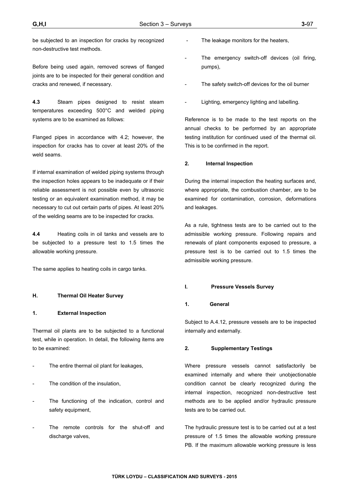be subjected to an inspection for cracks by recognized non-destructive test methods.

Before being used again, removed screws of flanged joints are to be inspected for their general condition and cracks and renewed, if necessary.

**4.3** Steam pipes designed to resist steam temperatures exceeding 500°C and welded piping systems are to be examined as follows:

Flanged pipes in accordance with 4.2; however, the inspection for cracks has to cover at least 20% of the weld seams.

If internal examination of welded piping systems through the inspection holes appears to be inadequate or if their reliable assessment is not possible even by ultrasonic testing or an equivalent examination method, it may be necessary to cut out certain parts of pipes. At least 20% of the welding seams are to be inspected for cracks.

**4.4** Heating coils in oil tanks and vessels are to be subjected to a pressure test to 1.5 times the allowable working pressure.

The same applies to heating coils in cargo tanks.

### **H. Thermal Oil Heater Survey**

#### **1. External Inspection**

Thermal oil plants are to be subjected to a functional test, while in operation. In detail, the following items are to be examined:

- The entire thermal oil plant for leakages,
- The condition of the insulation,
- The functioning of the indication, control and safety equipment,
- The remote controls for the shut-off and discharge valves,
- The leakage monitors for the heaters,
- The emergency switch-off devices (oil firing, pumps),
- The safety switch-off devices for the oil burner
- Lighting, emergency lighting and labelling.

Reference is to be made to the test reports on the annual checks to be performed by an appropriate testing institution for continued used of the thermal oil. This is to be confirmed in the report.

### **2. Internal Inspection**

During the internal inspection the heating surfaces and, where appropriate, the combustion chamber, are to be examined for contamination, corrosion, deformations and leakages.

As a rule, tightness tests are to be carried out to the admissible working pressure. Following repairs and renewals of plant components exposed to pressure, a pressure test is to be carried out to 1.5 times the admissible working pressure.

#### **I. Pressure Vessels Survey**

### **1. General**

Subject to A.4.12, pressure vessels are to be inspected internally and externally.

#### **2. Supplementary Testings**

Where pressure vessels cannot satisfactorily be examined internally and where their unobjectionable condition cannot be clearly recognized during the internal inspection, recognized non-destructive test methods are to be applied and/or hydraulic pressure tests are to be carried out.

The hydraulic pressure test is to be carried out at a test pressure of 1.5 times the allowable working pressure PB. If the maximum allowable working pressure is less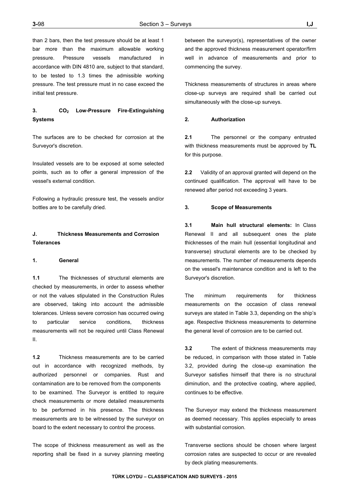than 2 bars, then the test pressure should be at least 1 bar more than the maximum allowable working pressure. Pressure vessels manufactured in accordance with DIN 4810 are, subject to that standard, to be tested to 1.3 times the admissible working pressure. The test pressure must in no case exceed the initial test pressure.

# **3. CO2 Low-Pressure Fire-Extinguishing Systems**

The surfaces are to be checked for corrosion at the Surveyor's discretion.

Insulated vessels are to be exposed at some selected points, such as to offer a general impression of the vessel's external condition.

Following a hydraulic pressure test, the vessels and/or bottles are to be carefully dried.

# **J. Thickness Measurements and Corrosion Tolerances**

### **1. General**

**1.1** The thicknesses of structural elements are checked by measurements, in order to assess whether or not the values stipulated in the Construction Rules are observed, taking into account the admissible tolerances. Unless severe corrosion has occurred owing to particular service conditions, thickness measurements will not be required until Class Renewal II.

**1.2** Thickness measurements are to be carried out in accordance with recognized methods, by authorized personnel or companies. Rust and contamination are to be removed from the components to be examined. The Surveyor is entitled to require check measurements or more detailed measurements to be performed in his presence. The thickness measurements are to be witnessed by the surveyor on board to the extent necessary to control the process.

The scope of thickness measurement as well as the reporting shall be fixed in a survey planning meeting

between the surveyor(s), representatives of the owner and the approved thickness measurement operator/firm well in advance of measurements and prior to commencing the survey.

Thickness measurements of structures in areas where close-up surveys are required shall be carried out simultaneously with the close-up surveys.

### **2. Authorization**

**2.1** The personnel or the company entrusted with thickness measurements must be approved by **TL** for this purpose.

**2.2** Validity of an approval granted will depend on the continued qualification. The approval will have to be renewed after period not exceeding 3 years.

#### **3. Scope of Measurements**

**3.1 Main hull structural elements:** In Class Renewal II and all subsequent ones the plate thicknesses of the main hull (essential longitudinal and transverse) structural elements are to be checked by measurements. The number of measurements depends on the vessel's maintenance condition and is left to the Surveyor's discretion.

The minimum requirements for thickness measurements on the occasion of class renewal surveys are stated in Table 3.3, depending on the ship's age. Respective thickness measurements to determine the general level of corrosion are to be carried out.

**3.2** The extent of thickness measurements may be reduced, in comparison with those stated in Table 3.2, provided during the close-up examination the Surveyor satisfies himself that there is no structural diminution, and the protective coating, where applied, continues to be effective.

The Surveyor may extend the thickness measurement as deemed necessary. This applies especially to areas with substantial corrosion.

Transverse sections should be chosen where largest corrosion rates are suspected to occur or are revealed by deck plating measurements.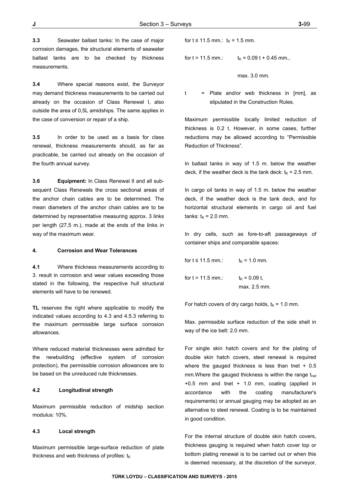**3.3** Seawater ballast tanks: In the case of major corrosion damages, the structural elements of seawater ballast tanks are to be checked by thickness measurements.

**3.4** Where special reasons exist, the Surveyor may demand thickness measurements to be carried out already on the occasion of Class Renewal I, also outside the area of 0,5L amidships. The same applies in the case of conversion or repair of a ship.

**3.5** In order to be used as a basis for class renewal, thickness measurements should, as far as practicable, be carried out already on the occasion of the fourth annual survey.

**3.6 Equipment:** In Class Renewal II and all subsequent Class Renewals the cross sectional areas of the anchor chain cables are to be determined. The mean diameters of the anchor chain cables are to be determined by representative measuring approx. 3 links per length (27,5 m.), made at the ends of the links in way of the maximum wear.

#### **4. Corrosion and Wear Tolerances**

**4.1** Where thickness measurements according to 3. result in corrosion and wear values exceeding those stated in the following, the respective hull structural elements will have to be renewed.

**TL** reserves the right where applicable to modify the indicated values according to 4.3 and 4.5.3 referring to the maximum permissible large surface corrosion allowances.

Where reduced material thicknesses were admitted for the newbuilding (effective system of corrosion protection), the permissible corrosion allowances are to be based on the unreduced rule thicknesses.

### **4.2 Longitudinal strength**

Maximum permissible reduction of midship section modulus: 10%.

#### **4.3 Local strength**

Maximum permissible large-surface reduction of plate thickness and web thickness of profiles:  $t_{K}$ 

for  $t \le 11.5$  mm.:  $t_K = 1.5$  mm.

for  $t > 11.5$  mm.:  $t_K = 0.09$   $t + 0.45$  mm.,

max. 3.0 mm.

t = Plate and/or web thickness in [mm], as stipulated in the Construction Rules.

Maximum permissible locally limited reduction of thickness is 0.2 t. However, in some cases, further reductions may be allowed according to "Permissible Reduction of Thickness".

In ballast tanks in way of 1.5 m. below the weather deck, if the weather deck is the tank deck:  $t_K = 2.5$  mm.

In cargo oil tanks in way of 1.5 m. below the weather deck, if the weather deck is the tank deck, and for horizontal structural elements in cargo oil and fuel tanks:  $t_K = 2.0$  mm.

In dry cells, such as fore-to-aft passageways of container ships and comparable spaces:

for  $t \le 11.5$  mm.:  $t_K = 1.0$  mm.

for  $t > 11.5$  mm.:  $t_K = 0.09$  t, max. 2.5 mm.

For hatch covers of dry cargo holds,  $t_K = 1.0$  mm.

Max. permissible surface reduction of the side shell in way of the ice belt: 2.0 mm.

For single skin hatch covers and for the plating of double skin hatch covers, steel renewal is required where the gauged thickness is less than tnet  $+0.5$ mm. Where the gauged thickness is within the range  $t_{net}$ +0.5 mm and tnet + 1.0 mm, coating (applied in accordance with the coating manufacturer's requirements) or annual gauging may be adopted as an alternative to steel renewal. Coating is to be maintained in good condition.

For the internal structure of double skin hatch covers, thickness gauging is required when hatch cover top or bottom plating renewal is to be carried out or when this is deemed necessary, at the discretion of the surveyor,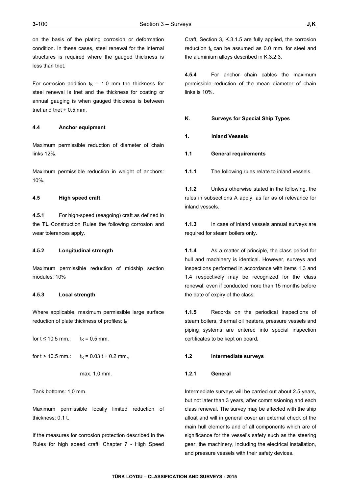on the basis of the plating corrosion or deformation condition. In these cases, steel renewal for the internal structures is required where the gauged thickness is less than tnet.

For corrosion addition  $t_K$  = 1.0 mm the thickness for steel renewal is tnet and the thickness for coating or annual gauging is when gauged thickness is between thet and thet  $+0.5$  mm.

## **4.4 Anchor equipment**

Maximum permissible reduction of diameter of chain links 12%.

Maximum permissible reduction in weight of anchors: 10%.

### **4.5 High speed craft**

**4.5.1** For high-speed (seagoing) craft as defined in the **TL** Construction Rules the following corrosion and wear tolerances apply.

#### **4.5.2 Longitudinal strength**

Maximum permissible reduction of midship section modules: 10%

### **4.5.3 Local strength**

Where applicable, maximum permissible large surface reduction of plate thickness of profiles:  $t_{K}$ 

for  $t \le 10.5$  mm.:  $t_K = 0.5$  mm.

for 
$$
t > 10.5
$$
 mm.:  $t_K = 0.03 t + 0.2$  mm.,

$$
max. 1.0 mm.
$$

Tank bottoms: 1.0 mm.

Maximum permissible locally limited reduction of thickness: 0.1 t.

If the measures for corrosion protection described in the Rules for high speed craft, Chapter 7 - High Speed Craft, Section 3, K.3.1.5 are fully applied, the corrosion reduction  $t_k$  can be assumed as 0.0 mm. for steel and the aluminium alloys described in K.3.2.3.

**4.5.4** For anchor chain cables the maximum permissible reduction of the mean diameter of chain links is 10%.

## **K. Surveys for Special Ship Types**

- **1. Inland Vessels**
- **1.1 General requirements**
- **1.1.1** The following rules relate to inland vessels.

**1.1.2** Unless otherwise stated in the following, the rules in subsections A apply, as far as of relevance for inland vessels.

**1.1.3** In case of inland vessels annual surveys are required for steam boilers only.

**1.1.4** As a matter of principle, the class period for hull and machinery is identical. However, surveys and inspections performed in accordance with items 1.3 and 1.4 respectively may be recognized for the class renewal, even if conducted more than 15 months before the date of expiry of the class.

**1.1.5** Records on the periodical inspections of steam boilers, thermal oil heaters, pressure vessels and piping systems are entered into special inspection certificates to be kept on board**.** 

### **1.2 Intermediate surveys**

#### **1.2.1 General**

Intermediate surveys will be carried out about 2.5 years, but not later than 3 years, after commissioning and each class renewal. The survey may be affected with the ship afloat and will in general cover an external check of the main hull elements and of all components which are of significance for the vessel's safety such as the steering gear, the machinery, including the electrical installation, and pressure vessels with their safety devices.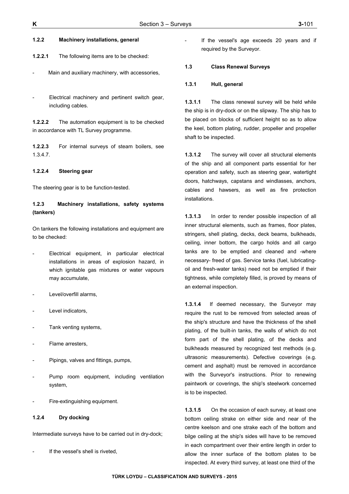### **1.2.2 Machinery installations, general**

**1.2.2.1** The following items are to be checked:

- Main and auxiliary machinery, with accessories,
- Electrical machinery and pertinent switch gear, including cables.

**1.2.2.2** The automation equipment is to be checked in accordance with TL Survey programme.

**1.2.2.3** For internal surveys of steam boilers, see 1.3.4.7.

## **1.2.2.4 Steering gear**

The steering gear is to be function-tested.

# **1.2.3 Machinery installations, safety systems (tankers)**

On tankers the following installations and equipment are to be checked:

- Electrical equipment, in particular electrical installations in areas of explosion hazard, in which ignitable gas mixtures or water vapours may accumulate,
- Level/overfill alarms,
- Level indicators,
- Tank venting systems,
- Flame arresters,
- Pipings, valves and fittings, pumps,
- Pump room equipment, including ventilation system,
- Fire-extinguishing equipment.

### **1.2.4 Dry docking**

Intermediate surveys have to be carried out in dry-dock;

If the vessel's shell is riveted.

If the vessel's age exceeds 20 years and if required by the Surveyor.

### **1.3 Class Renewal Surveys**

#### **1.3.1 Hull, general**

**1.3.1.1** The class renewal survey will be held while the ship is in dry-dock or on the slipway. The ship has to be placed on blocks of sufficient height so as to allow the keel, bottom plating, rudder, propeller and propeller shaft to be inspected.

**1.3.1.2** The survey will cover all structural elements of the ship and all component parts essential for her operation and safety, such as steering gear, watertight doors, hatchways, capstans and windlasses, anchors, cables and hawsers, as well as fire protection installations.

**1.3.1.3** In order to render possible inspection of all inner structural elements, such as frames, floor plates, stringers, shell plating, decks, deck beams, bulkheads, ceiling, inner bottom, the cargo holds and all cargo tanks are to be emptied and cleaned and -where necessary- freed of gas. Service tanks (fuel, lubricatingoil and fresh-water tanks) need not be emptied if their tightness, while completely filled, is proved by means of an external inspection.

**1.3.1.4** If deemed necessary, the Surveyor may require the rust to be removed from selected areas of the ship's structure and have the thickness of the shell plating, of the built-in tanks, the walls of which do not form part of the shell plating, of the decks and bulkheads measured by recognized test methods (e.g. ultrasonic measurements). Defective coverings (e.g. cement and asphalt) must be removed in accordance with the Surveyor's instructions. Prior to renewing paintwork or coverings, the ship's steelwork concerned is to be inspected.

**1.3.1.5** On the occasion of each survey, at least one bottom ceiling strake on either side and near of the centre keelson and one strake each of the bottom and bilge ceiling at the ship's sides will have to be removed in each compartment over their entire length in order to allow the inner surface of the bottom plates to be inspected. At every third survey, at least one third of the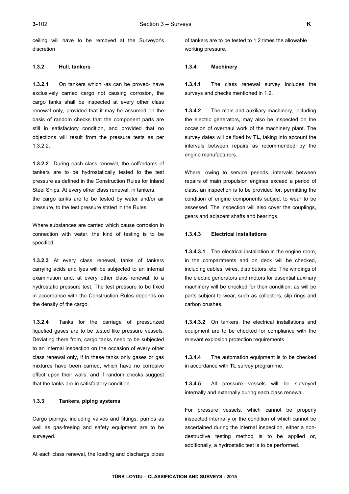ceiling will have to be removed at the Surveyor's discretion

## **1.3.2 Hull, tankers**

**1.3.2.1** On tankers which -as can be proved- have exclusively carried cargo not causing corrosion, the cargo tanks shall be inspected at every other class renewal only, provided that it may be assumed on the basis of random checks that the component parts are still in satisfactory condition, and provided that no objections will result from the pressure tests as per 1.3.2.2.

**1.3.2.2** During each class renewal, the cofferdams of tankers are to be hydrostatically tested to the test pressure as defined in the Construction Rules for Inland Steel Ships. At every other class renewal, in tankers, the cargo tanks are to be tested by water and/or air pressure, to the test pressure stated in the Rules.

Where substances are carried which cause corrosion in connection with water, the kind of testing is to be specified.

**1.3.2.3** At every class renewal, tanks of tankers carrying acids and lyes will be subjected to an internal examination and, at every other class renewal, to a hydrostatic pressure test. The test pressure to be fixed in accordance with the Construction Rules depends on the density of the cargo.

**1.3.2.4** Tanks for the carriage of pressurized liquefied gases are to be tested like pressure vessels. Deviating there from, cargo tanks need to be subjected to an internal inspection on the occasion of every other class renewal only, if in these tanks only gases or gas mixtures have been carried, which have no corrosive effect upon their walls, and if random checks suggest that the tanks are in satisfactory condition.

## **1.3.3 Tankers, piping systems**

Cargo pipings, including valves and fittings, pumps as well as gas-freeing and safety equipment are to be surveyed.

At each class renewal, the loading and discharge pipes

of tankers are to be tested to 1.2 times the allowable working pressure.

### **1.3.4 Machinery**

**1.3.4.1** The class renewal survey includes the surveys and checks mentioned in 1.2.

**1.3.4.2** The main and auxiliary machinery, including the electric generators, may also be inspected on the occasion of overhaul work of the machinery plant. The survey dates will be fixed by **TL**, taking into account the intervals between repairs as recommended by the engine manufacturers.

Where, owing to service periods, intervals between repairs of main propulsion engines exceed a period of class, an inspection is to be provided for, permitting the condition of engine components subject to wear to be assessed. The inspection will also cover the couplings, gears and adjacent shafts and bearings.

### **1.3.4.3 Electrical installations**

**1.3.4.3.1** The electrical installation in the engine room, in the compartments and on deck will be checked, including cables, wires, distributors, etc. The windings of the electric generators and motors for essential auxiliary machinery will be checked for their condition, as will be parts subject to wear, such as collectors, slip rings and carbon brushes.

**1.3.4.3.2** On tankers, the electrical installations and equipment are to be checked for compliance with the relevant explosion protection requirements.

**1.3.4.4** The automation equipment is to be checked in accordance with **TL** survey programme.

**1.3.4.5** All pressure vessels will be surveyed internally and externally during each class renewal.

For pressure vessels, which cannot be properly inspected internally or the condition of which cannot be ascertained during the internal inspection, either a nondestructive testing method is to be applied or, additionally, a hydrostatic test is to be performed.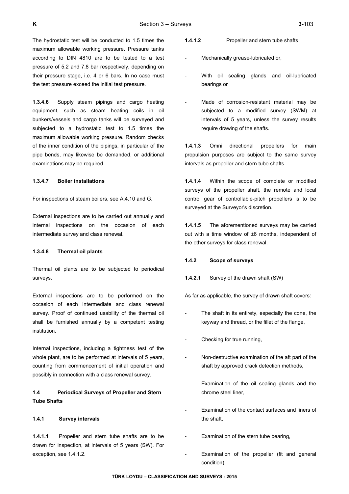The hydrostatic test will be conducted to 1.5 times the maximum allowable working pressure. Pressure tanks according to DIN 4810 are to be tested to a test pressure of 5.2 and 7.8 bar respectively, depending on their pressure stage, i.e. 4 or 6 bars. In no case must the test pressure exceed the initial test pressure.

**1.3.4.6** Supply steam pipings and cargo heating equipment, such as steam heating coils in oil bunkers/vessels and cargo tanks will be surveyed and subjected to a hydrostatic test to 1.5 times the maximum allowable working pressure. Random checks of the inner condition of the pipings, in particular of the pipe bends, may likewise be demanded, or additional examinations may be required.

#### **1.3.4.7 Boiler installations**

For inspections of steam boilers, see A.4.10 and G.

External inspections are to be carried out annually and internal inspections on the occasion of each intermediate survey and class renewal.

#### **1.3.4.8 Thermal oil plants**

Thermal oil plants are to be subjected to periodical surveys.

External inspections are to be performed on the occasion of each intermediate and class renewal survey. Proof of continued usability of the thermal oil shall be furnished annually by a competent testing institution.

Internal inspections, including a tightness test of the whole plant, are to be performed at intervals of 5 years, counting from commencement of initial operation and possibly in connection with a class renewal survey.

# **1.4 Periodical Surveys of Propeller and Stern Tube Shafts**

## **1.4.1 Survey intervals**

**1.4.1.1** Propeller and stern tube shafts are to be drawn for inspection, at intervals of 5 years (SW). For exception, see 1.4.1.2.

- **1.4.1.2** Propeller and stern tube shafts
- Mechanically grease-lubricated or,
- With oil sealing glands and oil-lubricated bearings or
- Made of corrosion-resistant material may be subjected to a modified survey (SWM) at intervals of 5 years, unless the survey results require drawing of the shafts.

**1.4.1.3** Omni directional propellers for main propulsion purposes are subject to the same survey intervals as propeller and stern tube shafts.

**1.4.1.4** Within the scope of complete or modified surveys of the propeller shaft, the remote and local control gear of controllable-pitch propellers is to be surveyed at the Surveyor's discretion.

**1.4.1.5** The aforementioned surveys may be carried out with a time window of ±6 months, independent of the other surveys for class renewal.

## **1.4.2 Scope of surveys**

**1.4.2.1** Survey of the drawn shaft (SW)

As far as applicable, the survey of drawn shaft covers:

- The shaft in its entirety, especially the cone, the keyway and thread, or the fillet of the flange,
- Checking for true running,
- Non-destructive examination of the aft part of the shaft by approved crack detection methods,
- Examination of the oil sealing glands and the chrome steel liner,
- Examination of the contact surfaces and liners of the shaft,
- Examination of the stern tube bearing,
- Examination of the propeller (fit and general condition),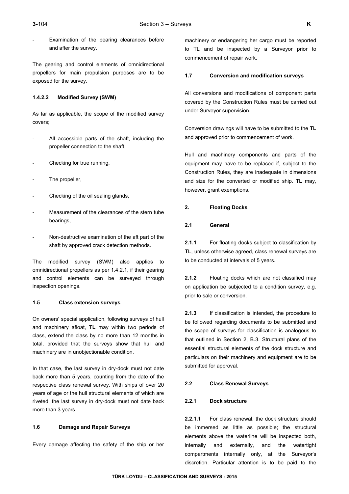Examination of the bearing clearances before and after the survey.

The gearing and control elements of omnidirectional propellers for main propulsion purposes are to be exposed for the survey.

#### **1.4.2.2 Modified Survey (SWM)**

As far as applicable, the scope of the modified survey covers;

- All accessible parts of the shaft, including the propeller connection to the shaft,
- Checking for true running,
- The propeller,
- Checking of the oil sealing glands,
- Measurement of the clearances of the stern tube bearings,
- Non-destructive examination of the aft part of the shaft by approved crack detection methods.

The modified survey (SWM) also applies to omnidirectional propellers as per 1.4.2.1, if their gearing and control elements can be surveyed through inspection openings.

### **1.5 Class extension surveys**

On owners' special application, following surveys of hull and machinery afloat, **TL** may within two periods of class, extend the class by no more than 12 months in total, provided that the surveys show that hull and machinery are in unobjectionable condition.

In that case, the last survey in dry-dock must not date back more than 5 years, counting from the date of the respective class renewal survey. With ships of over 20 years of age or the hull structural elements of which are riveted, the last survey in dry-dock must not date back more than 3 years.

### **1.6 Damage and Repair Surveys**

Every damage affecting the safety of the ship or her

machinery or endangering her cargo must be reported to TL and be inspected by a Surveyor prior to commencement of repair work.

### **1.7 Conversion and modification surveys**

All conversions and modifications of component parts covered by the Construction Rules must be carried out under Surveyor supervision.

Conversion drawings will have to be submitted to the **TL** and approved prior to commencement of work.

Hull and machinery components and parts of the equipment may have to be replaced if, subject to the Construction Rules, they are inadequate in dimensions and size for the converted or modified ship. **TL** may, however, grant exemptions.

### **2. Floating Docks**

## **2.1 General**

**2.1.1** For floating docks subject to classification by **TL**, unless otherwise agreed, class renewal surveys are to be conducted at intervals of 5 years.

**2.1.2** Floating docks which are not classified may on application be subjected to a condition survey, e.g. prior to sale or conversion.

**2.1.3** If classification is intended, the procedure to be followed regarding documents to be submitted and the scope of surveys for classification is analogous to that outlined in Section 2, B.3. Structural plans of the essential structural elements of the dock structure and particulars on their machinery and equipment are to be submitted for approval.

#### **2.2 Class Renewal Surveys**

#### **2.2.1 Dock structure**

**2.2.1.1** For class renewal, the dock structure should be immersed as little as possible; the structural elements above the waterline will be inspected both, internally and externally, and the watertight compartments internally only, at the Surveyor's discretion. Particular attention is to be paid to the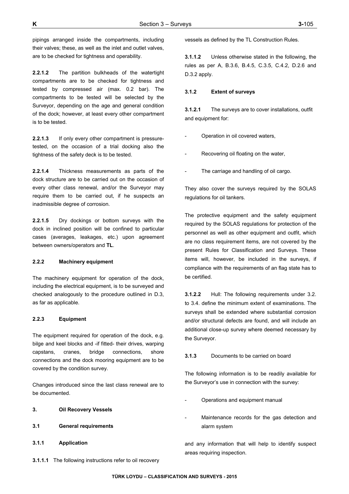pipings arranged inside the compartments, including their valves; these, as well as the inlet and outlet valves, are to be checked for tightness and operability.

**2.2.1.2** The partition bulkheads of the watertight compartments are to be checked for tightness and tested by compressed air (max. 0.2 bar). The compartments to be tested will be selected by the Surveyor, depending on the age and general condition of the dock; however, at least every other compartment is to be tested.

**2.2.1.3** If only every other compartment is pressuretested, on the occasion of a trial docking also the tightness of the safety deck is to be tested.

**2.2.1.4** Thickness measurements as parts of the dock structure are to be carried out on the occasion of every other class renewal, and/or the Surveyor may require them to be carried out, if he suspects an inadmissible degree of corrosion.

**2.2.1.5** Dry dockings or bottom surveys with the dock in inclined position will be confined to particular cases (averages, leakages, etc.) upon agreement between owners/operators and **TL**.

### **2.2.2 Machinery equipment**

The machinery equipment for operation of the dock, including the electrical equipment, is to be surveyed and checked analogously to the procedure outlined in D.3, as far as applicable.

#### **2.2.3 Equipment**

The equipment required for operation of the dock, e.g. bilge and keel blocks and -if fitted- their drives, warping capstans, cranes, bridge connections, shore connections and the dock mooring equipment are to be covered by the condition survey.

Changes introduced since the last class renewal are to be documented.

- **3. Oil Recovery Vessels**
- **3.1 General requirements**
- **3.1.1 Application**

**3.1.1.1** The following instructions refer to oil recovery

vessels as defined by the TL Construction Rules.

**3.1.1.2** Unless otherwise stated in the following, the rules as per A, B.3.6, B.4.5, C.3.5, C.4.2, D.2.6 and D.3.2 apply.

#### **3.1.2 Extent of surveys**

**3.1.2.1** The surveys are to cover installations, outfit and equipment for:

- Operation in oil covered waters,
- Recovering oil floating on the water.
- The carriage and handling of oil cargo.

They also cover the surveys required by the SOLAS regulations for oil tankers.

The protective equipment and the safety equipment required by the SOLAS regulations for protection of the personnel as well as other equipment and outfit, which are no class requirement items, are not covered by the present Rules for Classification and Surveys. These items will, however, be included in the surveys, if compliance with the requirements of an flag state has to be certified.

**3.1.2.2** Hull: The following requirements under 3.2. to 3.4. define the minimum extent of examinations. The surveys shall be extended where substantial corrosion and/or structural defects are found, and will include an additional close-up survey where deemed necessary by the Surveyor.

**3.1.3** Documents to be carried on board

The following information is to be readily available for the Surveyor's use in connection with the survey:

- Operations and equipment manual
- Maintenance records for the gas detection and alarm system

and any information that will help to identify suspect areas requiring inspection.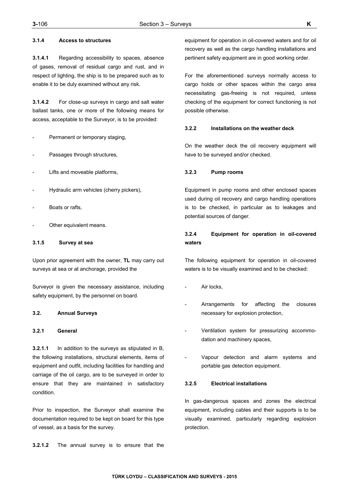### **3.1.4 Access to structures**

**3.1.4.1** Regarding accessibility to spaces, absence of gases, removal of residual cargo and rust, and in respect of lighting, the ship is to be prepared such as to enable it to be duly examined without any risk.

**3.1.4.2** For close-up surveys in cargo and salt water ballast tanks, one or more of the following means for access, acceptable to the Surveyor, is to be provided:

- Permanent or temporary staging,
- Passages through structures,
- Lifts and moveable platforms,
- Hydraulic arm vehicles (cherry pickers),
- Boats or rafts,
- Other equivalent means.

## **3.1.5 Survey at sea**

Upon prior agreement with the owner, **TL** may carry out surveys at sea or at anchorage, provided the

Surveyor is given the necessary assistance, including safety equipment, by the personnel on board.

# **3.2. Annual Surveys**

### **3.2.1 General**

**3.2.1.1** In addition to the surveys as stipulated in B, the following installations, structural elements, items of equipment and outfit, including facilities for handling and carriage of the oil cargo, are to be surveyed in order to ensure that they are maintained in satisfactory condition.

Prior to inspection, the Surveyor shall examine the documentation required to be kept on board for this type of vessel, as a basis for the survey.

**3.2.1.2** The annual survey is to ensure that the

equipment for operation in oil-covered waters and for oil recovery as well as the cargo handling installations and pertinent safety equipment are in good working order.

For the aforementioned surveys normally access to cargo holds or other spaces within the cargo area necessitating gas-freeing is not required, unless checking of the equipment for correct functioning is not possible otherwise.

#### **3.2.2 Installations on the weather deck**

On the weather deck the oil recovery equipment will have to be surveyed and/or checked.

#### **3.2.3 Pump rooms**

Equipment in pump rooms and other enclosed spaces used during oil recovery and cargo handling operations is to be checked, in particular as to leakages and potential sources of danger.

# **3.2.4 Equipment for operation in oil-covered waters**

The following equipment for operation in oil-covered waters is to be visually examined and to be checked:

- Air locks.
- Arrangements for affecting the closures necessary for explosion protection,
- Ventilation system for pressurizing accommodation and machinery spaces,
- Vapour detection and alarm systems and portable gas detection equipment.

#### **3.2.5 Electrical installations**

In gas-dangerous spaces and zones the electrical equipment, including cables and their supports is to be visually examined, particularly regarding explosion protection.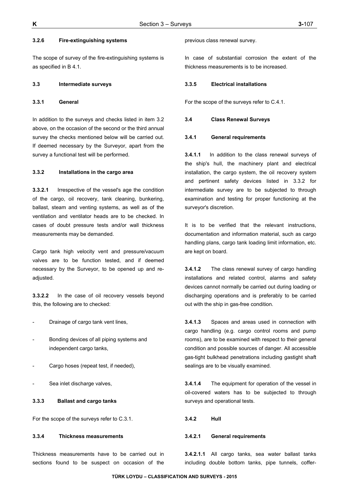### **3.2.6 Fire-extinguishing systems**

The scope of survey of the fire-extinguishing systems is as specified in B 4.1.

#### **3.3 Intermediate surveys**

#### **3.3.1 General**

In addition to the surveys and checks listed in item 3.2 above, on the occasion of the second or the third annual survey the checks mentioned below will be carried out. If deemed necessary by the Surveyor, apart from the survey a functional test will be performed.

### **3.3.2 Installations in the cargo area**

**3.3.2.1** Irrespective of the vessel's age the condition of the cargo, oil recovery, tank cleaning, bunkering, ballast, steam and venting systems, as well as of the ventilation and ventilator heads are to be checked. In cases of doubt pressure tests and/or wall thickness measurements may be demanded.

Cargo tank high velocity vent and pressure/vacuum valves are to be function tested, and if deemed necessary by the Surveyor, to be opened up and readjusted.

**3.3.2.2** In the case of oil recovery vessels beyond this, the following are to checked:

- Drainage of cargo tank vent lines,
- Bonding devices of all piping systems and independent cargo tanks,
- Cargo hoses (repeat test, if needed),
- Sea inlet discharge valves,

# **3.3.3 Ballast and cargo tanks**

For the scope of the surveys refer to C.3.1.

#### **3.3.4 Thickness measurements**

Thickness measurements have to be carried out in sections found to be suspect on occasion of the

previous class renewal survey.

In case of substantial corrosion the extent of the thickness measurements is to be increased.

#### **3.3.5 Electrical installations**

For the scope of the surveys refer to C.4.1.

#### **3.4 Class Renewal Surveys**

#### **3.4.1 General requirements**

**3.4.1.1** In addition to the class renewal surveys of the ship's hull, the machinery plant and electrical installation, the cargo system, the oil recovery system and pertinent safety devices listed in 3.3.2 for intermediate survey are to be subjected to through examination and testing for proper functioning at the surveyor's discretion.

It is to be verified that the relevant instructions, documentation and information material, such as cargo handling plans, cargo tank loading limit information, etc. are kept on board.

**3.4.1.2** The class renewal survey of cargo handling installations and related control, alarms and safety devices cannot normally be carried out during loading or discharging operations and is preferably to be carried out with the ship in gas-free condition.

**3.4.1.3** Spaces and areas used in connection with cargo handling (e.g. cargo control rooms and pump rooms), are to be examined with respect to their general condition and possible sources of danger. All accessible gas-tight bulkhead penetrations including gastight shaft sealings are to be visually examined.

**3.4.1.4** The equipment for operation of the vessel in oil-covered waters has to be subjected to through surveys and operational tests.

#### **3.4.2 Hull**

#### **3.4.2.1 General requirements**

**3.4.2.1.1** All cargo tanks, sea water ballast tanks including double bottom tanks, pipe tunnels, coffer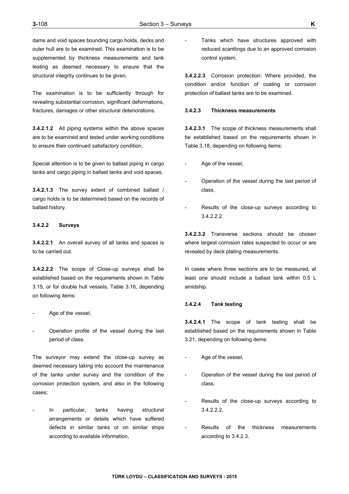dams and void spaces bounding cargo holds, decks and outer hull are to be examined. This examination is to be supplemented by thickness measurements and tank testing as deemed necessary to ensure that the structural integrity continues to be given.

The examination is to be sufficiently through for revealing substantial corrosion, significant deformations, fractures, damages or other structural deteriorations.

**3.4.2.1.2** All piping systems within the above spaces are to be examined and tested under working conditions to ensure their continued satisfactory condition.

Special attention is to be given to ballast piping in cargo tanks and cargo piping in ballast tanks and void spaces.

**3.4.2.1.3** The survey extent of combined ballast / cargo holds is to be determined based on the records of ballast history.

### **3.4.2.2 Surveys**

**3.4.2.2.1** An overall survey of all tanks and spaces is to be carried out.

**3.4.2.2.2** The scope of Close-up surveys shall be established based on the requirements shown in Table 3.15, or for double hull vessels, Table 3.16, depending on following items:

- Age of the vessel,
- Operation profile of the vessel during the last period of class.

The surveyor may extend the close-up survey as deemed necessary taking into account the maintenance of the tanks under survey and the condition of the corrosion protection system, and also in the following cases;

In particular, tanks having structural arrangements or details which have suffered defects in similar tanks or on similar ships according to available information,

Tanks which have structures approved with reduced scantlings due to an approved corrosion control system.

**3.4.2.2.3** Corrosion protection: Where provided, the condition and/or function of coating or corrosion protection of ballast tanks are to be examined.

### **3.4.2.3 Thickness measurements**

**3.4.2.3.1** The scope of thickness measurements shall be established based on the requirements shown in Table 3.18, depending on following items:

- Age of the vessel,
- Operation of the vessel during the last period of class,
- Results of the close-up surveys according to 3.4.2.2.2.

**3.4.2.3.2** Transverse sections should be chosen where largest corrosion rates suspected to occur or are revealed by deck plating measurements.

In cases where three sections are to be measured, at least one should include a ballast tank within 0.5 L amidship.

#### **3.4.2.4 Tank testing**

**3.4.2.4.1** The scope of tank testing shall be established based on the requirements shown in Table 3.21, depending on following items:

- Age of the vessel,
- Operation of the vessel during the last period of class,
- Results of the close-up surveys according to 3.4.2.2.2,
- Results of the thickness measurements according to 3.4.2.3.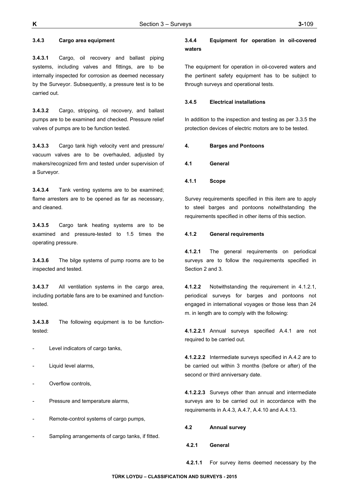## **3.4.3 Cargo area equipment**

**3.4.3.1** Cargo, oil recovery and ballast piping systems, including valves and fittings, are to be internally inspected for corrosion as deemed necessary by the Surveyor. Subsequently, a pressure test is to be carried out.

**3.4.3.2** Cargo, stripping, oil recovery, and ballast pumps are to be examined and checked. Pressure relief valves of pumps are to be function tested.

**3.4.3.3** Cargo tank high velocity vent and pressure/ vacuum valves are to be overhauled, adjusted by makers/recognized firm and tested under supervision of a Surveyor.

**3.4.3.4** Tank venting systems are to be examined; flame arresters are to be opened as far as necessary, and cleaned.

**3.4.3.5** Cargo tank heating systems are to be examined and pressure-tested to 1.5 times the operating pressure.

**3.4.3.6** The bilge systems of pump rooms are to be inspected and tested.

**3.4.3.7** All ventilation systems in the cargo area, including portable fans are to be examined and functiontested.

**3.4.3.8** The following equipment is to be functiontested:

- Level indicators of cargo tanks,
- Liquid level alarms,
- Overflow controls,
- Pressure and temperature alarms,
- Remote-control systems of cargo pumps,
- Sampling arrangements of cargo tanks, if fitted.

## **3.4.4 Equipment for operation in oil-covered waters**

The equipment for operation in oil-covered waters and the pertinent safety equipment has to be subject to through surveys and operational tests.

#### **3.4.5 Electrical installations**

In addition to the inspection and testing as per 3.3.5 the protection devices of electric motors are to be tested.

#### **4. Barges and Pontoons**

- **4.1 General**
- **4.1.1 Scope**

Survey requirements specified in this item are to apply to steel barges and pontoons notwithstanding the requirements specified in other items of this section.

# **4.1.2 General requirements**

**4.1.2.1** The general requirements on periodical surveys are to follow the requirements specified in Section 2 and 3.

**4.1.2.2** Notwithstanding the requirement in 4.1.2.1, periodical surveys for barges and pontoons not engaged in international voyages or those less than 24 m. in length are to comply with the following:

**4.1.2.2.1** Annual surveys specified A.4.1 are not required to be carried out.

**4.1.2.2.2** Intermediate surveys specified in A.4.2 are to be carried out within 3 months (before or after) of the second or third anniversary date.

**4.1.2.2.3** Surveys other than annual and intermediate surveys are to be carried out in accordance with the requirements in A.4.3, A.4.7, A.4.10 and A.4.13.

**4.2 Annual survey** 

 **4.2.1 General**

**4.2.1.1** For survey items deemed necessary by the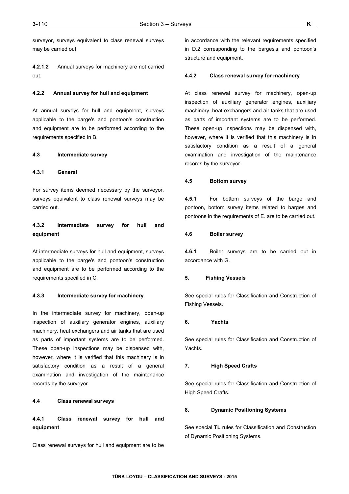surveyor, surveys equivalent to class renewal surveys may be carried out.

**4.2.1.2** Annual surveys for machinery are not carried out.

### **4.2.2 Annual survey for hull and equipment**

At annual surveys for hull and equipment, surveys applicable to the barge's and pontoon's construction and equipment are to be performed according to the requirements specified in B.

#### **4.3 Intermediate survey**

### **4.3.1 General**

For survey items deemed necessary by the surveyor, surveys equivalent to class renewal surveys may be carried out.

# **4.3.2 Intermediate survey for hull and equipment**

At intermediate surveys for hull and equipment, surveys applicable to the barge's and pontoon's construction and equipment are to be performed according to the requirements specified in C.

## **4.3.3 Intermediate survey for machinery**

In the intermediate survey for machinery, open-up inspection of auxiliary generator engines, auxiliary machinery, heat exchangers and air tanks that are used as parts of important systems are to be performed. These open-up inspections may be dispensed with, however, where it is verified that this machinery is in satisfactory condition as a result of a general examination and investigation of the maintenance records by the surveyor.

#### **4.4 Class renewal surveys**

**4.4.1 Class renewal survey for hull and equipment** 

Class renewal surveys for hull and equipment are to be

in accordance with the relevant requirements specified in D.2 corresponding to the barges's and pontoon's structure and equipment.

#### **4.4.2 Class renewal survey for machinery**

At class renewal survey for machinery, open-up inspection of auxiliary generator engines, auxiliary machinery, heat exchangers and air tanks that are used as parts of important systems are to be performed. These open-up inspections may be dispensed with, however, where it is verified that this machinery is in satisfactory condition as a result of a general examination and investigation of the maintenance records by the surveyor.

#### **4.5 Bottom survey**

**4.5.1** For bottom surveys of the barge and pontoon, bottom survey items related to barges and pontoons in the requirements of E. are to be carried out.

### **4.6 Boiler survey**

**4.6.1** Boiler surveys are to be carried out in accordance with G.

#### **5. Fishing Vessels**

See special rules for Classification and Construction of Fishing Vessels.

#### **6. Yachts**

See special rules for Classification and Construction of Yachts.

### **7. High Speed Crafts**

See special rules for Classification and Construction of High Speed Crafts.

### **8. Dynamic Positioning Systems**

See special **TL** rules for Classification and Construction of Dynamic Positioning Systems.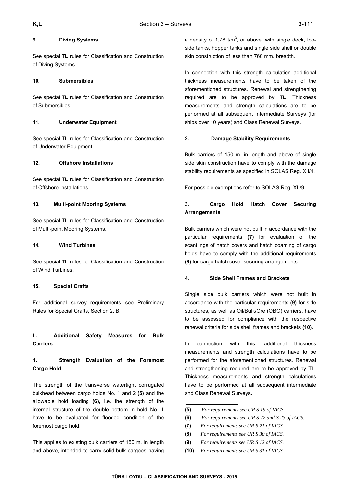### **9. Diving Systems**

See special **TL** rules for Classification and Construction of Diving Systems.

### **10. Submersibles**

See special **TL** rules for Classification and Construction of Submersibles

### **11. Underwater Equipment**

See special **TL** rules for Classification and Construction of Underwater Equipment.

### **12. Offshore Installations**

See special **TL** rules for Classification and Construction of Offshore Installations.

### **13. Multi-point Mooring Systems**

See special **TL** rules for Classification and Construction of Multi-point Mooring Systems.

### **14. Wind Turbines**

See special **TL** rules for Classification and Construction of Wind Turbines.

### **15. Special Crafts**

For additional survey requirements see Preliminary Rules for Special Crafts, Section 2, B.

# **L. Additional Safety Measures for Bulk Carriers**

# **1. Strength Evaluation of the Foremost Cargo Hold**

The strength of the transverse watertight corrugated bulkhead between cargo holds No. 1 and 2 **(5)** and the allowable hold loading **(6),** i.e. the strength of the internal structure of the double bottom in hold No. 1 have to be evaluated for flooded condition of the foremost cargo hold.

This applies to existing bulk carriers of 150 m. in length and above, intended to carry solid bulk cargoes having

a density of 1,78  $t/m<sup>3</sup>$ , or above, with single deck, topside tanks, hopper tanks and single side shell or double skin construction of less than 760 mm. breadth.

In connection with this strength calculation additional thickness measurements have to be taken of the aforementioned structures. Renewal and strengthening required are to be approved by **TL**. Thickness measurements and strength calculations are to be performed at all subsequent Intermediate Surveys (for ships over 10 years) and Class Renewal Surveys.

### **2. Damage Stability Requirements**

Bulk carriers of 150 m. in length and above of single side skin construction have to comply with the damage stability requirements as specified in SOLAS Reg. XII/4.

For possible exemptions refer to SOLAS Reg. XII/9

# **3. Cargo Hold Hatch Cover Securing Arrangements**

Bulk carriers which were not built in accordance with the particular requirements **(7)** for evaluation of the scantlings of hatch covers and hatch coaming of cargo holds have to comply with the additional requirements **(8)** for cargo hatch cover securing arrangements.

#### **4. Side Shell Frames and Brackets**

Single side bulk carriers which were not built in accordance with the particular requirements **(9)** for side structures, as well as Oil/Bulk/Ore (OBO) carriers, have to be assessed for compliance with the respective renewal criteria for side shell frames and brackets **(10).**

In connection with this, additional thickness measurements and strength calculations have to be performed for the aforementioned structures. Renewal and strengthening required are to be approved by **TL**. Thickness measurements and strength calculations have to be performed at all subsequent intermediate and Class Renewal Surveys**.** 

- **(5)** *For requirements see UR S 19 of IACS.*
- **(6)** *For requirements see UR S 22 and S 23 of IACS.*
- **(7)** *For requirements see UR S 21 of IACS.*
- **(8)** *For requirements see UR S 30 of IACS.*
- **(9)** *For requirements see UR S 12 of IACS.*
- **(10)** *For requirements see UR S 31 of IACS.*